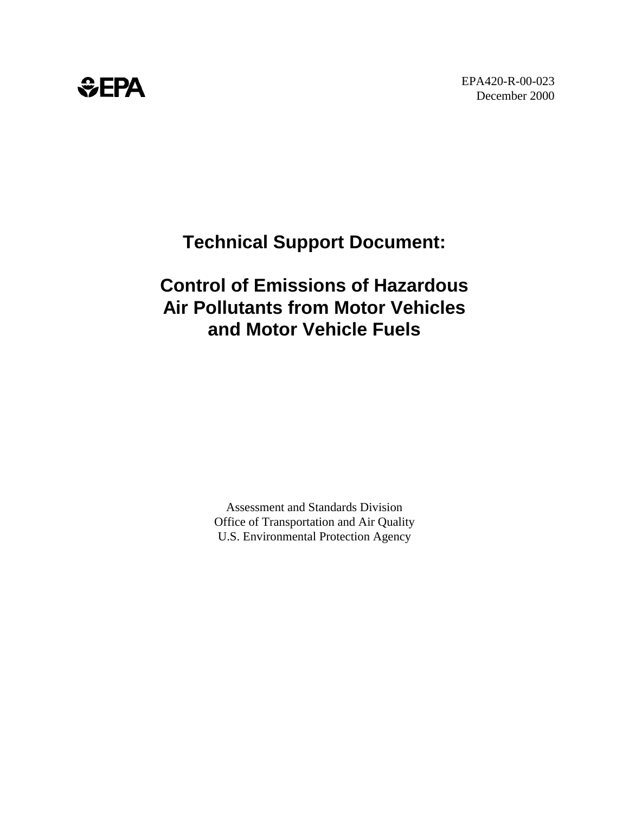# *<b>*

## **Technical Support Document:**

## **Control of Emissions of Hazardous Air Pollutants from Motor Vehicles and Motor Vehicle Fuels**

Assessment and Standards Division Office of Transportation and Air Quality U.S. Environmental Protection Agency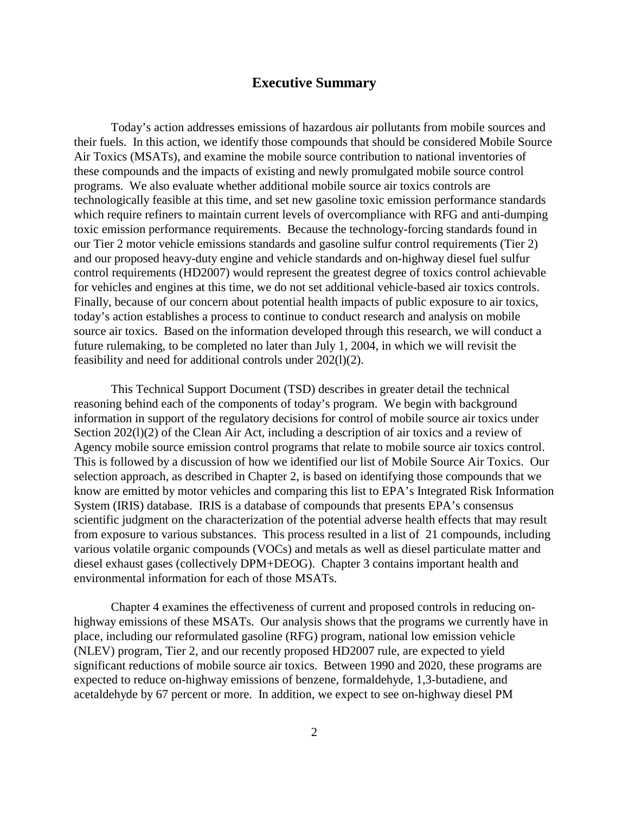#### **Executive Summary**

Today's action addresses emissions of hazardous air pollutants from mobile sources and their fuels. In this action, we identify those compounds that should be considered Mobile Source Air Toxics (MSATs), and examine the mobile source contribution to national inventories of these compounds and the impacts of existing and newly promulgated mobile source control programs. We also evaluate whether additional mobile source air toxics controls are technologically feasible at this time, and set new gasoline toxic emission performance standards which require refiners to maintain current levels of overcompliance with RFG and anti-dumping toxic emission performance requirements. Because the technology-forcing standards found in our Tier 2 motor vehicle emissions standards and gasoline sulfur control requirements (Tier 2) and our proposed heavy-duty engine and vehicle standards and on-highway diesel fuel sulfur control requirements (HD2007) would represent the greatest degree of toxics control achievable for vehicles and engines at this time, we do not set additional vehicle-based air toxics controls. Finally, because of our concern about potential health impacts of public exposure to air toxics, today's action establishes a process to continue to conduct research and analysis on mobile source air toxics. Based on the information developed through this research, we will conduct a future rulemaking, to be completed no later than July 1, 2004, in which we will revisit the feasibility and need for additional controls under 202(l)(2).

This Technical Support Document (TSD) describes in greater detail the technical reasoning behind each of the components of today's program. We begin with background information in support of the regulatory decisions for control of mobile source air toxics under Section 202(1)(2) of the Clean Air Act, including a description of air toxics and a review of Agency mobile source emission control programs that relate to mobile source air toxics control. This is followed by a discussion of how we identified our list of Mobile Source Air Toxics. Our selection approach, as described in Chapter 2, is based on identifying those compounds that we know are emitted by motor vehicles and comparing this list to EPA's Integrated Risk Information System (IRIS) database. IRIS is a database of compounds that presents EPA's consensus scientific judgment on the characterization of the potential adverse health effects that may result from exposure to various substances. This process resulted in a list of 21 compounds, including various volatile organic compounds (VOCs) and metals as well as diesel particulate matter and diesel exhaust gases (collectively DPM+DEOG). Chapter 3 contains important health and environmental information for each of those MSATs.

Chapter 4 examines the effectiveness of current and proposed controls in reducing onhighway emissions of these MSATs. Our analysis shows that the programs we currently have in place, including our reformulated gasoline (RFG) program, national low emission vehicle (NLEV) program, Tier 2, and our recently proposed HD2007 rule, are expected to yield significant reductions of mobile source air toxics. Between 1990 and 2020, these programs are expected to reduce on-highway emissions of benzene, formaldehyde, 1,3-butadiene, and acetaldehyde by 67 percent or more. In addition, we expect to see on-highway diesel PM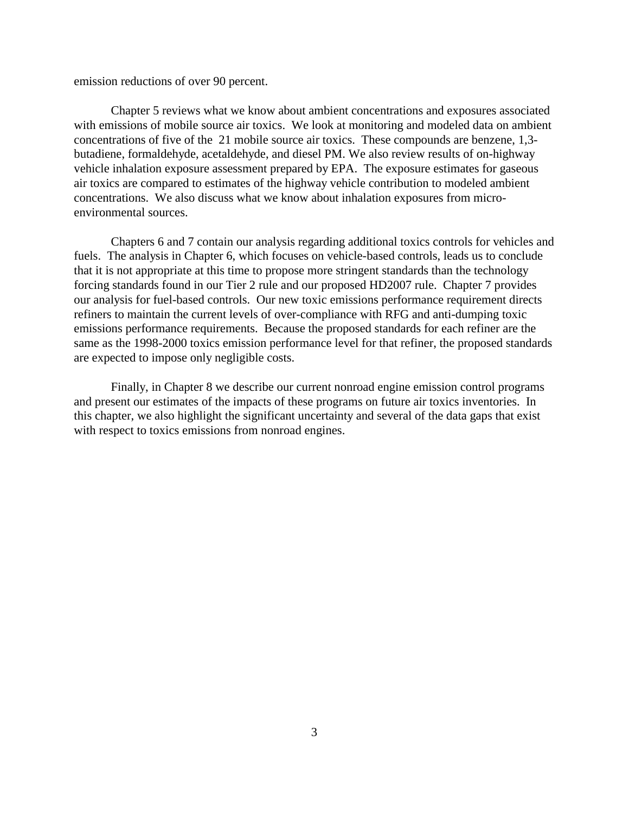emission reductions of over 90 percent.

Chapter 5 reviews what we know about ambient concentrations and exposures associated with emissions of mobile source air toxics. We look at monitoring and modeled data on ambient concentrations of five of the 21 mobile source air toxics. These compounds are benzene, 1,3 butadiene, formaldehyde, acetaldehyde, and diesel PM. We also review results of on-highway vehicle inhalation exposure assessment prepared by EPA. The exposure estimates for gaseous air toxics are compared to estimates of the highway vehicle contribution to modeled ambient concentrations. We also discuss what we know about inhalation exposures from microenvironmental sources.

Chapters 6 and 7 contain our analysis regarding additional toxics controls for vehicles and fuels. The analysis in Chapter 6, which focuses on vehicle-based controls, leads us to conclude that it is not appropriate at this time to propose more stringent standards than the technology forcing standards found in our Tier 2 rule and our proposed HD2007 rule. Chapter 7 provides our analysis for fuel-based controls. Our new toxic emissions performance requirement directs refiners to maintain the current levels of over-compliance with RFG and anti-dumping toxic emissions performance requirements. Because the proposed standards for each refiner are the same as the 1998-2000 toxics emission performance level for that refiner, the proposed standards are expected to impose only negligible costs.

Finally, in Chapter 8 we describe our current nonroad engine emission control programs and present our estimates of the impacts of these programs on future air toxics inventories. In this chapter, we also highlight the significant uncertainty and several of the data gaps that exist with respect to toxics emissions from nonroad engines.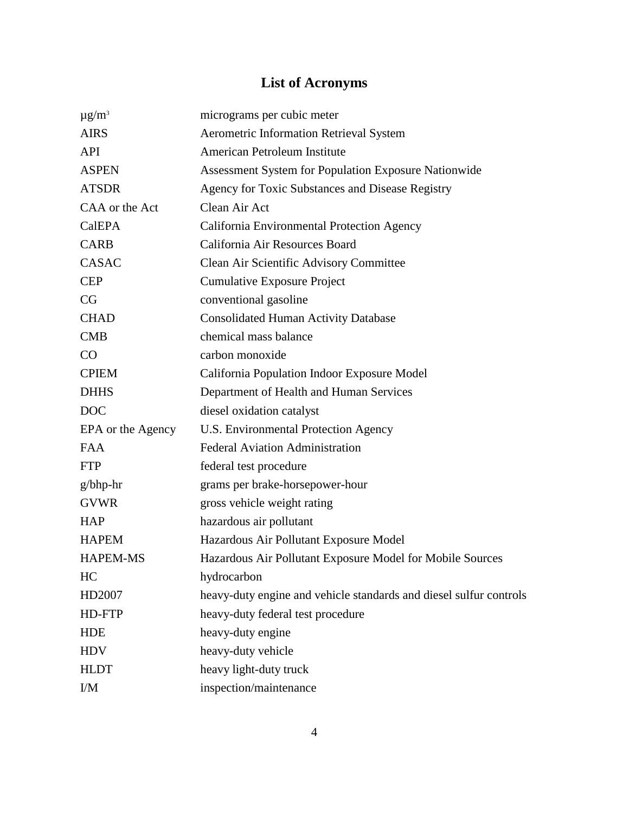## **List of Acronyms**

| $\mu$ g/m <sup>3</sup> | micrograms per cubic meter                                         |
|------------------------|--------------------------------------------------------------------|
| <b>AIRS</b>            | Aerometric Information Retrieval System                            |
| <b>API</b>             | American Petroleum Institute                                       |
| <b>ASPEN</b>           | Assessment System for Population Exposure Nationwide               |
| <b>ATSDR</b>           | Agency for Toxic Substances and Disease Registry                   |
| CAA or the Act         | Clean Air Act                                                      |
| <b>CalEPA</b>          | California Environmental Protection Agency                         |
| <b>CARB</b>            | California Air Resources Board                                     |
| <b>CASAC</b>           | Clean Air Scientific Advisory Committee                            |
| <b>CEP</b>             | <b>Cumulative Exposure Project</b>                                 |
| CG                     | conventional gasoline                                              |
| <b>CHAD</b>            | <b>Consolidated Human Activity Database</b>                        |
| <b>CMB</b>             | chemical mass balance                                              |
| CO                     | carbon monoxide                                                    |
| <b>CPIEM</b>           | California Population Indoor Exposure Model                        |
| <b>DHHS</b>            | Department of Health and Human Services                            |
| <b>DOC</b>             | diesel oxidation catalyst                                          |
| EPA or the Agency      | U.S. Environmental Protection Agency                               |
| <b>FAA</b>             | <b>Federal Aviation Administration</b>                             |
| <b>FTP</b>             | federal test procedure                                             |
| $g/b$ hp-hr            | grams per brake-horsepower-hour                                    |
| <b>GVWR</b>            | gross vehicle weight rating                                        |
| <b>HAP</b>             | hazardous air pollutant                                            |
| <b>HAPEM</b>           | Hazardous Air Pollutant Exposure Model                             |
| <b>HAPEM-MS</b>        | Hazardous Air Pollutant Exposure Model for Mobile Sources          |
| HC                     | hydrocarbon                                                        |
| HD2007                 | heavy-duty engine and vehicle standards and diesel sulfur controls |
| HD-FTP                 | heavy-duty federal test procedure                                  |
| <b>HDE</b>             | heavy-duty engine                                                  |
| <b>HDV</b>             | heavy-duty vehicle                                                 |
| <b>HLDT</b>            | heavy light-duty truck                                             |
| I/M                    | inspection/maintenance                                             |
|                        |                                                                    |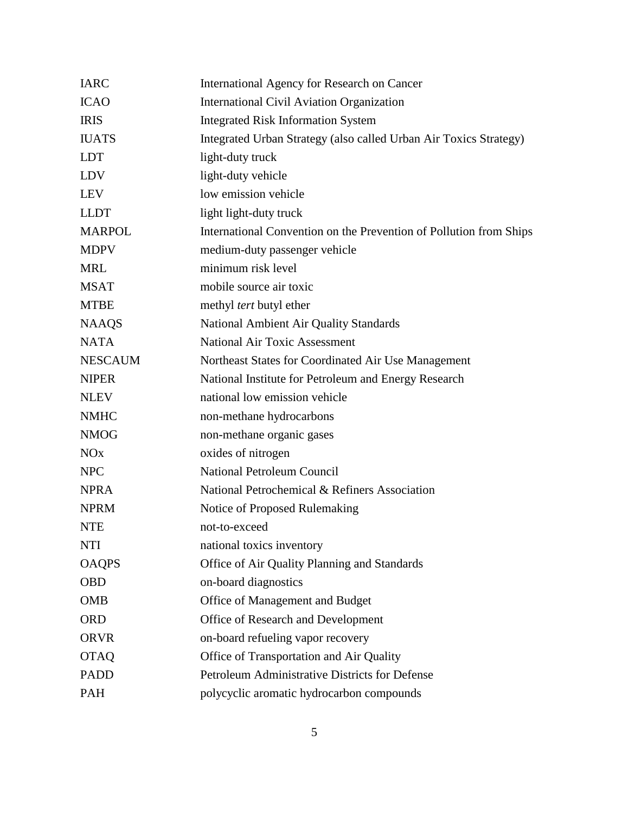| <b>IARC</b>    | International Agency for Research on Cancer                        |  |
|----------------|--------------------------------------------------------------------|--|
| <b>ICAO</b>    | <b>International Civil Aviation Organization</b>                   |  |
| <b>IRIS</b>    | <b>Integrated Risk Information System</b>                          |  |
| <b>IUATS</b>   | Integrated Urban Strategy (also called Urban Air Toxics Strategy)  |  |
| <b>LDT</b>     | light-duty truck                                                   |  |
| LDV            | light-duty vehicle                                                 |  |
| LEV            | low emission vehicle                                               |  |
| <b>LLDT</b>    | light light-duty truck                                             |  |
| <b>MARPOL</b>  | International Convention on the Prevention of Pollution from Ships |  |
| <b>MDPV</b>    | medium-duty passenger vehicle                                      |  |
| <b>MRL</b>     | minimum risk level                                                 |  |
| <b>MSAT</b>    | mobile source air toxic                                            |  |
| <b>MTBE</b>    | methyl <i>tert</i> butyl ether                                     |  |
| <b>NAAQS</b>   | National Ambient Air Quality Standards                             |  |
| <b>NATA</b>    | <b>National Air Toxic Assessment</b>                               |  |
| <b>NESCAUM</b> | Northeast States for Coordinated Air Use Management                |  |
| <b>NIPER</b>   | National Institute for Petroleum and Energy Research               |  |
| <b>NLEV</b>    | national low emission vehicle                                      |  |
| <b>NMHC</b>    | non-methane hydrocarbons                                           |  |
| <b>NMOG</b>    | non-methane organic gases                                          |  |
| NOx            | oxides of nitrogen                                                 |  |
| <b>NPC</b>     | <b>National Petroleum Council</b>                                  |  |
| <b>NPRA</b>    | National Petrochemical & Refiners Association                      |  |
| <b>NPRM</b>    | Notice of Proposed Rulemaking                                      |  |
| <b>NTE</b>     | not-to-exceed                                                      |  |
| <b>NTI</b>     | national toxics inventory                                          |  |
| <b>OAQPS</b>   | Office of Air Quality Planning and Standards                       |  |
| <b>OBD</b>     | on-board diagnostics                                               |  |
| <b>OMB</b>     | Office of Management and Budget                                    |  |
| <b>ORD</b>     | Office of Research and Development                                 |  |
| <b>ORVR</b>    | on-board refueling vapor recovery                                  |  |
| <b>OTAQ</b>    | Office of Transportation and Air Quality                           |  |
| <b>PADD</b>    | Petroleum Administrative Districts for Defense                     |  |
| PAH            | polycyclic aromatic hydrocarbon compounds                          |  |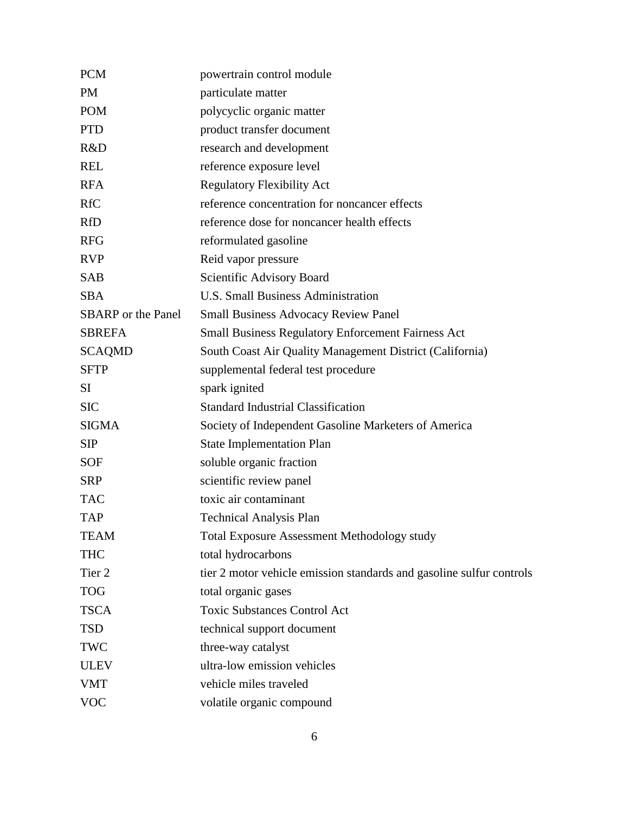| <b>PCM</b>                | powertrain control module                                            |
|---------------------------|----------------------------------------------------------------------|
| <b>PM</b>                 | particulate matter                                                   |
| <b>POM</b>                | polycyclic organic matter                                            |
| <b>PTD</b>                | product transfer document                                            |
| R&D                       | research and development                                             |
| <b>REL</b>                | reference exposure level                                             |
| <b>RFA</b>                | <b>Regulatory Flexibility Act</b>                                    |
| <b>RfC</b>                | reference concentration for noncancer effects                        |
| <b>RfD</b>                | reference dose for noncancer health effects                          |
| <b>RFG</b>                | reformulated gasoline                                                |
| <b>RVP</b>                | Reid vapor pressure                                                  |
| <b>SAB</b>                | Scientific Advisory Board                                            |
| <b>SBA</b>                | <b>U.S. Small Business Administration</b>                            |
| <b>SBARP</b> or the Panel | <b>Small Business Advocacy Review Panel</b>                          |
| <b>SBREFA</b>             | <b>Small Business Regulatory Enforcement Fairness Act</b>            |
| <b>SCAQMD</b>             | South Coast Air Quality Management District (California)             |
| <b>SFTP</b>               | supplemental federal test procedure                                  |
| <b>SI</b>                 | spark ignited                                                        |
| <b>SIC</b>                | <b>Standard Industrial Classification</b>                            |
| <b>SIGMA</b>              | Society of Independent Gasoline Marketers of America                 |
| <b>SIP</b>                | <b>State Implementation Plan</b>                                     |
| <b>SOF</b>                | soluble organic fraction                                             |
| <b>SRP</b>                | scientific review panel                                              |
| <b>TAC</b>                | toxic air contaminant                                                |
| <b>TAP</b>                | <b>Technical Analysis Plan</b>                                       |
| <b>TEAM</b>               | <b>Total Exposure Assessment Methodology study</b>                   |
| <b>THC</b>                | total hydrocarbons                                                   |
| Tier 2                    | tier 2 motor vehicle emission standards and gasoline sulfur controls |
| <b>TOG</b>                | total organic gases                                                  |
| <b>TSCA</b>               | <b>Toxic Substances Control Act</b>                                  |
| <b>TSD</b>                | technical support document                                           |
| TWC                       | three-way catalyst                                                   |
| <b>ULEV</b>               | ultra-low emission vehicles                                          |
| <b>VMT</b>                | vehicle miles traveled                                               |
| <b>VOC</b>                | volatile organic compound                                            |
|                           |                                                                      |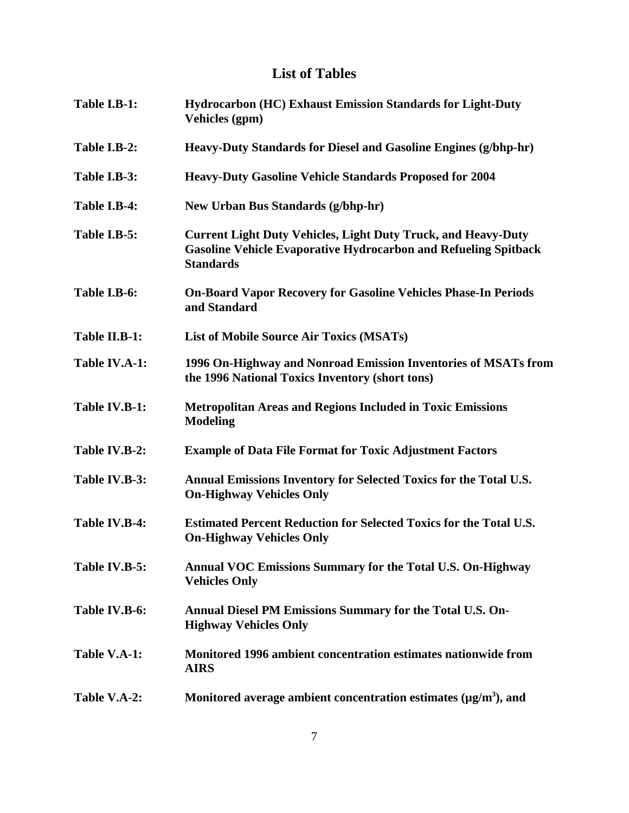### **List of Tables**

| Table I.B-1:  | <b>Hydrocarbon (HC) Exhaust Emission Standards for Light-Duty</b><br>Vehicles (gpm)                                                                                |
|---------------|--------------------------------------------------------------------------------------------------------------------------------------------------------------------|
| Table I.B-2:  | Heavy-Duty Standards for Diesel and Gasoline Engines (g/bhp-hr)                                                                                                    |
| Table I.B-3:  | <b>Heavy-Duty Gasoline Vehicle Standards Proposed for 2004</b>                                                                                                     |
| Table I.B-4:  | <b>New Urban Bus Standards (g/bhp-hr)</b>                                                                                                                          |
| Table I.B-5:  | <b>Current Light Duty Vehicles, Light Duty Truck, and Heavy-Duty</b><br><b>Gasoline Vehicle Evaporative Hydrocarbon and Refueling Spitback</b><br><b>Standards</b> |
| Table I.B-6:  | <b>On-Board Vapor Recovery for Gasoline Vehicles Phase-In Periods</b><br>and Standard                                                                              |
| Table II.B-1: | <b>List of Mobile Source Air Toxics (MSATs)</b>                                                                                                                    |
| Table IV.A-1: | 1996 On-Highway and Nonroad Emission Inventories of MSATs from<br>the 1996 National Toxics Inventory (short tons)                                                  |
| Table IV.B-1: | <b>Metropolitan Areas and Regions Included in Toxic Emissions</b><br><b>Modeling</b>                                                                               |
| Table IV.B-2: | <b>Example of Data File Format for Toxic Adjustment Factors</b>                                                                                                    |
| Table IV.B-3: | Annual Emissions Inventory for Selected Toxics for the Total U.S.<br><b>On-Highway Vehicles Only</b>                                                               |
| Table IV.B-4: | <b>Estimated Percent Reduction for Selected Toxics for the Total U.S.</b><br><b>On-Highway Vehicles Only</b>                                                       |
| Table IV.B-5: | Annual VOC Emissions Summary for the Total U.S. On-Highway<br><b>Vehicles Only</b>                                                                                 |
| Table IV.B-6: | Annual Diesel PM Emissions Summary for the Total U.S. On-<br><b>Highway Vehicles Only</b>                                                                          |
| Table V.A-1:  | Monitored 1996 ambient concentration estimates nationwide from<br><b>AIRS</b>                                                                                      |
| Table V.A-2:  | Monitored average ambient concentration estimates $(\mu g/m^3)$ , and                                                                                              |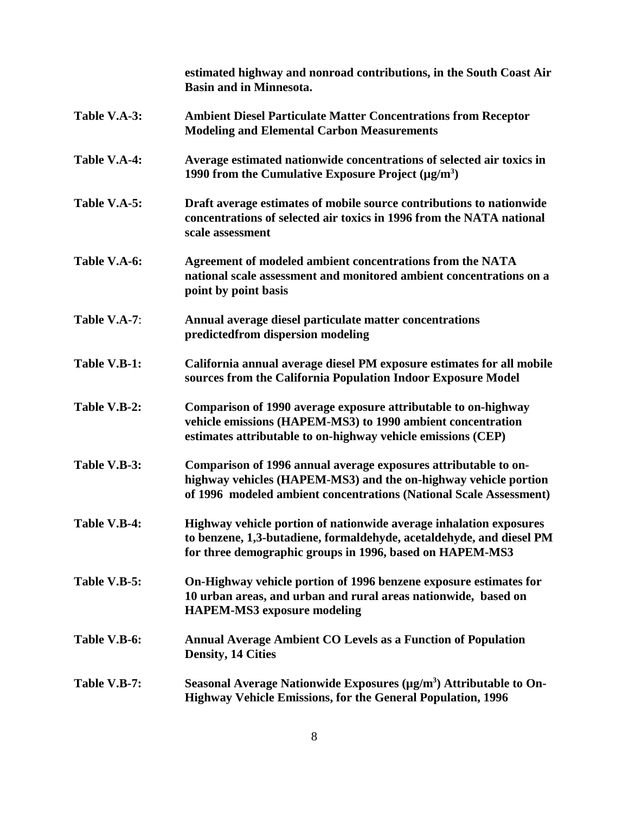|              | estimated highway and nonroad contributions, in the South Coast Air<br><b>Basin and in Minnesota.</b>                                                                                                    |
|--------------|----------------------------------------------------------------------------------------------------------------------------------------------------------------------------------------------------------|
| Table V.A-3: | <b>Ambient Diesel Particulate Matter Concentrations from Receptor</b><br><b>Modeling and Elemental Carbon Measurements</b>                                                                               |
| Table V.A-4: | Average estimated nationwide concentrations of selected air toxics in<br>1990 from the Cumulative Exposure Project $(\mu g/m^3)$                                                                         |
| Table V.A-5: | Draft average estimates of mobile source contributions to nationwide<br>concentrations of selected air toxics in 1996 from the NATA national<br>scale assessment                                         |
| Table V.A-6: | Agreement of modeled ambient concentrations from the NATA<br>national scale assessment and monitored ambient concentrations on a<br>point by point basis                                                 |
| Table V.A-7: | Annual average diesel particulate matter concentrations<br>predictedfrom dispersion modeling                                                                                                             |
| Table V.B-1: | California annual average diesel PM exposure estimates for all mobile<br>sources from the California Population Indoor Exposure Model                                                                    |
| Table V.B-2: | Comparison of 1990 average exposure attributable to on-highway<br>vehicle emissions (HAPEM-MS3) to 1990 ambient concentration<br>estimates attributable to on-highway vehicle emissions (CEP)            |
| Table V.B-3: | Comparison of 1996 annual average exposures attributable to on-<br>highway vehicles (HAPEM-MS3) and the on-highway vehicle portion<br>of 1996 modeled ambient concentrations (National Scale Assessment) |
| Table V.B-4: | Highway vehicle portion of nationwide average inhalation exposures<br>to benzene, 1,3-butadiene, formaldehyde, acetaldehyde, and diesel PM<br>for three demographic groups in 1996, based on HAPEM-MS3   |
| Table V.B-5: | On-Highway vehicle portion of 1996 benzene exposure estimates for<br>10 urban areas, and urban and rural areas nationwide, based on<br><b>HAPEM-MS3</b> exposure modeling                                |
| Table V.B-6: | <b>Annual Average Ambient CO Levels as a Function of Population</b><br><b>Density, 14 Cities</b>                                                                                                         |
| Table V.B-7: | Seasonal Average Nationwide Exposures $(\mu g/m^3)$ Attributable to On-<br><b>Highway Vehicle Emissions, for the General Population, 1996</b>                                                            |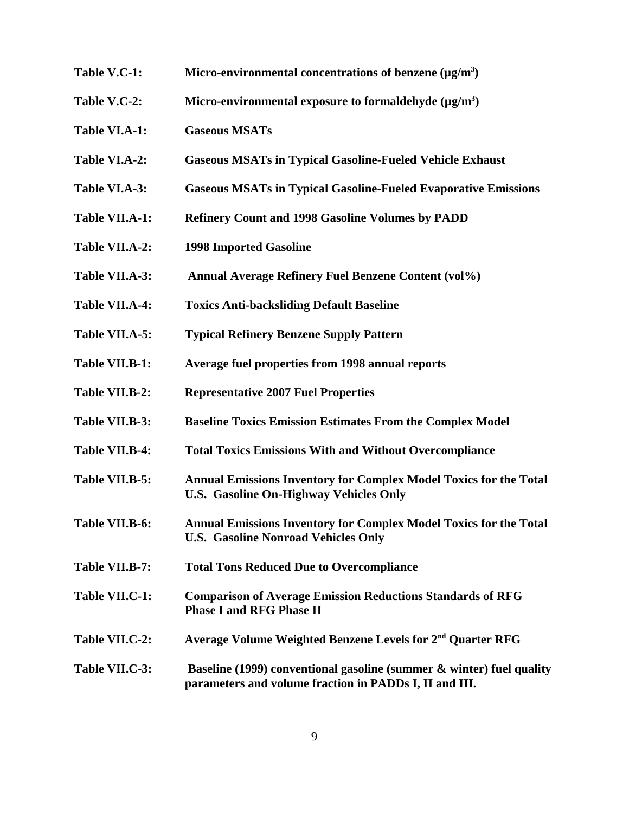- Table V.C-1: Micro-environmental concentrations of benzene (µg/m<sup>3</sup>)
- Table V.C-2: Micro-environmental exposure to formaldehyde (µg/m<sup>3</sup>)
- **Table VI.A-1: Gaseous MSATs**
- **Table VI.A-2: Gaseous MSATs in Typical Gasoline-Fueled Vehicle Exhaust**
- **Table VI.A-3: Gaseous MSATs in Typical Gasoline-Fueled Evaporative Emissions**
- **Table VII.A-1: Refinery Count and 1998 Gasoline Volumes by PADD**
- **Table VII.A-2: 1998 Imported Gasoline**
- **Table VII.A-3: Annual Average Refinery Fuel Benzene Content (vol%)**
- **Table VII.A-4: Toxics Anti-backsliding Default Baseline**
- **Table VII.A-5: Typical Refinery Benzene Supply Pattern**
- **Table VII.B-1: Average fuel properties from 1998 annual reports**
- **Table VII.B-2: Representative 2007 Fuel Properties**
- **Table VII.B-3: Baseline Toxics Emission Estimates From the Complex Model**
- **Table VII.B-4: Total Toxics Emissions With and Without Overcompliance**
- **Table VII.B-5: Annual Emissions Inventory for Complex Model Toxics for the Total U.S. Gasoline On-Highway Vehicles Only**
- **Table VII.B-6: Annual Emissions Inventory for Complex Model Toxics for the Total U.S. Gasoline Nonroad Vehicles Only**
- **Table VII.B-7: Total Tons Reduced Due to Overcompliance**
- **Table VII.C-1: Comparison of Average Emission Reductions Standards of RFG Phase I and RFG Phase II**
- **Table VII.C-2: Average Volume Weighted Benzene Levels for 2nd Quarter RFG**
- **Table VII.C-3: Baseline (1999) conventional gasoline (summer & winter) fuel quality parameters and volume fraction in PADDs I, II and III.**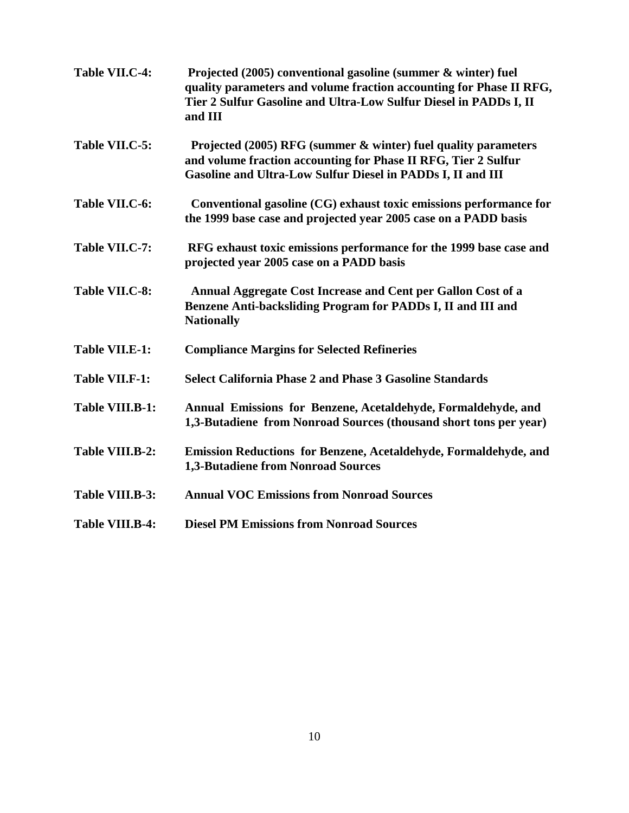| Table VII.C-4:         | Projected (2005) conventional gasoline (summer & winter) fuel<br>quality parameters and volume fraction accounting for Phase II RFG,<br>Tier 2 Sulfur Gasoline and Ultra-Low Sulfur Diesel in PADDs I, II<br>and III |
|------------------------|----------------------------------------------------------------------------------------------------------------------------------------------------------------------------------------------------------------------|
| Table VII.C-5:         | Projected (2005) RFG (summer & winter) fuel quality parameters<br>and volume fraction accounting for Phase II RFG, Tier 2 Sulfur<br>Gasoline and Ultra-Low Sulfur Diesel in PADDs I, II and III                      |
| Table VII.C-6:         | Conventional gasoline (CG) exhaust toxic emissions performance for<br>the 1999 base case and projected year 2005 case on a PADD basis                                                                                |
| Table VII.C-7:         | RFG exhaust toxic emissions performance for the 1999 base case and<br>projected year 2005 case on a PADD basis                                                                                                       |
| Table VII.C-8:         | Annual Aggregate Cost Increase and Cent per Gallon Cost of a<br>Benzene Anti-backsliding Program for PADDs I, II and III and<br><b>Nationally</b>                                                                    |
| Table VII.E-1:         | <b>Compliance Margins for Selected Refineries</b>                                                                                                                                                                    |
| <b>Table VII.F-1:</b>  | <b>Select California Phase 2 and Phase 3 Gasoline Standards</b>                                                                                                                                                      |
| Table VIII.B-1:        | Annual Emissions for Benzene, Acetaldehyde, Formaldehyde, and<br>1,3-Butadiene from Nonroad Sources (thousand short tons per year)                                                                                   |
| Table VIII.B-2:        | Emission Reductions for Benzene, Acetaldehyde, Formaldehyde, and<br>1,3-Butadiene from Nonroad Sources                                                                                                               |
| Table VIII.B-3:        | <b>Annual VOC Emissions from Nonroad Sources</b>                                                                                                                                                                     |
| <b>Table VIII.B-4:</b> | <b>Diesel PM Emissions from Nonroad Sources</b>                                                                                                                                                                      |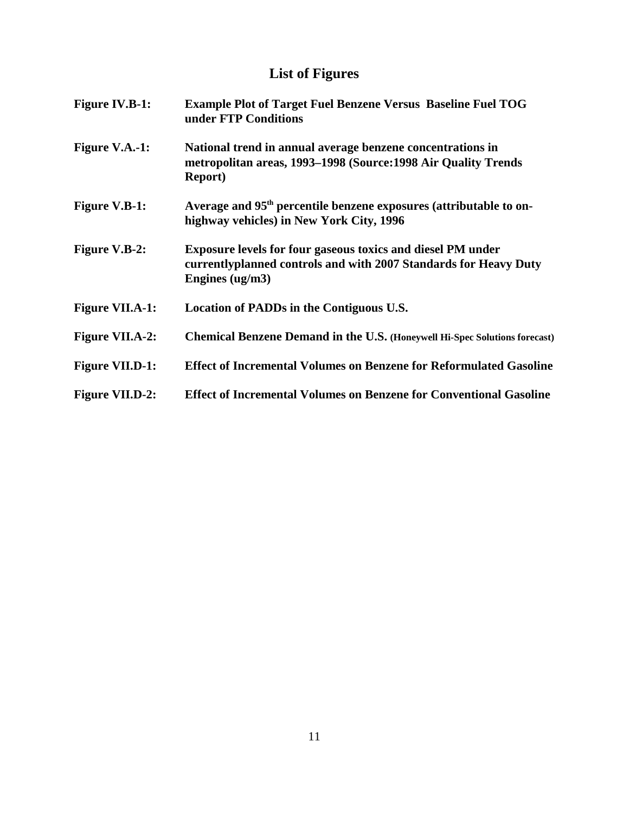## **List of Figures**

| <b>Figure IV.B-1:</b>  | <b>Example Plot of Target Fuel Benzene Versus Baseline Fuel TOG</b><br>under FTP Conditions                                                                 |
|------------------------|-------------------------------------------------------------------------------------------------------------------------------------------------------------|
| <b>Figure V.A.-1:</b>  | National trend in annual average benzene concentrations in<br>metropolitan areas, 1993-1998 (Source: 1998 Air Quality Trends<br><b>Report</b> )             |
| <b>Figure V.B-1:</b>   | Average and 95 <sup>th</sup> percentile benzene exposures (attributable to on-<br>highway vehicles) in New York City, 1996                                  |
| <b>Figure V.B-2:</b>   | <b>Exposure levels for four gaseous toxics and diesel PM under</b><br>currentlyplanned controls and with 2007 Standards for Heavy Duty<br>Engines $(ug/m3)$ |
| <b>Figure VII.A-1:</b> | Location of PADDs in the Contiguous U.S.                                                                                                                    |
| <b>Figure VII.A-2:</b> | Chemical Benzene Demand in the U.S. (Honeywell Hi-Spec Solutions forecast)                                                                                  |
| <b>Figure VII.D-1:</b> | <b>Effect of Incremental Volumes on Benzene for Reformulated Gasoline</b>                                                                                   |
| <b>Figure VII.D-2:</b> | <b>Effect of Incremental Volumes on Benzene for Conventional Gasoline</b>                                                                                   |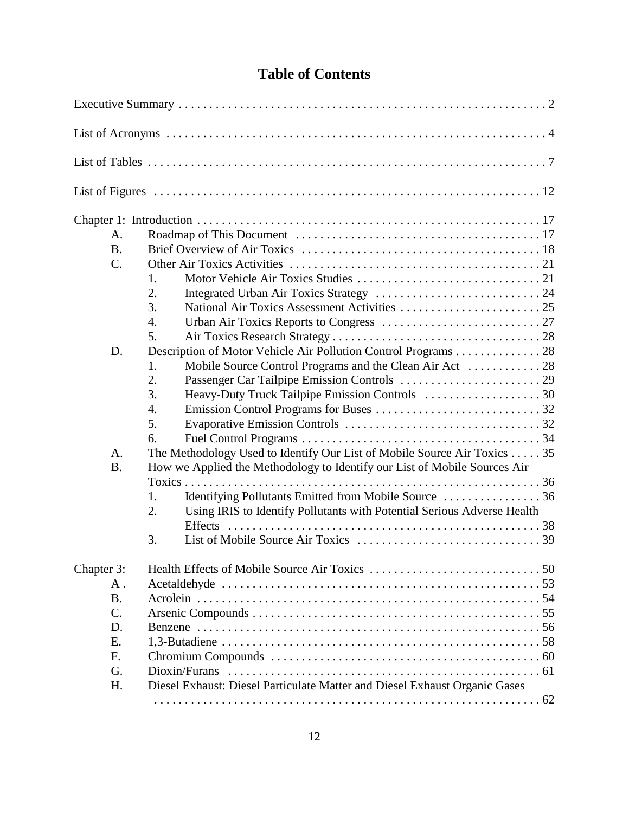### **Table of Contents**

| A.              |                                                                               |  |
|-----------------|-------------------------------------------------------------------------------|--|
| <b>B.</b>       |                                                                               |  |
| $\mathcal{C}$ . |                                                                               |  |
|                 | 1.                                                                            |  |
|                 | 2.                                                                            |  |
|                 | 3.                                                                            |  |
|                 | 4.                                                                            |  |
|                 | 5.                                                                            |  |
| D.              | Description of Motor Vehicle Air Pollution Control Programs 28                |  |
|                 | Mobile Source Control Programs and the Clean Air Act  28<br>1.                |  |
|                 | 2.                                                                            |  |
|                 | 3.                                                                            |  |
|                 | 4.                                                                            |  |
|                 | 5.                                                                            |  |
|                 | 6.                                                                            |  |
| A.              | The Methodology Used to Identify Our List of Mobile Source Air Toxics 35      |  |
| <b>B.</b>       | How we Applied the Methodology to Identify our List of Mobile Sources Air     |  |
|                 |                                                                               |  |
|                 | Identifying Pollutants Emitted from Mobile Source  36<br>1.                   |  |
|                 | Using IRIS to Identify Pollutants with Potential Serious Adverse Health<br>2. |  |
|                 |                                                                               |  |
|                 | 3.                                                                            |  |
|                 |                                                                               |  |
| Chapter 3:      |                                                                               |  |
| $A$ .           |                                                                               |  |
| <b>B.</b>       |                                                                               |  |
| $C$ .           |                                                                               |  |
| D.              |                                                                               |  |
| E.              |                                                                               |  |
| F.              |                                                                               |  |
| G.              |                                                                               |  |
| H.              | Diesel Exhaust: Diesel Particulate Matter and Diesel Exhaust Organic Gases    |  |
|                 |                                                                               |  |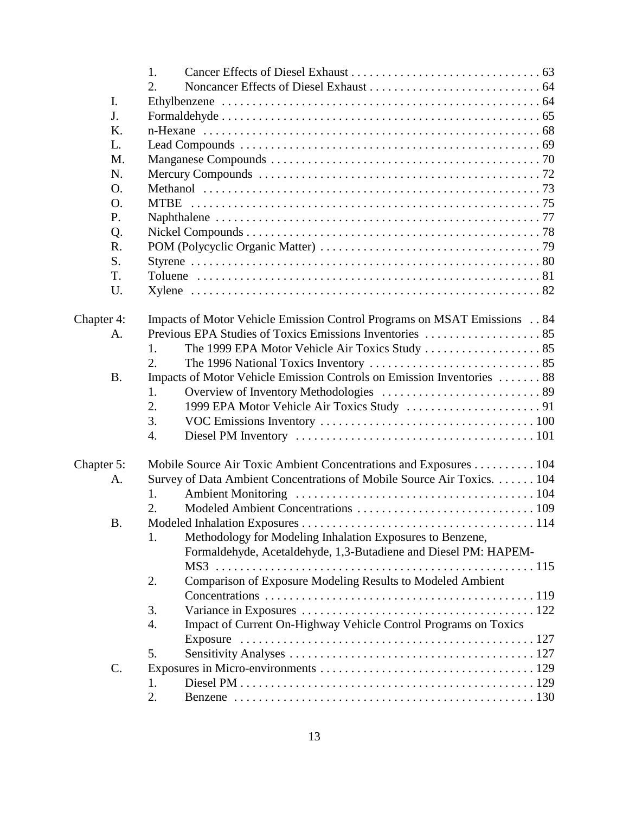|                 | 1.                                                                      |  |
|-----------------|-------------------------------------------------------------------------|--|
|                 | 2.                                                                      |  |
| I.              |                                                                         |  |
| J.              |                                                                         |  |
| Κ.              |                                                                         |  |
| L.              |                                                                         |  |
| M.              |                                                                         |  |
| N.              |                                                                         |  |
| O.              |                                                                         |  |
| O.              |                                                                         |  |
| P.              |                                                                         |  |
| Q.              |                                                                         |  |
| R.              |                                                                         |  |
| S.              |                                                                         |  |
| T.              |                                                                         |  |
| U.              |                                                                         |  |
|                 |                                                                         |  |
| Chapter 4:      | Impacts of Motor Vehicle Emission Control Programs on MSAT Emissions 84 |  |
| A.              |                                                                         |  |
|                 | The 1999 EPA Motor Vehicle Air Toxics Study  85<br>1.                   |  |
|                 | 2.                                                                      |  |
| <b>B.</b>       | Impacts of Motor Vehicle Emission Controls on Emission Inventories  88  |  |
|                 | 1.                                                                      |  |
|                 | 2.                                                                      |  |
|                 | 3.                                                                      |  |
|                 | 4.                                                                      |  |
|                 |                                                                         |  |
| Chapter 5:      | Mobile Source Air Toxic Ambient Concentrations and Exposures 104        |  |
| A.              | Survey of Data Ambient Concentrations of Mobile Source Air Toxics. 104  |  |
|                 | 1.                                                                      |  |
|                 | $\overline{2}$ .                                                        |  |
| В.              |                                                                         |  |
|                 | Methodology for Modeling Inhalation Exposures to Benzene,<br>1.         |  |
|                 | Formaldehyde, Acetaldehyde, 1,3-Butadiene and Diesel PM: HAPEM-         |  |
|                 |                                                                         |  |
|                 | Comparison of Exposure Modeling Results to Modeled Ambient<br>2.        |  |
|                 |                                                                         |  |
|                 | 3.                                                                      |  |
|                 | Impact of Current On-Highway Vehicle Control Programs on Toxics<br>4.   |  |
|                 |                                                                         |  |
|                 | 5.                                                                      |  |
| $\mathcal{C}$ . |                                                                         |  |
|                 | 1.                                                                      |  |
|                 | 2.                                                                      |  |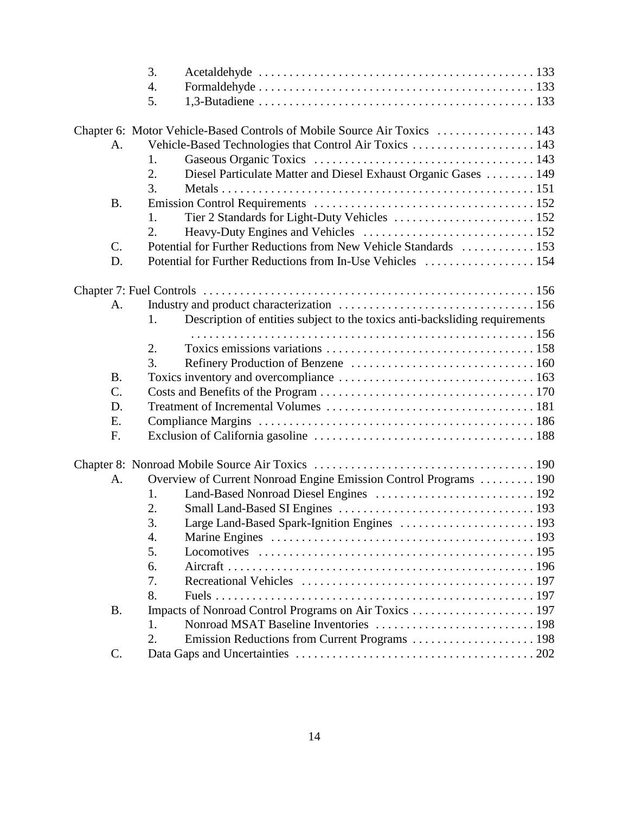|                 | 3.                                                                                |  |
|-----------------|-----------------------------------------------------------------------------------|--|
|                 | 4.                                                                                |  |
|                 | 5.                                                                                |  |
|                 |                                                                                   |  |
|                 | Chapter 6: Motor Vehicle-Based Controls of Mobile Source Air Toxics  143          |  |
| A.              | Vehicle-Based Technologies that Control Air Toxics  143                           |  |
|                 | 1.                                                                                |  |
|                 | Diesel Particulate Matter and Diesel Exhaust Organic Gases  149<br>2.             |  |
|                 | 3.                                                                                |  |
| <b>B.</b>       |                                                                                   |  |
|                 | 1.                                                                                |  |
|                 | 2.                                                                                |  |
| C.              | Potential for Further Reductions from New Vehicle Standards  153                  |  |
| D.              | Potential for Further Reductions from In-Use Vehicles  154                        |  |
|                 |                                                                                   |  |
|                 |                                                                                   |  |
| A.              |                                                                                   |  |
|                 | Description of entities subject to the toxics anti-backsliding requirements<br>1. |  |
|                 |                                                                                   |  |
|                 | 2.                                                                                |  |
|                 | 3.                                                                                |  |
| <b>B.</b>       |                                                                                   |  |
| $\mathcal{C}$ . |                                                                                   |  |
| D.              |                                                                                   |  |
| E.              |                                                                                   |  |
| F.              |                                                                                   |  |
|                 |                                                                                   |  |
|                 |                                                                                   |  |
| A.              | Overview of Current Nonroad Engine Emission Control Programs  190                 |  |
|                 | 1.                                                                                |  |
|                 | 2.                                                                                |  |
|                 | 3.                                                                                |  |
|                 | 4.                                                                                |  |
|                 | 5.                                                                                |  |
|                 | 6.                                                                                |  |
|                 | 7.                                                                                |  |
|                 | 8.                                                                                |  |
| <b>B.</b>       |                                                                                   |  |
|                 | 1.                                                                                |  |
|                 | 2.                                                                                |  |
| $\mathcal{C}$ . |                                                                                   |  |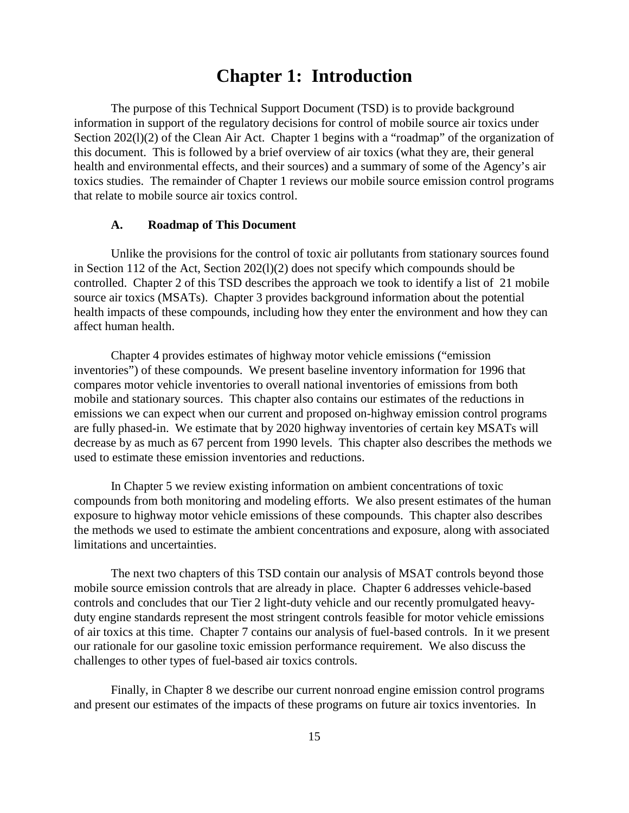### **Chapter 1: Introduction**

The purpose of this Technical Support Document (TSD) is to provide background information in support of the regulatory decisions for control of mobile source air toxics under Section 202(1)(2) of the Clean Air Act. Chapter 1 begins with a "roadmap" of the organization of this document. This is followed by a brief overview of air toxics (what they are, their general health and environmental effects, and their sources) and a summary of some of the Agency's air toxics studies. The remainder of Chapter 1 reviews our mobile source emission control programs that relate to mobile source air toxics control.

#### **A. Roadmap of This Document**

Unlike the provisions for the control of toxic air pollutants from stationary sources found in Section 112 of the Act, Section 202(l)(2) does not specify which compounds should be controlled. Chapter 2 of this TSD describes the approach we took to identify a list of 21 mobile source air toxics (MSATs). Chapter 3 provides background information about the potential health impacts of these compounds, including how they enter the environment and how they can affect human health.

Chapter 4 provides estimates of highway motor vehicle emissions ("emission inventories") of these compounds. We present baseline inventory information for 1996 that compares motor vehicle inventories to overall national inventories of emissions from both mobile and stationary sources. This chapter also contains our estimates of the reductions in emissions we can expect when our current and proposed on-highway emission control programs are fully phased-in. We estimate that by 2020 highway inventories of certain key MSATs will decrease by as much as 67 percent from 1990 levels. This chapter also describes the methods we used to estimate these emission inventories and reductions.

In Chapter 5 we review existing information on ambient concentrations of toxic compounds from both monitoring and modeling efforts. We also present estimates of the human exposure to highway motor vehicle emissions of these compounds. This chapter also describes the methods we used to estimate the ambient concentrations and exposure, along with associated limitations and uncertainties.

The next two chapters of this TSD contain our analysis of MSAT controls beyond those mobile source emission controls that are already in place. Chapter 6 addresses vehicle-based controls and concludes that our Tier 2 light-duty vehicle and our recently promulgated heavyduty engine standards represent the most stringent controls feasible for motor vehicle emissions of air toxics at this time. Chapter 7 contains our analysis of fuel-based controls. In it we present our rationale for our gasoline toxic emission performance requirement. We also discuss the challenges to other types of fuel-based air toxics controls.

Finally, in Chapter 8 we describe our current nonroad engine emission control programs and present our estimates of the impacts of these programs on future air toxics inventories. In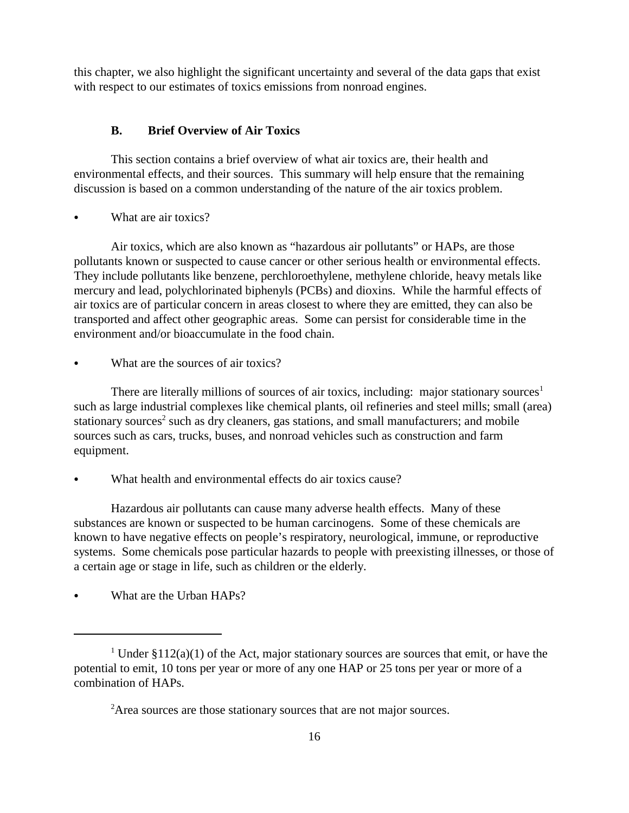this chapter, we also highlight the significant uncertainty and several of the data gaps that exist with respect to our estimates of toxics emissions from nonroad engines.

#### **B. Brief Overview of Air Toxics**

This section contains a brief overview of what air toxics are, their health and environmental effects, and their sources. This summary will help ensure that the remaining discussion is based on a common understanding of the nature of the air toxics problem.

What are air toxics?

Air toxics, which are also known as "hazardous air pollutants" or HAPs, are those pollutants known or suspected to cause cancer or other serious health or environmental effects. They include pollutants like benzene, perchloroethylene, methylene chloride, heavy metals like mercury and lead, polychlorinated biphenyls (PCBs) and dioxins. While the harmful effects of air toxics are of particular concern in areas closest to where they are emitted, they can also be transported and affect other geographic areas. Some can persist for considerable time in the environment and/or bioaccumulate in the food chain.

What are the sources of air toxics?

There are literally millions of sources of air toxics, including: major stationary sources<sup>1</sup> such as large industrial complexes like chemical plants, oil refineries and steel mills; small (area) stationary sources<sup>2</sup> such as dry cleaners, gas stations, and small manufacturers; and mobile sources such as cars, trucks, buses, and nonroad vehicles such as construction and farm equipment.

What health and environmental effects do air toxics cause?

Hazardous air pollutants can cause many adverse health effects. Many of these substances are known or suspected to be human carcinogens. Some of these chemicals are known to have negative effects on people's respiratory, neurological, immune, or reproductive systems. Some chemicals pose particular hazards to people with preexisting illnesses, or those of a certain age or stage in life, such as children or the elderly.

What are the Urban HAPs?

<sup>&</sup>lt;sup>1</sup> Under  $$112(a)(1)$  of the Act, major stationary sources are sources that emit, or have the potential to emit, 10 tons per year or more of any one HAP or 25 tons per year or more of a combination of HAPs.

<sup>&</sup>lt;sup>2</sup>Area sources are those stationary sources that are not major sources.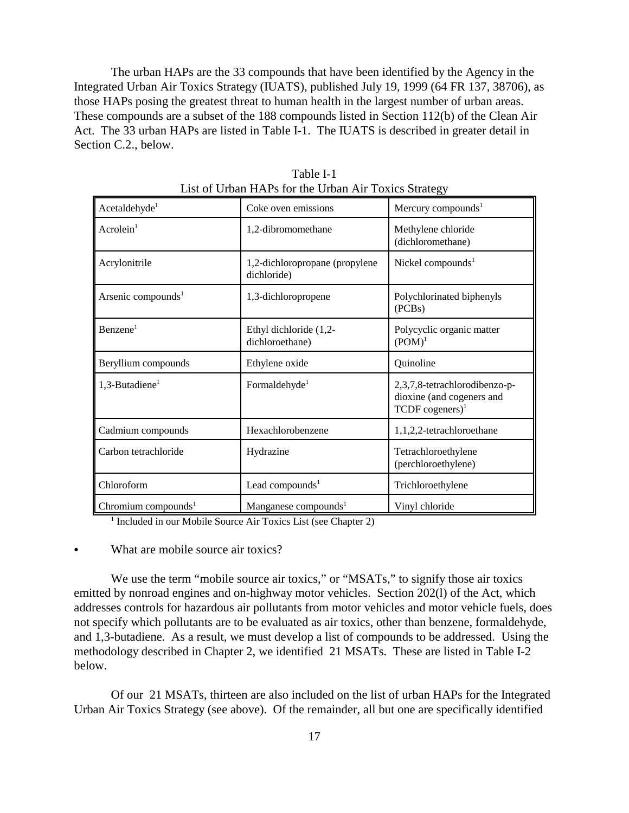The urban HAPs are the 33 compounds that have been identified by the Agency in the Integrated Urban Air Toxics Strategy (IUATS), published July 19, 1999 (64 FR 137, 38706), as those HAPs posing the greatest threat to human health in the largest number of urban areas. These compounds are a subset of the 188 compounds listed in Section 112(b) of the Clean Air Act. The 33 urban HAPs are listed in Table I-1. The IUATS is described in greater detail in Section C.2., below.

| Acetaldehyde <sup>1</sup>       | Coke oven emissions                           | Mercury compounds <sup>1</sup>                                                              |
|---------------------------------|-----------------------------------------------|---------------------------------------------------------------------------------------------|
| Acrolein <sup>1</sup>           | 1,2-dibromomethane                            | Methylene chloride<br>(dichloromethane)                                                     |
| Acrylonitrile                   | 1,2-dichloropropane (propylene<br>dichloride) | Nickel compounds $1$                                                                        |
| Arsenic compounds <sup>1</sup>  | 1,3-dichloropropene                           | Polychlorinated biphenyls<br>(PCBs)                                                         |
| Benzene <sup>1</sup>            | Ethyl dichloride (1,2-<br>dichloroethane)     | Polycyclic organic matter<br>$(POM)^1$                                                      |
| Beryllium compounds             | Ethylene oxide                                | Quinoline                                                                                   |
| $1,3$ -Butadiene <sup>1</sup>   | Formaldehyde <sup>1</sup>                     | 2,3,7,8-tetrachlorodibenzo-p-<br>dioxine (and cogeners and<br>$TCDF$ cogeners) <sup>1</sup> |
| Cadmium compounds               | Hexachlorobenzene                             | 1,1,2,2-tetrachloroethane                                                                   |
| Carbon tetrachloride            | Hydrazine                                     | Tetrachloroethylene<br>(perchloroethylene)                                                  |
| Chloroform                      | Lead compounds <sup>1</sup>                   | Trichloroethylene                                                                           |
| Chromium compounds <sup>1</sup> | Manganese compounds <sup>1</sup>              | Vinyl chloride                                                                              |

Table I-1 List of Urban HAPs for the Urban Air Toxics Strategy

<sup>1</sup> Included in our Mobile Source Air Toxics List (see Chapter 2)

& What are mobile source air toxics?

We use the term "mobile source air toxics," or "MSATs," to signify those air toxics emitted by nonroad engines and on-highway motor vehicles. Section 202(l) of the Act, which addresses controls for hazardous air pollutants from motor vehicles and motor vehicle fuels, does not specify which pollutants are to be evaluated as air toxics, other than benzene, formaldehyde, and 1,3-butadiene. As a result, we must develop a list of compounds to be addressed. Using the methodology described in Chapter 2, we identified 21 MSATs. These are listed in Table I-2 below.

Of our 21 MSATs, thirteen are also included on the list of urban HAPs for the Integrated Urban Air Toxics Strategy (see above). Of the remainder, all but one are specifically identified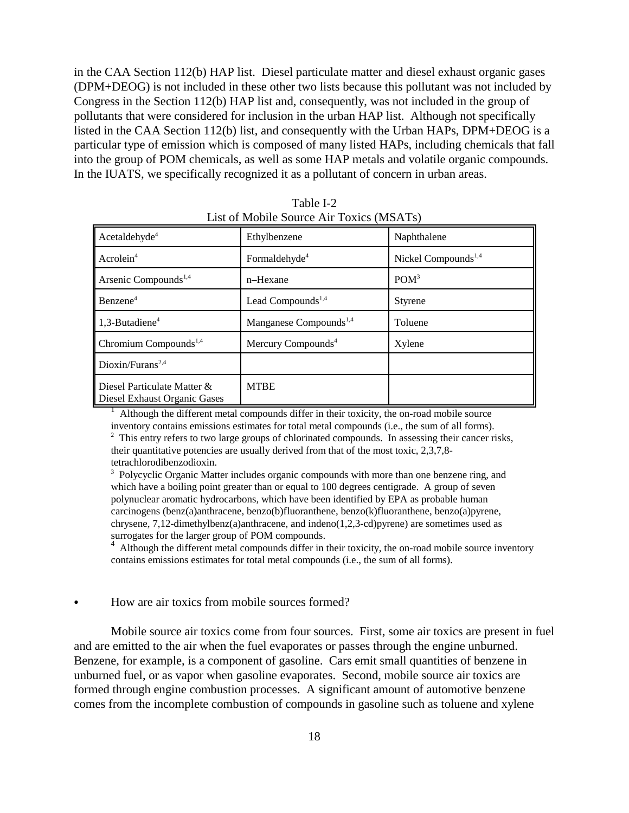in the CAA Section 112(b) HAP list. Diesel particulate matter and diesel exhaust organic gases (DPM+DEOG) is not included in these other two lists because this pollutant was not included by Congress in the Section 112(b) HAP list and, consequently, was not included in the group of pollutants that were considered for inclusion in the urban HAP list. Although not specifically listed in the CAA Section 112(b) list, and consequently with the Urban HAPs, DPM+DEOG is a particular type of emission which is composed of many listed HAPs, including chemicals that fall into the group of POM chemicals, as well as some HAP metals and volatile organic compounds. In the IUATS, we specifically recognized it as a pollutant of concern in urban areas.

| Acetaldehyde <sup>4</sup>                                   | Ethylbenzene                       | Naphthalene                     |
|-------------------------------------------------------------|------------------------------------|---------------------------------|
| Acrolein <sup>4</sup>                                       | Formaldehyde <sup>4</sup>          | Nickel Compounds <sup>1,4</sup> |
| Arsenic Compounds <sup>1,4</sup>                            | n-Hexane                           | POM <sup>3</sup>                |
| Benzene <sup>4</sup>                                        | Lead Compounds <sup>1,4</sup>      | Styrene                         |
| $1.3$ -Butadiene <sup>4</sup>                               | Manganese Compounds <sup>1,4</sup> | Toluene                         |
| Chromium Compounds <sup>1,4</sup>                           | Mercury Compounds <sup>4</sup>     | Xylene                          |
| Dioxin/Furans <sup>2,4</sup>                                |                                    |                                 |
| Diesel Particulate Matter &<br>Diesel Exhaust Organic Gases | <b>MTBE</b>                        |                                 |

Table I-2 List of Mobile Source Air Toxics (MSATs)

1 Although the different metal compounds differ in their toxicity, the on-road mobile source inventory contains emissions estimates for total metal compounds (i.e., the sum of all forms).

<sup>2</sup> This entry refers to two large groups of chlorinated compounds. In assessing their cancer risks, their quantitative potencies are usually derived from that of the most toxic, 2,3,7,8 tetrachlorodibenzodioxin.

<sup>3</sup> Polycyclic Organic Matter includes organic compounds with more than one benzene ring, and which have a boiling point greater than or equal to 100 degrees centigrade. A group of seven polynuclear aromatic hydrocarbons, which have been identified by EPA as probable human carcinogens (benz(a)anthracene, benzo(b)fluoranthene, benzo(k)fluoranthene, benzo(a)pyrene, chrysene, 7,12-dimethylbenz(a)anthracene, and indeno(1,2,3-cd)pyrene) are sometimes used as surrogates for the larger group of POM compounds.

<sup>4</sup> Although the different metal compounds differ in their toxicity, the on-road mobile source inventory contains emissions estimates for total metal compounds (i.e., the sum of all forms).

#### How are air toxics from mobile sources formed?

Mobile source air toxics come from four sources. First, some air toxics are present in fuel and are emitted to the air when the fuel evaporates or passes through the engine unburned. Benzene, for example, is a component of gasoline. Cars emit small quantities of benzene in unburned fuel, or as vapor when gasoline evaporates. Second, mobile source air toxics are formed through engine combustion processes. A significant amount of automotive benzene comes from the incomplete combustion of compounds in gasoline such as toluene and xylene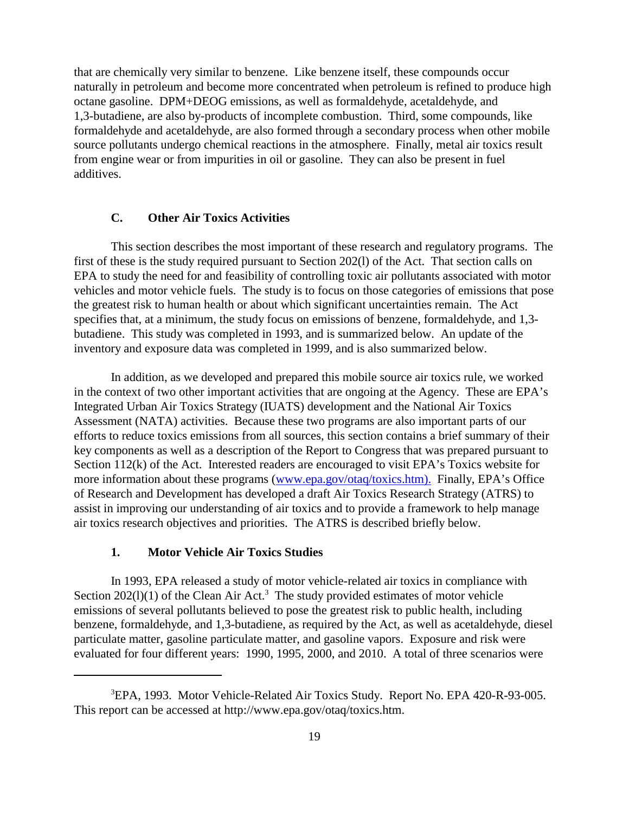that are chemically very similar to benzene. Like benzene itself, these compounds occur naturally in petroleum and become more concentrated when petroleum is refined to produce high octane gasoline. DPM+DEOG emissions, as well as formaldehyde, acetaldehyde, and 1,3-butadiene, are also by-products of incomplete combustion. Third, some compounds, like formaldehyde and acetaldehyde, are also formed through a secondary process when other mobile source pollutants undergo chemical reactions in the atmosphere. Finally, metal air toxics result from engine wear or from impurities in oil or gasoline. They can also be present in fuel additives.

#### **C. Other Air Toxics Activities**

This section describes the most important of these research and regulatory programs. The first of these is the study required pursuant to Section 202(l) of the Act. That section calls on EPA to study the need for and feasibility of controlling toxic air pollutants associated with motor vehicles and motor vehicle fuels. The study is to focus on those categories of emissions that pose the greatest risk to human health or about which significant uncertainties remain. The Act specifies that, at a minimum, the study focus on emissions of benzene, formaldehyde, and 1,3 butadiene. This study was completed in 1993, and is summarized below. An update of the inventory and exposure data was completed in 1999, and is also summarized below.

In addition, as we developed and prepared this mobile source air toxics rule, we worked in the context of two other important activities that are ongoing at the Agency. These are EPA's Integrated Urban Air Toxics Strategy (IUATS) development and the National Air Toxics Assessment (NATA) activities. Because these two programs are also important parts of our efforts to reduce toxics emissions from all sources, this section contains a brief summary of their key components as well as a description of the Report to Congress that was prepared pursuant to Section 112(k) of the Act. Interested readers are encouraged to visit EPA's Toxics website for more information about these programs (www.epa.gov/otaq/toxics.htm). Finally, EPA's Office of Research and Development has developed a draft Air Toxics Research Strategy (ATRS) to assist in improving our understanding of air toxics and to provide a framework to help manage air toxics research objectives and priorities. The ATRS is described briefly below.

#### **1. Motor Vehicle Air Toxics Studies**

In 1993, EPA released a study of motor vehicle-related air toxics in compliance with Section  $202(1)(1)$  of the Clean Air Act.<sup>3</sup> The study provided estimates of motor vehicle emissions of several pollutants believed to pose the greatest risk to public health, including benzene, formaldehyde, and 1,3-butadiene, as required by the Act, as well as acetaldehyde, diesel particulate matter, gasoline particulate matter, and gasoline vapors. Exposure and risk were evaluated for four different years: 1990, 1995, 2000, and 2010. A total of three scenarios were

<sup>&</sup>lt;sup>3</sup>EPA, 1993. Motor Vehicle-Related Air Toxics Study. Report No. EPA 420-R-93-005. This report can be accessed at http://www.epa.gov/otaq/toxics.htm.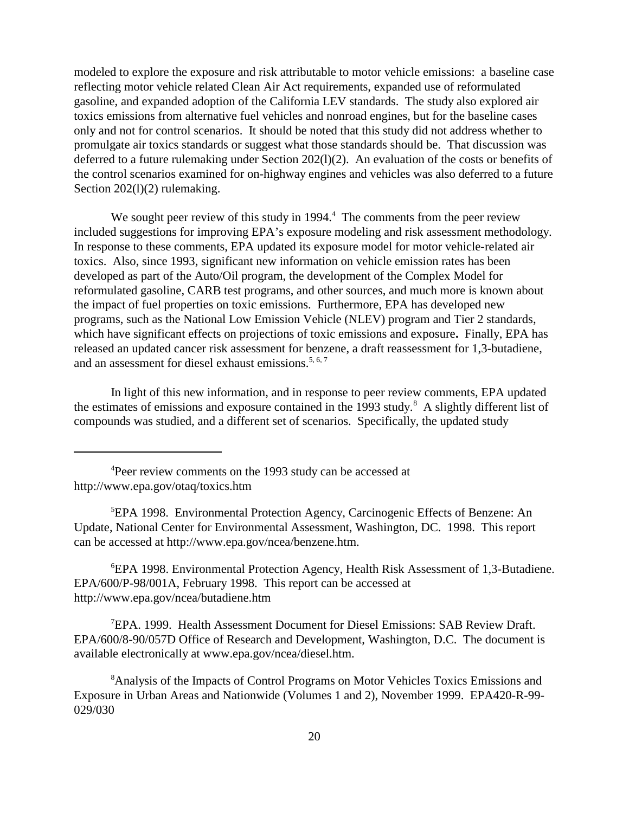modeled to explore the exposure and risk attributable to motor vehicle emissions: a baseline case reflecting motor vehicle related Clean Air Act requirements, expanded use of reformulated gasoline, and expanded adoption of the California LEV standards. The study also explored air toxics emissions from alternative fuel vehicles and nonroad engines, but for the baseline cases only and not for control scenarios. It should be noted that this study did not address whether to promulgate air toxics standards or suggest what those standards should be. That discussion was deferred to a future rulemaking under Section 202(l)(2). An evaluation of the costs or benefits of the control scenarios examined for on-highway engines and vehicles was also deferred to a future Section 202(1)(2) rulemaking.

We sought peer review of this study in  $1994<sup>4</sup>$ . The comments from the peer review included suggestions for improving EPA's exposure modeling and risk assessment methodology. In response to these comments, EPA updated its exposure model for motor vehicle-related air toxics. Also, since 1993, significant new information on vehicle emission rates has been developed as part of the Auto/Oil program, the development of the Complex Model for reformulated gasoline, CARB test programs, and other sources, and much more is known about the impact of fuel properties on toxic emissions. Furthermore, EPA has developed new programs, such as the National Low Emission Vehicle (NLEV) program and Tier 2 standards, which have significant effects on projections of toxic emissions and exposure**.** Finally, EPA has released an updated cancer risk assessment for benzene, a draft reassessment for 1,3-butadiene, and an assessment for diesel exhaust emissions.<sup>5, 6, 7</sup>

In light of this new information, and in response to peer review comments, EPA updated the estimates of emissions and exposure contained in the 1993 study.<sup>8</sup> A slightly different list of compounds was studied, and a different set of scenarios. Specifically, the updated study

6 EPA 1998. Environmental Protection Agency, Health Risk Assessment of 1,3-Butadiene. EPA/600/P-98/001A, February 1998. This report can be accessed at http://www.epa.gov/ncea/butadiene.htm

<sup>7</sup>EPA. 1999. Health Assessment Document for Diesel Emissions: SAB Review Draft. EPA/600/8-90/057D Office of Research and Development, Washington, D.C. The document is available electronically at www.epa.gov/ncea/diesel.htm.

<sup>8</sup> Analysis of the Impacts of Control Programs on Motor Vehicles Toxics Emissions and Exposure in Urban Areas and Nationwide (Volumes 1 and 2), November 1999. EPA420-R-99- 029/030

<sup>&</sup>lt;sup>4</sup>Peer review comments on the 1993 study can be accessed at http://www.epa.gov/otaq/toxics.htm

<sup>5</sup> EPA 1998. Environmental Protection Agency, Carcinogenic Effects of Benzene: An Update, National Center for Environmental Assessment, Washington, DC. 1998. This report can be accessed at http://www.epa.gov/ncea/benzene.htm.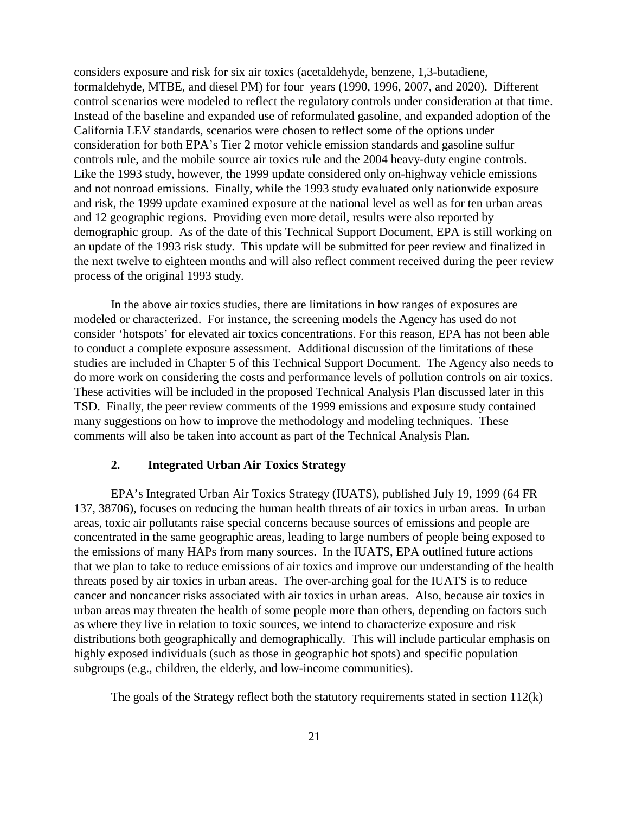considers exposure and risk for six air toxics (acetaldehyde, benzene, 1,3-butadiene, formaldehyde, MTBE, and diesel PM) for four years (1990, 1996, 2007, and 2020). Different control scenarios were modeled to reflect the regulatory controls under consideration at that time. Instead of the baseline and expanded use of reformulated gasoline, and expanded adoption of the California LEV standards, scenarios were chosen to reflect some of the options under consideration for both EPA's Tier 2 motor vehicle emission standards and gasoline sulfur controls rule, and the mobile source air toxics rule and the 2004 heavy-duty engine controls. Like the 1993 study, however, the 1999 update considered only on-highway vehicle emissions and not nonroad emissions. Finally, while the 1993 study evaluated only nationwide exposure and risk, the 1999 update examined exposure at the national level as well as for ten urban areas and 12 geographic regions. Providing even more detail, results were also reported by demographic group. As of the date of this Technical Support Document, EPA is still working on an update of the 1993 risk study. This update will be submitted for peer review and finalized in the next twelve to eighteen months and will also reflect comment received during the peer review process of the original 1993 study.

In the above air toxics studies, there are limitations in how ranges of exposures are modeled or characterized. For instance, the screening models the Agency has used do not consider 'hotspots' for elevated air toxics concentrations. For this reason, EPA has not been able to conduct a complete exposure assessment. Additional discussion of the limitations of these studies are included in Chapter 5 of this Technical Support Document. The Agency also needs to do more work on considering the costs and performance levels of pollution controls on air toxics. These activities will be included in the proposed Technical Analysis Plan discussed later in this TSD. Finally, the peer review comments of the 1999 emissions and exposure study contained many suggestions on how to improve the methodology and modeling techniques. These comments will also be taken into account as part of the Technical Analysis Plan.

#### **2. Integrated Urban Air Toxics Strategy**

EPA's Integrated Urban Air Toxics Strategy (IUATS), published July 19, 1999 (64 FR 137, 38706), focuses on reducing the human health threats of air toxics in urban areas. In urban areas, toxic air pollutants raise special concerns because sources of emissions and people are concentrated in the same geographic areas, leading to large numbers of people being exposed to the emissions of many HAPs from many sources. In the IUATS, EPA outlined future actions that we plan to take to reduce emissions of air toxics and improve our understanding of the health threats posed by air toxics in urban areas. The over-arching goal for the IUATS is to reduce cancer and noncancer risks associated with air toxics in urban areas. Also, because air toxics in urban areas may threaten the health of some people more than others, depending on factors such as where they live in relation to toxic sources, we intend to characterize exposure and risk distributions both geographically and demographically. This will include particular emphasis on highly exposed individuals (such as those in geographic hot spots) and specific population subgroups (e.g., children, the elderly, and low-income communities).

The goals of the Strategy reflect both the statutory requirements stated in section 112(k)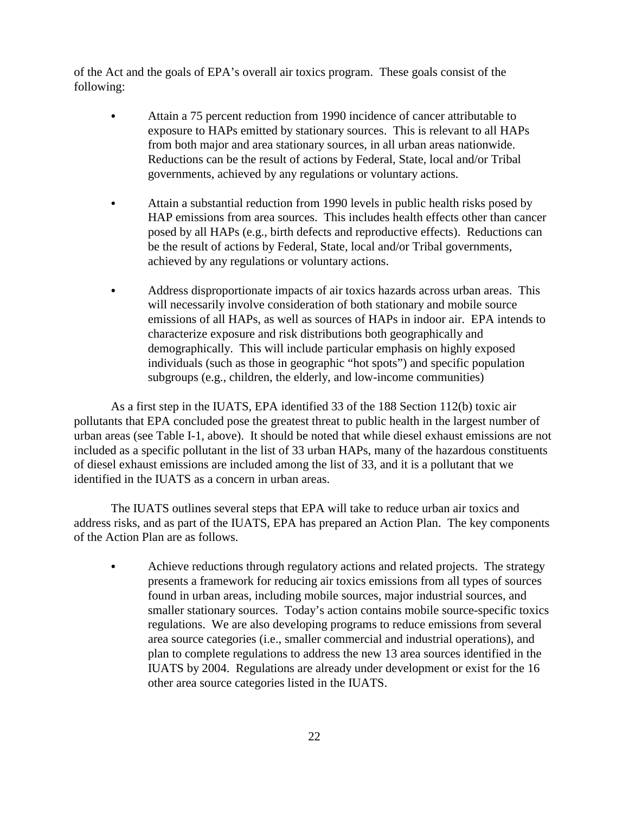of the Act and the goals of EPA's overall air toxics program. These goals consist of the following:

- & Attain a 75 percent reduction from 1990 incidence of cancer attributable to exposure to HAPs emitted by stationary sources. This is relevant to all HAPs from both major and area stationary sources, in all urban areas nationwide. Reductions can be the result of actions by Federal, State, local and/or Tribal governments, achieved by any regulations or voluntary actions.
- & Attain a substantial reduction from 1990 levels in public health risks posed by HAP emissions from area sources. This includes health effects other than cancer posed by all HAPs (e.g., birth defects and reproductive effects). Reductions can be the result of actions by Federal, State, local and/or Tribal governments, achieved by any regulations or voluntary actions.
- & Address disproportionate impacts of air toxics hazards across urban areas. This will necessarily involve consideration of both stationary and mobile source emissions of all HAPs, as well as sources of HAPs in indoor air. EPA intends to characterize exposure and risk distributions both geographically and demographically. This will include particular emphasis on highly exposed individuals (such as those in geographic "hot spots") and specific population subgroups (e.g., children, the elderly, and low-income communities)

As a first step in the IUATS, EPA identified 33 of the 188 Section 112(b) toxic air pollutants that EPA concluded pose the greatest threat to public health in the largest number of urban areas (see Table I-1, above). It should be noted that while diesel exhaust emissions are not included as a specific pollutant in the list of 33 urban HAPs, many of the hazardous constituents of diesel exhaust emissions are included among the list of 33, and it is a pollutant that we identified in the IUATS as a concern in urban areas.

 The IUATS outlines several steps that EPA will take to reduce urban air toxics and address risks, and as part of the IUATS, EPA has prepared an Action Plan. The key components of the Action Plan are as follows.

& Achieve reductions through regulatory actions and related projects. The strategy presents a framework for reducing air toxics emissions from all types of sources found in urban areas, including mobile sources, major industrial sources, and smaller stationary sources. Today's action contains mobile source-specific toxics regulations. We are also developing programs to reduce emissions from several area source categories (i.e., smaller commercial and industrial operations), and plan to complete regulations to address the new 13 area sources identified in the IUATS by 2004. Regulations are already under development or exist for the 16 other area source categories listed in the IUATS.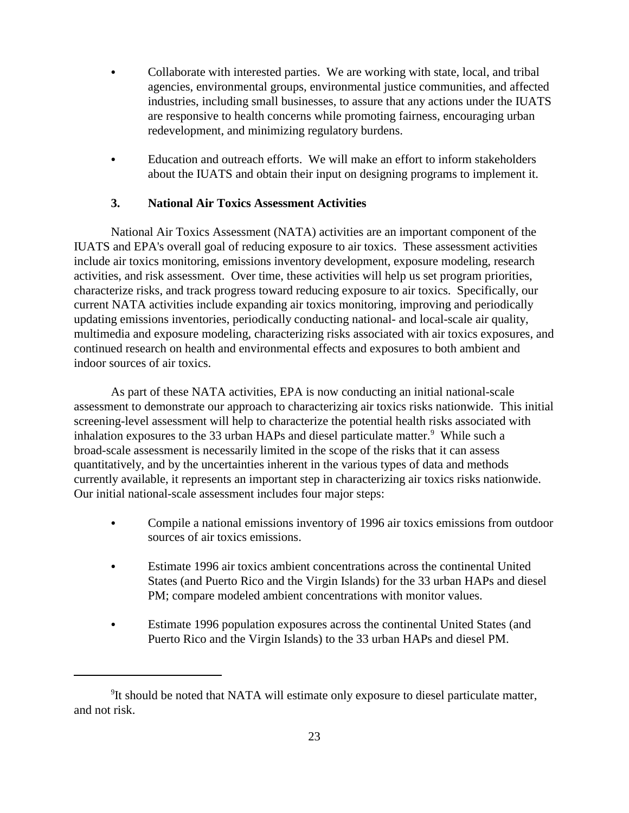- Collaborate with interested parties. We are working with state, local, and tribal agencies, environmental groups, environmental justice communities, and affected industries, including small businesses, to assure that any actions under the IUATS are responsive to health concerns while promoting fairness, encouraging urban redevelopment, and minimizing regulatory burdens.
- & Education and outreach efforts. We will make an effort to inform stakeholders about the IUATS and obtain their input on designing programs to implement it.

#### **3. National Air Toxics Assessment Activities**

National Air Toxics Assessment (NATA) activities are an important component of the IUATS and EPA's overall goal of reducing exposure to air toxics. These assessment activities include air toxics monitoring, emissions inventory development, exposure modeling, research activities, and risk assessment. Over time, these activities will help us set program priorities, characterize risks, and track progress toward reducing exposure to air toxics. Specifically, our current NATA activities include expanding air toxics monitoring, improving and periodically updating emissions inventories, periodically conducting national- and local-scale air quality, multimedia and exposure modeling, characterizing risks associated with air toxics exposures, and continued research on health and environmental effects and exposures to both ambient and indoor sources of air toxics.

As part of these NATA activities, EPA is now conducting an initial national-scale assessment to demonstrate our approach to characterizing air toxics risks nationwide. This initial screening-level assessment will help to characterize the potential health risks associated with inhalation exposures to the 33 urban HAPs and diesel particulate matter. $9$  While such a broad-scale assessment is necessarily limited in the scope of the risks that it can assess quantitatively, and by the uncertainties inherent in the various types of data and methods currently available, it represents an important step in characterizing air toxics risks nationwide. Our initial national-scale assessment includes four major steps:

- & Compile a national emissions inventory of 1996 air toxics emissions from outdoor sources of air toxics emissions.
- & Estimate 1996 air toxics ambient concentrations across the continental United States (and Puerto Rico and the Virgin Islands) for the 33 urban HAPs and diesel PM; compare modeled ambient concentrations with monitor values.
- & Estimate 1996 population exposures across the continental United States (and Puerto Rico and the Virgin Islands) to the 33 urban HAPs and diesel PM.

<sup>&</sup>lt;sup>9</sup>It should be noted that NATA will estimate only exposure to diesel particulate matter, and not risk.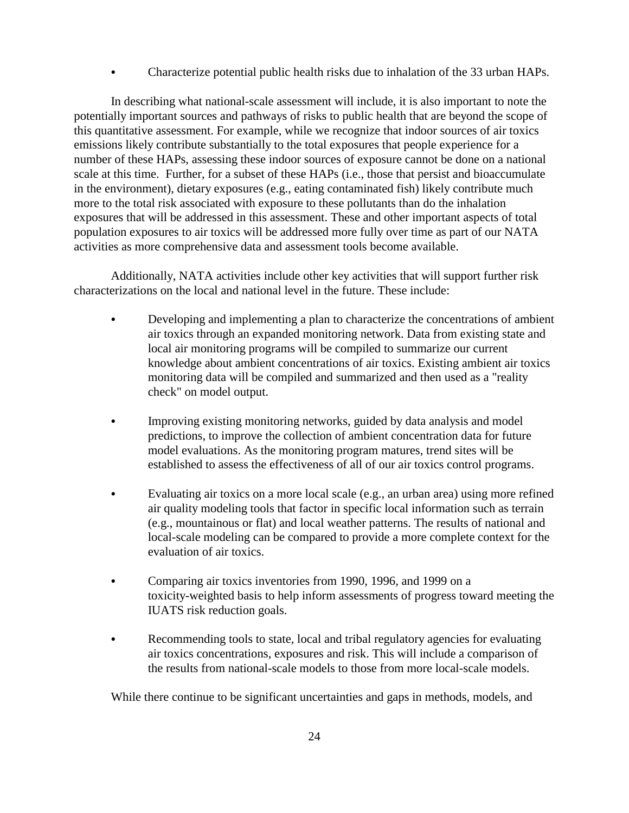& Characterize potential public health risks due to inhalation of the 33 urban HAPs.

In describing what national-scale assessment will include, it is also important to note the potentially important sources and pathways of risks to public health that are beyond the scope of this quantitative assessment. For example, while we recognize that indoor sources of air toxics emissions likely contribute substantially to the total exposures that people experience for a number of these HAPs, assessing these indoor sources of exposure cannot be done on a national scale at this time. Further, for a subset of these HAPs (i.e., those that persist and bioaccumulate in the environment), dietary exposures (e.g., eating contaminated fish) likely contribute much more to the total risk associated with exposure to these pollutants than do the inhalation exposures that will be addressed in this assessment. These and other important aspects of total population exposures to air toxics will be addressed more fully over time as part of our NATA activities as more comprehensive data and assessment tools become available.

Additionally, NATA activities include other key activities that will support further risk characterizations on the local and national level in the future. These include:

- Developing and implementing a plan to characterize the concentrations of ambient air toxics through an expanded monitoring network. Data from existing state and local air monitoring programs will be compiled to summarize our current knowledge about ambient concentrations of air toxics. Existing ambient air toxics monitoring data will be compiled and summarized and then used as a "reality check" on model output.
- & Improving existing monitoring networks, guided by data analysis and model predictions, to improve the collection of ambient concentration data for future model evaluations. As the monitoring program matures, trend sites will be established to assess the effectiveness of all of our air toxics control programs.
- Evaluating air toxics on a more local scale (e.g., an urban area) using more refined air quality modeling tools that factor in specific local information such as terrain (e.g., mountainous or flat) and local weather patterns. The results of national and local-scale modeling can be compared to provide a more complete context for the evaluation of air toxics.
- & Comparing air toxics inventories from 1990, 1996, and 1999 on a toxicity-weighted basis to help inform assessments of progress toward meeting the IUATS risk reduction goals.
- & Recommending tools to state, local and tribal regulatory agencies for evaluating air toxics concentrations, exposures and risk. This will include a comparison of the results from national-scale models to those from more local-scale models.

While there continue to be significant uncertainties and gaps in methods, models, and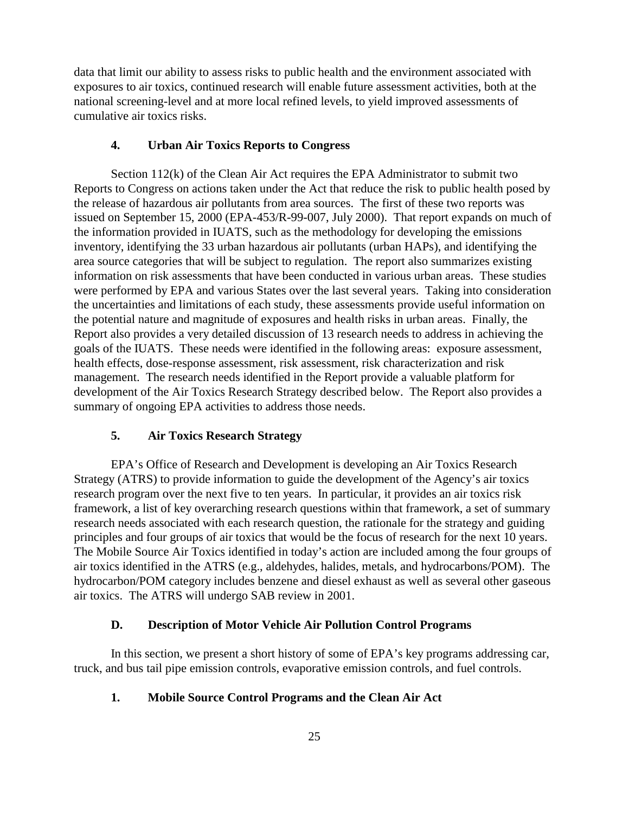data that limit our ability to assess risks to public health and the environment associated with exposures to air toxics, continued research will enable future assessment activities, both at the national screening-level and at more local refined levels, to yield improved assessments of cumulative air toxics risks.

#### **4. Urban Air Toxics Reports to Congress**

Section 112(k) of the Clean Air Act requires the EPA Administrator to submit two Reports to Congress on actions taken under the Act that reduce the risk to public health posed by the release of hazardous air pollutants from area sources. The first of these two reports was issued on September 15, 2000 (EPA-453/R-99-007, July 2000). That report expands on much of the information provided in IUATS, such as the methodology for developing the emissions inventory, identifying the 33 urban hazardous air pollutants (urban HAPs), and identifying the area source categories that will be subject to regulation. The report also summarizes existing information on risk assessments that have been conducted in various urban areas. These studies were performed by EPA and various States over the last several years. Taking into consideration the uncertainties and limitations of each study, these assessments provide useful information on the potential nature and magnitude of exposures and health risks in urban areas. Finally, the Report also provides a very detailed discussion of 13 research needs to address in achieving the goals of the IUATS. These needs were identified in the following areas: exposure assessment, health effects, dose-response assessment, risk assessment, risk characterization and risk management. The research needs identified in the Report provide a valuable platform for development of the Air Toxics Research Strategy described below. The Report also provides a summary of ongoing EPA activities to address those needs.

#### **5. Air Toxics Research Strategy**

EPA's Office of Research and Development is developing an Air Toxics Research Strategy (ATRS) to provide information to guide the development of the Agency's air toxics research program over the next five to ten years. In particular, it provides an air toxics risk framework, a list of key overarching research questions within that framework, a set of summary research needs associated with each research question, the rationale for the strategy and guiding principles and four groups of air toxics that would be the focus of research for the next 10 years. The Mobile Source Air Toxics identified in today's action are included among the four groups of air toxics identified in the ATRS (e.g., aldehydes, halides, metals, and hydrocarbons/POM). The hydrocarbon/POM category includes benzene and diesel exhaust as well as several other gaseous air toxics. The ATRS will undergo SAB review in 2001.

#### **D. Description of Motor Vehicle Air Pollution Control Programs**

In this section, we present a short history of some of EPA's key programs addressing car, truck, and bus tail pipe emission controls, evaporative emission controls, and fuel controls.

#### **1. Mobile Source Control Programs and the Clean Air Act**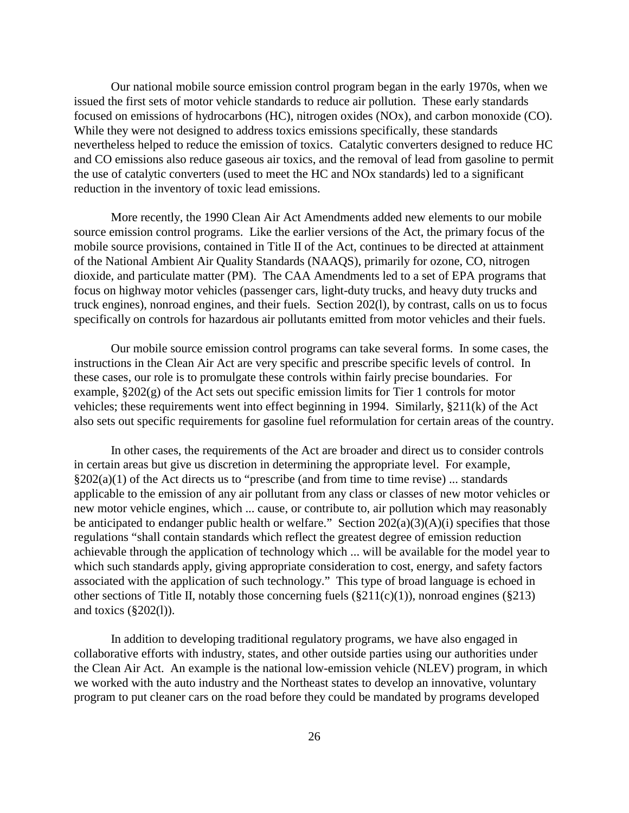Our national mobile source emission control program began in the early 1970s, when we issued the first sets of motor vehicle standards to reduce air pollution. These early standards focused on emissions of hydrocarbons (HC), nitrogen oxides (NOx), and carbon monoxide (CO). While they were not designed to address toxics emissions specifically, these standards nevertheless helped to reduce the emission of toxics. Catalytic converters designed to reduce HC and CO emissions also reduce gaseous air toxics, and the removal of lead from gasoline to permit the use of catalytic converters (used to meet the HC and NOx standards) led to a significant reduction in the inventory of toxic lead emissions.

More recently, the 1990 Clean Air Act Amendments added new elements to our mobile source emission control programs. Like the earlier versions of the Act, the primary focus of the mobile source provisions, contained in Title II of the Act, continues to be directed at attainment of the National Ambient Air Quality Standards (NAAQS), primarily for ozone, CO, nitrogen dioxide, and particulate matter (PM). The CAA Amendments led to a set of EPA programs that focus on highway motor vehicles (passenger cars, light-duty trucks, and heavy duty trucks and truck engines), nonroad engines, and their fuels. Section 202(l), by contrast, calls on us to focus specifically on controls for hazardous air pollutants emitted from motor vehicles and their fuels.

Our mobile source emission control programs can take several forms. In some cases, the instructions in the Clean Air Act are very specific and prescribe specific levels of control. In these cases, our role is to promulgate these controls within fairly precise boundaries. For example, §202(g) of the Act sets out specific emission limits for Tier 1 controls for motor vehicles; these requirements went into effect beginning in 1994. Similarly, §211(k) of the Act also sets out specific requirements for gasoline fuel reformulation for certain areas of the country.

In other cases, the requirements of the Act are broader and direct us to consider controls in certain areas but give us discretion in determining the appropriate level. For example,  $\S202(a)(1)$  of the Act directs us to "prescribe (and from time to time revise) ... standards applicable to the emission of any air pollutant from any class or classes of new motor vehicles or new motor vehicle engines, which ... cause, or contribute to, air pollution which may reasonably be anticipated to endanger public health or welfare." Section  $202(a)(3)(A)(i)$  specifies that those regulations "shall contain standards which reflect the greatest degree of emission reduction achievable through the application of technology which ... will be available for the model year to which such standards apply, giving appropriate consideration to cost, energy, and safety factors associated with the application of such technology." This type of broad language is echoed in other sections of Title II, notably those concerning fuels (§211(c)(1)), nonroad engines (§213) and toxics (§202(l)).

In addition to developing traditional regulatory programs, we have also engaged in collaborative efforts with industry, states, and other outside parties using our authorities under the Clean Air Act. An example is the national low-emission vehicle (NLEV) program, in which we worked with the auto industry and the Northeast states to develop an innovative, voluntary program to put cleaner cars on the road before they could be mandated by programs developed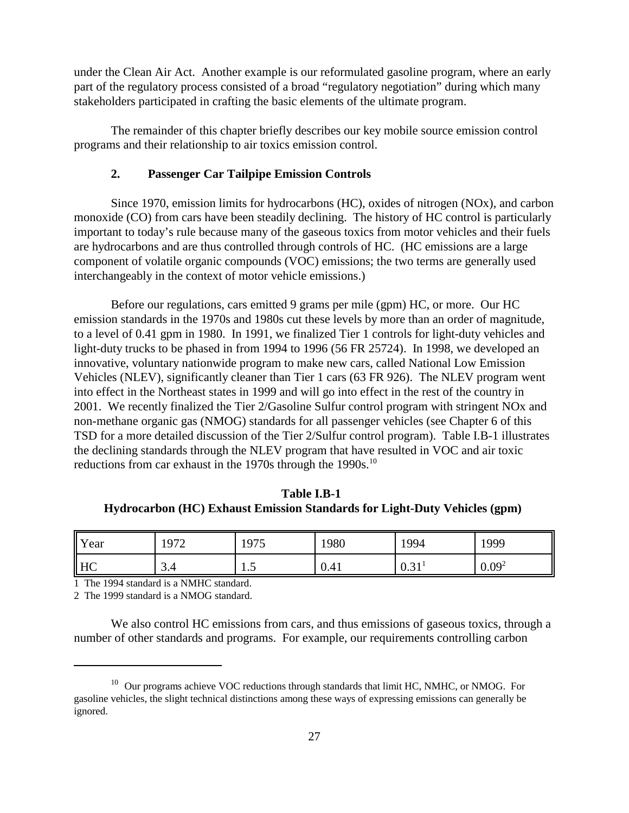under the Clean Air Act. Another example is our reformulated gasoline program, where an early part of the regulatory process consisted of a broad "regulatory negotiation" during which many stakeholders participated in crafting the basic elements of the ultimate program.

The remainder of this chapter briefly describes our key mobile source emission control programs and their relationship to air toxics emission control.

#### **2. Passenger Car Tailpipe Emission Controls**

Since 1970, emission limits for hydrocarbons (HC), oxides of nitrogen (NOx), and carbon monoxide (CO) from cars have been steadily declining. The history of HC control is particularly important to today's rule because many of the gaseous toxics from motor vehicles and their fuels are hydrocarbons and are thus controlled through controls of HC. (HC emissions are a large component of volatile organic compounds (VOC) emissions; the two terms are generally used interchangeably in the context of motor vehicle emissions.)

Before our regulations, cars emitted 9 grams per mile (gpm) HC, or more. Our HC emission standards in the 1970s and 1980s cut these levels by more than an order of magnitude, to a level of 0.41 gpm in 1980. In 1991, we finalized Tier 1 controls for light-duty vehicles and light-duty trucks to be phased in from 1994 to 1996 (56 FR 25724). In 1998, we developed an innovative, voluntary nationwide program to make new cars, called National Low Emission Vehicles (NLEV), significantly cleaner than Tier 1 cars (63 FR 926). The NLEV program went into effect in the Northeast states in 1999 and will go into effect in the rest of the country in 2001. We recently finalized the Tier 2/Gasoline Sulfur control program with stringent NOx and non-methane organic gas (NMOG) standards for all passenger vehicles (see Chapter 6 of this TSD for a more detailed discussion of the Tier 2/Sulfur control program). Table I.B-1 illustrates the declining standards through the NLEV program that have resulted in VOC and air toxic reductions from car exhaust in the 1970s through the 1990s.<sup>10</sup>

**Table I.B-1 Hydrocarbon (HC) Exhaust Emission Standards for Light-Duty Vehicles (gpm)** 

| <b>Year</b>                 | 1072<br>1 <i>) 1 4</i> | 1975 | 1980 | !994 | 1999              |
|-----------------------------|------------------------|------|------|------|-------------------|
| $\overline{\phantom{a}}$ HC | ⌒<br>3.4               | 1.J  | 0.41 | 0.31 | 0.09 <sup>2</sup> |

1 The 1994 standard is a NMHC standard.

2 The 1999 standard is a NMOG standard.

We also control HC emissions from cars, and thus emissions of gaseous toxics, through a number of other standards and programs. For example, our requirements controlling carbon

<sup>&</sup>lt;sup>10</sup> Our programs achieve VOC reductions through standards that limit HC, NMHC, or NMOG. For gasoline vehicles, the slight technical distinctions among these ways of expressing emissions can generally be ignored.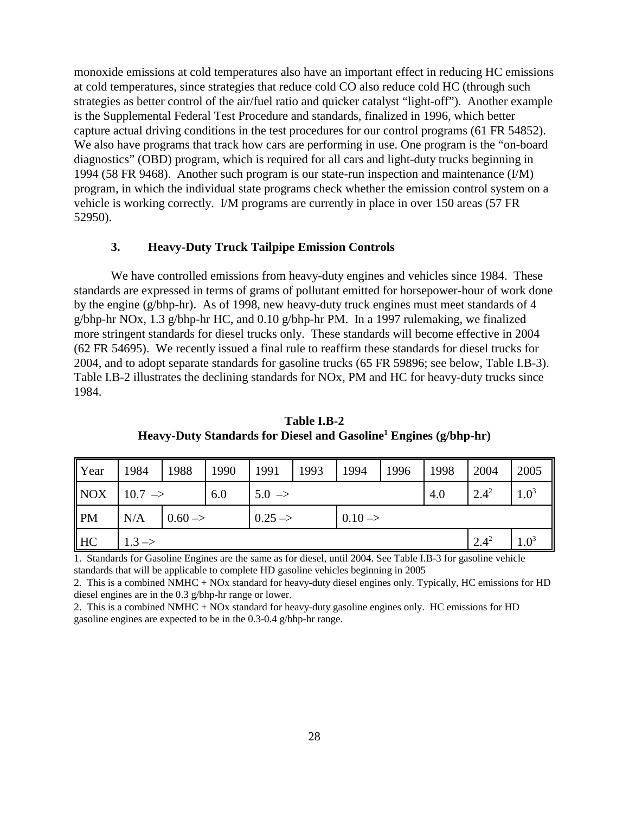monoxide emissions at cold temperatures also have an important effect in reducing HC emissions at cold temperatures, since strategies that reduce cold CO also reduce cold HC (through such strategies as better control of the air/fuel ratio and quicker catalyst "light-off"). Another example is the Supplemental Federal Test Procedure and standards, finalized in 1996, which better capture actual driving conditions in the test procedures for our control programs (61 FR 54852). We also have programs that track how cars are performing in use. One program is the "on-board diagnostics" (OBD) program, which is required for all cars and light-duty trucks beginning in 1994 (58 FR 9468). Another such program is our state-run inspection and maintenance (I/M) program, in which the individual state programs check whether the emission control system on a vehicle is working correctly. I/M programs are currently in place in over 150 areas (57 FR 52950).

#### **3. Heavy-Duty Truck Tailpipe Emission Controls**

We have controlled emissions from heavy-duty engines and vehicles since 1984. These standards are expressed in terms of grams of pollutant emitted for horsepower-hour of work done by the engine (g/bhp-hr). As of 1998, new heavy-duty truck engines must meet standards of 4 g/bhp-hr NOx, 1.3 g/bhp-hr HC, and 0.10 g/bhp-hr PM. In a 1997 rulemaking, we finalized more stringent standards for diesel trucks only. These standards will become effective in 2004 (62 FR 54695). We recently issued a final rule to reaffirm these standards for diesel trucks for 2004, and to adopt separate standards for gasoline trucks (65 FR 59896; see below, Table I.B-3). Table I.B-2 illustrates the declining standards for NOx, PM and HC for heavy-duty trucks since 1984.

| <b>Year</b>    | 1984                 | 1988               | 1990 | 1991               | 1993 | 1994               | 1996 | 1998 | 2004      | 2005      |
|----------------|----------------------|--------------------|------|--------------------|------|--------------------|------|------|-----------|-----------|
| <b>NOX</b>     | $10.7$ $\rightarrow$ |                    | 6.0  | $5.0 \rightarrow$  |      |                    |      | 4.0  | $2.4^{2}$ | $1.0^{3}$ |
| $\mathsf{P}M$  | N/A                  | $0.60 \rightarrow$ |      | $0.25 \rightarrow$ |      | $0.10 \rightarrow$ |      |      |           |           |
| H <sub>C</sub> | $1.3 \rightarrow$    |                    |      |                    |      |                    |      |      | $2.4^{2}$ | $1.0^{3}$ |

**Table I.B-2 Heavy-Duty Standards for Diesel and Gasoline1 Engines (g/bhp-hr)**

1. Standards for Gasoline Engines are the same as for diesel, until 2004. See Table I.B-3 for gasoline vehicle standards that will be applicable to complete HD gasoline vehicles beginning in 2005

2. This is a combined NMHC + NOx standard for heavy-duty diesel engines only. Typically, HC emissions for HD diesel engines are in the 0.3 g/bhp-hr range or lower.

2. This is a combined NMHC + NOx standard for heavy-duty gasoline engines only. HC emissions for HD gasoline engines are expected to be in the 0.3-0.4 g/bhp-hr range.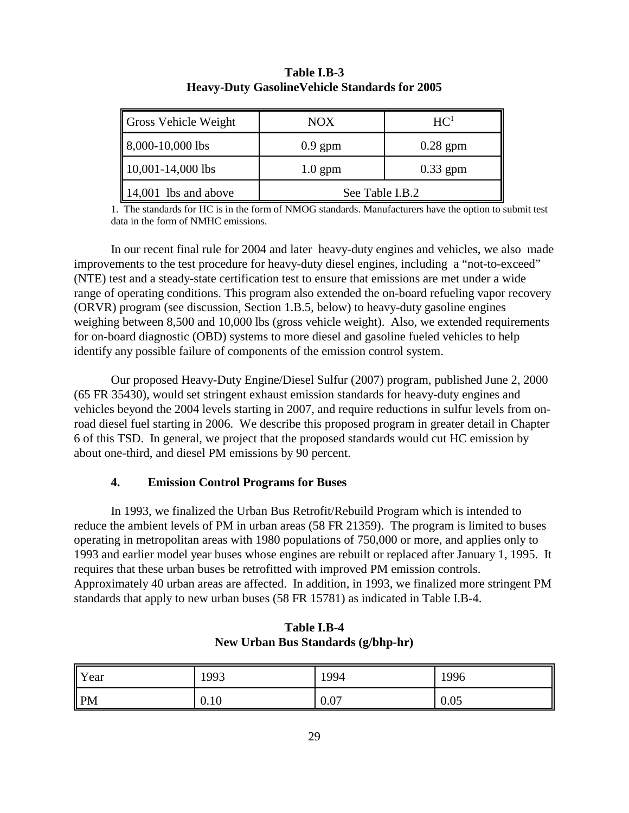| <b>Gross Vehicle Weight</b>      | <b>NOX</b>      | HC <sup>1</sup> |  |
|----------------------------------|-----------------|-----------------|--|
| $\vert 8,000-10,000 \vert$ bs    | $0.9$ gpm       | $0.28$ gpm      |  |
| $10,001-14,000$ lbs              | $1.0$ gpm       | $0.33$ gpm      |  |
| $\parallel$ 14,001 lbs and above | See Table I.B.2 |                 |  |

#### **Table I.B-3 Heavy-Duty GasolineVehicle Standards for 2005**

1. The standards for HC is in the form of NMOG standards. Manufacturers have the option to submit test data in the form of NMHC emissions.

In our recent final rule for 2004 and later heavy-duty engines and vehicles, we also made improvements to the test procedure for heavy-duty diesel engines, including a "not-to-exceed" (NTE) test and a steady-state certification test to ensure that emissions are met under a wide range of operating conditions. This program also extended the on-board refueling vapor recovery (ORVR) program (see discussion, Section 1.B.5, below) to heavy-duty gasoline engines weighing between 8,500 and 10,000 lbs (gross vehicle weight). Also, we extended requirements for on-board diagnostic (OBD) systems to more diesel and gasoline fueled vehicles to help identify any possible failure of components of the emission control system.

 Our proposed Heavy-Duty Engine/Diesel Sulfur (2007) program, published June 2, 2000 (65 FR 35430), would set stringent exhaust emission standards for heavy-duty engines and vehicles beyond the 2004 levels starting in 2007, and require reductions in sulfur levels from onroad diesel fuel starting in 2006. We describe this proposed program in greater detail in Chapter 6 of this TSD. In general, we project that the proposed standards would cut HC emission by about one-third, and diesel PM emissions by 90 percent.

#### **4. Emission Control Programs for Buses**

In 1993, we finalized the Urban Bus Retrofit/Rebuild Program which is intended to reduce the ambient levels of PM in urban areas (58 FR 21359). The program is limited to buses operating in metropolitan areas with 1980 populations of 750,000 or more, and applies only to 1993 and earlier model year buses whose engines are rebuilt or replaced after January 1, 1995. It requires that these urban buses be retrofitted with improved PM emission controls. Approximately 40 urban areas are affected. In addition, in 1993, we finalized more stringent PM standards that apply to new urban buses (58 FR 15781) as indicated in Table I.B-4.

| Year         | 1993 | 1994 | 1996 |
|--------------|------|------|------|
| $\mathbf{P}$ | 0.10 | 0.07 | 0.05 |

**Table I.B-4 New Urban Bus Standards (g/bhp-hr)**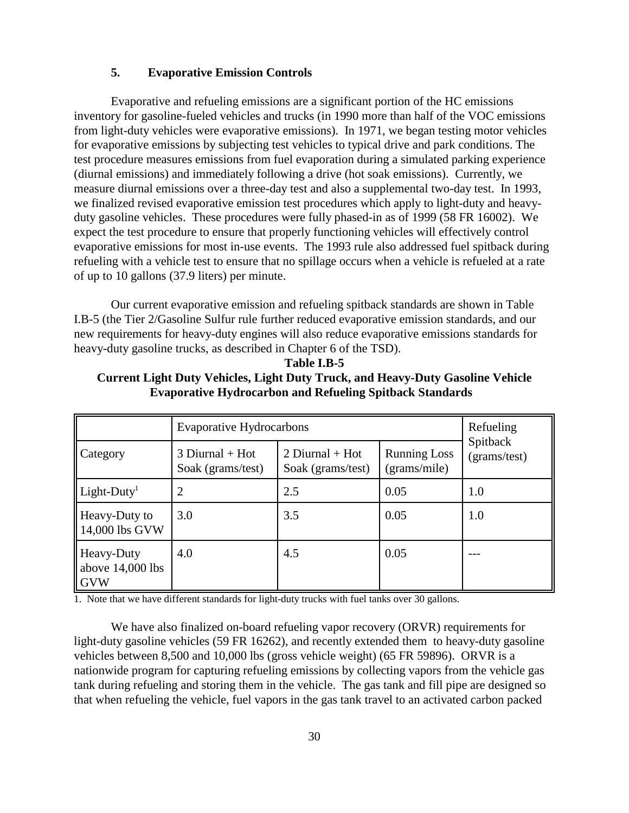#### **5. Evaporative Emission Controls**

Evaporative and refueling emissions are a significant portion of the HC emissions inventory for gasoline-fueled vehicles and trucks (in 1990 more than half of the VOC emissions from light-duty vehicles were evaporative emissions). In 1971, we began testing motor vehicles for evaporative emissions by subjecting test vehicles to typical drive and park conditions. The test procedure measures emissions from fuel evaporation during a simulated parking experience (diurnal emissions) and immediately following a drive (hot soak emissions). Currently, we measure diurnal emissions over a three-day test and also a supplemental two-day test. In 1993, we finalized revised evaporative emission test procedures which apply to light-duty and heavyduty gasoline vehicles. These procedures were fully phased-in as of 1999 (58 FR 16002). We expect the test procedure to ensure that properly functioning vehicles will effectively control evaporative emissions for most in-use events. The 1993 rule also addressed fuel spitback during refueling with a vehicle test to ensure that no spillage occurs when a vehicle is refueled at a rate of up to 10 gallons (37.9 liters) per minute.

Our current evaporative emission and refueling spitback standards are shown in Table I.B-5 (the Tier 2/Gasoline Sulfur rule further reduced evaporative emission standards, and our new requirements for heavy-duty engines will also reduce evaporative emissions standards for heavy-duty gasoline trucks, as described in Chapter 6 of the TSD).

|                                                | <b>Evaporative Hydrocarbons</b>        | Refueling                              |                                     |                          |  |
|------------------------------------------------|----------------------------------------|----------------------------------------|-------------------------------------|--------------------------|--|
| Category                                       | $3$ Diurnal + Hot<br>Soak (grams/test) | 2 Diurnal + $Hot$<br>Soak (grams/test) | <b>Running Loss</b><br>(grams/mile) | Spitback<br>(grams/test) |  |
| $Light-Duty1$                                  | $\overline{2}$                         | 2.5                                    | 0.05                                | 1.0                      |  |
| Heavy-Duty to<br>14,000 lbs GVW                | 3.0                                    | 3.5                                    | 0.05                                | 1.0                      |  |
| Heavy-Duty<br>above $14,000$ lbs<br><b>GVW</b> | 4.0                                    | 4.5                                    | 0.05                                |                          |  |

**Current Light Duty Vehicles, Light Duty Truck, and Heavy-Duty Gasoline Vehicle Evaporative Hydrocarbon and Refueling Spitback Standards** 

**Table I.B-5**

1. Note that we have different standards for light-duty trucks with fuel tanks over 30 gallons.

We have also finalized on-board refueling vapor recovery (ORVR) requirements for light-duty gasoline vehicles (59 FR 16262), and recently extended them to heavy-duty gasoline vehicles between 8,500 and 10,000 lbs (gross vehicle weight) (65 FR 59896). ORVR is a nationwide program for capturing refueling emissions by collecting vapors from the vehicle gas tank during refueling and storing them in the vehicle. The gas tank and fill pipe are designed so that when refueling the vehicle, fuel vapors in the gas tank travel to an activated carbon packed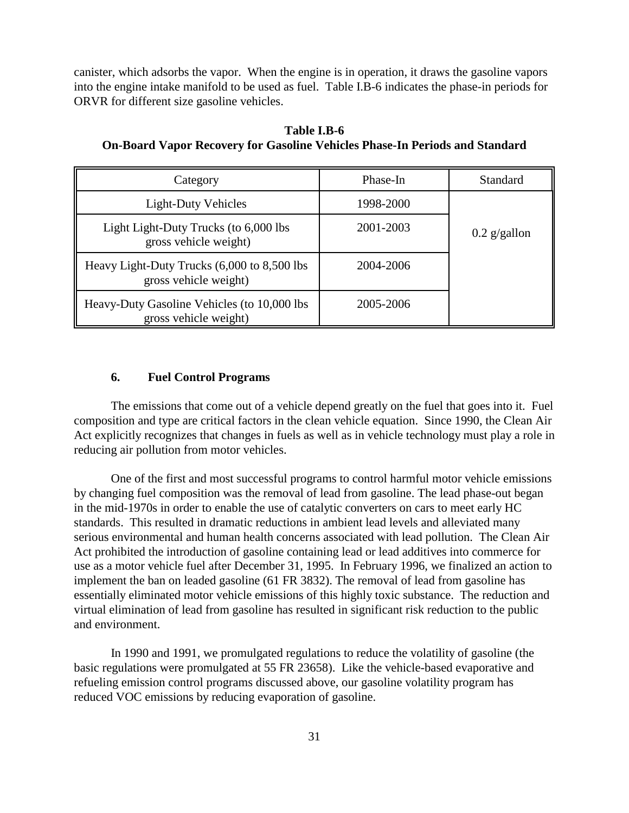canister, which adsorbs the vapor. When the engine is in operation, it draws the gasoline vapors into the engine intake manifold to be used as fuel. Table I.B-6 indicates the phase-in periods for ORVR for different size gasoline vehicles.

| Category                                                             | Phase-In  | <b>Standard</b> |
|----------------------------------------------------------------------|-----------|-----------------|
| <b>Light-Duty Vehicles</b>                                           | 1998-2000 |                 |
| Light Light-Duty Trucks (to 6,000 lbs<br>gross vehicle weight)       | 2001-2003 | $0.2$ g/gallon  |
| Heavy Light-Duty Trucks (6,000 to 8,500 lbs<br>gross vehicle weight) | 2004-2006 |                 |
| Heavy-Duty Gasoline Vehicles (to 10,000 lbs<br>gross vehicle weight) | 2005-2006 |                 |

**Table I.B-6 On-Board Vapor Recovery for Gasoline Vehicles Phase-In Periods and Standard**

#### **6. Fuel Control Programs**

The emissions that come out of a vehicle depend greatly on the fuel that goes into it. Fuel composition and type are critical factors in the clean vehicle equation. Since 1990, the Clean Air Act explicitly recognizes that changes in fuels as well as in vehicle technology must play a role in reducing air pollution from motor vehicles.

One of the first and most successful programs to control harmful motor vehicle emissions by changing fuel composition was the removal of lead from gasoline. The lead phase-out began in the mid-1970s in order to enable the use of catalytic converters on cars to meet early HC standards. This resulted in dramatic reductions in ambient lead levels and alleviated many serious environmental and human health concerns associated with lead pollution. The Clean Air Act prohibited the introduction of gasoline containing lead or lead additives into commerce for use as a motor vehicle fuel after December 31, 1995. In February 1996, we finalized an action to implement the ban on leaded gasoline (61 FR 3832). The removal of lead from gasoline has essentially eliminated motor vehicle emissions of this highly toxic substance. The reduction and virtual elimination of lead from gasoline has resulted in significant risk reduction to the public and environment.

In 1990 and 1991, we promulgated regulations to reduce the volatility of gasoline (the basic regulations were promulgated at 55 FR 23658). Like the vehicle-based evaporative and refueling emission control programs discussed above, our gasoline volatility program has reduced VOC emissions by reducing evaporation of gasoline.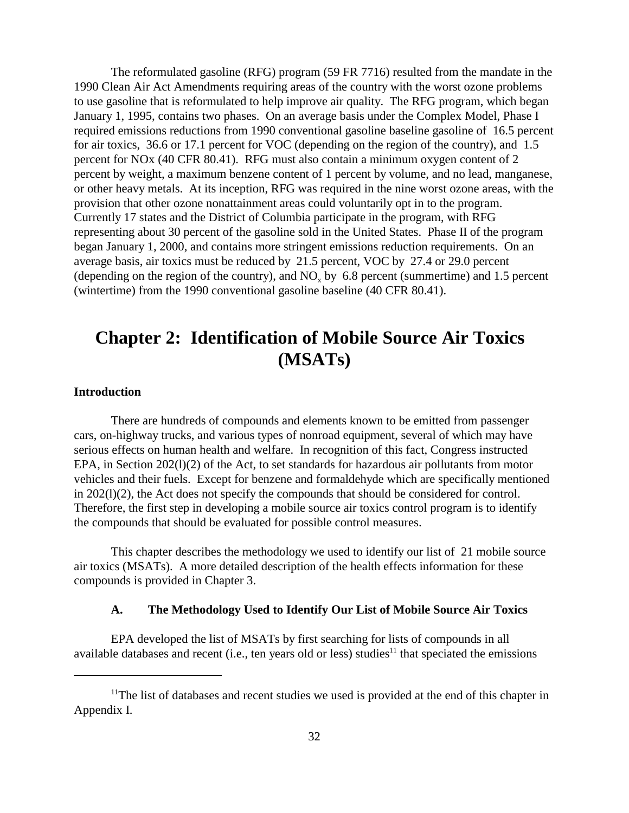The reformulated gasoline (RFG) program (59 FR 7716) resulted from the mandate in the 1990 Clean Air Act Amendments requiring areas of the country with the worst ozone problems to use gasoline that is reformulated to help improve air quality. The RFG program, which began January 1, 1995, contains two phases. On an average basis under the Complex Model, Phase I required emissions reductions from 1990 conventional gasoline baseline gasoline of 16.5 percent for air toxics, 36.6 or 17.1 percent for VOC (depending on the region of the country), and 1.5 percent for NOx (40 CFR 80.41). RFG must also contain a minimum oxygen content of 2 percent by weight, a maximum benzene content of 1 percent by volume, and no lead, manganese, or other heavy metals. At its inception, RFG was required in the nine worst ozone areas, with the provision that other ozone nonattainment areas could voluntarily opt in to the program. Currently 17 states and the District of Columbia participate in the program, with RFG representing about 30 percent of the gasoline sold in the United States. Phase II of the program began January 1, 2000, and contains more stringent emissions reduction requirements. On an average basis, air toxics must be reduced by 21.5 percent, VOC by 27.4 or 29.0 percent (depending on the region of the country), and  $NO<sub>x</sub>$  by 6.8 percent (summertime) and 1.5 percent (wintertime) from the 1990 conventional gasoline baseline (40 CFR 80.41).

### **Chapter 2: Identification of Mobile Source Air Toxics (MSATs)**

#### **Introduction**

There are hundreds of compounds and elements known to be emitted from passenger cars, on-highway trucks, and various types of nonroad equipment, several of which may have serious effects on human health and welfare. In recognition of this fact, Congress instructed EPA, in Section 202(l)(2) of the Act, to set standards for hazardous air pollutants from motor vehicles and their fuels. Except for benzene and formaldehyde which are specifically mentioned in 202(l)(2), the Act does not specify the compounds that should be considered for control. Therefore, the first step in developing a mobile source air toxics control program is to identify the compounds that should be evaluated for possible control measures.

This chapter describes the methodology we used to identify our list of 21 mobile source air toxics (MSATs). A more detailed description of the health effects information for these compounds is provided in Chapter 3.

#### **A. The Methodology Used to Identify Our List of Mobile Source Air Toxics**

EPA developed the list of MSATs by first searching for lists of compounds in all available databases and recent (i.e., ten years old or less) studies<sup>11</sup> that speciated the emissions

 $11$ The list of databases and recent studies we used is provided at the end of this chapter in Appendix I.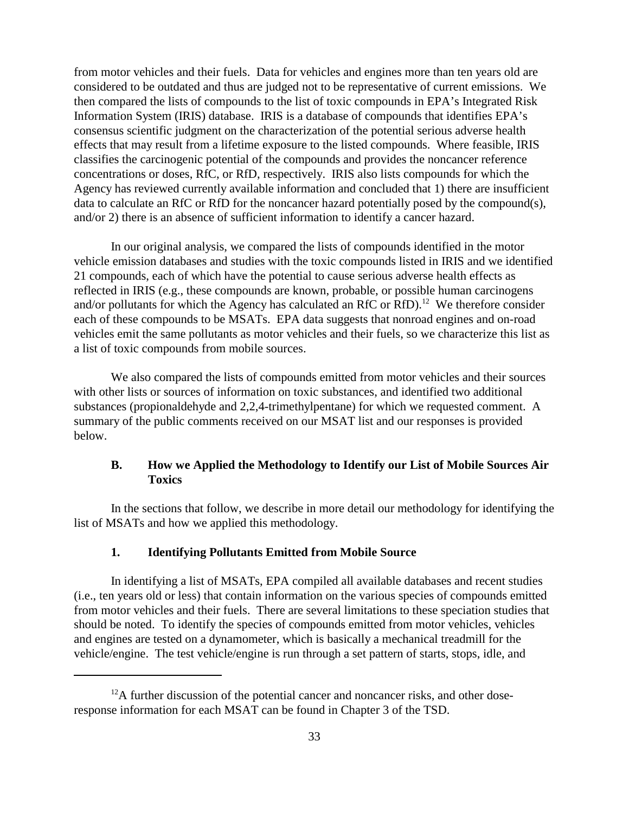from motor vehicles and their fuels. Data for vehicles and engines more than ten years old are considered to be outdated and thus are judged not to be representative of current emissions. We then compared the lists of compounds to the list of toxic compounds in EPA's Integrated Risk Information System (IRIS) database. IRIS is a database of compounds that identifies EPA's consensus scientific judgment on the characterization of the potential serious adverse health effects that may result from a lifetime exposure to the listed compounds. Where feasible, IRIS classifies the carcinogenic potential of the compounds and provides the noncancer reference concentrations or doses, RfC, or RfD, respectively. IRIS also lists compounds for which the Agency has reviewed currently available information and concluded that 1) there are insufficient data to calculate an RfC or RfD for the noncancer hazard potentially posed by the compound(s), and/or 2) there is an absence of sufficient information to identify a cancer hazard.

In our original analysis, we compared the lists of compounds identified in the motor vehicle emission databases and studies with the toxic compounds listed in IRIS and we identified 21 compounds, each of which have the potential to cause serious adverse health effects as reflected in IRIS (e.g., these compounds are known, probable, or possible human carcinogens and/or pollutants for which the Agency has calculated an RfC or RfD).<sup>12</sup> We therefore consider each of these compounds to be MSATs. EPA data suggests that nonroad engines and on-road vehicles emit the same pollutants as motor vehicles and their fuels, so we characterize this list as a list of toxic compounds from mobile sources.

We also compared the lists of compounds emitted from motor vehicles and their sources with other lists or sources of information on toxic substances, and identified two additional substances (propionaldehyde and 2,2,4-trimethylpentane) for which we requested comment. A summary of the public comments received on our MSAT list and our responses is provided below.

#### **B. How we Applied the Methodology to Identify our List of Mobile Sources Air Toxics**

In the sections that follow, we describe in more detail our methodology for identifying the list of MSATs and how we applied this methodology.

#### **1. Identifying Pollutants Emitted from Mobile Source**

In identifying a list of MSATs, EPA compiled all available databases and recent studies (i.e., ten years old or less) that contain information on the various species of compounds emitted from motor vehicles and their fuels. There are several limitations to these speciation studies that should be noted. To identify the species of compounds emitted from motor vehicles, vehicles and engines are tested on a dynamometer, which is basically a mechanical treadmill for the vehicle/engine. The test vehicle/engine is run through a set pattern of starts, stops, idle, and

 $12A$  further discussion of the potential cancer and noncancer risks, and other doseresponse information for each MSAT can be found in Chapter 3 of the TSD.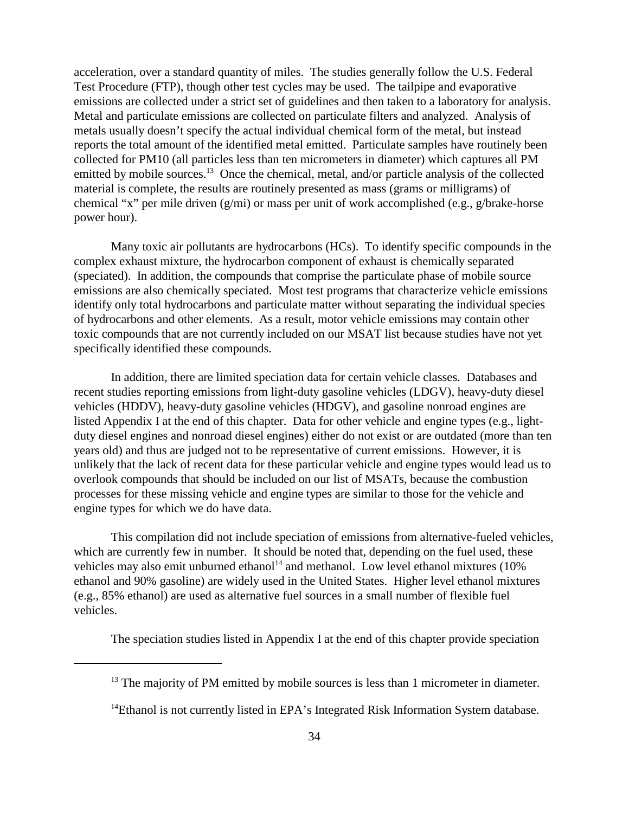acceleration, over a standard quantity of miles. The studies generally follow the U.S. Federal Test Procedure (FTP), though other test cycles may be used. The tailpipe and evaporative emissions are collected under a strict set of guidelines and then taken to a laboratory for analysis. Metal and particulate emissions are collected on particulate filters and analyzed. Analysis of metals usually doesn't specify the actual individual chemical form of the metal, but instead reports the total amount of the identified metal emitted. Particulate samples have routinely been collected for PM10 (all particles less than ten micrometers in diameter) which captures all PM emitted by mobile sources.<sup>13</sup> Once the chemical, metal, and/or particle analysis of the collected material is complete, the results are routinely presented as mass (grams or milligrams) of chemical "x" per mile driven (g/mi) or mass per unit of work accomplished (e.g., g/brake-horse power hour).

Many toxic air pollutants are hydrocarbons (HCs). To identify specific compounds in the complex exhaust mixture, the hydrocarbon component of exhaust is chemically separated (speciated). In addition, the compounds that comprise the particulate phase of mobile source emissions are also chemically speciated. Most test programs that characterize vehicle emissions identify only total hydrocarbons and particulate matter without separating the individual species of hydrocarbons and other elements. As a result, motor vehicle emissions may contain other toxic compounds that are not currently included on our MSAT list because studies have not yet specifically identified these compounds.

In addition, there are limited speciation data for certain vehicle classes. Databases and recent studies reporting emissions from light-duty gasoline vehicles (LDGV), heavy-duty diesel vehicles (HDDV), heavy-duty gasoline vehicles (HDGV), and gasoline nonroad engines are listed Appendix I at the end of this chapter. Data for other vehicle and engine types (e.g., lightduty diesel engines and nonroad diesel engines) either do not exist or are outdated (more than ten years old) and thus are judged not to be representative of current emissions. However, it is unlikely that the lack of recent data for these particular vehicle and engine types would lead us to overlook compounds that should be included on our list of MSATs, because the combustion processes for these missing vehicle and engine types are similar to those for the vehicle and engine types for which we do have data.

This compilation did not include speciation of emissions from alternative-fueled vehicles, which are currently few in number. It should be noted that, depending on the fuel used, these vehicles may also emit unburned ethanol<sup>14</sup> and methanol. Low level ethanol mixtures (10%) ethanol and 90% gasoline) are widely used in the United States. Higher level ethanol mixtures (e.g., 85% ethanol) are used as alternative fuel sources in a small number of flexible fuel vehicles.

The speciation studies listed in Appendix I at the end of this chapter provide speciation

 $13$  The majority of PM emitted by mobile sources is less than 1 micrometer in diameter.

 $14$ Ethanol is not currently listed in EPA's Integrated Risk Information System database.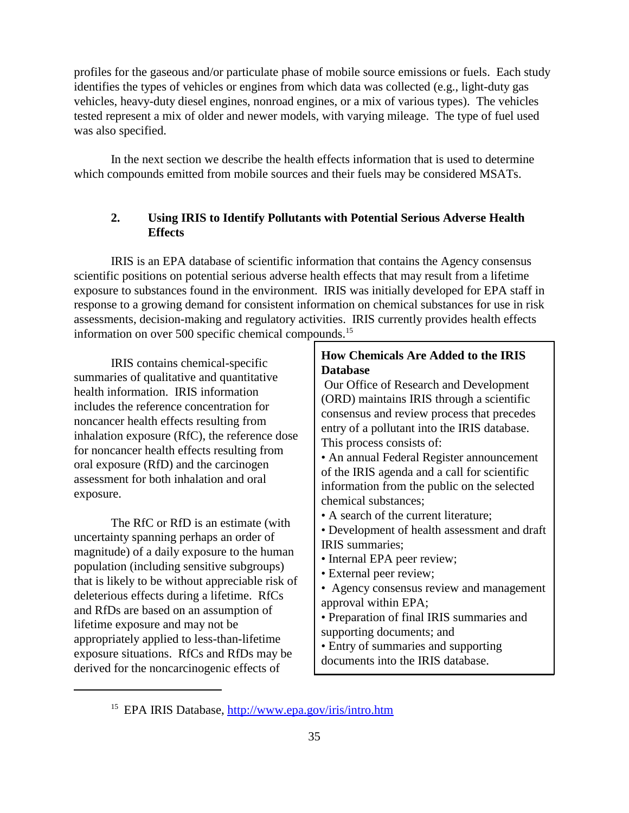profiles for the gaseous and/or particulate phase of mobile source emissions or fuels. Each study identifies the types of vehicles or engines from which data was collected (e.g., light-duty gas vehicles, heavy-duty diesel engines, nonroad engines, or a mix of various types). The vehicles tested represent a mix of older and newer models, with varying mileage. The type of fuel used was also specified.

In the next section we describe the health effects information that is used to determine which compounds emitted from mobile sources and their fuels may be considered MSATs.

#### **2. Using IRIS to Identify Pollutants with Potential Serious Adverse Health Effects**

IRIS is an EPA database of scientific information that contains the Agency consensus scientific positions on potential serious adverse health effects that may result from a lifetime exposure to substances found in the environment. IRIS was initially developed for EPA staff in response to a growing demand for consistent information on chemical substances for use in risk assessments, decision-making and regulatory activities. IRIS currently provides health effects information on over 500 specific chemical compounds.<sup>15</sup>

IRIS contains chemical-specific summaries of qualitative and quantitative health information. IRIS information includes the reference concentration for noncancer health effects resulting from inhalation exposure (RfC), the reference dose for noncancer health effects resulting from oral exposure (RfD) and the carcinogen assessment for both inhalation and oral exposure.

The RfC or RfD is an estimate (with uncertainty spanning perhaps an order of magnitude) of a daily exposure to the human population (including sensitive subgroups) that is likely to be without appreciable risk of deleterious effects during a lifetime. RfCs and RfDs are based on an assumption of lifetime exposure and may not be appropriately applied to less-than-lifetime exposure situations. RfCs and RfDs may be derived for the noncarcinogenic effects of

#### **How Chemicals Are Added to the IRIS Database**

 Our Office of Research and Development (ORD) maintains IRIS through a scientific consensus and review process that precedes entry of a pollutant into the IRIS database. This process consists of:

• An annual Federal Register announcement of the IRIS agenda and a call for scientific information from the public on the selected chemical substances;

• A search of the current literature;

• Development of health assessment and draft IRIS summaries;

- Internal EPA peer review;
- External peer review;

• Agency consensus review and management approval within EPA;

• Preparation of final IRIS summaries and supporting documents; and

• Entry of summaries and supporting documents into the IRIS database.

<sup>15</sup> EPA IRIS Database, http://www.epa.gov/iris/intro.htm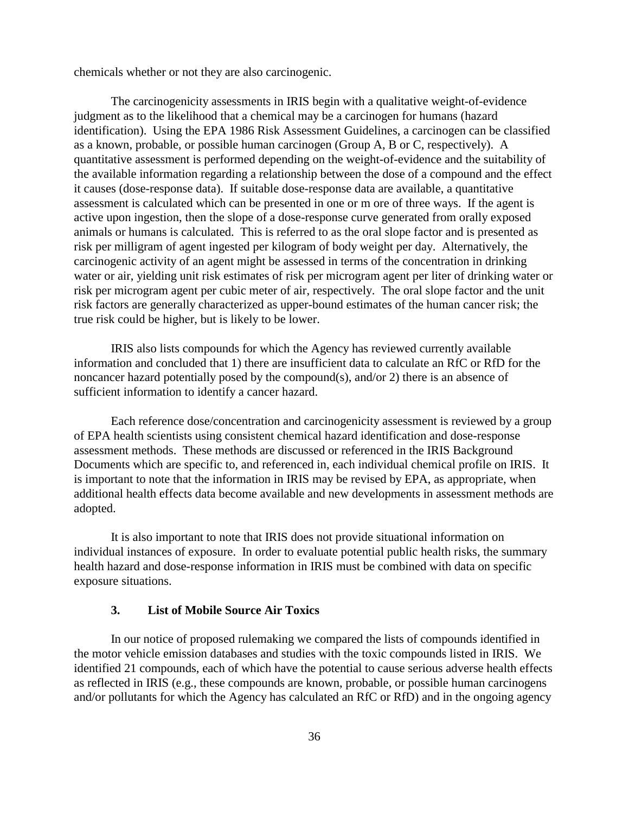chemicals whether or not they are also carcinogenic.

The carcinogenicity assessments in IRIS begin with a qualitative weight-of-evidence judgment as to the likelihood that a chemical may be a carcinogen for humans (hazard identification). Using the EPA 1986 Risk Assessment Guidelines, a carcinogen can be classified as a known, probable, or possible human carcinogen (Group A, B or C, respectively). A quantitative assessment is performed depending on the weight-of-evidence and the suitability of the available information regarding a relationship between the dose of a compound and the effect it causes (dose-response data). If suitable dose-response data are available, a quantitative assessment is calculated which can be presented in one or m ore of three ways. If the agent is active upon ingestion, then the slope of a dose-response curve generated from orally exposed animals or humans is calculated. This is referred to as the oral slope factor and is presented as risk per milligram of agent ingested per kilogram of body weight per day. Alternatively, the carcinogenic activity of an agent might be assessed in terms of the concentration in drinking water or air, yielding unit risk estimates of risk per microgram agent per liter of drinking water or risk per microgram agent per cubic meter of air, respectively. The oral slope factor and the unit risk factors are generally characterized as upper-bound estimates of the human cancer risk; the true risk could be higher, but is likely to be lower.

IRIS also lists compounds for which the Agency has reviewed currently available information and concluded that 1) there are insufficient data to calculate an RfC or RfD for the noncancer hazard potentially posed by the compound(s), and/or 2) there is an absence of sufficient information to identify a cancer hazard.

Each reference dose/concentration and carcinogenicity assessment is reviewed by a group of EPA health scientists using consistent chemical hazard identification and dose-response assessment methods. These methods are discussed or referenced in the IRIS Background Documents which are specific to, and referenced in, each individual chemical profile on IRIS. It is important to note that the information in IRIS may be revised by EPA, as appropriate, when additional health effects data become available and new developments in assessment methods are adopted.

It is also important to note that IRIS does not provide situational information on individual instances of exposure. In order to evaluate potential public health risks, the summary health hazard and dose-response information in IRIS must be combined with data on specific exposure situations.

#### **3. List of Mobile Source Air Toxics**

In our notice of proposed rulemaking we compared the lists of compounds identified in the motor vehicle emission databases and studies with the toxic compounds listed in IRIS. We identified 21 compounds, each of which have the potential to cause serious adverse health effects as reflected in IRIS (e.g., these compounds are known, probable, or possible human carcinogens and/or pollutants for which the Agency has calculated an RfC or RfD) and in the ongoing agency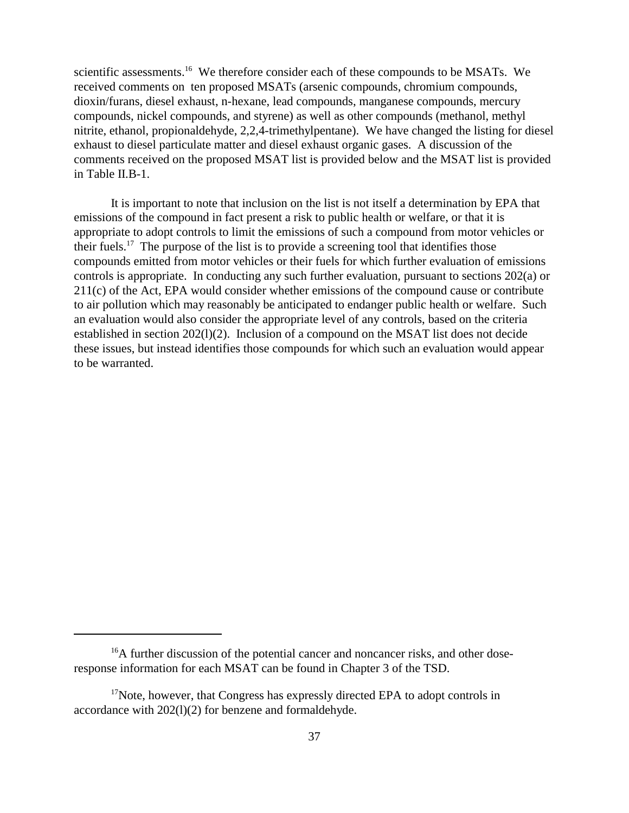scientific assessments.<sup>16</sup> We therefore consider each of these compounds to be MSATs. We received comments on ten proposed MSATs (arsenic compounds, chromium compounds, dioxin/furans, diesel exhaust, n-hexane, lead compounds, manganese compounds, mercury compounds, nickel compounds, and styrene) as well as other compounds (methanol, methyl nitrite, ethanol, propionaldehyde, 2,2,4-trimethylpentane). We have changed the listing for diesel exhaust to diesel particulate matter and diesel exhaust organic gases. A discussion of the comments received on the proposed MSAT list is provided below and the MSAT list is provided in Table II.B-1.

It is important to note that inclusion on the list is not itself a determination by EPA that emissions of the compound in fact present a risk to public health or welfare, or that it is appropriate to adopt controls to limit the emissions of such a compound from motor vehicles or their fuels.17 The purpose of the list is to provide a screening tool that identifies those compounds emitted from motor vehicles or their fuels for which further evaluation of emissions controls is appropriate. In conducting any such further evaluation, pursuant to sections 202(a) or 211(c) of the Act, EPA would consider whether emissions of the compound cause or contribute to air pollution which may reasonably be anticipated to endanger public health or welfare. Such an evaluation would also consider the appropriate level of any controls, based on the criteria established in section 202(l)(2). Inclusion of a compound on the MSAT list does not decide these issues, but instead identifies those compounds for which such an evaluation would appear to be warranted.

<sup>&</sup>lt;sup>16</sup>A further discussion of the potential cancer and noncancer risks, and other doseresponse information for each MSAT can be found in Chapter 3 of the TSD.

 $17$ Note, however, that Congress has expressly directed EPA to adopt controls in accordance with 202(l)(2) for benzene and formaldehyde.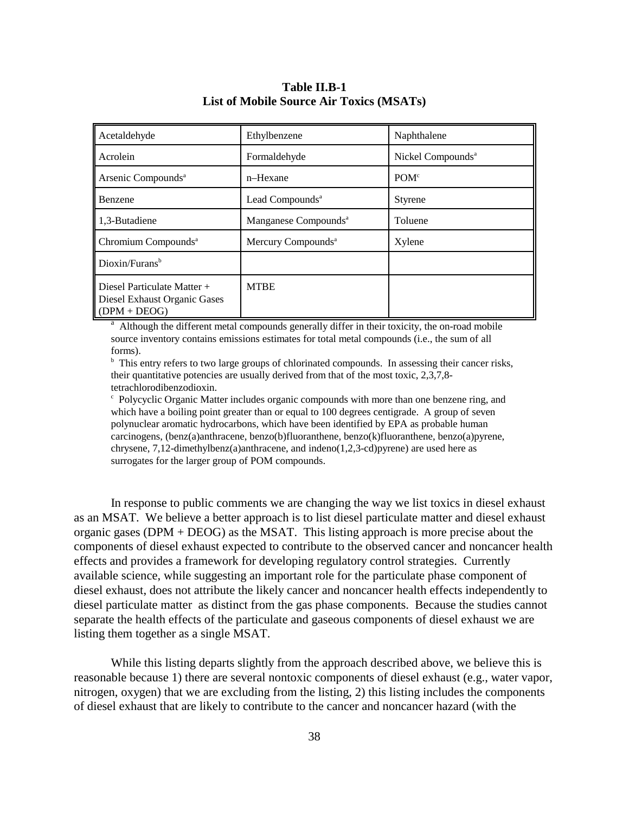# **Table II.B-1 List of Mobile Source Air Toxics (MSATs)**

| Acetaldehyde                                                                  | Ethylbenzene                     | Naphthalene                   |
|-------------------------------------------------------------------------------|----------------------------------|-------------------------------|
| Acrolein                                                                      | Formaldehyde                     | Nickel Compounds <sup>a</sup> |
| Arsenic Compounds <sup>a</sup>                                                | n-Hexane                         | POM <sup>c</sup>              |
| <b>Benzene</b>                                                                | Lead Compounds <sup>a</sup>      | <b>Styrene</b>                |
| 1,3-Butadiene                                                                 | Manganese Compounds <sup>a</sup> | Toluene                       |
| Chromium Compounds <sup>a</sup>                                               | Mercury Compounds <sup>a</sup>   | Xylene                        |
| Dioxin/Furans <sup>b</sup>                                                    |                                  |                               |
| Diesel Particulate Matter +<br>Diesel Exhaust Organic Gases<br>$(DPM + DEOG)$ | <b>MTBE</b>                      |                               |

<sup>a</sup> Although the different metal compounds generally differ in their toxicity, the on-road mobile source inventory contains emissions estimates for total metal compounds (i.e., the sum of all forms).

<sup>b</sup> This entry refers to two large groups of chlorinated compounds. In assessing their cancer risks, their quantitative potencies are usually derived from that of the most toxic, 2,3,7,8 tetrachlorodibenzodioxin.

<sup>c</sup> Polycyclic Organic Matter includes organic compounds with more than one benzene ring, and which have a boiling point greater than or equal to 100 degrees centigrade. A group of seven polynuclear aromatic hydrocarbons, which have been identified by EPA as probable human carcinogens, (benz(a)anthracene, benzo(b)fluoranthene, benzo(k)fluoranthene, benzo(a)pyrene, chrysene, 7,12-dimethylbenz(a)anthracene, and indeno(1,2,3-cd)pyrene) are used here as surrogates for the larger group of POM compounds.

In response to public comments we are changing the way we list toxics in diesel exhaust as an MSAT. We believe a better approach is to list diesel particulate matter and diesel exhaust organic gases ( $DPM + DEOG$ ) as the MSAT. This listing approach is more precise about the components of diesel exhaust expected to contribute to the observed cancer and noncancer health effects and provides a framework for developing regulatory control strategies. Currently available science, while suggesting an important role for the particulate phase component of diesel exhaust, does not attribute the likely cancer and noncancer health effects independently to diesel particulate matter as distinct from the gas phase components. Because the studies cannot separate the health effects of the particulate and gaseous components of diesel exhaust we are listing them together as a single MSAT.

While this listing departs slightly from the approach described above, we believe this is reasonable because 1) there are several nontoxic components of diesel exhaust (e.g., water vapor, nitrogen, oxygen) that we are excluding from the listing, 2) this listing includes the components of diesel exhaust that are likely to contribute to the cancer and noncancer hazard (with the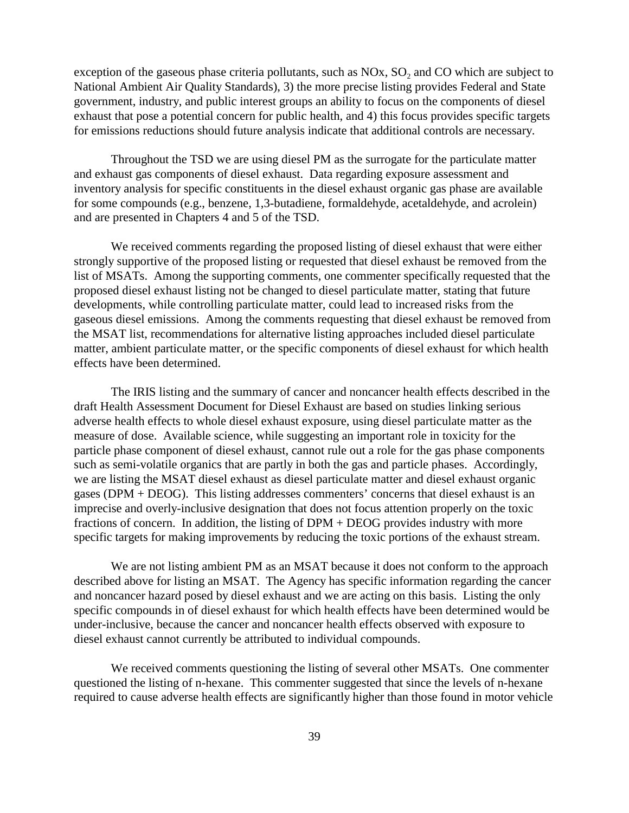exception of the gaseous phase criteria pollutants, such as  $NOx$ ,  $SO<sub>2</sub>$  and CO which are subject to National Ambient Air Quality Standards), 3) the more precise listing provides Federal and State government, industry, and public interest groups an ability to focus on the components of diesel exhaust that pose a potential concern for public health, and 4) this focus provides specific targets for emissions reductions should future analysis indicate that additional controls are necessary.

Throughout the TSD we are using diesel PM as the surrogate for the particulate matter and exhaust gas components of diesel exhaust. Data regarding exposure assessment and inventory analysis for specific constituents in the diesel exhaust organic gas phase are available for some compounds (e.g., benzene, 1,3-butadiene, formaldehyde, acetaldehyde, and acrolein) and are presented in Chapters 4 and 5 of the TSD.

We received comments regarding the proposed listing of diesel exhaust that were either strongly supportive of the proposed listing or requested that diesel exhaust be removed from the list of MSATs. Among the supporting comments, one commenter specifically requested that the proposed diesel exhaust listing not be changed to diesel particulate matter, stating that future developments, while controlling particulate matter, could lead to increased risks from the gaseous diesel emissions. Among the comments requesting that diesel exhaust be removed from the MSAT list, recommendations for alternative listing approaches included diesel particulate matter, ambient particulate matter, or the specific components of diesel exhaust for which health effects have been determined.

The IRIS listing and the summary of cancer and noncancer health effects described in the draft Health Assessment Document for Diesel Exhaust are based on studies linking serious adverse health effects to whole diesel exhaust exposure, using diesel particulate matter as the measure of dose. Available science, while suggesting an important role in toxicity for the particle phase component of diesel exhaust, cannot rule out a role for the gas phase components such as semi-volatile organics that are partly in both the gas and particle phases. Accordingly, we are listing the MSAT diesel exhaust as diesel particulate matter and diesel exhaust organic gases (DPM + DEOG). This listing addresses commenters' concerns that diesel exhaust is an imprecise and overly-inclusive designation that does not focus attention properly on the toxic fractions of concern. In addition, the listing of DPM + DEOG provides industry with more specific targets for making improvements by reducing the toxic portions of the exhaust stream.

We are not listing ambient PM as an MSAT because it does not conform to the approach described above for listing an MSAT. The Agency has specific information regarding the cancer and noncancer hazard posed by diesel exhaust and we are acting on this basis. Listing the only specific compounds in of diesel exhaust for which health effects have been determined would be under-inclusive, because the cancer and noncancer health effects observed with exposure to diesel exhaust cannot currently be attributed to individual compounds.

We received comments questioning the listing of several other MSATs. One commenter questioned the listing of n-hexane. This commenter suggested that since the levels of n-hexane required to cause adverse health effects are significantly higher than those found in motor vehicle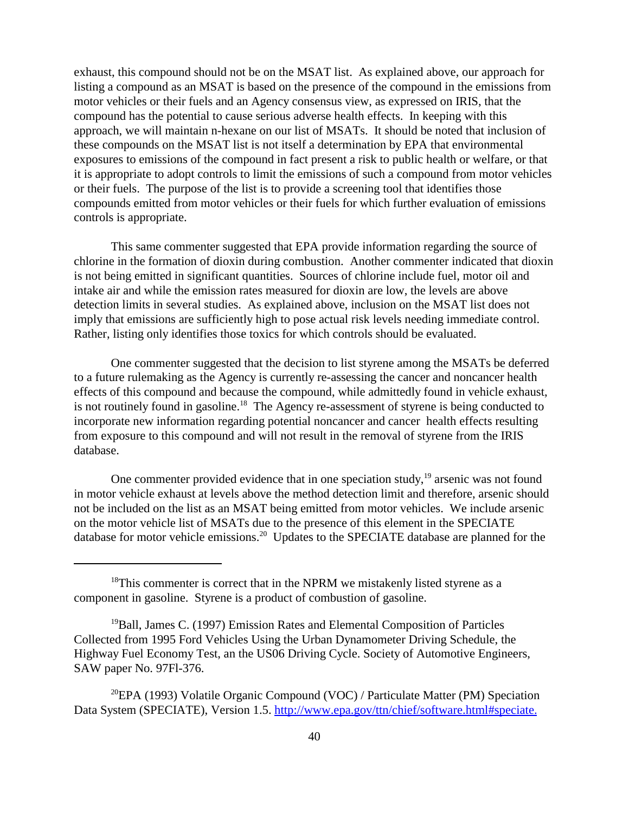exhaust, this compound should not be on the MSAT list. As explained above, our approach for listing a compound as an MSAT is based on the presence of the compound in the emissions from motor vehicles or their fuels and an Agency consensus view, as expressed on IRIS, that the compound has the potential to cause serious adverse health effects. In keeping with this approach, we will maintain n-hexane on our list of MSATs. It should be noted that inclusion of these compounds on the MSAT list is not itself a determination by EPA that environmental exposures to emissions of the compound in fact present a risk to public health or welfare, or that it is appropriate to adopt controls to limit the emissions of such a compound from motor vehicles or their fuels. The purpose of the list is to provide a screening tool that identifies those compounds emitted from motor vehicles or their fuels for which further evaluation of emissions controls is appropriate.

This same commenter suggested that EPA provide information regarding the source of chlorine in the formation of dioxin during combustion. Another commenter indicated that dioxin is not being emitted in significant quantities. Sources of chlorine include fuel, motor oil and intake air and while the emission rates measured for dioxin are low, the levels are above detection limits in several studies. As explained above, inclusion on the MSAT list does not imply that emissions are sufficiently high to pose actual risk levels needing immediate control. Rather, listing only identifies those toxics for which controls should be evaluated.

One commenter suggested that the decision to list styrene among the MSATs be deferred to a future rulemaking as the Agency is currently re-assessing the cancer and noncancer health effects of this compound and because the compound, while admittedly found in vehicle exhaust, is not routinely found in gasoline.<sup>18</sup> The Agency re-assessment of styrene is being conducted to incorporate new information regarding potential noncancer and cancer health effects resulting from exposure to this compound and will not result in the removal of styrene from the IRIS database.

One commenter provided evidence that in one speciation study,  $19$  arsenic was not found in motor vehicle exhaust at levels above the method detection limit and therefore, arsenic should not be included on the list as an MSAT being emitted from motor vehicles. We include arsenic on the motor vehicle list of MSATs due to the presence of this element in the SPECIATE database for motor vehicle emissions.<sup>20</sup> Updates to the SPECIATE database are planned for the

 $18$ This commenter is correct that in the NPRM we mistakenly listed styrene as a component in gasoline. Styrene is a product of combustion of gasoline.

<sup>&</sup>lt;sup>19</sup>Ball, James C. (1997) Emission Rates and Elemental Composition of Particles Collected from 1995 Ford Vehicles Using the Urban Dynamometer Driving Schedule, the Highway Fuel Economy Test, an the US06 Driving Cycle. Society of Automotive Engineers, SAW paper No. 97Fl-376.

<sup>&</sup>lt;sup>20</sup>EPA (1993) Volatile Organic Compound (VOC) / Particulate Matter (PM) Speciation Data System (SPECIATE), Version 1.5. http://www.epa.gov/ttn/chief/software.html#speciate.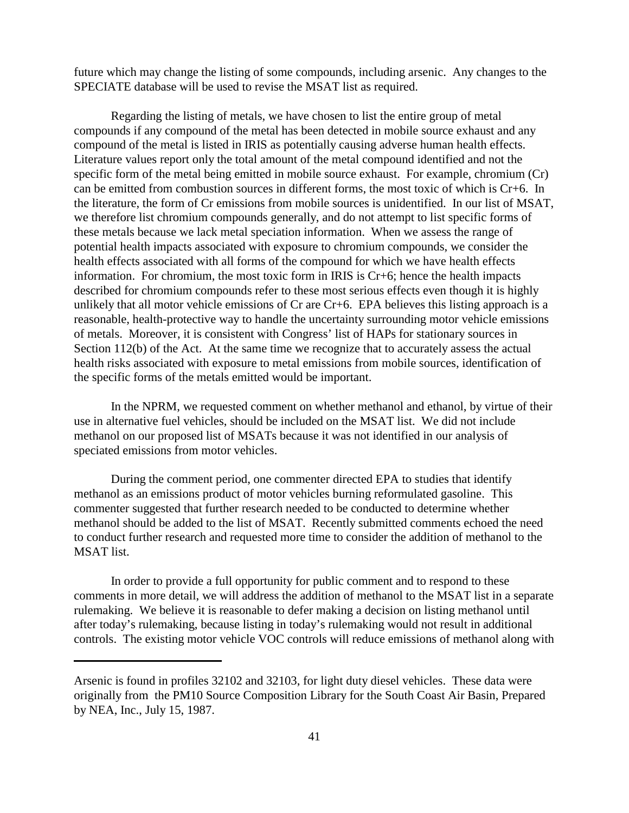future which may change the listing of some compounds, including arsenic. Any changes to the SPECIATE database will be used to revise the MSAT list as required.

Regarding the listing of metals, we have chosen to list the entire group of metal compounds if any compound of the metal has been detected in mobile source exhaust and any compound of the metal is listed in IRIS as potentially causing adverse human health effects. Literature values report only the total amount of the metal compound identified and not the specific form of the metal being emitted in mobile source exhaust. For example, chromium (Cr) can be emitted from combustion sources in different forms, the most toxic of which is Cr+6. In the literature, the form of Cr emissions from mobile sources is unidentified. In our list of MSAT, we therefore list chromium compounds generally, and do not attempt to list specific forms of these metals because we lack metal speciation information. When we assess the range of potential health impacts associated with exposure to chromium compounds, we consider the health effects associated with all forms of the compound for which we have health effects information. For chromium, the most toxic form in IRIS is Cr+6; hence the health impacts described for chromium compounds refer to these most serious effects even though it is highly unlikely that all motor vehicle emissions of Cr are Cr+6. EPA believes this listing approach is a reasonable, health-protective way to handle the uncertainty surrounding motor vehicle emissions of metals. Moreover, it is consistent with Congress' list of HAPs for stationary sources in Section 112(b) of the Act. At the same time we recognize that to accurately assess the actual health risks associated with exposure to metal emissions from mobile sources, identification of the specific forms of the metals emitted would be important.

In the NPRM, we requested comment on whether methanol and ethanol, by virtue of their use in alternative fuel vehicles, should be included on the MSAT list. We did not include methanol on our proposed list of MSATs because it was not identified in our analysis of speciated emissions from motor vehicles.

During the comment period, one commenter directed EPA to studies that identify methanol as an emissions product of motor vehicles burning reformulated gasoline. This commenter suggested that further research needed to be conducted to determine whether methanol should be added to the list of MSAT. Recently submitted comments echoed the need to conduct further research and requested more time to consider the addition of methanol to the MSAT list.

In order to provide a full opportunity for public comment and to respond to these comments in more detail, we will address the addition of methanol to the MSAT list in a separate rulemaking. We believe it is reasonable to defer making a decision on listing methanol until after today's rulemaking, because listing in today's rulemaking would not result in additional controls. The existing motor vehicle VOC controls will reduce emissions of methanol along with

Arsenic is found in profiles 32102 and 32103, for light duty diesel vehicles. These data were originally from the PM10 Source Composition Library for the South Coast Air Basin, Prepared by NEA, Inc., July 15, 1987.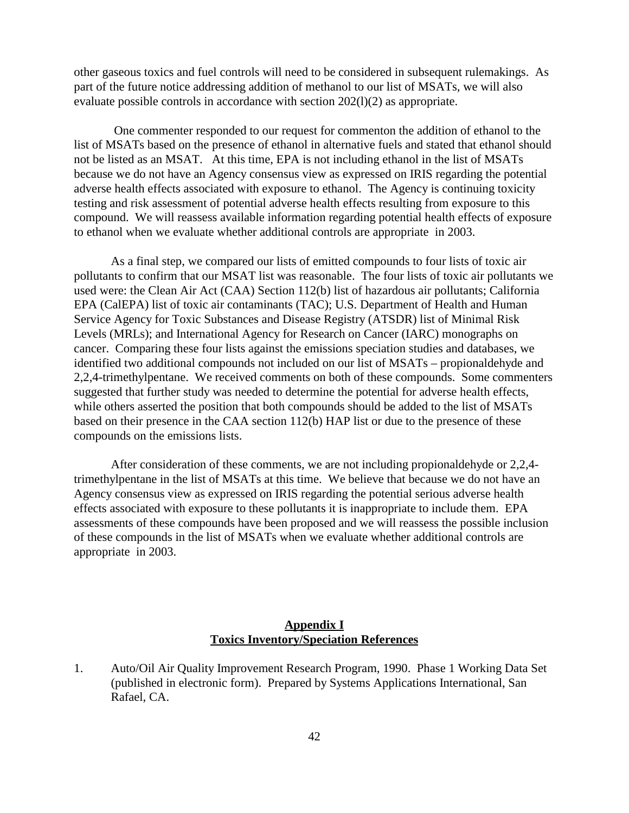other gaseous toxics and fuel controls will need to be considered in subsequent rulemakings. As part of the future notice addressing addition of methanol to our list of MSATs, we will also evaluate possible controls in accordance with section 202(l)(2) as appropriate.

 One commenter responded to our request for commenton the addition of ethanol to the list of MSATs based on the presence of ethanol in alternative fuels and stated that ethanol should not be listed as an MSAT. At this time, EPA is not including ethanol in the list of MSATs because we do not have an Agency consensus view as expressed on IRIS regarding the potential adverse health effects associated with exposure to ethanol. The Agency is continuing toxicity testing and risk assessment of potential adverse health effects resulting from exposure to this compound. We will reassess available information regarding potential health effects of exposure to ethanol when we evaluate whether additional controls are appropriate in 2003.

As a final step, we compared our lists of emitted compounds to four lists of toxic air pollutants to confirm that our MSAT list was reasonable. The four lists of toxic air pollutants we used were: the Clean Air Act (CAA) Section 112(b) list of hazardous air pollutants; California EPA (CalEPA) list of toxic air contaminants (TAC); U.S. Department of Health and Human Service Agency for Toxic Substances and Disease Registry (ATSDR) list of Minimal Risk Levels (MRLs); and International Agency for Research on Cancer (IARC) monographs on cancer. Comparing these four lists against the emissions speciation studies and databases, we identified two additional compounds not included on our list of MSATs – propionaldehyde and 2,2,4-trimethylpentane. We received comments on both of these compounds. Some commenters suggested that further study was needed to determine the potential for adverse health effects, while others asserted the position that both compounds should be added to the list of MSATs based on their presence in the CAA section 112(b) HAP list or due to the presence of these compounds on the emissions lists.

After consideration of these comments, we are not including propionaldehyde or 2,2,4 trimethylpentane in the list of MSATs at this time. We believe that because we do not have an Agency consensus view as expressed on IRIS regarding the potential serious adverse health effects associated with exposure to these pollutants it is inappropriate to include them. EPA assessments of these compounds have been proposed and we will reassess the possible inclusion of these compounds in the list of MSATs when we evaluate whether additional controls are appropriate in 2003.

# **Appendix I Toxics Inventory/Speciation References**

1. Auto/Oil Air Quality Improvement Research Program, 1990. Phase 1 Working Data Set (published in electronic form). Prepared by Systems Applications International, San Rafael, CA.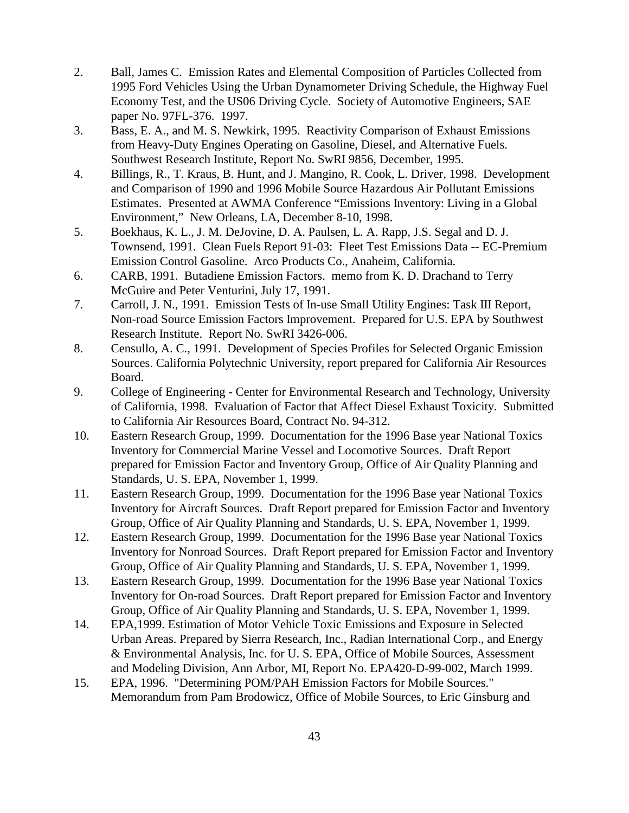- 2. Ball, James C. Emission Rates and Elemental Composition of Particles Collected from 1995 Ford Vehicles Using the Urban Dynamometer Driving Schedule, the Highway Fuel Economy Test, and the US06 Driving Cycle. Society of Automotive Engineers, SAE paper No. 97FL-376. 1997.
- 3. Bass, E. A., and M. S. Newkirk, 1995. Reactivity Comparison of Exhaust Emissions from Heavy-Duty Engines Operating on Gasoline, Diesel, and Alternative Fuels. Southwest Research Institute, Report No. SwRI 9856, December, 1995.
- 4. Billings, R., T. Kraus, B. Hunt, and J. Mangino, R. Cook, L. Driver, 1998. Development and Comparison of 1990 and 1996 Mobile Source Hazardous Air Pollutant Emissions Estimates. Presented at AWMA Conference "Emissions Inventory: Living in a Global Environment," New Orleans, LA, December 8-10, 1998.
- 5. Boekhaus, K. L., J. M. DeJovine, D. A. Paulsen, L. A. Rapp, J.S. Segal and D. J. Townsend, 1991. Clean Fuels Report 91-03: Fleet Test Emissions Data -- EC-Premium Emission Control Gasoline. Arco Products Co., Anaheim, California.
- 6. CARB, 1991. Butadiene Emission Factors. memo from K. D. Drachand to Terry McGuire and Peter Venturini, July 17, 1991.
- 7. Carroll, J. N., 1991. Emission Tests of In-use Small Utility Engines: Task III Report, Non-road Source Emission Factors Improvement. Prepared for U.S. EPA by Southwest Research Institute. Report No. SwRI 3426-006.
- 8. Censullo, A. C., 1991. Development of Species Profiles for Selected Organic Emission Sources. California Polytechnic University, report prepared for California Air Resources Board.
- 9. College of Engineering Center for Environmental Research and Technology, University of California, 1998. Evaluation of Factor that Affect Diesel Exhaust Toxicity. Submitted to California Air Resources Board, Contract No. 94-312.
- 10. Eastern Research Group, 1999. Documentation for the 1996 Base year National Toxics Inventory for Commercial Marine Vessel and Locomotive Sources. Draft Report prepared for Emission Factor and Inventory Group, Office of Air Quality Planning and Standards, U. S. EPA, November 1, 1999.
- 11. Eastern Research Group, 1999. Documentation for the 1996 Base year National Toxics Inventory for Aircraft Sources. Draft Report prepared for Emission Factor and Inventory Group, Office of Air Quality Planning and Standards, U. S. EPA, November 1, 1999.
- 12. Eastern Research Group, 1999. Documentation for the 1996 Base year National Toxics Inventory for Nonroad Sources. Draft Report prepared for Emission Factor and Inventory Group, Office of Air Quality Planning and Standards, U. S. EPA, November 1, 1999.
- 13. Eastern Research Group, 1999. Documentation for the 1996 Base year National Toxics Inventory for On-road Sources. Draft Report prepared for Emission Factor and Inventory Group, Office of Air Quality Planning and Standards, U. S. EPA, November 1, 1999.
- 14. EPA,1999. Estimation of Motor Vehicle Toxic Emissions and Exposure in Selected Urban Areas. Prepared by Sierra Research, Inc., Radian International Corp., and Energy & Environmental Analysis, Inc. for U. S. EPA, Office of Mobile Sources, Assessment and Modeling Division, Ann Arbor, MI, Report No. EPA420-D-99-002, March 1999.
- 15. EPA, 1996. "Determining POM/PAH Emission Factors for Mobile Sources." Memorandum from Pam Brodowicz, Office of Mobile Sources, to Eric Ginsburg and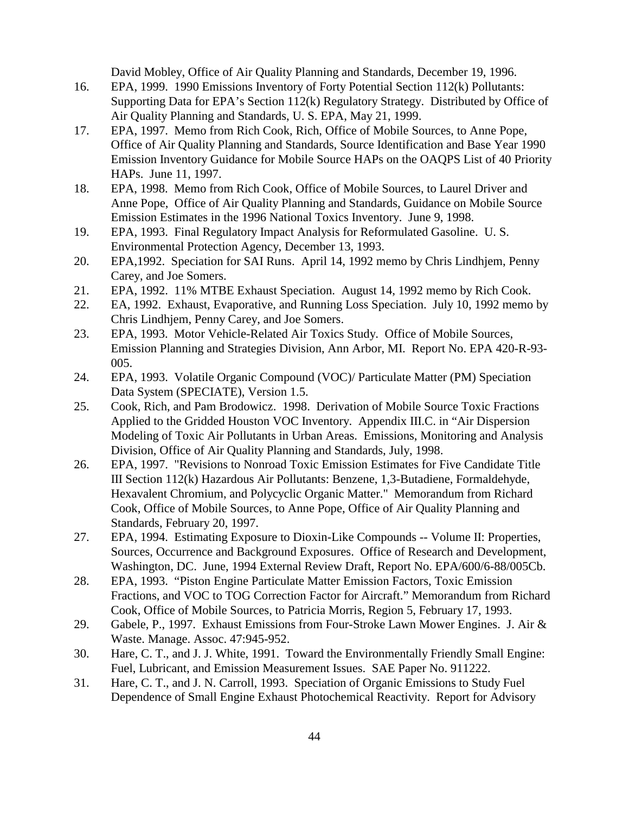David Mobley, Office of Air Quality Planning and Standards, December 19, 1996.

- 16. EPA, 1999. 1990 Emissions Inventory of Forty Potential Section 112(k) Pollutants: Supporting Data for EPA's Section 112(k) Regulatory Strategy. Distributed by Office of Air Quality Planning and Standards, U. S. EPA, May 21, 1999.
- 17. EPA, 1997. Memo from Rich Cook, Rich, Office of Mobile Sources, to Anne Pope, Office of Air Quality Planning and Standards, Source Identification and Base Year 1990 Emission Inventory Guidance for Mobile Source HAPs on the OAQPS List of 40 Priority HAPs. June 11, 1997.
- 18. EPA, 1998. Memo from Rich Cook, Office of Mobile Sources, to Laurel Driver and Anne Pope, Office of Air Quality Planning and Standards, Guidance on Mobile Source Emission Estimates in the 1996 National Toxics Inventory. June 9, 1998.
- 19. EPA, 1993. Final Regulatory Impact Analysis for Reformulated Gasoline. U. S. Environmental Protection Agency, December 13, 1993.
- 20. EPA,1992. Speciation for SAI Runs. April 14, 1992 memo by Chris Lindhjem, Penny Carey, and Joe Somers.
- 21. EPA, 1992. 11% MTBE Exhaust Speciation. August 14, 1992 memo by Rich Cook.
- 22. EA, 1992. Exhaust, Evaporative, and Running Loss Speciation. July 10, 1992 memo by Chris Lindhjem, Penny Carey, and Joe Somers.
- 23. EPA, 1993. Motor Vehicle-Related Air Toxics Study. Office of Mobile Sources, Emission Planning and Strategies Division, Ann Arbor, MI. Report No. EPA 420-R-93- 005.
- 24. EPA, 1993. Volatile Organic Compound (VOC)/ Particulate Matter (PM) Speciation Data System (SPECIATE), Version 1.5.
- 25. Cook, Rich, and Pam Brodowicz. 1998. Derivation of Mobile Source Toxic Fractions Applied to the Gridded Houston VOC Inventory. Appendix III.C. in "Air Dispersion Modeling of Toxic Air Pollutants in Urban Areas. Emissions, Monitoring and Analysis Division, Office of Air Quality Planning and Standards, July, 1998.
- 26. EPA, 1997. "Revisions to Nonroad Toxic Emission Estimates for Five Candidate Title III Section 112(k) Hazardous Air Pollutants: Benzene, 1,3-Butadiene, Formaldehyde, Hexavalent Chromium, and Polycyclic Organic Matter." Memorandum from Richard Cook, Office of Mobile Sources, to Anne Pope, Office of Air Quality Planning and Standards, February 20, 1997.
- 27. EPA, 1994. Estimating Exposure to Dioxin-Like Compounds -- Volume II: Properties, Sources, Occurrence and Background Exposures. Office of Research and Development, Washington, DC. June, 1994 External Review Draft, Report No. EPA/600/6-88/005Cb.
- 28. EPA, 1993. "Piston Engine Particulate Matter Emission Factors, Toxic Emission Fractions, and VOC to TOG Correction Factor for Aircraft." Memorandum from Richard Cook, Office of Mobile Sources, to Patricia Morris, Region 5, February 17, 1993.
- 29. Gabele, P., 1997. Exhaust Emissions from Four-Stroke Lawn Mower Engines. J. Air & Waste. Manage. Assoc. 47:945-952.
- 30. Hare, C. T., and J. J. White, 1991. Toward the Environmentally Friendly Small Engine: Fuel, Lubricant, and Emission Measurement Issues. SAE Paper No. 911222.
- 31. Hare, C. T., and J. N. Carroll, 1993. Speciation of Organic Emissions to Study Fuel Dependence of Small Engine Exhaust Photochemical Reactivity. Report for Advisory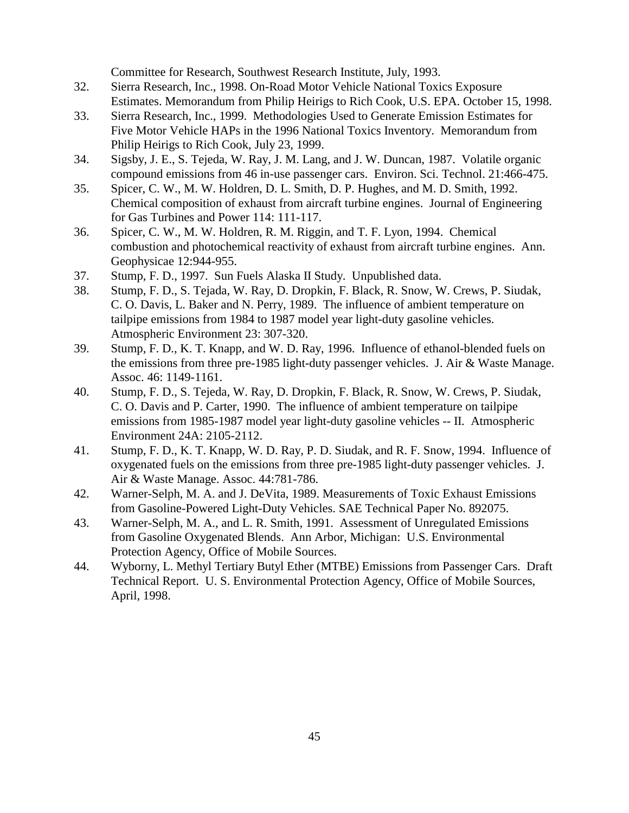Committee for Research, Southwest Research Institute, July, 1993.

- 32. Sierra Research, Inc., 1998. On-Road Motor Vehicle National Toxics Exposure Estimates. Memorandum from Philip Heirigs to Rich Cook, U.S. EPA. October 15, 1998.
- 33. Sierra Research, Inc., 1999. Methodologies Used to Generate Emission Estimates for Five Motor Vehicle HAPs in the 1996 National Toxics Inventory. Memorandum from Philip Heirigs to Rich Cook, July 23, 1999.
- 34. Sigsby, J. E., S. Tejeda, W. Ray, J. M. Lang, and J. W. Duncan, 1987. Volatile organic compound emissions from 46 in-use passenger cars. Environ. Sci. Technol. 21:466-475.
- 35. Spicer, C. W., M. W. Holdren, D. L. Smith, D. P. Hughes, and M. D. Smith, 1992. Chemical composition of exhaust from aircraft turbine engines. Journal of Engineering for Gas Turbines and Power 114: 111-117.
- 36. Spicer, C. W., M. W. Holdren, R. M. Riggin, and T. F. Lyon, 1994. Chemical combustion and photochemical reactivity of exhaust from aircraft turbine engines. Ann. Geophysicae 12:944-955.
- 37. Stump, F. D., 1997. Sun Fuels Alaska II Study. Unpublished data.
- 38. Stump, F. D., S. Tejada, W. Ray, D. Dropkin, F. Black, R. Snow, W. Crews, P. Siudak, C. O. Davis, L. Baker and N. Perry, 1989. The influence of ambient temperature on tailpipe emissions from 1984 to 1987 model year light-duty gasoline vehicles. Atmospheric Environment 23: 307-320.
- 39. Stump, F. D., K. T. Knapp, and W. D. Ray, 1996. Influence of ethanol-blended fuels on the emissions from three pre-1985 light-duty passenger vehicles. J. Air & Waste Manage. Assoc. 46: 1149-1161.
- 40. Stump, F. D., S. Tejeda, W. Ray, D. Dropkin, F. Black, R. Snow, W. Crews, P. Siudak, C. O. Davis and P. Carter, 1990. The influence of ambient temperature on tailpipe emissions from 1985-1987 model year light-duty gasoline vehicles -- II. Atmospheric Environment 24A: 2105-2112.
- 41. Stump, F. D., K. T. Knapp, W. D. Ray, P. D. Siudak, and R. F. Snow, 1994. Influence of oxygenated fuels on the emissions from three pre-1985 light-duty passenger vehicles. J. Air & Waste Manage. Assoc. 44:781-786.
- 42. Warner-Selph, M. A. and J. DeVita, 1989. Measurements of Toxic Exhaust Emissions from Gasoline-Powered Light-Duty Vehicles. SAE Technical Paper No. 892075.
- 43. Warner-Selph, M. A., and L. R. Smith, 1991. Assessment of Unregulated Emissions from Gasoline Oxygenated Blends. Ann Arbor, Michigan: U.S. Environmental Protection Agency, Office of Mobile Sources.
- 44. Wyborny, L. Methyl Tertiary Butyl Ether (MTBE) Emissions from Passenger Cars. Draft Technical Report. U. S. Environmental Protection Agency, Office of Mobile Sources, April, 1998.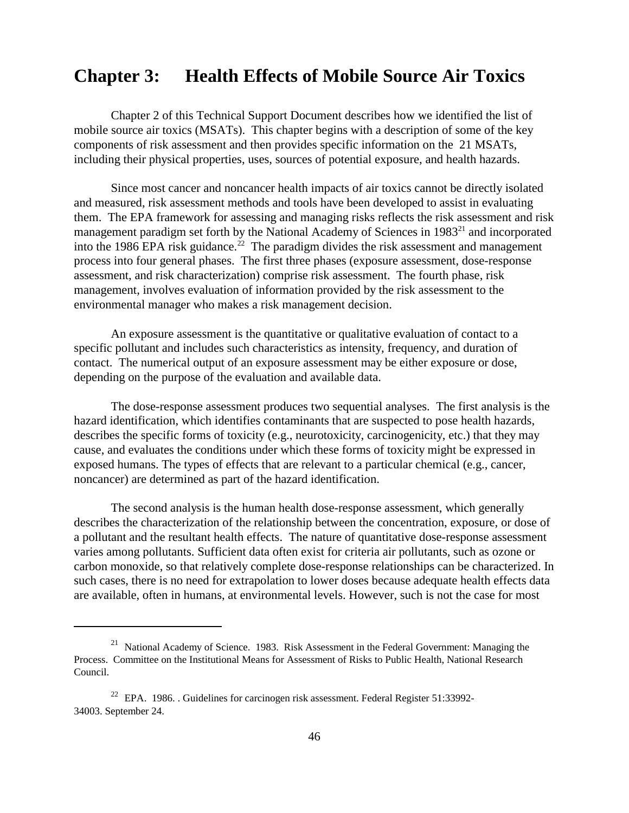# **Chapter 3: Health Effects of Mobile Source Air Toxics**

Chapter 2 of this Technical Support Document describes how we identified the list of mobile source air toxics (MSATs). This chapter begins with a description of some of the key components of risk assessment and then provides specific information on the 21 MSATs, including their physical properties, uses, sources of potential exposure, and health hazards.

Since most cancer and noncancer health impacts of air toxics cannot be directly isolated and measured, risk assessment methods and tools have been developed to assist in evaluating them. The EPA framework for assessing and managing risks reflects the risk assessment and risk management paradigm set forth by the National Academy of Sciences in 1983<sup>21</sup> and incorporated into the 1986 EPA risk guidance.<sup>22</sup> The paradigm divides the risk assessment and management process into four general phases. The first three phases (exposure assessment, dose-response assessment, and risk characterization) comprise risk assessment. The fourth phase, risk management, involves evaluation of information provided by the risk assessment to the environmental manager who makes a risk management decision.

An exposure assessment is the quantitative or qualitative evaluation of contact to a specific pollutant and includes such characteristics as intensity, frequency, and duration of contact. The numerical output of an exposure assessment may be either exposure or dose, depending on the purpose of the evaluation and available data.

The dose-response assessment produces two sequential analyses. The first analysis is the hazard identification, which identifies contaminants that are suspected to pose health hazards, describes the specific forms of toxicity (e.g., neurotoxicity, carcinogenicity, etc.) that they may cause, and evaluates the conditions under which these forms of toxicity might be expressed in exposed humans. The types of effects that are relevant to a particular chemical (e.g., cancer, noncancer) are determined as part of the hazard identification.

The second analysis is the human health dose-response assessment, which generally describes the characterization of the relationship between the concentration, exposure, or dose of a pollutant and the resultant health effects. The nature of quantitative dose-response assessment varies among pollutants. Sufficient data often exist for criteria air pollutants, such as ozone or carbon monoxide, so that relatively complete dose-response relationships can be characterized. In such cases, there is no need for extrapolation to lower doses because adequate health effects data are available, often in humans, at environmental levels. However, such is not the case for most

 $21$  National Academy of Science. 1983. Risk Assessment in the Federal Government: Managing the Process. Committee on the Institutional Means for Assessment of Risks to Public Health, National Research Council.

 $22$  EPA. 1986. . Guidelines for carcinogen risk assessment. Federal Register 51:33992-34003. September 24.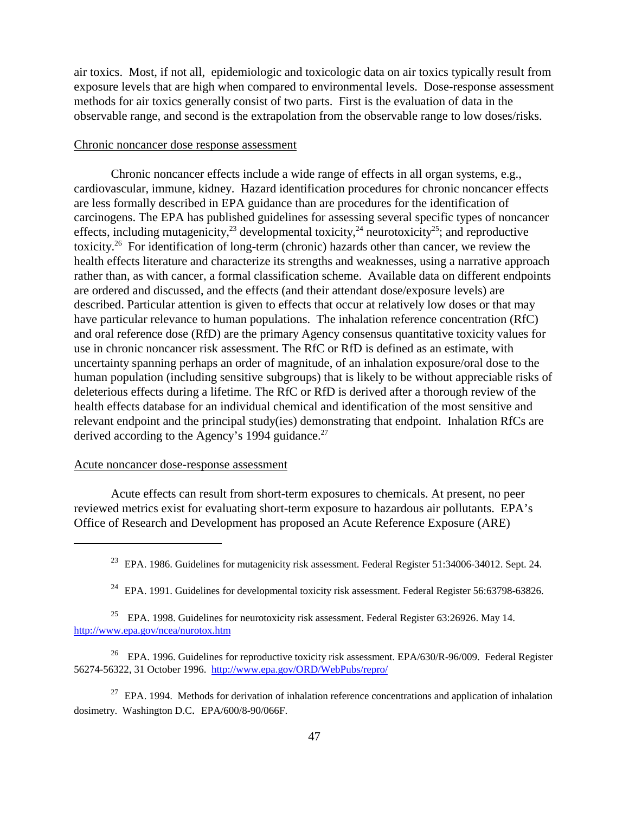air toxics. Most, if not all, epidemiologic and toxicologic data on air toxics typically result from exposure levels that are high when compared to environmental levels. Dose-response assessment methods for air toxics generally consist of two parts. First is the evaluation of data in the observable range, and second is the extrapolation from the observable range to low doses/risks.

#### Chronic noncancer dose response assessment

Chronic noncancer effects include a wide range of effects in all organ systems, e.g., cardiovascular, immune, kidney. Hazard identification procedures for chronic noncancer effects are less formally described in EPA guidance than are procedures for the identification of carcinogens. The EPA has published guidelines for assessing several specific types of noncancer effects, including mutagenicity,<sup>23</sup> developmental toxicity,<sup>24</sup> neurotoxicity<sup>25</sup>; and reproductive toxicity.26 For identification of long-term (chronic) hazards other than cancer, we review the health effects literature and characterize its strengths and weaknesses, using a narrative approach rather than, as with cancer, a formal classification scheme. Available data on different endpoints are ordered and discussed, and the effects (and their attendant dose/exposure levels) are described. Particular attention is given to effects that occur at relatively low doses or that may have particular relevance to human populations. The inhalation reference concentration (RfC) and oral reference dose (RfD) are the primary Agency consensus quantitative toxicity values for use in chronic noncancer risk assessment. The RfC or RfD is defined as an estimate, with uncertainty spanning perhaps an order of magnitude, of an inhalation exposure/oral dose to the human population (including sensitive subgroups) that is likely to be without appreciable risks of deleterious effects during a lifetime. The RfC or RfD is derived after a thorough review of the health effects database for an individual chemical and identification of the most sensitive and relevant endpoint and the principal study(ies) demonstrating that endpoint. Inhalation RfCs are derived according to the Agency's 1994 guidance.<sup>27</sup>

#### Acute noncancer dose-response assessment

Acute effects can result from short-term exposures to chemicals. At present, no peer reviewed metrics exist for evaluating short-term exposure to hazardous air pollutants. EPA's Office of Research and Development has proposed an Acute Reference Exposure (ARE)

 $27$  EPA. 1994. Methods for derivation of inhalation reference concentrations and application of inhalation dosimetry. Washington D.C. EPA/600/8-90/066F.

<sup>&</sup>lt;sup>23</sup> EPA. 1986. Guidelines for mutagenicity risk assessment. Federal Register 51:34006-34012. Sept. 24.

<sup>&</sup>lt;sup>24</sup> EPA. 1991. Guidelines for developmental toxicity risk assessment. Federal Register 56:63798-63826.

<sup>&</sup>lt;sup>25</sup> EPA. 1998. Guidelines for neurotoxicity risk assessment. Federal Register  $63:26926$ . May 14. http://www.epa.gov/ncea/nurotox.htm

<sup>&</sup>lt;sup>26</sup> EPA. 1996. Guidelines for reproductive toxicity risk assessment. EPA/630/R-96/009. Federal Register 56274-56322, 31 October 1996. http://www.epa.gov/ORD/WebPubs/repro/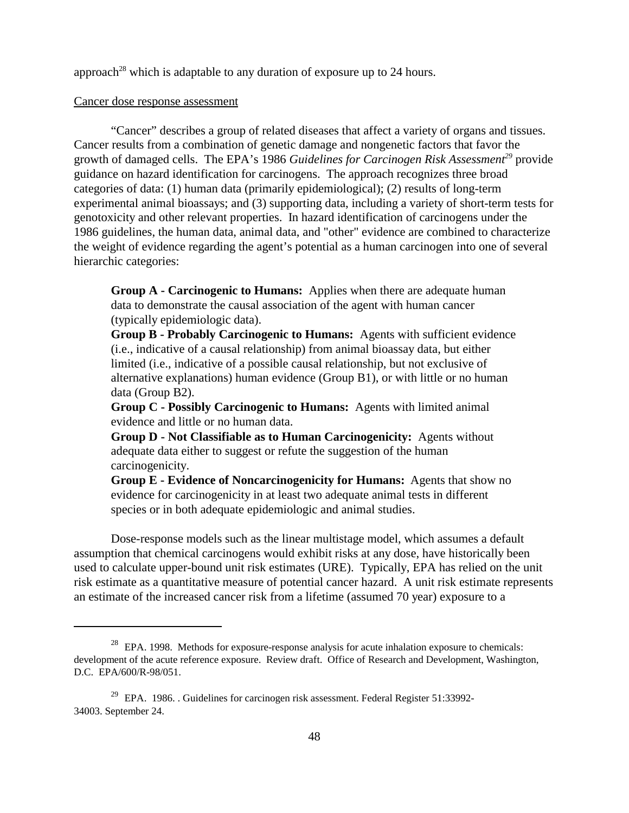approach<sup>28</sup> which is adaptable to any duration of exposure up to 24 hours.

#### Cancer dose response assessment

"Cancer" describes a group of related diseases that affect a variety of organs and tissues. Cancer results from a combination of genetic damage and nongenetic factors that favor the growth of damaged cells. The EPA's 1986 *Guidelines for Carcinogen Risk Assessment*<sup>29</sup> provide guidance on hazard identification for carcinogens. The approach recognizes three broad categories of data: (1) human data (primarily epidemiological); (2) results of long-term experimental animal bioassays; and (3) supporting data, including a variety of short-term tests for genotoxicity and other relevant properties. In hazard identification of carcinogens under the 1986 guidelines, the human data, animal data, and "other" evidence are combined to characterize the weight of evidence regarding the agent's potential as a human carcinogen into one of several hierarchic categories:

**Group A - Carcinogenic to Humans:** Applies when there are adequate human data to demonstrate the causal association of the agent with human cancer (typically epidemiologic data).

**Group B - Probably Carcinogenic to Humans:** Agents with sufficient evidence (i.e., indicative of a causal relationship) from animal bioassay data, but either limited (i.e., indicative of a possible causal relationship, but not exclusive of alternative explanations) human evidence (Group B1), or with little or no human data (Group B2).

**Group C - Possibly Carcinogenic to Humans:** Agents with limited animal evidence and little or no human data.

**Group D - Not Classifiable as to Human Carcinogenicity:** Agents without adequate data either to suggest or refute the suggestion of the human carcinogenicity.

**Group E - Evidence of Noncarcinogenicity for Humans:** Agents that show no evidence for carcinogenicity in at least two adequate animal tests in different species or in both adequate epidemiologic and animal studies.

Dose-response models such as the linear multistage model, which assumes a default assumption that chemical carcinogens would exhibit risks at any dose, have historically been used to calculate upper-bound unit risk estimates (URE). Typically, EPA has relied on the unit risk estimate as a quantitative measure of potential cancer hazard. A unit risk estimate represents an estimate of the increased cancer risk from a lifetime (assumed 70 year) exposure to a

 $28$  EPA. 1998. Methods for exposure-response analysis for acute inhalation exposure to chemicals: development of the acute reference exposure. Review draft. Office of Research and Development, Washington, D.C. EPA/600/R-98/051.

 $29$  EPA. 1986. . Guidelines for carcinogen risk assessment. Federal Register 51:33992-34003. September 24.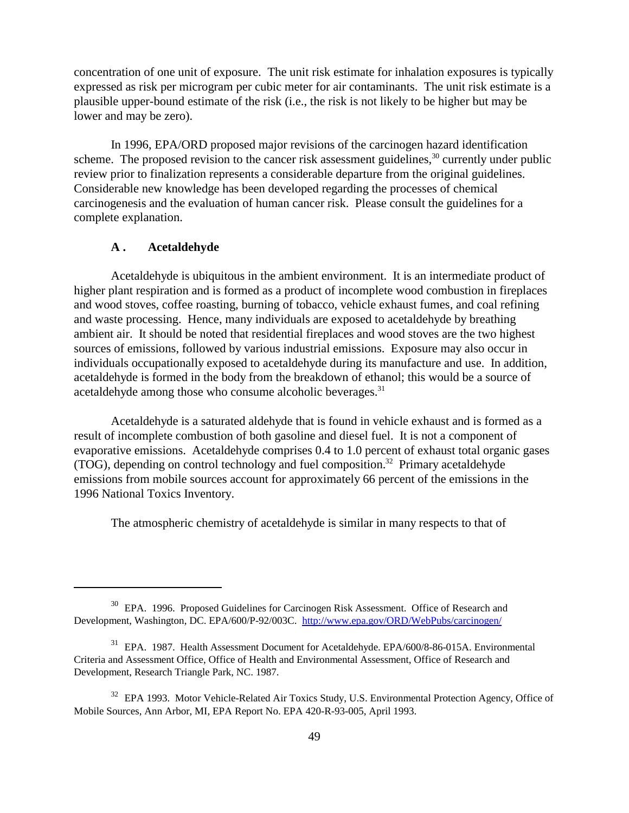concentration of one unit of exposure. The unit risk estimate for inhalation exposures is typically expressed as risk per microgram per cubic meter for air contaminants. The unit risk estimate is a plausible upper-bound estimate of the risk (i.e., the risk is not likely to be higher but may be lower and may be zero).

In 1996, EPA/ORD proposed major revisions of the carcinogen hazard identification scheme. The proposed revision to the cancer risk assessment guidelines,  $30$  currently under public review prior to finalization represents a considerable departure from the original guidelines. Considerable new knowledge has been developed regarding the processes of chemical carcinogenesis and the evaluation of human cancer risk. Please consult the guidelines for a complete explanation.

#### **A . Acetaldehyde**

Acetaldehyde is ubiquitous in the ambient environment. It is an intermediate product of higher plant respiration and is formed as a product of incomplete wood combustion in fireplaces and wood stoves, coffee roasting, burning of tobacco, vehicle exhaust fumes, and coal refining and waste processing. Hence, many individuals are exposed to acetaldehyde by breathing ambient air. It should be noted that residential fireplaces and wood stoves are the two highest sources of emissions, followed by various industrial emissions. Exposure may also occur in individuals occupationally exposed to acetaldehyde during its manufacture and use. In addition, acetaldehyde is formed in the body from the breakdown of ethanol; this would be a source of acetaldehyde among those who consume alcoholic beverages.<sup>31</sup>

Acetaldehyde is a saturated aldehyde that is found in vehicle exhaust and is formed as a result of incomplete combustion of both gasoline and diesel fuel. It is not a component of evaporative emissions. Acetaldehyde comprises 0.4 to 1.0 percent of exhaust total organic gases (TOG), depending on control technology and fuel composition.<sup>32</sup> Primary acetaldehyde emissions from mobile sources account for approximately 66 percent of the emissions in the 1996 National Toxics Inventory.

The atmospheric chemistry of acetaldehyde is similar in many respects to that of

<sup>&</sup>lt;sup>30</sup> EPA. 1996. Proposed Guidelines for Carcinogen Risk Assessment. Office of Research and Development, Washington, DC. EPA/600/P-92/003C. http://www.epa.gov/ORD/WebPubs/carcinogen/

<sup>&</sup>lt;sup>31</sup> EPA. 1987. Health Assessment Document for Acetaldehyde. EPA/600/8-86-015A. Environmental Criteria and Assessment Office, Office of Health and Environmental Assessment, Office of Research and Development, Research Triangle Park, NC. 1987.

<sup>&</sup>lt;sup>32</sup> EPA 1993. Motor Vehicle-Related Air Toxics Study, U.S. Environmental Protection Agency, Office of Mobile Sources, Ann Arbor, MI, EPA Report No. EPA 420-R-93-005, April 1993.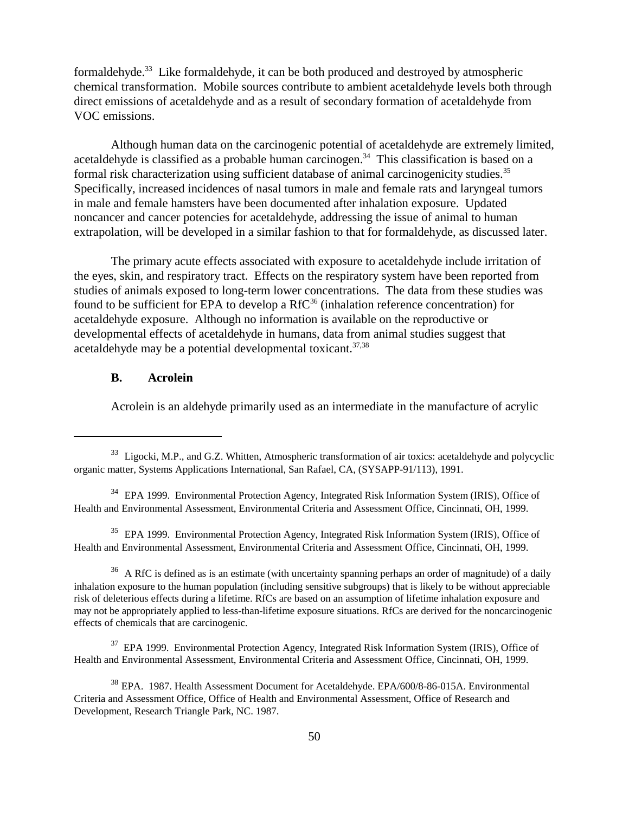formaldehyde.<sup>33</sup> Like formaldehyde, it can be both produced and destroyed by atmospheric chemical transformation. Mobile sources contribute to ambient acetaldehyde levels both through direct emissions of acetaldehyde and as a result of secondary formation of acetaldehyde from VOC emissions.

Although human data on the carcinogenic potential of acetaldehyde are extremely limited, acetaldehyde is classified as a probable human carcinogen.<sup>34</sup> This classification is based on a formal risk characterization using sufficient database of animal carcinogenicity studies.<sup>35</sup> Specifically, increased incidences of nasal tumors in male and female rats and laryngeal tumors in male and female hamsters have been documented after inhalation exposure. Updated noncancer and cancer potencies for acetaldehyde, addressing the issue of animal to human extrapolation, will be developed in a similar fashion to that for formaldehyde, as discussed later.

The primary acute effects associated with exposure to acetaldehyde include irritation of the eyes, skin, and respiratory tract. Effects on the respiratory system have been reported from studies of animals exposed to long-term lower concentrations. The data from these studies was found to be sufficient for EPA to develop a  $RfC<sup>36</sup>$  (inhalation reference concentration) for acetaldehyde exposure. Although no information is available on the reproductive or developmental effects of acetaldehyde in humans, data from animal studies suggest that acetaldehyde may be a potential developmental toxicant. $37,38$ 

## **B. Acrolein**

Acrolein is an aldehyde primarily used as an intermediate in the manufacture of acrylic

<sup>35</sup> EPA 1999. Environmental Protection Agency, Integrated Risk Information System (IRIS), Office of Health and Environmental Assessment, Environmental Criteria and Assessment Office, Cincinnati, OH, 1999.

 $36$  A RfC is defined as is an estimate (with uncertainty spanning perhaps an order of magnitude) of a daily inhalation exposure to the human population (including sensitive subgroups) that is likely to be without appreciable risk of deleterious effects during a lifetime. RfCs are based on an assumption of lifetime inhalation exposure and may not be appropriately applied to less-than-lifetime exposure situations. RfCs are derived for the noncarcinogenic effects of chemicals that are carcinogenic.

<sup>37</sup> EPA 1999. Environmental Protection Agency, Integrated Risk Information System (IRIS), Office of Health and Environmental Assessment, Environmental Criteria and Assessment Office, Cincinnati, OH, 1999.

<sup>&</sup>lt;sup>33</sup> Ligocki, M.P., and G.Z. Whitten, Atmospheric transformation of air toxics: acetaldehyde and polycyclic organic matter, Systems Applications International, San Rafael, CA, (SYSAPP-91/113), 1991.

<sup>&</sup>lt;sup>34</sup> EPA 1999. Environmental Protection Agency, Integrated Risk Information System (IRIS), Office of Health and Environmental Assessment, Environmental Criteria and Assessment Office, Cincinnati, OH, 1999.

<sup>&</sup>lt;sup>38</sup> EPA. 1987. Health Assessment Document for Acetaldehyde. EPA/600/8-86-015A. Environmental Criteria and Assessment Office, Office of Health and Environmental Assessment, Office of Research and Development, Research Triangle Park, NC. 1987.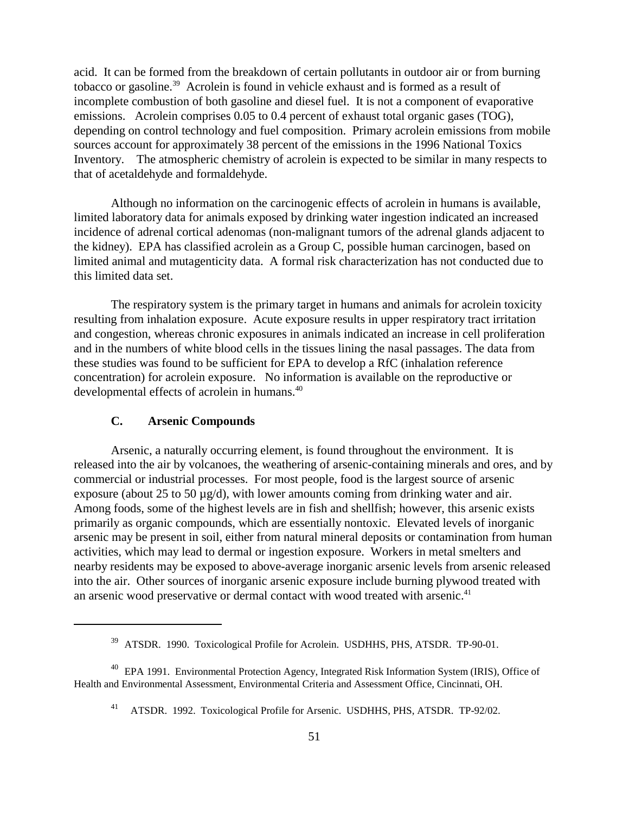acid. It can be formed from the breakdown of certain pollutants in outdoor air or from burning tobacco or gasoline.<sup>39</sup> Acrolein is found in vehicle exhaust and is formed as a result of incomplete combustion of both gasoline and diesel fuel. It is not a component of evaporative emissions. Acrolein comprises 0.05 to 0.4 percent of exhaust total organic gases (TOG), depending on control technology and fuel composition. Primary acrolein emissions from mobile sources account for approximately 38 percent of the emissions in the 1996 National Toxics Inventory. The atmospheric chemistry of acrolein is expected to be similar in many respects to that of acetaldehyde and formaldehyde.

Although no information on the carcinogenic effects of acrolein in humans is available, limited laboratory data for animals exposed by drinking water ingestion indicated an increased incidence of adrenal cortical adenomas (non-malignant tumors of the adrenal glands adjacent to the kidney). EPA has classified acrolein as a Group C, possible human carcinogen, based on limited animal and mutagenticity data. A formal risk characterization has not conducted due to this limited data set.

The respiratory system is the primary target in humans and animals for acrolein toxicity resulting from inhalation exposure. Acute exposure results in upper respiratory tract irritation and congestion, whereas chronic exposures in animals indicated an increase in cell proliferation and in the numbers of white blood cells in the tissues lining the nasal passages. The data from these studies was found to be sufficient for EPA to develop a RfC (inhalation reference concentration) for acrolein exposure. No information is available on the reproductive or developmental effects of acrolein in humans.<sup>40</sup>

# **C. Arsenic Compounds**

Arsenic, a naturally occurring element, is found throughout the environment. It is released into the air by volcanoes, the weathering of arsenic-containing minerals and ores, and by commercial or industrial processes. For most people, food is the largest source of arsenic exposure (about 25 to 50 µg/d), with lower amounts coming from drinking water and air. Among foods, some of the highest levels are in fish and shellfish; however, this arsenic exists primarily as organic compounds, which are essentially nontoxic. Elevated levels of inorganic arsenic may be present in soil, either from natural mineral deposits or contamination from human activities, which may lead to dermal or ingestion exposure. Workers in metal smelters and nearby residents may be exposed to above-average inorganic arsenic levels from arsenic released into the air. Other sources of inorganic arsenic exposure include burning plywood treated with an arsenic wood preservative or dermal contact with wood treated with arsenic.<sup>41</sup>

<sup>&</sup>lt;sup>39</sup> ATSDR. 1990. Toxicological Profile for Acrolein. USDHHS, PHS, ATSDR. TP-90-01.

<sup>&</sup>lt;sup>40</sup> EPA 1991. Environmental Protection Agency, Integrated Risk Information System (IRIS), Office of Health and Environmental Assessment, Environmental Criteria and Assessment Office, Cincinnati, OH.

<sup>&</sup>lt;sup>41</sup> ATSDR. 1992. Toxicological Profile for Arsenic. USDHHS, PHS, ATSDR. TP-92/02.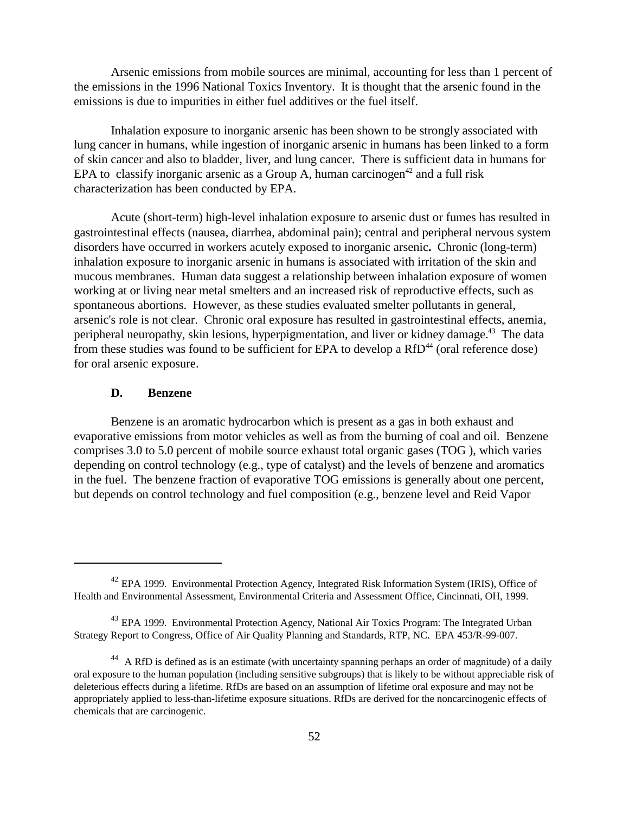Arsenic emissions from mobile sources are minimal, accounting for less than 1 percent of the emissions in the 1996 National Toxics Inventory. It is thought that the arsenic found in the emissions is due to impurities in either fuel additives or the fuel itself.

Inhalation exposure to inorganic arsenic has been shown to be strongly associated with lung cancer in humans, while ingestion of inorganic arsenic in humans has been linked to a form of skin cancer and also to bladder, liver, and lung cancer. There is sufficient data in humans for EPA to classify inorganic arsenic as a Group A, human carcinogen<sup>42</sup> and a full risk characterization has been conducted by EPA.

Acute (short-term) high-level inhalation exposure to arsenic dust or fumes has resulted in gastrointestinal effects (nausea, diarrhea, abdominal pain); central and peripheral nervous system disorders have occurred in workers acutely exposed to inorganic arsenic**.** Chronic (long-term) inhalation exposure to inorganic arsenic in humans is associated with irritation of the skin and mucous membranes. Human data suggest a relationship between inhalation exposure of women working at or living near metal smelters and an increased risk of reproductive effects, such as spontaneous abortions. However, as these studies evaluated smelter pollutants in general, arsenic's role is not clear. Chronic oral exposure has resulted in gastrointestinal effects, anemia, peripheral neuropathy, skin lesions, hyperpigmentation, and liver or kidney damage.<sup>43</sup> The data from these studies was found to be sufficient for EPA to develop a  $RfD<sup>44</sup>$  (oral reference dose) for oral arsenic exposure.

## **D. Benzene**

Benzene is an aromatic hydrocarbon which is present as a gas in both exhaust and evaporative emissions from motor vehicles as well as from the burning of coal and oil. Benzene comprises 3.0 to 5.0 percent of mobile source exhaust total organic gases (TOG ), which varies depending on control technology (e.g., type of catalyst) and the levels of benzene and aromatics in the fuel. The benzene fraction of evaporative TOG emissions is generally about one percent, but depends on control technology and fuel composition (e.g., benzene level and Reid Vapor

<sup>&</sup>lt;sup>42</sup> EPA 1999. Environmental Protection Agency, Integrated Risk Information System (IRIS), Office of Health and Environmental Assessment, Environmental Criteria and Assessment Office, Cincinnati, OH, 1999.

<sup>&</sup>lt;sup>43</sup> EPA 1999. Environmental Protection Agency, National Air Toxics Program: The Integrated Urban Strategy Report to Congress, Office of Air Quality Planning and Standards, RTP, NC. EPA 453/R-99-007.

<sup>&</sup>lt;sup>44</sup> A RfD is defined as is an estimate (with uncertainty spanning perhaps an order of magnitude) of a daily oral exposure to the human population (including sensitive subgroups) that is likely to be without appreciable risk of deleterious effects during a lifetime. RfDs are based on an assumption of lifetime oral exposure and may not be appropriately applied to less-than-lifetime exposure situations. RfDs are derived for the noncarcinogenic effects of chemicals that are carcinogenic.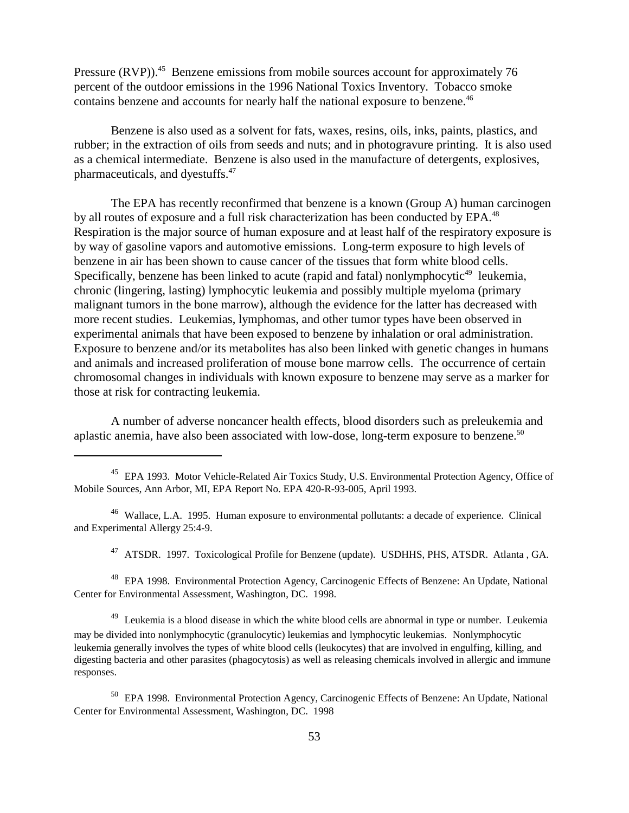Pressure (RVP)).<sup>45</sup> Benzene emissions from mobile sources account for approximately 76 percent of the outdoor emissions in the 1996 National Toxics Inventory. Tobacco smoke contains benzene and accounts for nearly half the national exposure to benzene.<sup>46</sup>

Benzene is also used as a solvent for fats, waxes, resins, oils, inks, paints, plastics, and rubber; in the extraction of oils from seeds and nuts; and in photogravure printing. It is also used as a chemical intermediate. Benzene is also used in the manufacture of detergents, explosives, pharmaceuticals, and dyestuffs.47

The EPA has recently reconfirmed that benzene is a known (Group A) human carcinogen by all routes of exposure and a full risk characterization has been conducted by EPA.<sup>48</sup> Respiration is the major source of human exposure and at least half of the respiratory exposure is by way of gasoline vapors and automotive emissions. Long-term exposure to high levels of benzene in air has been shown to cause cancer of the tissues that form white blood cells. Specifically, benzene has been linked to acute (rapid and fatal) nonlymphocytic $49$  leukemia, chronic (lingering, lasting) lymphocytic leukemia and possibly multiple myeloma (primary malignant tumors in the bone marrow), although the evidence for the latter has decreased with more recent studies. Leukemias, lymphomas, and other tumor types have been observed in experimental animals that have been exposed to benzene by inhalation or oral administration. Exposure to benzene and/or its metabolites has also been linked with genetic changes in humans and animals and increased proliferation of mouse bone marrow cells. The occurrence of certain chromosomal changes in individuals with known exposure to benzene may serve as a marker for those at risk for contracting leukemia.

A number of adverse noncancer health effects, blood disorders such as preleukemia and aplastic anemia, have also been associated with low-dose, long-term exposure to benzene.<sup>50</sup>

<sup>45</sup> EPA 1993. Motor Vehicle-Related Air Toxics Study, U.S. Environmental Protection Agency, Office of Mobile Sources, Ann Arbor, MI, EPA Report No. EPA 420-R-93-005, April 1993.

46 Wallace, L.A. 1995. Human exposure to environmental pollutants: a decade of experience. Clinical and Experimental Allergy 25:4-9.

<sup>47</sup> ATSDR. 1997. Toxicological Profile for Benzene (update). USDHHS, PHS, ATSDR. Atlanta, GA.

48 EPA 1998. Environmental Protection Agency, Carcinogenic Effects of Benzene: An Update, National Center for Environmental Assessment, Washington, DC. 1998.

<sup>49</sup> Leukemia is a blood disease in which the white blood cells are abnormal in type or number. Leukemia may be divided into nonlymphocytic (granulocytic) leukemias and lymphocytic leukemias. Nonlymphocytic leukemia generally involves the types of white blood cells (leukocytes) that are involved in engulfing, killing, and digesting bacteria and other parasites (phagocytosis) as well as releasing chemicals involved in allergic and immune responses.

50 EPA 1998. Environmental Protection Agency, Carcinogenic Effects of Benzene: An Update, National Center for Environmental Assessment, Washington, DC. 1998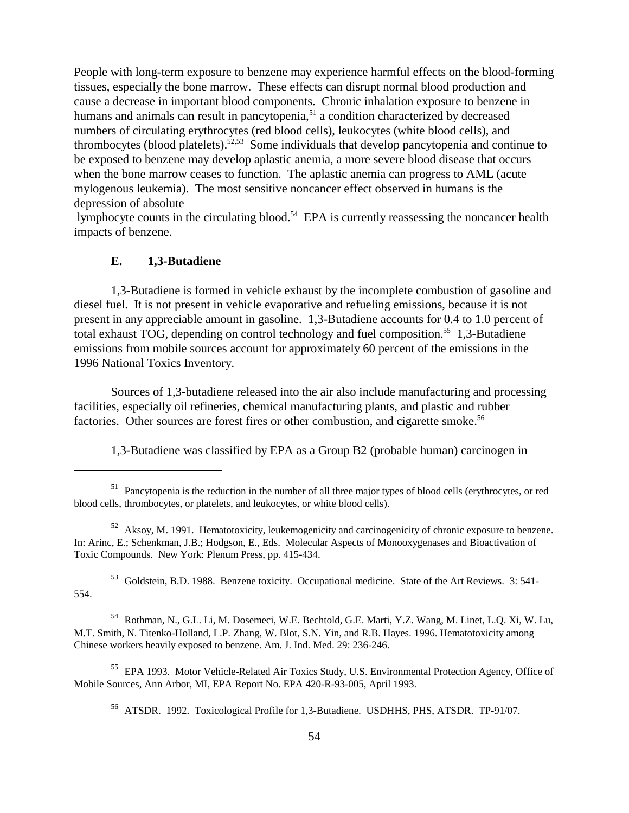People with long-term exposure to benzene may experience harmful effects on the blood-forming tissues, especially the bone marrow. These effects can disrupt normal blood production and cause a decrease in important blood components. Chronic inhalation exposure to benzene in humans and animals can result in pancytopenia,<sup>51</sup> a condition characterized by decreased numbers of circulating erythrocytes (red blood cells), leukocytes (white blood cells), and thrombocytes (blood platelets).52,53 Some individuals that develop pancytopenia and continue to be exposed to benzene may develop aplastic anemia, a more severe blood disease that occurs when the bone marrow ceases to function. The aplastic anemia can progress to AML (acute mylogenous leukemia). The most sensitive noncancer effect observed in humans is the depression of absolute

lymphocyte counts in the circulating blood.<sup>54</sup> EPA is currently reassessing the noncancer health impacts of benzene.

# **E. 1,3-Butadiene**

1,3-Butadiene is formed in vehicle exhaust by the incomplete combustion of gasoline and diesel fuel. It is not present in vehicle evaporative and refueling emissions, because it is not present in any appreciable amount in gasoline. 1,3-Butadiene accounts for 0.4 to 1.0 percent of total exhaust TOG, depending on control technology and fuel composition.<sup>55</sup> 1,3-Butadiene emissions from mobile sources account for approximately 60 percent of the emissions in the 1996 National Toxics Inventory.

Sources of 1,3-butadiene released into the air also include manufacturing and processing facilities, especially oil refineries, chemical manufacturing plants, and plastic and rubber factories. Other sources are forest fires or other combustion, and cigarette smoke.<sup>56</sup>

1,3-Butadiene was classified by EPA as a Group B2 (probable human) carcinogen in

53 Goldstein, B.D. 1988. Benzene toxicity. Occupational medicine. State of the Art Reviews. 3: 541- 554.

54 Rothman, N., G.L. Li, M. Dosemeci, W.E. Bechtold, G.E. Marti, Y.Z. Wang, M. Linet, L.Q. Xi, W. Lu, M.T. Smith, N. Titenko-Holland, L.P. Zhang, W. Blot, S.N. Yin, and R.B. Hayes. 1996. Hematotoxicity among Chinese workers heavily exposed to benzene. Am. J. Ind. Med. 29: 236-246.

55 EPA 1993. Motor Vehicle-Related Air Toxics Study, U.S. Environmental Protection Agency, Office of Mobile Sources, Ann Arbor, MI, EPA Report No. EPA 420-R-93-005, April 1993.

56 ATSDR. 1992. Toxicological Profile for 1,3-Butadiene. USDHHS, PHS, ATSDR. TP-91/07.

<sup>&</sup>lt;sup>51</sup> Pancytopenia is the reduction in the number of all three major types of blood cells (erythrocytes, or red blood cells, thrombocytes, or platelets, and leukocytes, or white blood cells).

<sup>52</sup> Aksoy, M. 1991. Hematotoxicity, leukemogenicity and carcinogenicity of chronic exposure to benzene. In: Arinc, E.; Schenkman, J.B.; Hodgson, E., Eds. Molecular Aspects of Monooxygenases and Bioactivation of Toxic Compounds. New York: Plenum Press, pp. 415-434.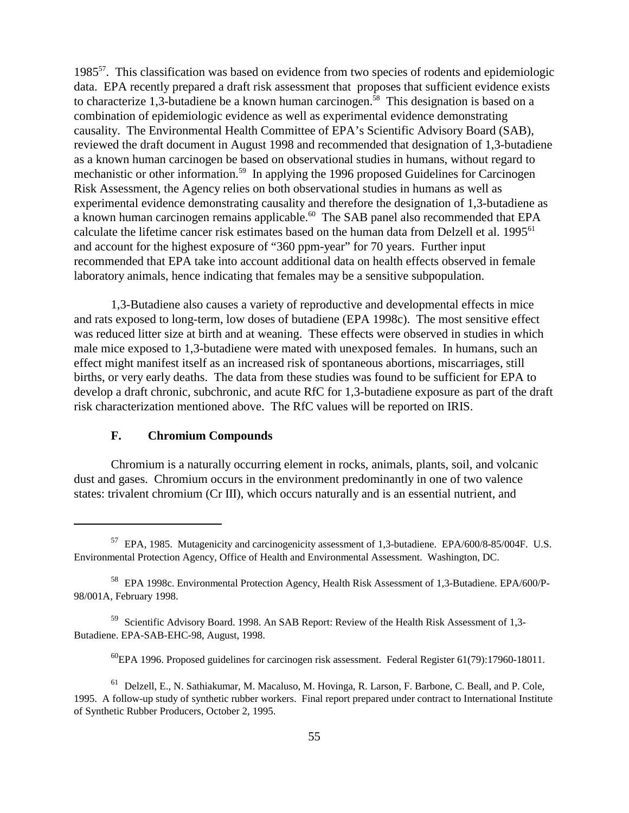198557. This classification was based on evidence from two species of rodents and epidemiologic data. EPA recently prepared a draft risk assessment that proposes that sufficient evidence exists to characterize 1,3-butadiene be a known human carcinogen.<sup>58</sup> This designation is based on a combination of epidemiologic evidence as well as experimental evidence demonstrating causality. The Environmental Health Committee of EPA's Scientific Advisory Board (SAB), reviewed the draft document in August 1998 and recommended that designation of 1,3-butadiene as a known human carcinogen be based on observational studies in humans, without regard to mechanistic or other information.<sup>59</sup> In applying the 1996 proposed Guidelines for Carcinogen Risk Assessment, the Agency relies on both observational studies in humans as well as experimental evidence demonstrating causality and therefore the designation of 1,3-butadiene as a known human carcinogen remains applicable.<sup>60</sup> The SAB panel also recommended that EPA calculate the lifetime cancer risk estimates based on the human data from Delzell et al. 1995<sup>61</sup> and account for the highest exposure of "360 ppm-year" for 70 years. Further input recommended that EPA take into account additional data on health effects observed in female laboratory animals, hence indicating that females may be a sensitive subpopulation.

1,3-Butadiene also causes a variety of reproductive and developmental effects in mice and rats exposed to long-term, low doses of butadiene (EPA 1998c). The most sensitive effect was reduced litter size at birth and at weaning. These effects were observed in studies in which male mice exposed to 1,3-butadiene were mated with unexposed females. In humans, such an effect might manifest itself as an increased risk of spontaneous abortions, miscarriages, still births, or very early deaths. The data from these studies was found to be sufficient for EPA to develop a draft chronic, subchronic, and acute RfC for 1,3-butadiene exposure as part of the draft risk characterization mentioned above. The RfC values will be reported on IRIS.

# **F. Chromium Compounds**

Chromium is a naturally occurring element in rocks, animals, plants, soil, and volcanic dust and gases. Chromium occurs in the environment predominantly in one of two valence states: trivalent chromium (Cr III), which occurs naturally and is an essential nutrient, and

<sup>57</sup> EPA, 1985. Mutagenicity and carcinogenicity assessment of 1,3-butadiene. EPA/600/8-85/004F. U.S. Environmental Protection Agency, Office of Health and Environmental Assessment. Washington, DC.

<sup>58</sup> EPA 1998c. Environmental Protection Agency, Health Risk Assessment of 1,3-Butadiene. EPA/600/P-98/001A, February 1998.

<sup>59</sup> Scientific Advisory Board. 1998. An SAB Report: Review of the Health Risk Assessment of 1,3- Butadiene. EPA-SAB-EHC-98, August, 1998.

 $^{60}$ EPA 1996. Proposed guidelines for carcinogen risk assessment. Federal Register 61(79):17960-18011.

<sup>61</sup> Delzell, E., N. Sathiakumar, M. Macaluso, M. Hovinga, R. Larson, F. Barbone, C. Beall, and P. Cole, 1995. A follow-up study of synthetic rubber workers. Final report prepared under contract to International Institute of Synthetic Rubber Producers, October 2, 1995.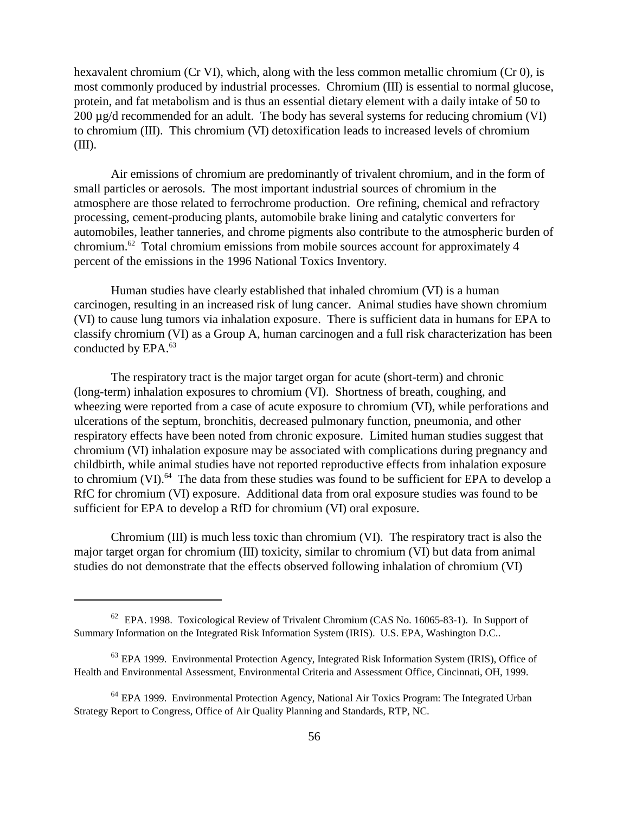hexavalent chromium (Cr VI), which, along with the less common metallic chromium (Cr 0), is most commonly produced by industrial processes. Chromium (III) is essential to normal glucose, protein, and fat metabolism and is thus an essential dietary element with a daily intake of 50 to 200 µg/d recommended for an adult. The body has several systems for reducing chromium (VI) to chromium (III). This chromium (VI) detoxification leads to increased levels of chromium (III).

Air emissions of chromium are predominantly of trivalent chromium, and in the form of small particles or aerosols. The most important industrial sources of chromium in the atmosphere are those related to ferrochrome production. Ore refining, chemical and refractory processing, cement-producing plants, automobile brake lining and catalytic converters for automobiles, leather tanneries, and chrome pigments also contribute to the atmospheric burden of chromium.62 Total chromium emissions from mobile sources account for approximately 4 percent of the emissions in the 1996 National Toxics Inventory.

Human studies have clearly established that inhaled chromium (VI) is a human carcinogen, resulting in an increased risk of lung cancer. Animal studies have shown chromium (VI) to cause lung tumors via inhalation exposure. There is sufficient data in humans for EPA to classify chromium (VI) as a Group A, human carcinogen and a full risk characterization has been conducted by EPA.<sup>63</sup>

The respiratory tract is the major target organ for acute (short-term) and chronic (long-term) inhalation exposures to chromium (VI). Shortness of breath, coughing, and wheezing were reported from a case of acute exposure to chromium (VI), while perforations and ulcerations of the septum, bronchitis, decreased pulmonary function, pneumonia, and other respiratory effects have been noted from chronic exposure. Limited human studies suggest that chromium (VI) inhalation exposure may be associated with complications during pregnancy and childbirth, while animal studies have not reported reproductive effects from inhalation exposure to chromium (VI).<sup>64</sup> The data from these studies was found to be sufficient for EPA to develop a RfC for chromium (VI) exposure. Additional data from oral exposure studies was found to be sufficient for EPA to develop a RfD for chromium (VI) oral exposure.

Chromium (III) is much less toxic than chromium (VI). The respiratory tract is also the major target organ for chromium (III) toxicity, similar to chromium (VI) but data from animal studies do not demonstrate that the effects observed following inhalation of chromium (VI)

<sup>62</sup> EPA. 1998. Toxicological Review of Trivalent Chromium (CAS No. 16065-83-1). In Support of Summary Information on the Integrated Risk Information System (IRIS). U.S. EPA, Washington D.C..

<sup>&</sup>lt;sup>63</sup> EPA 1999. Environmental Protection Agency, Integrated Risk Information System (IRIS), Office of Health and Environmental Assessment, Environmental Criteria and Assessment Office, Cincinnati, OH, 1999.

<sup>&</sup>lt;sup>64</sup> EPA 1999. Environmental Protection Agency, National Air Toxics Program: The Integrated Urban Strategy Report to Congress, Office of Air Quality Planning and Standards, RTP, NC.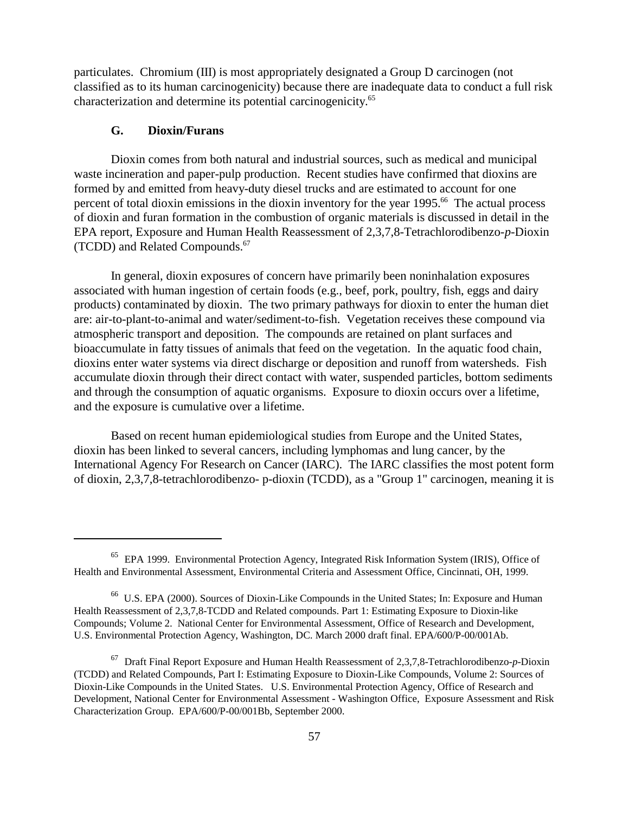particulates. Chromium (III) is most appropriately designated a Group D carcinogen (not classified as to its human carcinogenicity) because there are inadequate data to conduct a full risk characterization and determine its potential carcinogenicity.<sup>65</sup>

# **G. Dioxin/Furans**

Dioxin comes from both natural and industrial sources, such as medical and municipal waste incineration and paper-pulp production. Recent studies have confirmed that dioxins are formed by and emitted from heavy-duty diesel trucks and are estimated to account for one percent of total dioxin emissions in the dioxin inventory for the year 1995.<sup>66</sup> The actual process of dioxin and furan formation in the combustion of organic materials is discussed in detail in the EPA report, Exposure and Human Health Reassessment of 2,3,7,8-Tetrachlorodibenzo-*p*-Dioxin (TCDD) and Related Compounds.<sup>67</sup>

In general, dioxin exposures of concern have primarily been noninhalation exposures associated with human ingestion of certain foods (e.g., beef, pork, poultry, fish, eggs and dairy products) contaminated by dioxin. The two primary pathways for dioxin to enter the human diet are: air-to-plant-to-animal and water/sediment-to-fish. Vegetation receives these compound via atmospheric transport and deposition. The compounds are retained on plant surfaces and bioaccumulate in fatty tissues of animals that feed on the vegetation. In the aquatic food chain, dioxins enter water systems via direct discharge or deposition and runoff from watersheds. Fish accumulate dioxin through their direct contact with water, suspended particles, bottom sediments and through the consumption of aquatic organisms. Exposure to dioxin occurs over a lifetime, and the exposure is cumulative over a lifetime.

Based on recent human epidemiological studies from Europe and the United States, dioxin has been linked to several cancers, including lymphomas and lung cancer, by the International Agency For Research on Cancer (IARC). The IARC classifies the most potent form of dioxin, 2,3,7,8-tetrachlorodibenzo- p-dioxin (TCDD), as a "Group 1" carcinogen, meaning it is

<sup>65</sup> EPA 1999. Environmental Protection Agency, Integrated Risk Information System (IRIS), Office of Health and Environmental Assessment, Environmental Criteria and Assessment Office, Cincinnati, OH, 1999.

<sup>66</sup> U.S. EPA (2000). Sources of Dioxin-Like Compounds in the United States; In: Exposure and Human Health Reassessment of 2,3,7,8-TCDD and Related compounds. Part 1: Estimating Exposure to Dioxin-like Compounds; Volume 2. National Center for Environmental Assessment, Office of Research and Development, U.S. Environmental Protection Agency, Washington, DC. March 2000 draft final. EPA/600/P-00/001Ab.

<sup>67</sup> Draft Final Report Exposure and Human Health Reassessment of 2,3,7,8-Tetrachlorodibenzo-*p*-Dioxin (TCDD) and Related Compounds, Part I: Estimating Exposure to Dioxin-Like Compounds, Volume 2: Sources of Dioxin-Like Compounds in the United States. U.S. Environmental Protection Agency, Office of Research and Development, National Center for Environmental Assessment - Washington Office, Exposure Assessment and Risk Characterization Group. EPA/600/P-00/001Bb, September 2000.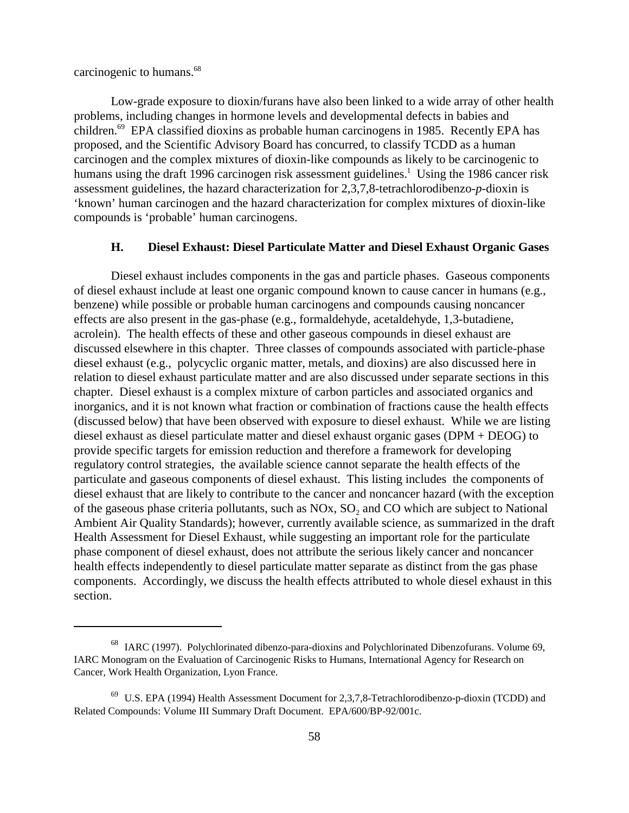carcinogenic to humans.68

Low-grade exposure to dioxin/furans have also been linked to a wide array of other health problems, including changes in hormone levels and developmental defects in babies and children.<sup>69</sup> EPA classified dioxins as probable human carcinogens in 1985. Recently EPA has proposed, and the Scientific Advisory Board has concurred, to classify TCDD as a human carcinogen and the complex mixtures of dioxin-like compounds as likely to be carcinogenic to humans using the draft 1996 carcinogen risk assessment guidelines.<sup>1</sup> Using the 1986 cancer risk assessment guidelines, the hazard characterization for 2,3,7,8-tetrachlorodibenzo-*p*-dioxin is 'known' human carcinogen and the hazard characterization for complex mixtures of dioxin-like compounds is 'probable' human carcinogens.

#### **H. Diesel Exhaust: Diesel Particulate Matter and Diesel Exhaust Organic Gases**

Diesel exhaust includes components in the gas and particle phases. Gaseous components of diesel exhaust include at least one organic compound known to cause cancer in humans (e.g., benzene) while possible or probable human carcinogens and compounds causing noncancer effects are also present in the gas-phase (e.g., formaldehyde, acetaldehyde, 1,3-butadiene, acrolein). The health effects of these and other gaseous compounds in diesel exhaust are discussed elsewhere in this chapter. Three classes of compounds associated with particle-phase diesel exhaust (e.g., polycyclic organic matter, metals, and dioxins) are also discussed here in relation to diesel exhaust particulate matter and are also discussed under separate sections in this chapter. Diesel exhaust is a complex mixture of carbon particles and associated organics and inorganics, and it is not known what fraction or combination of fractions cause the health effects (discussed below) that have been observed with exposure to diesel exhaust. While we are listing diesel exhaust as diesel particulate matter and diesel exhaust organic gases (DPM + DEOG) to provide specific targets for emission reduction and therefore a framework for developing regulatory control strategies, the available science cannot separate the health effects of the particulate and gaseous components of diesel exhaust. This listing includes the components of diesel exhaust that are likely to contribute to the cancer and noncancer hazard (with the exception of the gaseous phase criteria pollutants, such as  $NOx$ ,  $SO<sub>2</sub>$  and  $CO$  which are subject to National Ambient Air Quality Standards); however, currently available science, as summarized in the draft Health Assessment for Diesel Exhaust, while suggesting an important role for the particulate phase component of diesel exhaust, does not attribute the serious likely cancer and noncancer health effects independently to diesel particulate matter separate as distinct from the gas phase components. Accordingly, we discuss the health effects attributed to whole diesel exhaust in this section.

<sup>68</sup> IARC (1997). Polychlorinated dibenzo-para-dioxins and Polychlorinated Dibenzofurans. Volume 69, IARC Monogram on the Evaluation of Carcinogenic Risks to Humans, International Agency for Research on Cancer, Work Health Organization, Lyon France.

 $^{69}$  U.S. EPA (1994) Health Assessment Document for 2,3,7,8-Tetrachlorodibenzo-p-dioxin (TCDD) and Related Compounds: Volume III Summary Draft Document. EPA/600/BP-92/001c.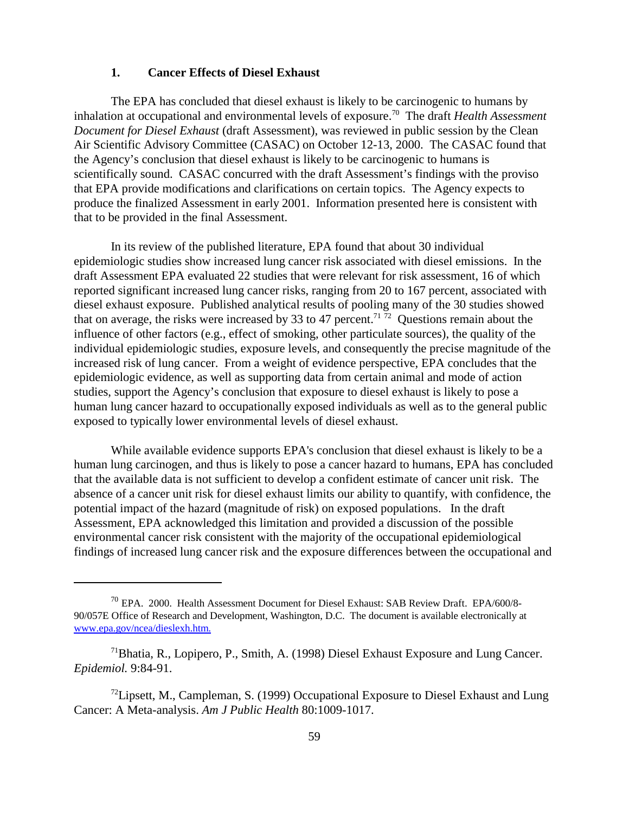### **1. Cancer Effects of Diesel Exhaust**

The EPA has concluded that diesel exhaust is likely to be carcinogenic to humans by inhalation at occupational and environmental levels of exposure.70 The draft *Health Assessment Document for Diesel Exhaust* (draft Assessment), was reviewed in public session by the Clean Air Scientific Advisory Committee (CASAC) on October 12-13, 2000. The CASAC found that the Agency's conclusion that diesel exhaust is likely to be carcinogenic to humans is scientifically sound. CASAC concurred with the draft Assessment's findings with the proviso that EPA provide modifications and clarifications on certain topics. The Agency expects to produce the finalized Assessment in early 2001. Information presented here is consistent with that to be provided in the final Assessment.

In its review of the published literature, EPA found that about 30 individual epidemiologic studies show increased lung cancer risk associated with diesel emissions. In the draft Assessment EPA evaluated 22 studies that were relevant for risk assessment, 16 of which reported significant increased lung cancer risks, ranging from 20 to 167 percent, associated with diesel exhaust exposure. Published analytical results of pooling many of the 30 studies showed that on average, the risks were increased by 33 to 47 percent.<sup>71 72</sup> Questions remain about the influence of other factors (e.g., effect of smoking, other particulate sources), the quality of the individual epidemiologic studies, exposure levels, and consequently the precise magnitude of the increased risk of lung cancer. From a weight of evidence perspective, EPA concludes that the epidemiologic evidence, as well as supporting data from certain animal and mode of action studies, support the Agency's conclusion that exposure to diesel exhaust is likely to pose a human lung cancer hazard to occupationally exposed individuals as well as to the general public exposed to typically lower environmental levels of diesel exhaust.

While available evidence supports EPA's conclusion that diesel exhaust is likely to be a human lung carcinogen, and thus is likely to pose a cancer hazard to humans, EPA has concluded that the available data is not sufficient to develop a confident estimate of cancer unit risk. The absence of a cancer unit risk for diesel exhaust limits our ability to quantify, with confidence, the potential impact of the hazard (magnitude of risk) on exposed populations. In the draft Assessment, EPA acknowledged this limitation and provided a discussion of the possible environmental cancer risk consistent with the majority of the occupational epidemiological findings of increased lung cancer risk and the exposure differences between the occupational and

<sup>&</sup>lt;sup>70</sup> EPA. 2000. Health Assessment Document for Diesel Exhaust: SAB Review Draft. EPA/600/8-90/057E Office of Research and Development, Washington, D.C. The document is available electronically at www.epa.gov/ncea/dieslexh.htm.

<sup>71</sup>Bhatia, R., Lopipero, P., Smith, A. (1998) Diesel Exhaust Exposure and Lung Cancer. *Epidemiol.* 9:84-91.

 $^{72}$ Lipsett, M., Campleman, S. (1999) Occupational Exposure to Diesel Exhaust and Lung Cancer: A Meta-analysis. *Am J Public Health* 80:1009-1017.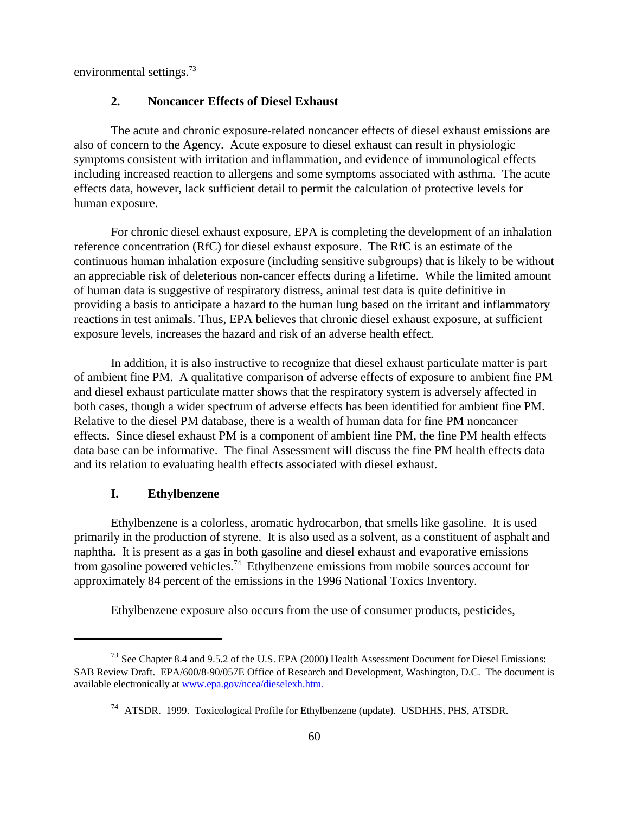environmental settings.<sup>73</sup>

# **2. Noncancer Effects of Diesel Exhaust**

The acute and chronic exposure-related noncancer effects of diesel exhaust emissions are also of concern to the Agency. Acute exposure to diesel exhaust can result in physiologic symptoms consistent with irritation and inflammation, and evidence of immunological effects including increased reaction to allergens and some symptoms associated with asthma. The acute effects data, however, lack sufficient detail to permit the calculation of protective levels for human exposure.

For chronic diesel exhaust exposure, EPA is completing the development of an inhalation reference concentration (RfC) for diesel exhaust exposure. The RfC is an estimate of the continuous human inhalation exposure (including sensitive subgroups) that is likely to be without an appreciable risk of deleterious non-cancer effects during a lifetime. While the limited amount of human data is suggestive of respiratory distress, animal test data is quite definitive in providing a basis to anticipate a hazard to the human lung based on the irritant and inflammatory reactions in test animals. Thus, EPA believes that chronic diesel exhaust exposure, at sufficient exposure levels, increases the hazard and risk of an adverse health effect.

In addition, it is also instructive to recognize that diesel exhaust particulate matter is part of ambient fine PM. A qualitative comparison of adverse effects of exposure to ambient fine PM and diesel exhaust particulate matter shows that the respiratory system is adversely affected in both cases, though a wider spectrum of adverse effects has been identified for ambient fine PM. Relative to the diesel PM database, there is a wealth of human data for fine PM noncancer effects. Since diesel exhaust PM is a component of ambient fine PM, the fine PM health effects data base can be informative. The final Assessment will discuss the fine PM health effects data and its relation to evaluating health effects associated with diesel exhaust.

#### **I. Ethylbenzene**

Ethylbenzene is a colorless, aromatic hydrocarbon, that smells like gasoline. It is used primarily in the production of styrene. It is also used as a solvent, as a constituent of asphalt and naphtha. It is present as a gas in both gasoline and diesel exhaust and evaporative emissions from gasoline powered vehicles.<sup>74</sup> Ethylbenzene emissions from mobile sources account for approximately 84 percent of the emissions in the 1996 National Toxics Inventory.

Ethylbenzene exposure also occurs from the use of consumer products, pesticides,

<sup>73</sup> See Chapter 8.4 and 9.5.2 of the U.S. EPA (2000) Health Assessment Document for Diesel Emissions: SAB Review Draft. EPA/600/8-90/057E Office of Research and Development, Washington, D.C. The document is available electronically at www.epa.gov/ncea/dieselexh.htm.

<sup>74</sup> ATSDR. 1999. Toxicological Profile for Ethylbenzene (update). USDHHS, PHS, ATSDR.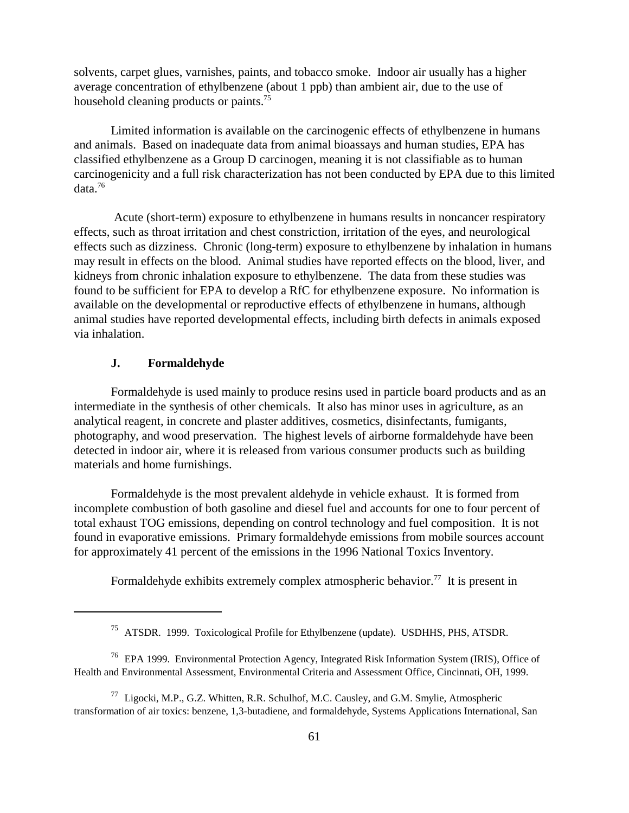solvents, carpet glues, varnishes, paints, and tobacco smoke. Indoor air usually has a higher average concentration of ethylbenzene (about 1 ppb) than ambient air, due to the use of household cleaning products or paints.<sup>75</sup>

Limited information is available on the carcinogenic effects of ethylbenzene in humans and animals. Based on inadequate data from animal bioassays and human studies, EPA has classified ethylbenzene as a Group D carcinogen, meaning it is not classifiable as to human carcinogenicity and a full risk characterization has not been conducted by EPA due to this limited data.76

 Acute (short-term) exposure to ethylbenzene in humans results in noncancer respiratory effects, such as throat irritation and chest constriction, irritation of the eyes, and neurological effects such as dizziness. Chronic (long-term) exposure to ethylbenzene by inhalation in humans may result in effects on the blood. Animal studies have reported effects on the blood, liver, and kidneys from chronic inhalation exposure to ethylbenzene. The data from these studies was found to be sufficient for EPA to develop a RfC for ethylbenzene exposure. No information is available on the developmental or reproductive effects of ethylbenzene in humans, although animal studies have reported developmental effects, including birth defects in animals exposed via inhalation.

# **J. Formaldehyde**

Formaldehyde is used mainly to produce resins used in particle board products and as an intermediate in the synthesis of other chemicals. It also has minor uses in agriculture, as an analytical reagent, in concrete and plaster additives, cosmetics, disinfectants, fumigants, photography, and wood preservation. The highest levels of airborne formaldehyde have been detected in indoor air, where it is released from various consumer products such as building materials and home furnishings.

Formaldehyde is the most prevalent aldehyde in vehicle exhaust. It is formed from incomplete combustion of both gasoline and diesel fuel and accounts for one to four percent of total exhaust TOG emissions, depending on control technology and fuel composition. It is not found in evaporative emissions. Primary formaldehyde emissions from mobile sources account for approximately 41 percent of the emissions in the 1996 National Toxics Inventory.

Formaldehyde exhibits extremely complex atmospheric behavior.<sup>77</sup> It is present in

<sup>75</sup> ATSDR. 1999. Toxicological Profile for Ethylbenzene (update). USDHHS, PHS, ATSDR.

<sup>76</sup> EPA 1999. Environmental Protection Agency, Integrated Risk Information System (IRIS), Office of Health and Environmental Assessment, Environmental Criteria and Assessment Office, Cincinnati, OH, 1999.

<sup>77</sup> Ligocki, M.P., G.Z. Whitten, R.R. Schulhof, M.C. Causley, and G.M. Smylie, Atmospheric transformation of air toxics: benzene, 1,3-butadiene, and formaldehyde, Systems Applications International, San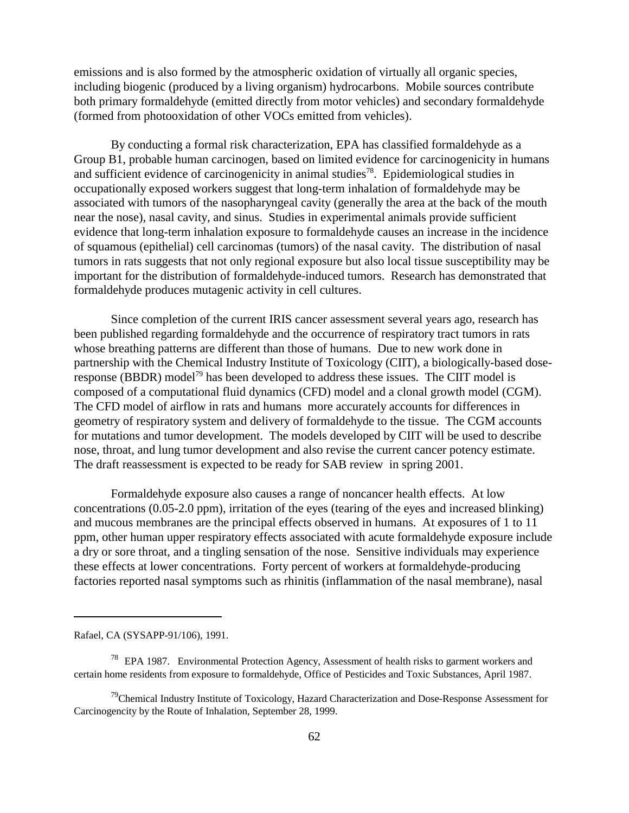emissions and is also formed by the atmospheric oxidation of virtually all organic species, including biogenic (produced by a living organism) hydrocarbons. Mobile sources contribute both primary formaldehyde (emitted directly from motor vehicles) and secondary formaldehyde (formed from photooxidation of other VOCs emitted from vehicles).

By conducting a formal risk characterization, EPA has classified formaldehyde as a Group B1, probable human carcinogen, based on limited evidence for carcinogenicity in humans and sufficient evidence of carcinogenicity in animal studies<sup>78</sup>. Epidemiological studies in occupationally exposed workers suggest that long-term inhalation of formaldehyde may be associated with tumors of the nasopharyngeal cavity (generally the area at the back of the mouth near the nose), nasal cavity, and sinus. Studies in experimental animals provide sufficient evidence that long-term inhalation exposure to formaldehyde causes an increase in the incidence of squamous (epithelial) cell carcinomas (tumors) of the nasal cavity. The distribution of nasal tumors in rats suggests that not only regional exposure but also local tissue susceptibility may be important for the distribution of formaldehyde-induced tumors. Research has demonstrated that formaldehyde produces mutagenic activity in cell cultures.

Since completion of the current IRIS cancer assessment several years ago, research has been published regarding formaldehyde and the occurrence of respiratory tract tumors in rats whose breathing patterns are different than those of humans. Due to new work done in partnership with the Chemical Industry Institute of Toxicology (CIIT), a biologically-based doseresponse (BBDR) model<sup>79</sup> has been developed to address these issues. The CIIT model is composed of a computational fluid dynamics (CFD) model and a clonal growth model (CGM). The CFD model of airflow in rats and humans more accurately accounts for differences in geometry of respiratory system and delivery of formaldehyde to the tissue. The CGM accounts for mutations and tumor development. The models developed by CIIT will be used to describe nose, throat, and lung tumor development and also revise the current cancer potency estimate. The draft reassessment is expected to be ready for SAB review in spring 2001.

Formaldehyde exposure also causes a range of noncancer health effects. At low concentrations (0.05-2.0 ppm), irritation of the eyes (tearing of the eyes and increased blinking) and mucous membranes are the principal effects observed in humans. At exposures of 1 to 11 ppm, other human upper respiratory effects associated with acute formaldehyde exposure include a dry or sore throat, and a tingling sensation of the nose. Sensitive individuals may experience these effects at lower concentrations. Forty percent of workers at formaldehyde-producing factories reported nasal symptoms such as rhinitis (inflammation of the nasal membrane), nasal

Rafael, CA (SYSAPP-91/106), 1991.

<sup>78</sup> EPA 1987. Environmental Protection Agency, Assessment of health risks to garment workers and certain home residents from exposure to formaldehyde, Office of Pesticides and Toxic Substances, April 1987.

<sup>&</sup>lt;sup>79</sup>Chemical Industry Institute of Toxicology, Hazard Characterization and Dose-Response Assessment for Carcinogencity by the Route of Inhalation, September 28, 1999.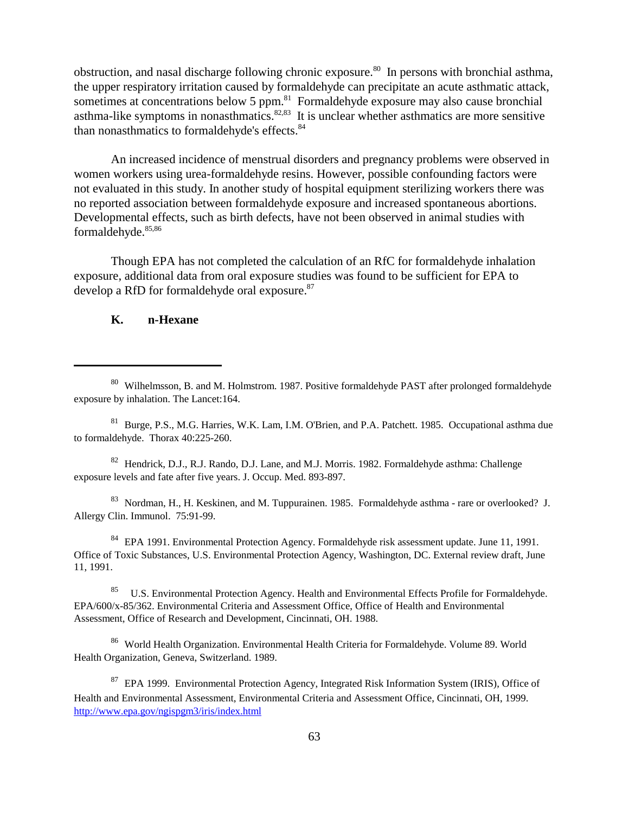obstruction, and nasal discharge following chronic exposure.<sup>80</sup> In persons with bronchial asthma, the upper respiratory irritation caused by formaldehyde can precipitate an acute asthmatic attack, sometimes at concentrations below 5 ppm.<sup>81</sup> Formaldehyde exposure may also cause bronchial asthma-like symptoms in nonasthmatics. $82,83$  It is unclear whether asthmatics are more sensitive than nonasthmatics to formaldehyde's effects.<sup>84</sup>

An increased incidence of menstrual disorders and pregnancy problems were observed in women workers using urea-formaldehyde resins. However, possible confounding factors were not evaluated in this study. In another study of hospital equipment sterilizing workers there was no reported association between formaldehyde exposure and increased spontaneous abortions. Developmental effects, such as birth defects, have not been observed in animal studies with formaldehyde.<sup>85,86</sup>

Though EPA has not completed the calculation of an RfC for formaldehyde inhalation exposure, additional data from oral exposure studies was found to be sufficient for EPA to develop a RfD for formaldehyde oral exposure.<sup>87</sup>

## **K. n-Hexane**

<sup>82</sup> Hendrick, D.J., R.J. Rando, D.J. Lane, and M.J. Morris. 1982. Formaldehyde asthma: Challenge exposure levels and fate after five years. J. Occup. Med. 893-897.

83 Nordman, H., H. Keskinen, and M. Tuppurainen. 1985. Formaldehyde asthma - rare or overlooked? J. Allergy Clin. Immunol. 75:91-99.

<sup>84</sup> EPA 1991. Environmental Protection Agency. Formaldehyde risk assessment update. June 11, 1991. Office of Toxic Substances, U.S. Environmental Protection Agency, Washington, DC. External review draft, June 11, 1991.

<sup>85</sup> U.S. Environmental Protection Agency. Health and Environmental Effects Profile for Formaldehyde. EPA/600/x-85/362. Environmental Criteria and Assessment Office, Office of Health and Environmental Assessment, Office of Research and Development, Cincinnati, OH. 1988.

86 World Health Organization. Environmental Health Criteria for Formaldehyde. Volume 89. World Health Organization, Geneva, Switzerland. 1989.

<sup>80</sup> Wilhelmsson, B. and M. Holmstrom. 1987. Positive formaldehyde PAST after prolonged formaldehyde exposure by inhalation. The Lancet:164.

<sup>&</sup>lt;sup>81</sup> Burge, P.S., M.G. Harries, W.K. Lam, I.M. O'Brien, and P.A. Patchett. 1985. Occupational asthma due to formaldehyde. Thorax 40:225-260.

<sup>&</sup>lt;sup>87</sup> EPA 1999. Environmental Protection Agency, Integrated Risk Information System (IRIS), Office of Health and Environmental Assessment, Environmental Criteria and Assessment Office, Cincinnati, OH, 1999. http://www.epa.gov/ngispgm3/iris/index.html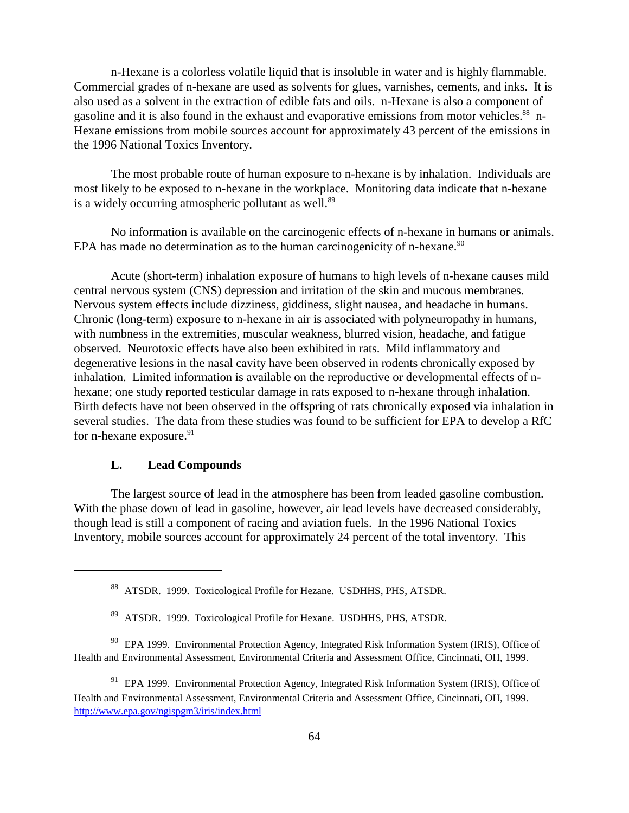n-Hexane is a colorless volatile liquid that is insoluble in water and is highly flammable. Commercial grades of n-hexane are used as solvents for glues, varnishes, cements, and inks. It is also used as a solvent in the extraction of edible fats and oils. n-Hexane is also a component of gasoline and it is also found in the exhaust and evaporative emissions from motor vehicles.<sup>88</sup> n-Hexane emissions from mobile sources account for approximately 43 percent of the emissions in the 1996 National Toxics Inventory.

The most probable route of human exposure to n-hexane is by inhalation. Individuals are most likely to be exposed to n-hexane in the workplace. Monitoring data indicate that n-hexane is a widely occurring atmospheric pollutant as well.<sup>89</sup>

No information is available on the carcinogenic effects of n-hexane in humans or animals. EPA has made no determination as to the human carcinogenicity of n-hexane. $90$ 

Acute (short-term) inhalation exposure of humans to high levels of n-hexane causes mild central nervous system (CNS) depression and irritation of the skin and mucous membranes. Nervous system effects include dizziness, giddiness, slight nausea, and headache in humans. Chronic (long-term) exposure to n-hexane in air is associated with polyneuropathy in humans, with numbness in the extremities, muscular weakness, blurred vision, headache, and fatigue observed. Neurotoxic effects have also been exhibited in rats. Mild inflammatory and degenerative lesions in the nasal cavity have been observed in rodents chronically exposed by inhalation. Limited information is available on the reproductive or developmental effects of nhexane; one study reported testicular damage in rats exposed to n-hexane through inhalation. Birth defects have not been observed in the offspring of rats chronically exposed via inhalation in several studies. The data from these studies was found to be sufficient for EPA to develop a RfC for n-hexane exposure.<sup>91</sup>

# **L. Lead Compounds**

The largest source of lead in the atmosphere has been from leaded gasoline combustion. With the phase down of lead in gasoline, however, air lead levels have decreased considerably, though lead is still a component of racing and aviation fuels. In the 1996 National Toxics Inventory, mobile sources account for approximately 24 percent of the total inventory. This

<sup>88</sup> ATSDR. 1999. Toxicological Profile for Hezane. USDHHS, PHS, ATSDR.

<sup>89</sup> ATSDR. 1999. Toxicological Profile for Hexane. USDHHS, PHS, ATSDR.

<sup>&</sup>lt;sup>90</sup> EPA 1999. Environmental Protection Agency, Integrated Risk Information System (IRIS), Office of Health and Environmental Assessment, Environmental Criteria and Assessment Office, Cincinnati, OH, 1999.

<sup>&</sup>lt;sup>91</sup> EPA 1999. Environmental Protection Agency, Integrated Risk Information System (IRIS), Office of Health and Environmental Assessment, Environmental Criteria and Assessment Office, Cincinnati, OH, 1999. http://www.epa.gov/ngispgm3/iris/index.html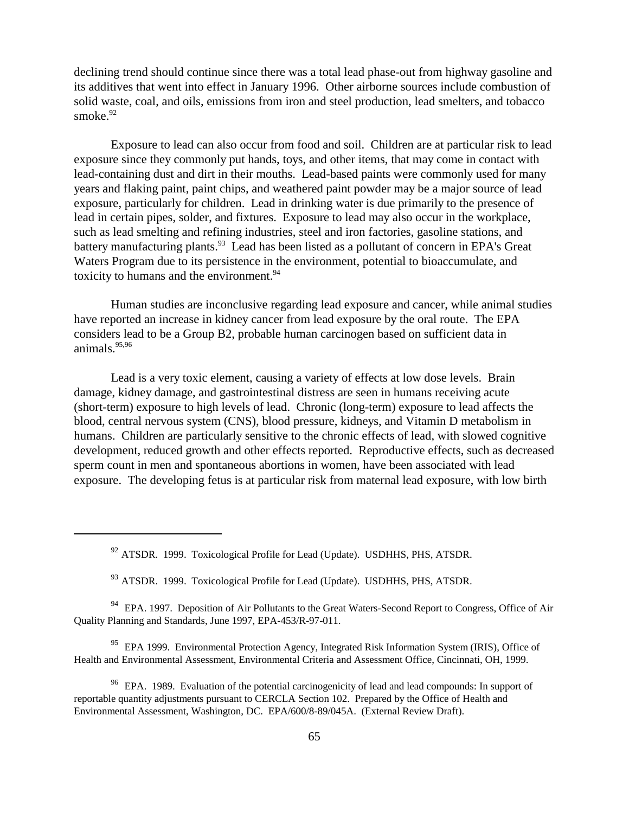declining trend should continue since there was a total lead phase-out from highway gasoline and its additives that went into effect in January 1996. Other airborne sources include combustion of solid waste, coal, and oils, emissions from iron and steel production, lead smelters, and tobacco smoke.<sup>92</sup>

Exposure to lead can also occur from food and soil. Children are at particular risk to lead exposure since they commonly put hands, toys, and other items, that may come in contact with lead-containing dust and dirt in their mouths. Lead-based paints were commonly used for many years and flaking paint, paint chips, and weathered paint powder may be a major source of lead exposure, particularly for children. Lead in drinking water is due primarily to the presence of lead in certain pipes, solder, and fixtures. Exposure to lead may also occur in the workplace, such as lead smelting and refining industries, steel and iron factories, gasoline stations, and battery manufacturing plants.<sup>93</sup> Lead has been listed as a pollutant of concern in EPA's Great Waters Program due to its persistence in the environment, potential to bioaccumulate, and toxicity to humans and the environment.<sup>94</sup>

Human studies are inconclusive regarding lead exposure and cancer, while animal studies have reported an increase in kidney cancer from lead exposure by the oral route. The EPA considers lead to be a Group B2, probable human carcinogen based on sufficient data in animals. $95,96$ 

Lead is a very toxic element, causing a variety of effects at low dose levels. Brain damage, kidney damage, and gastrointestinal distress are seen in humans receiving acute (short-term) exposure to high levels of lead. Chronic (long-term) exposure to lead affects the blood, central nervous system (CNS), blood pressure, kidneys, and Vitamin D metabolism in humans. Children are particularly sensitive to the chronic effects of lead, with slowed cognitive development, reduced growth and other effects reported. Reproductive effects, such as decreased sperm count in men and spontaneous abortions in women, have been associated with lead exposure. The developing fetus is at particular risk from maternal lead exposure, with low birth

 $92$  ATSDR. 1999. Toxicological Profile for Lead (Update). USDHHS, PHS, ATSDR.

<sup>93</sup> ATSDR. 1999. Toxicological Profile for Lead (Update). USDHHS, PHS, ATSDR.

<sup>94</sup> EPA. 1997. Deposition of Air Pollutants to the Great Waters-Second Report to Congress, Office of Air Quality Planning and Standards, June 1997, EPA-453/R-97-011.

<sup>95</sup> EPA 1999. Environmental Protection Agency, Integrated Risk Information System (IRIS), Office of Health and Environmental Assessment, Environmental Criteria and Assessment Office, Cincinnati, OH, 1999.

<sup>96</sup> EPA. 1989. Evaluation of the potential carcinogenicity of lead and lead compounds: In support of reportable quantity adjustments pursuant to CERCLA Section 102. Prepared by the Office of Health and Environmental Assessment, Washington, DC. EPA/600/8-89/045A. (External Review Draft).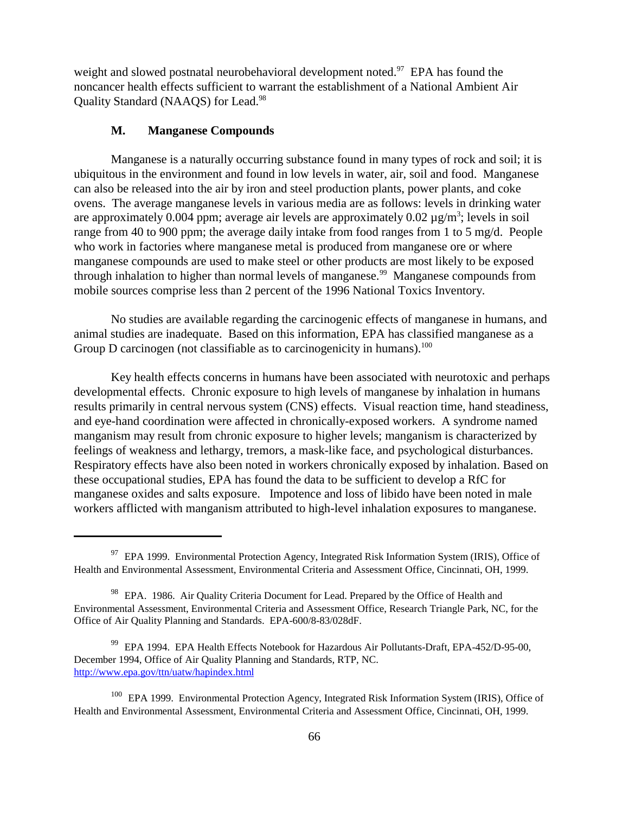weight and slowed postnatal neurobehavioral development noted.<sup>97</sup> EPA has found the noncancer health effects sufficient to warrant the establishment of a National Ambient Air Quality Standard (NAAQS) for Lead.98

## **M. Manganese Compounds**

Manganese is a naturally occurring substance found in many types of rock and soil; it is ubiquitous in the environment and found in low levels in water, air, soil and food. Manganese can also be released into the air by iron and steel production plants, power plants, and coke ovens. The average manganese levels in various media are as follows: levels in drinking water are approximately 0.004 ppm; average air levels are approximately 0.02  $\mu$ g/m<sup>3</sup>; levels in soil range from 40 to 900 ppm; the average daily intake from food ranges from 1 to 5 mg/d. People who work in factories where manganese metal is produced from manganese ore or where manganese compounds are used to make steel or other products are most likely to be exposed through inhalation to higher than normal levels of manganese.<sup>99</sup> Manganese compounds from mobile sources comprise less than 2 percent of the 1996 National Toxics Inventory.

No studies are available regarding the carcinogenic effects of manganese in humans, and animal studies are inadequate. Based on this information, EPA has classified manganese as a Group D carcinogen (not classifiable as to carcinogenicity in humans).<sup>100</sup>

Key health effects concerns in humans have been associated with neurotoxic and perhaps developmental effects. Chronic exposure to high levels of manganese by inhalation in humans results primarily in central nervous system (CNS) effects. Visual reaction time, hand steadiness, and eye-hand coordination were affected in chronically-exposed workers. A syndrome named manganism may result from chronic exposure to higher levels; manganism is characterized by feelings of weakness and lethargy, tremors, a mask-like face, and psychological disturbances. Respiratory effects have also been noted in workers chronically exposed by inhalation. Based on these occupational studies, EPA has found the data to be sufficient to develop a RfC for manganese oxides and salts exposure. Impotence and loss of libido have been noted in male workers afflicted with manganism attributed to high-level inhalation exposures to manganese.

<sup>&</sup>lt;sup>97</sup> EPA 1999. Environmental Protection Agency, Integrated Risk Information System (IRIS), Office of Health and Environmental Assessment, Environmental Criteria and Assessment Office, Cincinnati, OH, 1999.

<sup>&</sup>lt;sup>98</sup> EPA. 1986. Air Quality Criteria Document for Lead. Prepared by the Office of Health and Environmental Assessment, Environmental Criteria and Assessment Office, Research Triangle Park, NC, for the Office of Air Quality Planning and Standards. EPA-600/8-83/028dF.

<sup>99</sup> EPA 1994. EPA Health Effects Notebook for Hazardous Air Pollutants-Draft, EPA-452/D-95-00, December 1994, Office of Air Quality Planning and Standards, RTP, NC. http://www.epa.gov/ttn/uatw/hapindex.html

<sup>&</sup>lt;sup>100</sup> EPA 1999. Environmental Protection Agency, Integrated Risk Information System (IRIS), Office of Health and Environmental Assessment, Environmental Criteria and Assessment Office, Cincinnati, OH, 1999.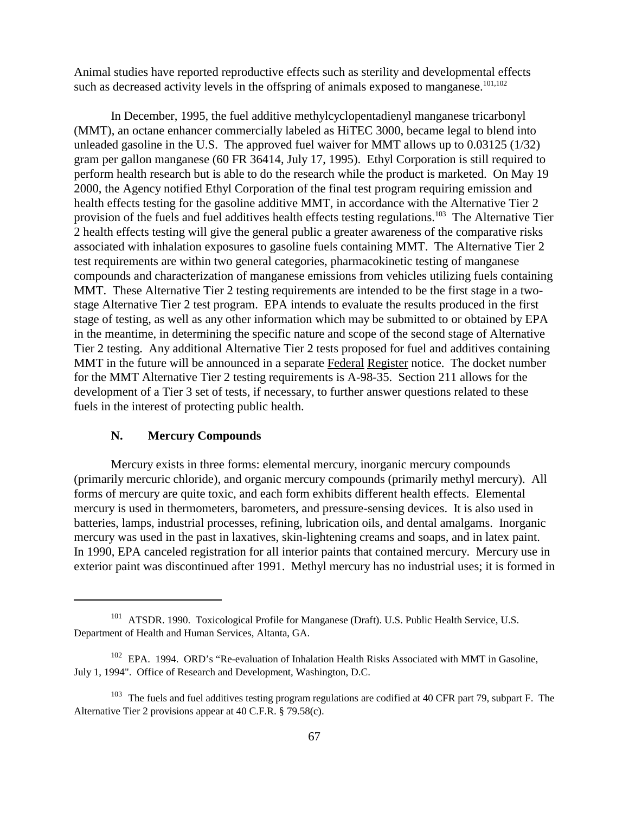Animal studies have reported reproductive effects such as sterility and developmental effects such as decreased activity levels in the offspring of animals exposed to manganese.<sup>101,102</sup>

In December, 1995, the fuel additive methylcyclopentadienyl manganese tricarbonyl (MMT), an octane enhancer commercially labeled as HiTEC 3000, became legal to blend into unleaded gasoline in the U.S. The approved fuel waiver for MMT allows up to 0.03125 (1/32) gram per gallon manganese (60 FR 36414, July 17, 1995). Ethyl Corporation is still required to perform health research but is able to do the research while the product is marketed. On May 19 2000, the Agency notified Ethyl Corporation of the final test program requiring emission and health effects testing for the gasoline additive MMT, in accordance with the Alternative Tier 2 provision of the fuels and fuel additives health effects testing regulations.<sup>103</sup> The Alternative Tier 2 health effects testing will give the general public a greater awareness of the comparative risks associated with inhalation exposures to gasoline fuels containing MMT. The Alternative Tier 2 test requirements are within two general categories, pharmacokinetic testing of manganese compounds and characterization of manganese emissions from vehicles utilizing fuels containing MMT. These Alternative Tier 2 testing requirements are intended to be the first stage in a twostage Alternative Tier 2 test program. EPA intends to evaluate the results produced in the first stage of testing, as well as any other information which may be submitted to or obtained by EPA in the meantime, in determining the specific nature and scope of the second stage of Alternative Tier 2 testing. Any additional Alternative Tier 2 tests proposed for fuel and additives containing MMT in the future will be announced in a separate Federal Register notice. The docket number for the MMT Alternative Tier 2 testing requirements is A-98-35. Section 211 allows for the development of a Tier 3 set of tests, if necessary, to further answer questions related to these fuels in the interest of protecting public health.

# **N. Mercury Compounds**

Mercury exists in three forms: elemental mercury, inorganic mercury compounds (primarily mercuric chloride), and organic mercury compounds (primarily methyl mercury). All forms of mercury are quite toxic, and each form exhibits different health effects. Elemental mercury is used in thermometers, barometers, and pressure-sensing devices. It is also used in batteries, lamps, industrial processes, refining, lubrication oils, and dental amalgams. Inorganic mercury was used in the past in laxatives, skin-lightening creams and soaps, and in latex paint. In 1990, EPA canceled registration for all interior paints that contained mercury. Mercury use in exterior paint was discontinued after 1991. Methyl mercury has no industrial uses; it is formed in

<sup>&</sup>lt;sup>101</sup> ATSDR. 1990. Toxicological Profile for Manganese (Draft). U.S. Public Health Service, U.S. Department of Health and Human Services, Altanta, GA.

<sup>&</sup>lt;sup>102</sup> EPA. 1994. ORD's "Re-evaluation of Inhalation Health Risks Associated with MMT in Gasoline, July 1, 1994". Office of Research and Development, Washington, D.C.

<sup>&</sup>lt;sup>103</sup> The fuels and fuel additives testing program regulations are codified at 40 CFR part 79, subpart F. The Alternative Tier 2 provisions appear at 40 C.F.R. § 79.58(c).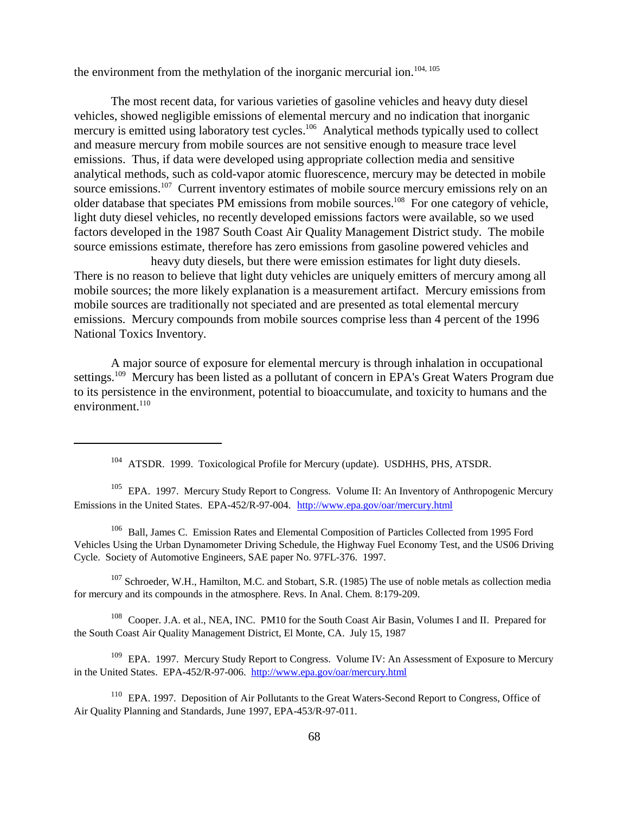the environment from the methylation of the inorganic mercurial ion.<sup>104, 105</sup>

The most recent data, for various varieties of gasoline vehicles and heavy duty diesel vehicles, showed negligible emissions of elemental mercury and no indication that inorganic mercury is emitted using laboratory test cycles.<sup>106</sup> Analytical methods typically used to collect and measure mercury from mobile sources are not sensitive enough to measure trace level emissions. Thus, if data were developed using appropriate collection media and sensitive analytical methods, such as cold-vapor atomic fluorescence, mercury may be detected in mobile source emissions.<sup>107</sup> Current inventory estimates of mobile source mercury emissions rely on an older database that speciates PM emissions from mobile sources.<sup>108</sup> For one category of vehicle, light duty diesel vehicles, no recently developed emissions factors were available, so we used factors developed in the 1987 South Coast Air Quality Management District study. The mobile source emissions estimate, therefore has zero emissions from gasoline powered vehicles and

 heavy duty diesels, but there were emission estimates for light duty diesels. There is no reason to believe that light duty vehicles are uniquely emitters of mercury among all mobile sources; the more likely explanation is a measurement artifact. Mercury emissions from mobile sources are traditionally not speciated and are presented as total elemental mercury emissions. Mercury compounds from mobile sources comprise less than 4 percent of the 1996 National Toxics Inventory.

A major source of exposure for elemental mercury is through inhalation in occupational settings.<sup>109</sup> Mercury has been listed as a pollutant of concern in EPA's Great Waters Program due to its persistence in the environment, potential to bioaccumulate, and toxicity to humans and the environment. $110$ 

<sup>105</sup> EPA. 1997. Mercury Study Report to Congress. Volume II: An Inventory of Anthropogenic Mercury Emissions in the United States. EPA-452/R-97-004. http://www.epa.gov/oar/mercury.html

106 Ball, James C. Emission Rates and Elemental Composition of Particles Collected from 1995 Ford Vehicles Using the Urban Dynamometer Driving Schedule, the Highway Fuel Economy Test, and the US06 Driving Cycle. Society of Automotive Engineers, SAE paper No. 97FL-376. 1997.

<sup>107</sup> Schroeder, W.H., Hamilton, M.C. and Stobart, S.R. (1985) The use of noble metals as collection media for mercury and its compounds in the atmosphere. Revs. In Anal. Chem. 8:179-209.

<sup>108</sup> Cooper. J.A. et al., NEA, INC. PM10 for the South Coast Air Basin, Volumes I and II. Prepared for the South Coast Air Quality Management District, El Monte, CA. July 15, 1987

<sup>109</sup> EPA. 1997. Mercury Study Report to Congress. Volume IV: An Assessment of Exposure to Mercury in the United States. EPA-452/R-97-006. http://www.epa.gov/oar/mercury.html

<sup>110</sup> EPA. 1997. Deposition of Air Pollutants to the Great Waters-Second Report to Congress, Office of Air Quality Planning and Standards, June 1997, EPA-453/R-97-011.

<sup>&</sup>lt;sup>104</sup> ATSDR. 1999. Toxicological Profile for Mercury (update). USDHHS, PHS, ATSDR.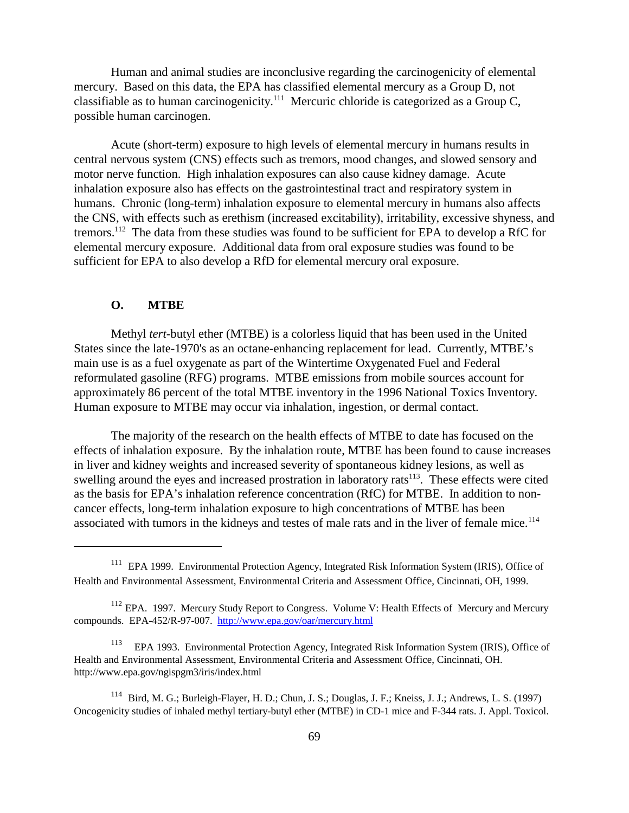Human and animal studies are inconclusive regarding the carcinogenicity of elemental mercury. Based on this data, the EPA has classified elemental mercury as a Group D, not classifiable as to human carcinogenicity.111 Mercuric chloride is categorized as a Group C, possible human carcinogen.

Acute (short-term) exposure to high levels of elemental mercury in humans results in central nervous system (CNS) effects such as tremors, mood changes, and slowed sensory and motor nerve function. High inhalation exposures can also cause kidney damage. Acute inhalation exposure also has effects on the gastrointestinal tract and respiratory system in humans. Chronic (long-term) inhalation exposure to elemental mercury in humans also affects the CNS, with effects such as erethism (increased excitability), irritability, excessive shyness, and tremors.<sup>112</sup> The data from these studies was found to be sufficient for EPA to develop a RfC for elemental mercury exposure. Additional data from oral exposure studies was found to be sufficient for EPA to also develop a RfD for elemental mercury oral exposure.

# **O. MTBE**

Methyl *tert*-butyl ether (MTBE) is a colorless liquid that has been used in the United States since the late-1970's as an octane-enhancing replacement for lead. Currently, MTBE's main use is as a fuel oxygenate as part of the Wintertime Oxygenated Fuel and Federal reformulated gasoline (RFG) programs. MTBE emissions from mobile sources account for approximately 86 percent of the total MTBE inventory in the 1996 National Toxics Inventory. Human exposure to MTBE may occur via inhalation, ingestion, or dermal contact.

The majority of the research on the health effects of MTBE to date has focused on the effects of inhalation exposure. By the inhalation route, MTBE has been found to cause increases in liver and kidney weights and increased severity of spontaneous kidney lesions, as well as swelling around the eyes and increased prostration in laboratory rats<sup>113</sup>. These effects were cited as the basis for EPA's inhalation reference concentration (RfC) for MTBE. In addition to noncancer effects, long-term inhalation exposure to high concentrations of MTBE has been associated with tumors in the kidneys and testes of male rats and in the liver of female mice.<sup>114</sup>

<sup>&</sup>lt;sup>111</sup> EPA 1999. Environmental Protection Agency, Integrated Risk Information System (IRIS), Office of Health and Environmental Assessment, Environmental Criteria and Assessment Office, Cincinnati, OH, 1999.

<sup>&</sup>lt;sup>112</sup> EPA. 1997. Mercury Study Report to Congress. Volume V: Health Effects of Mercury and Mercury compounds. EPA-452/R-97-007. http://www.epa.gov/oar/mercury.html

<sup>113</sup> EPA 1993. Environmental Protection Agency, Integrated Risk Information System (IRIS), Office of Health and Environmental Assessment, Environmental Criteria and Assessment Office, Cincinnati, OH. http://www.epa.gov/ngispgm3/iris/index.html

<sup>114</sup> Bird, M. G.; Burleigh-Flayer, H. D.; Chun, J. S.; Douglas, J. F.; Kneiss, J. J.; Andrews, L. S. (1997) Oncogenicity studies of inhaled methyl tertiary-butyl ether (MTBE) in CD-1 mice and F-344 rats. J. Appl. Toxicol.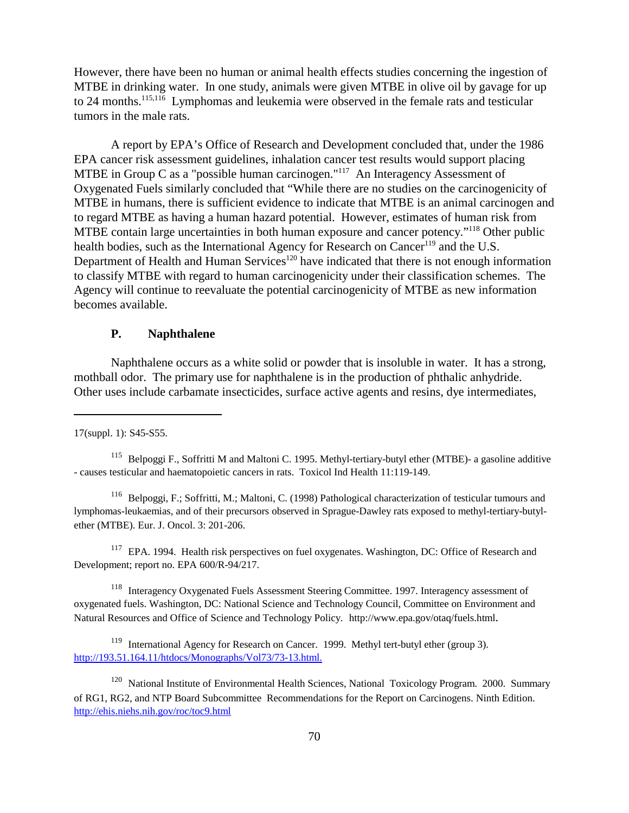However, there have been no human or animal health effects studies concerning the ingestion of MTBE in drinking water. In one study, animals were given MTBE in olive oil by gavage for up to 24 months.<sup>115,116</sup> Lymphomas and leukemia were observed in the female rats and testicular tumors in the male rats.

A report by EPA's Office of Research and Development concluded that, under the 1986 EPA cancer risk assessment guidelines, inhalation cancer test results would support placing MTBE in Group C as a "possible human carcinogen."<sup>117</sup> An Interagency Assessment of Oxygenated Fuels similarly concluded that "While there are no studies on the carcinogenicity of MTBE in humans, there is sufficient evidence to indicate that MTBE is an animal carcinogen and to regard MTBE as having a human hazard potential. However, estimates of human risk from MTBE contain large uncertainties in both human exposure and cancer potency."<sup>118</sup> Other public health bodies, such as the International Agency for Research on Cancer<sup>119</sup> and the U.S. Department of Health and Human Services<sup>120</sup> have indicated that there is not enough information to classify MTBE with regard to human carcinogenicity under their classification schemes. The Agency will continue to reevaluate the potential carcinogenicity of MTBE as new information becomes available.

# **P. Naphthalene**

Naphthalene occurs as a white solid or powder that is insoluble in water. It has a strong, mothball odor. The primary use for naphthalene is in the production of phthalic anhydride. Other uses include carbamate insecticides, surface active agents and resins, dye intermediates,

116 Belpoggi, F.; Soffritti, M.; Maltoni, C. (1998) Pathological characterization of testicular tumours and lymphomas-leukaemias, and of their precursors observed in Sprague-Dawley rats exposed to methyl-tertiary-butylether (MTBE). Eur. J. Oncol. 3: 201-206.

<sup>117</sup> EPA. 1994. Health risk perspectives on fuel oxygenates. Washington, DC: Office of Research and Development; report no. EPA 600/R-94/217.

118 Interagency Oxygenated Fuels Assessment Steering Committee. 1997. Interagency assessment of oxygenated fuels. Washington, DC: National Science and Technology Council, Committee on Environment and Natural Resources and Office of Science and Technology Policy. http://www.epa.gov/otaq/fuels.html.

<sup>119</sup> International Agency for Research on Cancer. 1999. Methyl tert-butyl ether (group 3). http://193.51.164.11/htdocs/Monographs/Vol73/73-13.html.

<sup>120</sup> National Institute of Environmental Health Sciences, National Toxicology Program. 2000. Summary of RG1, RG2, and NTP Board Subcommittee Recommendations for the Report on Carcinogens. Ninth Edition. http://ehis.niehs.nih.gov/roc/toc9.html

<sup>17(</sup>suppl. 1): S45-S55.

<sup>&</sup>lt;sup>115</sup> Belpoggi F., Soffritti M and Maltoni C. 1995. Methyl-tertiary-butyl ether (MTBE)- a gasoline additive - causes testicular and haematopoietic cancers in rats. Toxicol Ind Health 11:119-149.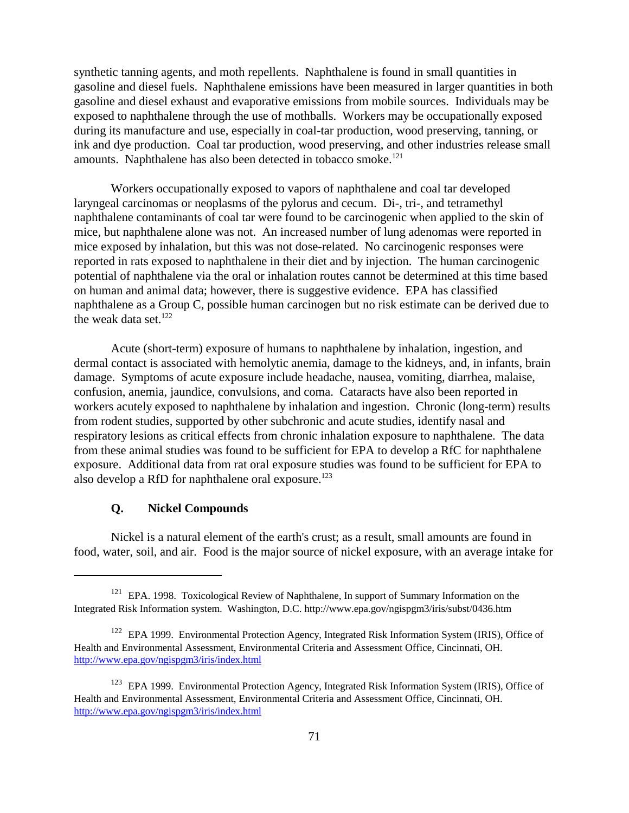synthetic tanning agents, and moth repellents. Naphthalene is found in small quantities in gasoline and diesel fuels. Naphthalene emissions have been measured in larger quantities in both gasoline and diesel exhaust and evaporative emissions from mobile sources. Individuals may be exposed to naphthalene through the use of mothballs. Workers may be occupationally exposed during its manufacture and use, especially in coal-tar production, wood preserving, tanning, or ink and dye production. Coal tar production, wood preserving, and other industries release small amounts. Naphthalene has also been detected in tobacco smoke.<sup>121</sup>

Workers occupationally exposed to vapors of naphthalene and coal tar developed laryngeal carcinomas or neoplasms of the pylorus and cecum. Di-, tri-, and tetramethyl naphthalene contaminants of coal tar were found to be carcinogenic when applied to the skin of mice, but naphthalene alone was not. An increased number of lung adenomas were reported in mice exposed by inhalation, but this was not dose-related. No carcinogenic responses were reported in rats exposed to naphthalene in their diet and by injection. The human carcinogenic potential of naphthalene via the oral or inhalation routes cannot be determined at this time based on human and animal data; however, there is suggestive evidence. EPA has classified naphthalene as a Group C, possible human carcinogen but no risk estimate can be derived due to the weak data set. $122$ 

Acute (short-term) exposure of humans to naphthalene by inhalation, ingestion, and dermal contact is associated with hemolytic anemia, damage to the kidneys, and, in infants, brain damage. Symptoms of acute exposure include headache, nausea, vomiting, diarrhea, malaise, confusion, anemia, jaundice, convulsions, and coma. Cataracts have also been reported in workers acutely exposed to naphthalene by inhalation and ingestion. Chronic (long-term) results from rodent studies, supported by other subchronic and acute studies, identify nasal and respiratory lesions as critical effects from chronic inhalation exposure to naphthalene. The data from these animal studies was found to be sufficient for EPA to develop a RfC for naphthalene exposure. Additional data from rat oral exposure studies was found to be sufficient for EPA to also develop a RfD for naphthalene oral exposure.<sup>123</sup>

# **Q. Nickel Compounds**

Nickel is a natural element of the earth's crust; as a result, small amounts are found in food, water, soil, and air. Food is the major source of nickel exposure, with an average intake for

 $121$  EPA. 1998. Toxicological Review of Naphthalene, In support of Summary Information on the Integrated Risk Information system. Washington, D.C. http://www.epa.gov/ngispgm3/iris/subst/0436.htm

<sup>&</sup>lt;sup>122</sup> EPA 1999. Environmental Protection Agency, Integrated Risk Information System (IRIS), Office of Health and Environmental Assessment, Environmental Criteria and Assessment Office, Cincinnati, OH. http://www.epa.gov/ngispgm3/iris/index.html

<sup>&</sup>lt;sup>123</sup> EPA 1999. Environmental Protection Agency, Integrated Risk Information System (IRIS), Office of Health and Environmental Assessment, Environmental Criteria and Assessment Office, Cincinnati, OH. http://www.epa.gov/ngispgm3/iris/index.html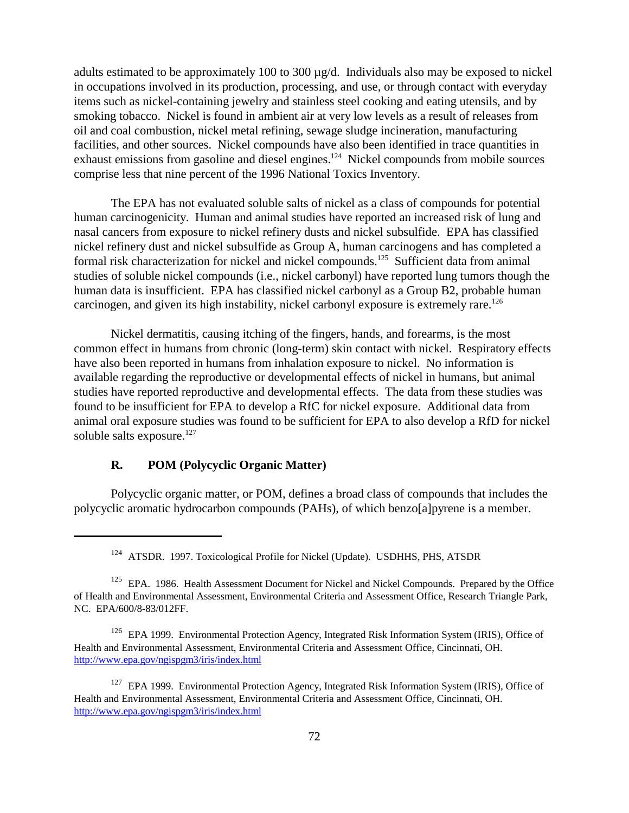adults estimated to be approximately 100 to 300  $\mu$ g/d. Individuals also may be exposed to nickel in occupations involved in its production, processing, and use, or through contact with everyday items such as nickel-containing jewelry and stainless steel cooking and eating utensils, and by smoking tobacco. Nickel is found in ambient air at very low levels as a result of releases from oil and coal combustion, nickel metal refining, sewage sludge incineration, manufacturing facilities, and other sources. Nickel compounds have also been identified in trace quantities in exhaust emissions from gasoline and diesel engines.<sup>124</sup> Nickel compounds from mobile sources comprise less that nine percent of the 1996 National Toxics Inventory.

The EPA has not evaluated soluble salts of nickel as a class of compounds for potential human carcinogenicity. Human and animal studies have reported an increased risk of lung and nasal cancers from exposure to nickel refinery dusts and nickel subsulfide. EPA has classified nickel refinery dust and nickel subsulfide as Group A, human carcinogens and has completed a formal risk characterization for nickel and nickel compounds.<sup>125</sup> Sufficient data from animal studies of soluble nickel compounds (i.e., nickel carbonyl) have reported lung tumors though the human data is insufficient. EPA has classified nickel carbonyl as a Group B2, probable human carcinogen, and given its high instability, nickel carbonyl exposure is extremely rare.<sup>126</sup>

Nickel dermatitis, causing itching of the fingers, hands, and forearms, is the most common effect in humans from chronic (long-term) skin contact with nickel. Respiratory effects have also been reported in humans from inhalation exposure to nickel. No information is available regarding the reproductive or developmental effects of nickel in humans, but animal studies have reported reproductive and developmental effects. The data from these studies was found to be insufficient for EPA to develop a RfC for nickel exposure. Additional data from animal oral exposure studies was found to be sufficient for EPA to also develop a RfD for nickel soluble salts exposure.<sup>127</sup>

## **R. POM (Polycyclic Organic Matter)**

Polycyclic organic matter, or POM, defines a broad class of compounds that includes the polycyclic aromatic hydrocarbon compounds (PAHs), of which benzo[a]pyrene is a member.

<sup>&</sup>lt;sup>124</sup> ATSDR. 1997. Toxicological Profile for Nickel (Update). USDHHS, PHS, ATSDR

<sup>&</sup>lt;sup>125</sup> EPA. 1986. Health Assessment Document for Nickel and Nickel Compounds. Prepared by the Office of Health and Environmental Assessment, Environmental Criteria and Assessment Office, Research Triangle Park, NC. EPA/600/8-83/012FF.

<sup>&</sup>lt;sup>126</sup> EPA 1999. Environmental Protection Agency, Integrated Risk Information System (IRIS), Office of Health and Environmental Assessment, Environmental Criteria and Assessment Office, Cincinnati, OH. http://www.epa.gov/ngispgm3/iris/index.html

<sup>&</sup>lt;sup>127</sup> EPA 1999. Environmental Protection Agency, Integrated Risk Information System (IRIS), Office of Health and Environmental Assessment, Environmental Criteria and Assessment Office, Cincinnati, OH. http://www.epa.gov/ngispgm3/iris/index.html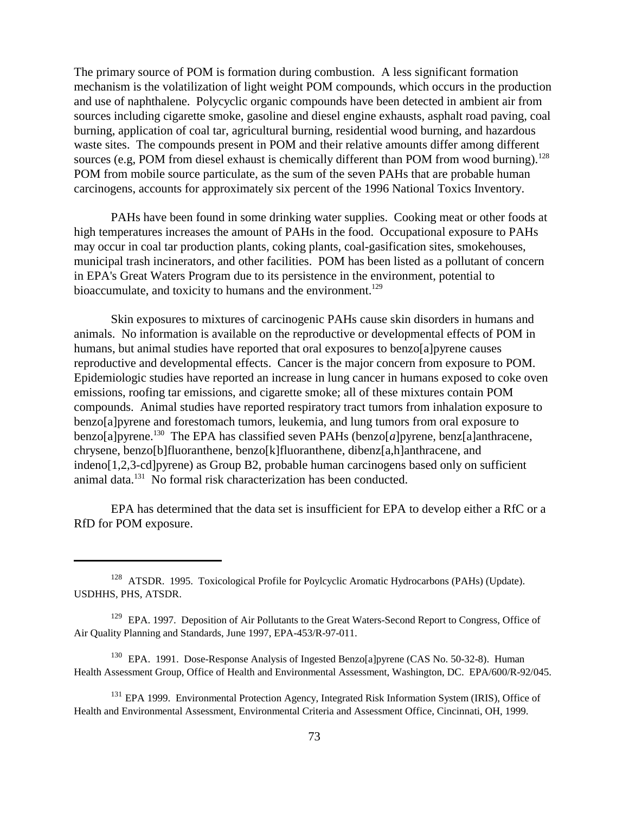The primary source of POM is formation during combustion. A less significant formation mechanism is the volatilization of light weight POM compounds, which occurs in the production and use of naphthalene. Polycyclic organic compounds have been detected in ambient air from sources including cigarette smoke, gasoline and diesel engine exhausts, asphalt road paving, coal burning, application of coal tar, agricultural burning, residential wood burning, and hazardous waste sites. The compounds present in POM and their relative amounts differ among different sources (e.g, POM from diesel exhaust is chemically different than POM from wood burning).<sup>128</sup> POM from mobile source particulate, as the sum of the seven PAHs that are probable human carcinogens, accounts for approximately six percent of the 1996 National Toxics Inventory.

PAHs have been found in some drinking water supplies. Cooking meat or other foods at high temperatures increases the amount of PAHs in the food. Occupational exposure to PAHs may occur in coal tar production plants, coking plants, coal-gasification sites, smokehouses, municipal trash incinerators, and other facilities. POM has been listed as a pollutant of concern in EPA's Great Waters Program due to its persistence in the environment, potential to bioaccumulate, and toxicity to humans and the environment.<sup>129</sup>

Skin exposures to mixtures of carcinogenic PAHs cause skin disorders in humans and animals. No information is available on the reproductive or developmental effects of POM in humans, but animal studies have reported that oral exposures to benzo[a]pyrene causes reproductive and developmental effects. Cancer is the major concern from exposure to POM. Epidemiologic studies have reported an increase in lung cancer in humans exposed to coke oven emissions, roofing tar emissions, and cigarette smoke; all of these mixtures contain POM compounds. Animal studies have reported respiratory tract tumors from inhalation exposure to benzo[a]pyrene and forestomach tumors, leukemia, and lung tumors from oral exposure to benzo[a]pyrene.<sup>130</sup> The EPA has classified seven PAHs (benzo[a]pyrene, benz[a]anthracene, chrysene, benzo[b]fluoranthene, benzo[k]fluoranthene, dibenz[a,h]anthracene, and indeno[1,2,3-cd]pyrene) as Group B2, probable human carcinogens based only on sufficient animal data.<sup>131</sup> No formal risk characterization has been conducted.

EPA has determined that the data set is insufficient for EPA to develop either a RfC or a RfD for POM exposure.

<sup>&</sup>lt;sup>128</sup> ATSDR. 1995. Toxicological Profile for Poylcyclic Aromatic Hydrocarbons (PAHs) (Update). USDHHS, PHS, ATSDR.

<sup>&</sup>lt;sup>129</sup> EPA. 1997. Deposition of Air Pollutants to the Great Waters-Second Report to Congress, Office of Air Quality Planning and Standards, June 1997, EPA-453/R-97-011.

<sup>&</sup>lt;sup>130</sup> EPA. 1991. Dose-Response Analysis of Ingested Benzo[a]pyrene (CAS No. 50-32-8). Human Health Assessment Group, Office of Health and Environmental Assessment, Washington, DC. EPA/600/R-92/045.

<sup>&</sup>lt;sup>131</sup> EPA 1999. Environmental Protection Agency, Integrated Risk Information System (IRIS), Office of Health and Environmental Assessment, Environmental Criteria and Assessment Office, Cincinnati, OH, 1999.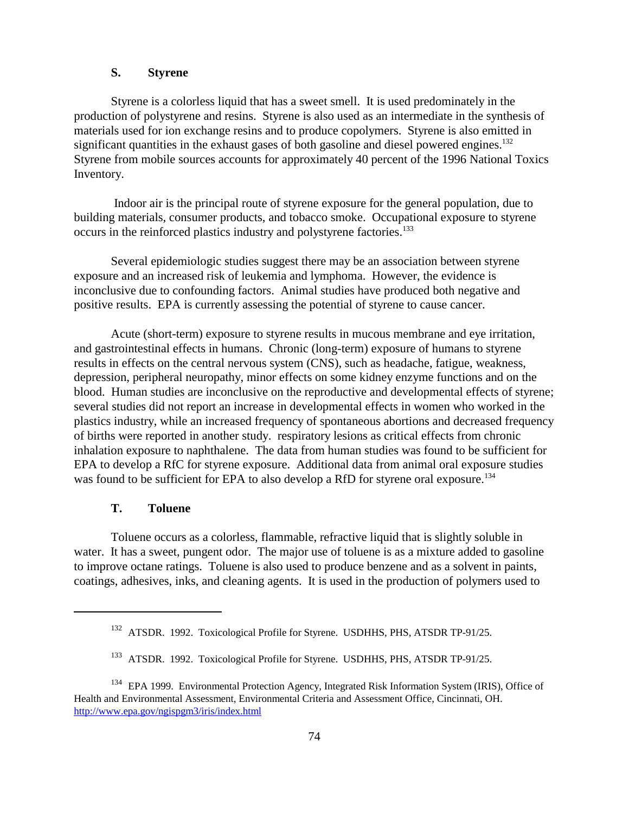## **S. Styrene**

Styrene is a colorless liquid that has a sweet smell. It is used predominately in the production of polystyrene and resins. Styrene is also used as an intermediate in the synthesis of materials used for ion exchange resins and to produce copolymers. Styrene is also emitted in significant quantities in the exhaust gases of both gasoline and diesel powered engines.<sup>132</sup> Styrene from mobile sources accounts for approximately 40 percent of the 1996 National Toxics Inventory.

 Indoor air is the principal route of styrene exposure for the general population, due to building materials, consumer products, and tobacco smoke. Occupational exposure to styrene occurs in the reinforced plastics industry and polystyrene factories.133

Several epidemiologic studies suggest there may be an association between styrene exposure and an increased risk of leukemia and lymphoma. However, the evidence is inconclusive due to confounding factors. Animal studies have produced both negative and positive results. EPA is currently assessing the potential of styrene to cause cancer.

Acute (short-term) exposure to styrene results in mucous membrane and eye irritation, and gastrointestinal effects in humans. Chronic (long-term) exposure of humans to styrene results in effects on the central nervous system (CNS), such as headache, fatigue, weakness, depression, peripheral neuropathy, minor effects on some kidney enzyme functions and on the blood. Human studies are inconclusive on the reproductive and developmental effects of styrene; several studies did not report an increase in developmental effects in women who worked in the plastics industry, while an increased frequency of spontaneous abortions and decreased frequency of births were reported in another study. respiratory lesions as critical effects from chronic inhalation exposure to naphthalene. The data from human studies was found to be sufficient for EPA to develop a RfC for styrene exposure. Additional data from animal oral exposure studies was found to be sufficient for EPA to also develop a RfD for styrene oral exposure.<sup>134</sup>

# **T. Toluene**

Toluene occurs as a colorless, flammable, refractive liquid that is slightly soluble in water. It has a sweet, pungent odor. The major use of toluene is as a mixture added to gasoline to improve octane ratings. Toluene is also used to produce benzene and as a solvent in paints, coatings, adhesives, inks, and cleaning agents. It is used in the production of polymers used to

<sup>&</sup>lt;sup>132</sup> ATSDR. 1992. Toxicological Profile for Styrene. USDHHS, PHS, ATSDR TP-91/25.

<sup>&</sup>lt;sup>133</sup> ATSDR. 1992. Toxicological Profile for Styrene. USDHHS, PHS, ATSDR TP-91/25.

<sup>&</sup>lt;sup>134</sup> EPA 1999. Environmental Protection Agency, Integrated Risk Information System (IRIS), Office of Health and Environmental Assessment, Environmental Criteria and Assessment Office, Cincinnati, OH. http://www.epa.gov/ngispgm3/iris/index.html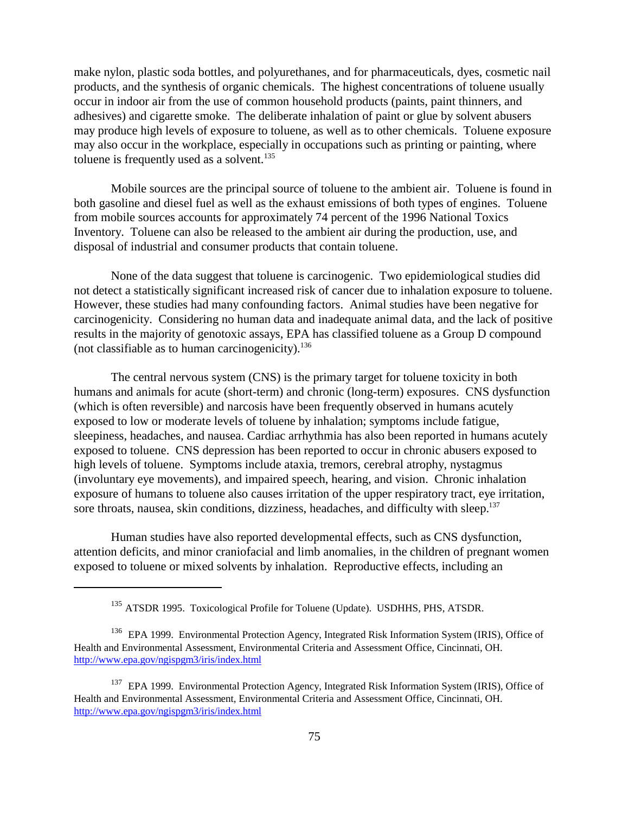make nylon, plastic soda bottles, and polyurethanes, and for pharmaceuticals, dyes, cosmetic nail products, and the synthesis of organic chemicals. The highest concentrations of toluene usually occur in indoor air from the use of common household products (paints, paint thinners, and adhesives) and cigarette smoke. The deliberate inhalation of paint or glue by solvent abusers may produce high levels of exposure to toluene, as well as to other chemicals. Toluene exposure may also occur in the workplace, especially in occupations such as printing or painting, where toluene is frequently used as a solvent. $135$ 

Mobile sources are the principal source of toluene to the ambient air. Toluene is found in both gasoline and diesel fuel as well as the exhaust emissions of both types of engines. Toluene from mobile sources accounts for approximately 74 percent of the 1996 National Toxics Inventory. Toluene can also be released to the ambient air during the production, use, and disposal of industrial and consumer products that contain toluene.

None of the data suggest that toluene is carcinogenic. Two epidemiological studies did not detect a statistically significant increased risk of cancer due to inhalation exposure to toluene. However, these studies had many confounding factors. Animal studies have been negative for carcinogenicity. Considering no human data and inadequate animal data, and the lack of positive results in the majority of genotoxic assays, EPA has classified toluene as a Group D compound (not classifiable as to human carcinogenicity). $136$ 

The central nervous system (CNS) is the primary target for toluene toxicity in both humans and animals for acute (short-term) and chronic (long-term) exposures. CNS dysfunction (which is often reversible) and narcosis have been frequently observed in humans acutely exposed to low or moderate levels of toluene by inhalation; symptoms include fatigue, sleepiness, headaches, and nausea. Cardiac arrhythmia has also been reported in humans acutely exposed to toluene. CNS depression has been reported to occur in chronic abusers exposed to high levels of toluene. Symptoms include ataxia, tremors, cerebral atrophy, nystagmus (involuntary eye movements), and impaired speech, hearing, and vision. Chronic inhalation exposure of humans to toluene also causes irritation of the upper respiratory tract, eye irritation, sore throats, nausea, skin conditions, dizziness, headaches, and difficulty with sleep.<sup>137</sup>

Human studies have also reported developmental effects, such as CNS dysfunction, attention deficits, and minor craniofacial and limb anomalies, in the children of pregnant women exposed to toluene or mixed solvents by inhalation. Reproductive effects, including an

<sup>&</sup>lt;sup>135</sup> ATSDR 1995. Toxicological Profile for Toluene (Update). USDHHS, PHS, ATSDR.

<sup>&</sup>lt;sup>136</sup> EPA 1999. Environmental Protection Agency, Integrated Risk Information System (IRIS), Office of Health and Environmental Assessment, Environmental Criteria and Assessment Office, Cincinnati, OH. http://www.epa.gov/ngispgm3/iris/index.html

<sup>&</sup>lt;sup>137</sup> EPA 1999. Environmental Protection Agency, Integrated Risk Information System (IRIS), Office of Health and Environmental Assessment, Environmental Criteria and Assessment Office, Cincinnati, OH. http://www.epa.gov/ngispgm3/iris/index.html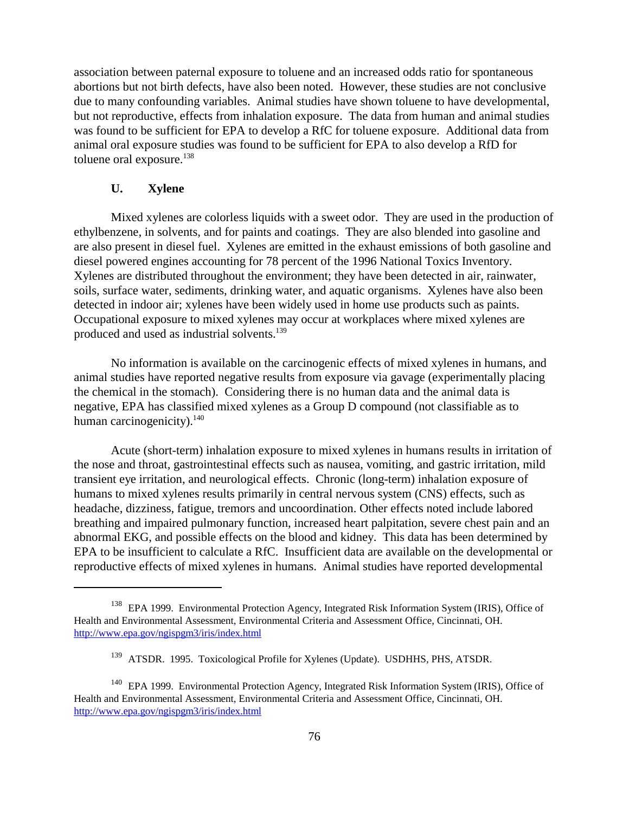association between paternal exposure to toluene and an increased odds ratio for spontaneous abortions but not birth defects, have also been noted. However, these studies are not conclusive due to many confounding variables. Animal studies have shown toluene to have developmental, but not reproductive, effects from inhalation exposure. The data from human and animal studies was found to be sufficient for EPA to develop a RfC for toluene exposure. Additional data from animal oral exposure studies was found to be sufficient for EPA to also develop a RfD for toluene oral exposure.<sup>138</sup>

#### **U. Xylene**

Mixed xylenes are colorless liquids with a sweet odor. They are used in the production of ethylbenzene, in solvents, and for paints and coatings. They are also blended into gasoline and are also present in diesel fuel. Xylenes are emitted in the exhaust emissions of both gasoline and diesel powered engines accounting for 78 percent of the 1996 National Toxics Inventory. Xylenes are distributed throughout the environment; they have been detected in air, rainwater, soils, surface water, sediments, drinking water, and aquatic organisms. Xylenes have also been detected in indoor air; xylenes have been widely used in home use products such as paints. Occupational exposure to mixed xylenes may occur at workplaces where mixed xylenes are produced and used as industrial solvents.139

No information is available on the carcinogenic effects of mixed xylenes in humans, and animal studies have reported negative results from exposure via gavage (experimentally placing the chemical in the stomach). Considering there is no human data and the animal data is negative, EPA has classified mixed xylenes as a Group D compound (not classifiable as to human carcinogenicity). $140$ 

Acute (short-term) inhalation exposure to mixed xylenes in humans results in irritation of the nose and throat, gastrointestinal effects such as nausea, vomiting, and gastric irritation, mild transient eye irritation, and neurological effects. Chronic (long-term) inhalation exposure of humans to mixed xylenes results primarily in central nervous system (CNS) effects, such as headache, dizziness, fatigue, tremors and uncoordination. Other effects noted include labored breathing and impaired pulmonary function, increased heart palpitation, severe chest pain and an abnormal EKG, and possible effects on the blood and kidney. This data has been determined by EPA to be insufficient to calculate a RfC. Insufficient data are available on the developmental or reproductive effects of mixed xylenes in humans. Animal studies have reported developmental

<sup>&</sup>lt;sup>138</sup> EPA 1999. Environmental Protection Agency, Integrated Risk Information System (IRIS), Office of Health and Environmental Assessment, Environmental Criteria and Assessment Office, Cincinnati, OH. http://www.epa.gov/ngispgm3/iris/index.html

<sup>&</sup>lt;sup>139</sup> ATSDR. 1995. Toxicological Profile for Xylenes (Update). USDHHS, PHS, ATSDR.

<sup>&</sup>lt;sup>140</sup> EPA 1999. Environmental Protection Agency, Integrated Risk Information System (IRIS), Office of Health and Environmental Assessment, Environmental Criteria and Assessment Office, Cincinnati, OH. http://www.epa.gov/ngispgm3/iris/index.html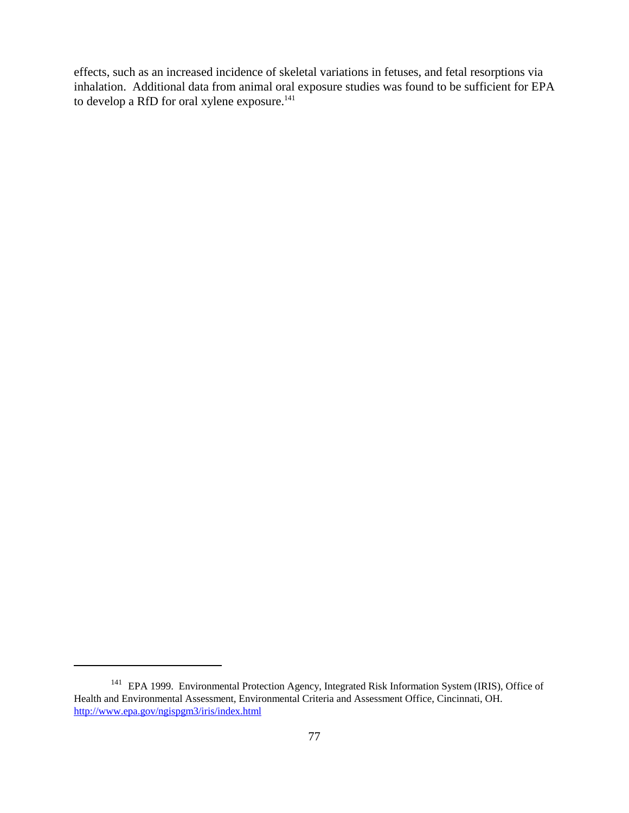effects, such as an increased incidence of skeletal variations in fetuses, and fetal resorptions via inhalation. Additional data from animal oral exposure studies was found to be sufficient for EPA to develop a RfD for oral xylene exposure.<sup>141</sup>

<sup>&</sup>lt;sup>141</sup> EPA 1999. Environmental Protection Agency, Integrated Risk Information System (IRIS), Office of Health and Environmental Assessment, Environmental Criteria and Assessment Office, Cincinnati, OH. http://www.epa.gov/ngispgm3/iris/index.html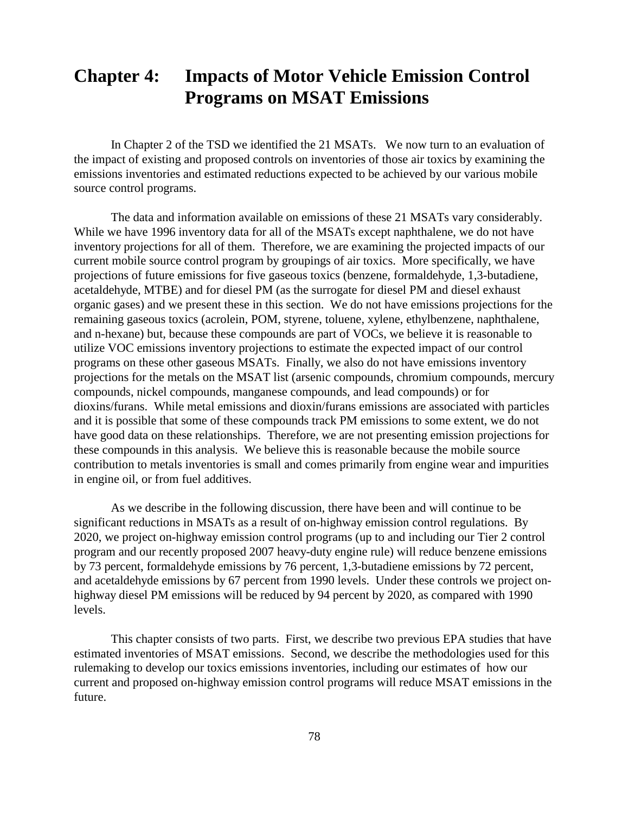# **Chapter 4: Impacts of Motor Vehicle Emission Control Programs on MSAT Emissions**

In Chapter 2 of the TSD we identified the 21 MSATs. We now turn to an evaluation of the impact of existing and proposed controls on inventories of those air toxics by examining the emissions inventories and estimated reductions expected to be achieved by our various mobile source control programs.

The data and information available on emissions of these 21 MSATs vary considerably. While we have 1996 inventory data for all of the MSATs except naphthalene, we do not have inventory projections for all of them. Therefore, we are examining the projected impacts of our current mobile source control program by groupings of air toxics. More specifically, we have projections of future emissions for five gaseous toxics (benzene, formaldehyde, 1,3-butadiene, acetaldehyde, MTBE) and for diesel PM (as the surrogate for diesel PM and diesel exhaust organic gases) and we present these in this section. We do not have emissions projections for the remaining gaseous toxics (acrolein, POM, styrene, toluene, xylene, ethylbenzene, naphthalene, and n-hexane) but, because these compounds are part of VOCs, we believe it is reasonable to utilize VOC emissions inventory projections to estimate the expected impact of our control programs on these other gaseous MSATs. Finally, we also do not have emissions inventory projections for the metals on the MSAT list (arsenic compounds, chromium compounds, mercury compounds, nickel compounds, manganese compounds, and lead compounds) or for dioxins/furans. While metal emissions and dioxin/furans emissions are associated with particles and it is possible that some of these compounds track PM emissions to some extent, we do not have good data on these relationships. Therefore, we are not presenting emission projections for these compounds in this analysis. We believe this is reasonable because the mobile source contribution to metals inventories is small and comes primarily from engine wear and impurities in engine oil, or from fuel additives.

As we describe in the following discussion, there have been and will continue to be significant reductions in MSATs as a result of on-highway emission control regulations. By 2020, we project on-highway emission control programs (up to and including our Tier 2 control program and our recently proposed 2007 heavy-duty engine rule) will reduce benzene emissions by 73 percent, formaldehyde emissions by 76 percent, 1,3-butadiene emissions by 72 percent, and acetaldehyde emissions by 67 percent from 1990 levels. Under these controls we project onhighway diesel PM emissions will be reduced by 94 percent by 2020, as compared with 1990 levels.

This chapter consists of two parts. First, we describe two previous EPA studies that have estimated inventories of MSAT emissions. Second, we describe the methodologies used for this rulemaking to develop our toxics emissions inventories, including our estimates of how our current and proposed on-highway emission control programs will reduce MSAT emissions in the future.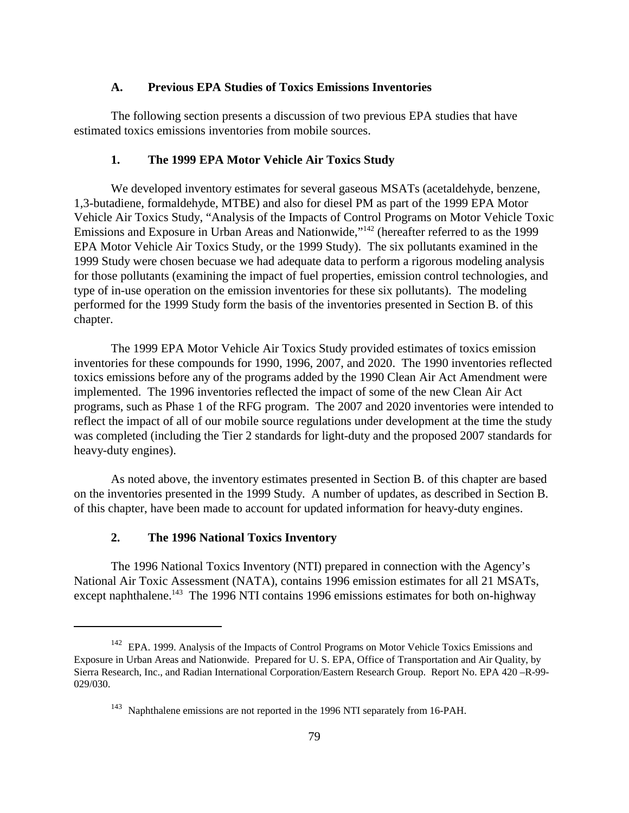#### **A. Previous EPA Studies of Toxics Emissions Inventories**

The following section presents a discussion of two previous EPA studies that have estimated toxics emissions inventories from mobile sources.

#### **1. The 1999 EPA Motor Vehicle Air Toxics Study**

We developed inventory estimates for several gaseous MSATs (acetaldehyde, benzene, 1,3-butadiene, formaldehyde, MTBE) and also for diesel PM as part of the 1999 EPA Motor Vehicle Air Toxics Study, "Analysis of the Impacts of Control Programs on Motor Vehicle Toxic Emissions and Exposure in Urban Areas and Nationwide,"142 (hereafter referred to as the 1999 EPA Motor Vehicle Air Toxics Study, or the 1999 Study). The six pollutants examined in the 1999 Study were chosen becuase we had adequate data to perform a rigorous modeling analysis for those pollutants (examining the impact of fuel properties, emission control technologies, and type of in-use operation on the emission inventories for these six pollutants). The modeling performed for the 1999 Study form the basis of the inventories presented in Section B. of this chapter.

The 1999 EPA Motor Vehicle Air Toxics Study provided estimates of toxics emission inventories for these compounds for 1990, 1996, 2007, and 2020. The 1990 inventories reflected toxics emissions before any of the programs added by the 1990 Clean Air Act Amendment were implemented. The 1996 inventories reflected the impact of some of the new Clean Air Act programs, such as Phase 1 of the RFG program. The 2007 and 2020 inventories were intended to reflect the impact of all of our mobile source regulations under development at the time the study was completed (including the Tier 2 standards for light-duty and the proposed 2007 standards for heavy-duty engines).

As noted above, the inventory estimates presented in Section B. of this chapter are based on the inventories presented in the 1999 Study. A number of updates, as described in Section B. of this chapter, have been made to account for updated information for heavy-duty engines.

# **2. The 1996 National Toxics Inventory**

The 1996 National Toxics Inventory (NTI) prepared in connection with the Agency's National Air Toxic Assessment (NATA), contains 1996 emission estimates for all 21 MSATs, except naphthalene.<sup>143</sup> The 1996 NTI contains 1996 emissions estimates for both on-highway

<sup>&</sup>lt;sup>142</sup> EPA. 1999. Analysis of the Impacts of Control Programs on Motor Vehicle Toxics Emissions and Exposure in Urban Areas and Nationwide. Prepared for U. S. EPA, Office of Transportation and Air Quality, by Sierra Research, Inc., and Radian International Corporation/Eastern Research Group. Report No. EPA 420 –R-99- 029/030.

<sup>&</sup>lt;sup>143</sup> Naphthalene emissions are not reported in the 1996 NTI separately from 16-PAH.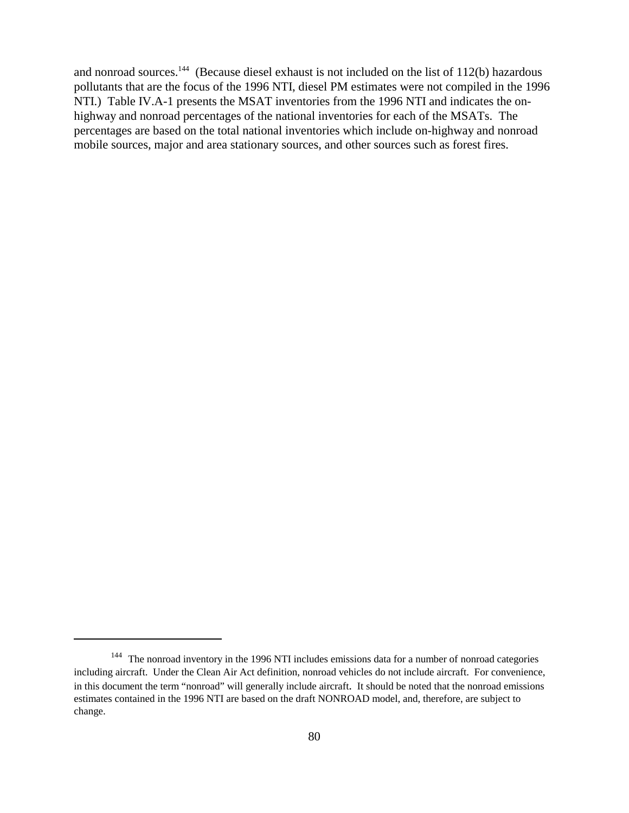and nonroad sources.<sup>144</sup> (Because diesel exhaust is not included on the list of  $112(b)$  hazardous pollutants that are the focus of the 1996 NTI, diesel PM estimates were not compiled in the 1996 NTI.) Table IV.A-1 presents the MSAT inventories from the 1996 NTI and indicates the onhighway and nonroad percentages of the national inventories for each of the MSATs. The percentages are based on the total national inventories which include on-highway and nonroad mobile sources, major and area stationary sources, and other sources such as forest fires.

<sup>&</sup>lt;sup>144</sup> The nonroad inventory in the 1996 NTI includes emissions data for a number of nonroad categories including aircraft. Under the Clean Air Act definition, nonroad vehicles do not include aircraft. For convenience, in this document the term "nonroad" will generally include aircraft. It should be noted that the nonroad emissions estimates contained in the 1996 NTI are based on the draft NONROAD model, and, therefore, are subject to change.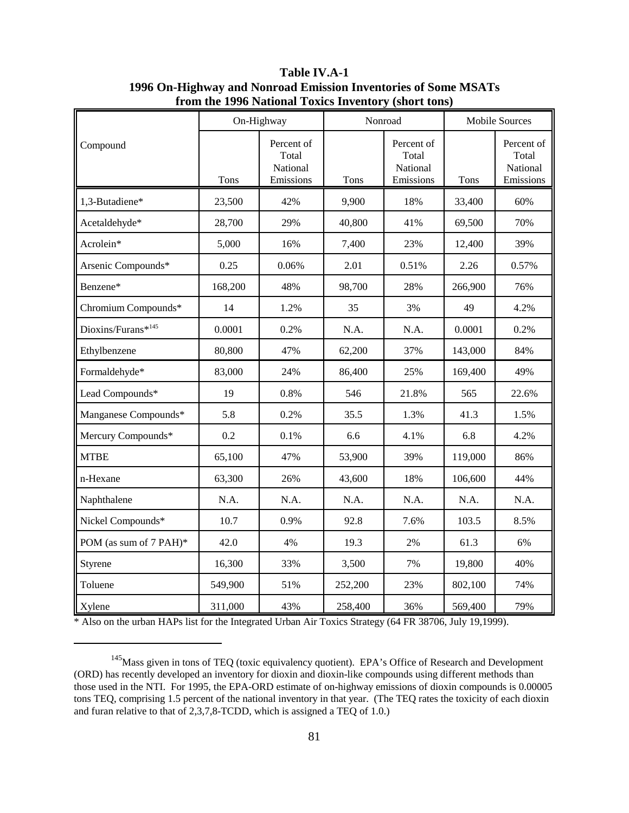|                        |         | On-Highway                                   | Nonroad |                                              | <b>Mobile Sources</b> |                                              |
|------------------------|---------|----------------------------------------------|---------|----------------------------------------------|-----------------------|----------------------------------------------|
| Compound               | Tons    | Percent of<br>Total<br>National<br>Emissions | Tons    | Percent of<br>Total<br>National<br>Emissions | Tons                  | Percent of<br>Total<br>National<br>Emissions |
| 1,3-Butadiene*         | 23,500  | 42%                                          | 9,900   | 18%                                          | 33,400                | 60%                                          |
| Acetaldehyde*          | 28,700  | 29%                                          | 40,800  | 41%                                          | 69,500                | 70%                                          |
| Acrolein*              | 5,000   | 16%                                          | 7,400   | 23%                                          | 12,400                | 39%                                          |
| Arsenic Compounds*     | 0.25    | 0.06%                                        | 2.01    | 0.51%                                        | 2.26                  | 0.57%                                        |
| Benzene*               | 168,200 | 48%                                          | 98,700  | 28%                                          | 266,900               | 76%                                          |
| Chromium Compounds*    | 14      | 1.2%                                         | 35      | 3%                                           | 49                    | 4.2%                                         |
| Dioxins/Furans*145     | 0.0001  | 0.2%                                         | N.A.    | N.A.                                         | 0.0001                | 0.2%                                         |
| Ethylbenzene           | 80,800  | 47%                                          | 62,200  | 37%                                          | 143,000               | 84%                                          |
| Formaldehyde*          | 83,000  | 24%                                          | 86,400  | 25%                                          | 169,400               | 49%                                          |
| Lead Compounds*        | 19      | 0.8%                                         | 546     | 21.8%                                        | 565                   | 22.6%                                        |
| Manganese Compounds*   | 5.8     | 0.2%                                         | 35.5    | 1.3%                                         | 41.3                  | 1.5%                                         |
| Mercury Compounds*     | 0.2     | 0.1%                                         | 6.6     | 4.1%                                         | 6.8                   | 4.2%                                         |
| <b>MTBE</b>            | 65,100  | 47%                                          | 53,900  | 39%                                          | 119,000               | 86%                                          |
| n-Hexane               | 63,300  | 26%                                          | 43,600  | 18%                                          | 106,600               | 44%                                          |
| Naphthalene            | N.A.    | N.A.                                         | N.A.    | N.A.                                         | N.A.                  | N.A.                                         |
| Nickel Compounds*      | 10.7    | 0.9%                                         | 92.8    | 7.6%                                         | 103.5                 | 8.5%                                         |
| POM (as sum of 7 PAH)* | 42.0    | 4%                                           | 19.3    | 2%                                           | 61.3                  | 6%                                           |
| Styrene                | 16,300  | 33%                                          | 3,500   | 7%                                           | 19,800                | 40%                                          |
| Toluene                | 549,900 | 51%                                          | 252,200 | 23%                                          | 802,100               | 74%                                          |
| Xylene                 | 311,000 | 43%                                          | 258,400 | 36%                                          | 569,400               | 79%                                          |

**Table IV.A-1 1996 On-Highway and Nonroad Emission Inventories of Some MSATs from the 1996 National Toxics Inventory (short tons)**

\* Also on the urban HAPs list for the Integrated Urban Air Toxics Strategy (64 FR 38706, July 19,1999).

<sup>&</sup>lt;sup>145</sup>Mass given in tons of TEQ (toxic equivalency quotient). EPA's Office of Research and Development (ORD) has recently developed an inventory for dioxin and dioxin-like compounds using different methods than those used in the NTI. For 1995, the EPA-ORD estimate of on-highway emissions of dioxin compounds is 0.00005 tons TEQ, comprising 1.5 percent of the national inventory in that year. (The TEQ rates the toxicity of each dioxin and furan relative to that of 2,3,7,8-TCDD, which is assigned a TEQ of 1.0.)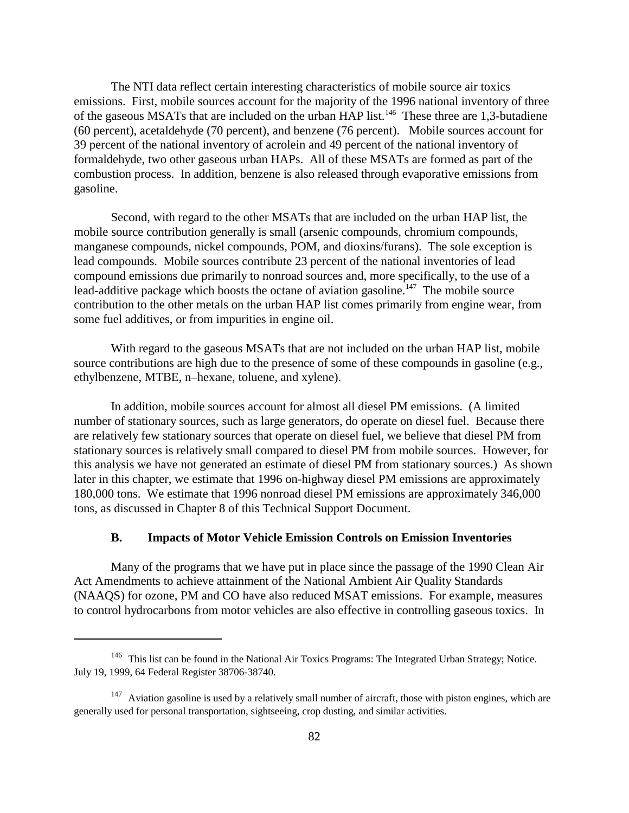The NTI data reflect certain interesting characteristics of mobile source air toxics emissions. First, mobile sources account for the majority of the 1996 national inventory of three of the gaseous MSATs that are included on the urban HAP list.<sup>146</sup> These three are 1,3-butadiene (60 percent), acetaldehyde (70 percent), and benzene (76 percent). Mobile sources account for 39 percent of the national inventory of acrolein and 49 percent of the national inventory of formaldehyde, two other gaseous urban HAPs. All of these MSATs are formed as part of the combustion process. In addition, benzene is also released through evaporative emissions from gasoline.

Second, with regard to the other MSATs that are included on the urban HAP list, the mobile source contribution generally is small (arsenic compounds, chromium compounds, manganese compounds, nickel compounds, POM, and dioxins/furans). The sole exception is lead compounds. Mobile sources contribute 23 percent of the national inventories of lead compound emissions due primarily to nonroad sources and, more specifically, to the use of a lead-additive package which boosts the octane of aviation gasoline.<sup>147</sup> The mobile source contribution to the other metals on the urban HAP list comes primarily from engine wear, from some fuel additives, or from impurities in engine oil.

With regard to the gaseous MSATs that are not included on the urban HAP list, mobile source contributions are high due to the presence of some of these compounds in gasoline (e.g., ethylbenzene, MTBE, n–hexane, toluene, and xylene).

In addition, mobile sources account for almost all diesel PM emissions. (A limited number of stationary sources, such as large generators, do operate on diesel fuel. Because there are relatively few stationary sources that operate on diesel fuel, we believe that diesel PM from stationary sources is relatively small compared to diesel PM from mobile sources. However, for this analysis we have not generated an estimate of diesel PM from stationary sources.) As shown later in this chapter, we estimate that 1996 on-highway diesel PM emissions are approximately 180,000 tons. We estimate that 1996 nonroad diesel PM emissions are approximately 346,000 tons, as discussed in Chapter 8 of this Technical Support Document.

## **B. Impacts of Motor Vehicle Emission Controls on Emission Inventories**

Many of the programs that we have put in place since the passage of the 1990 Clean Air Act Amendments to achieve attainment of the National Ambient Air Quality Standards (NAAQS) for ozone, PM and CO have also reduced MSAT emissions. For example, measures to control hydrocarbons from motor vehicles are also effective in controlling gaseous toxics. In

<sup>&</sup>lt;sup>146</sup> This list can be found in the National Air Toxics Programs: The Integrated Urban Strategy; Notice. July 19, 1999, 64 Federal Register 38706-38740.

 $147$  Aviation gasoline is used by a relatively small number of aircraft, those with piston engines, which are generally used for personal transportation, sightseeing, crop dusting, and similar activities.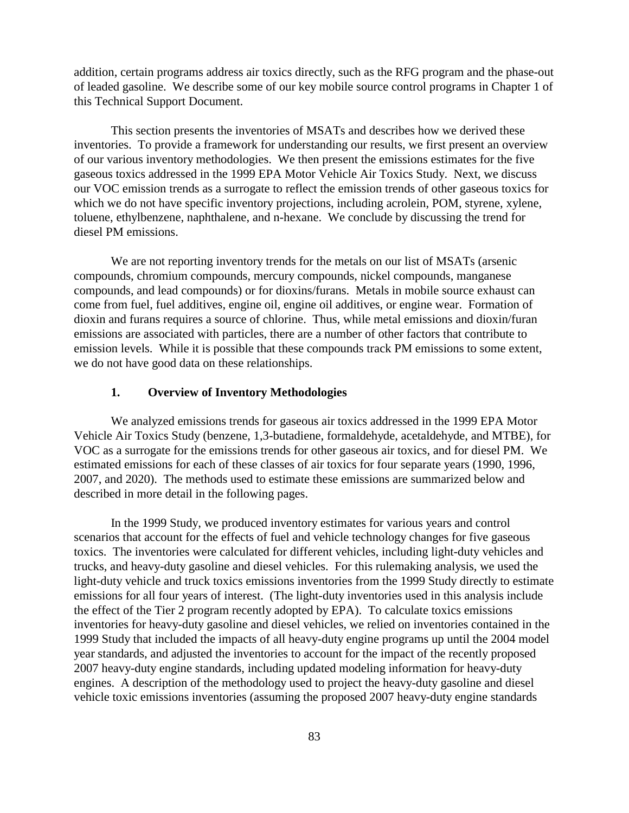addition, certain programs address air toxics directly, such as the RFG program and the phase-out of leaded gasoline. We describe some of our key mobile source control programs in Chapter 1 of this Technical Support Document.

This section presents the inventories of MSATs and describes how we derived these inventories. To provide a framework for understanding our results, we first present an overview of our various inventory methodologies. We then present the emissions estimates for the five gaseous toxics addressed in the 1999 EPA Motor Vehicle Air Toxics Study. Next, we discuss our VOC emission trends as a surrogate to reflect the emission trends of other gaseous toxics for which we do not have specific inventory projections, including acrolein, POM, styrene, xylene, toluene, ethylbenzene, naphthalene, and n-hexane. We conclude by discussing the trend for diesel PM emissions.

We are not reporting inventory trends for the metals on our list of MSATs (arsenic compounds, chromium compounds, mercury compounds, nickel compounds, manganese compounds, and lead compounds) or for dioxins/furans. Metals in mobile source exhaust can come from fuel, fuel additives, engine oil, engine oil additives, or engine wear. Formation of dioxin and furans requires a source of chlorine. Thus, while metal emissions and dioxin/furan emissions are associated with particles, there are a number of other factors that contribute to emission levels. While it is possible that these compounds track PM emissions to some extent, we do not have good data on these relationships.

#### **1. Overview of Inventory Methodologies**

We analyzed emissions trends for gaseous air toxics addressed in the 1999 EPA Motor Vehicle Air Toxics Study (benzene, 1,3-butadiene, formaldehyde, acetaldehyde, and MTBE), for VOC as a surrogate for the emissions trends for other gaseous air toxics, and for diesel PM. We estimated emissions for each of these classes of air toxics for four separate years (1990, 1996, 2007, and 2020). The methods used to estimate these emissions are summarized below and described in more detail in the following pages.

In the 1999 Study, we produced inventory estimates for various years and control scenarios that account for the effects of fuel and vehicle technology changes for five gaseous toxics. The inventories were calculated for different vehicles, including light-duty vehicles and trucks, and heavy-duty gasoline and diesel vehicles. For this rulemaking analysis, we used the light-duty vehicle and truck toxics emissions inventories from the 1999 Study directly to estimate emissions for all four years of interest. (The light-duty inventories used in this analysis include the effect of the Tier 2 program recently adopted by EPA). To calculate toxics emissions inventories for heavy-duty gasoline and diesel vehicles, we relied on inventories contained in the 1999 Study that included the impacts of all heavy-duty engine programs up until the 2004 model year standards, and adjusted the inventories to account for the impact of the recently proposed 2007 heavy-duty engine standards, including updated modeling information for heavy-duty engines. A description of the methodology used to project the heavy-duty gasoline and diesel vehicle toxic emissions inventories (assuming the proposed 2007 heavy-duty engine standards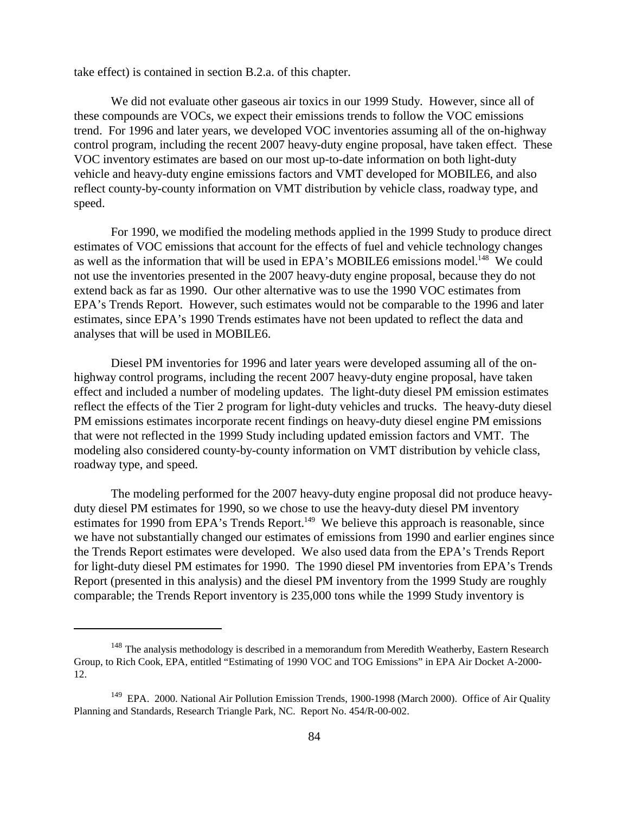take effect) is contained in section B.2.a. of this chapter.

We did not evaluate other gaseous air toxics in our 1999 Study. However, since all of these compounds are VOCs, we expect their emissions trends to follow the VOC emissions trend. For 1996 and later years, we developed VOC inventories assuming all of the on-highway control program, including the recent 2007 heavy-duty engine proposal, have taken effect. These VOC inventory estimates are based on our most up-to-date information on both light-duty vehicle and heavy-duty engine emissions factors and VMT developed for MOBILE6, and also reflect county-by-county information on VMT distribution by vehicle class, roadway type, and speed.

For 1990, we modified the modeling methods applied in the 1999 Study to produce direct estimates of VOC emissions that account for the effects of fuel and vehicle technology changes as well as the information that will be used in EPA's MOBILE6 emissions model.<sup>148</sup> We could not use the inventories presented in the 2007 heavy-duty engine proposal, because they do not extend back as far as 1990. Our other alternative was to use the 1990 VOC estimates from EPA's Trends Report. However, such estimates would not be comparable to the 1996 and later estimates, since EPA's 1990 Trends estimates have not been updated to reflect the data and analyses that will be used in MOBILE6.

Diesel PM inventories for 1996 and later years were developed assuming all of the onhighway control programs, including the recent 2007 heavy-duty engine proposal, have taken effect and included a number of modeling updates. The light-duty diesel PM emission estimates reflect the effects of the Tier 2 program for light-duty vehicles and trucks. The heavy-duty diesel PM emissions estimates incorporate recent findings on heavy-duty diesel engine PM emissions that were not reflected in the 1999 Study including updated emission factors and VMT. The modeling also considered county-by-county information on VMT distribution by vehicle class, roadway type, and speed.

The modeling performed for the 2007 heavy-duty engine proposal did not produce heavyduty diesel PM estimates for 1990, so we chose to use the heavy-duty diesel PM inventory estimates for 1990 from EPA's Trends Report.<sup>149</sup> We believe this approach is reasonable, since we have not substantially changed our estimates of emissions from 1990 and earlier engines since the Trends Report estimates were developed. We also used data from the EPA's Trends Report for light-duty diesel PM estimates for 1990. The 1990 diesel PM inventories from EPA's Trends Report (presented in this analysis) and the diesel PM inventory from the 1999 Study are roughly comparable; the Trends Report inventory is 235,000 tons while the 1999 Study inventory is

 $148$  The analysis methodology is described in a memorandum from Meredith Weatherby, Eastern Research Group, to Rich Cook, EPA, entitled "Estimating of 1990 VOC and TOG Emissions" in EPA Air Docket A-2000- 12.

<sup>&</sup>lt;sup>149</sup> EPA. 2000. National Air Pollution Emission Trends, 1900-1998 (March 2000). Office of Air Quality Planning and Standards, Research Triangle Park, NC. Report No. 454/R-00-002.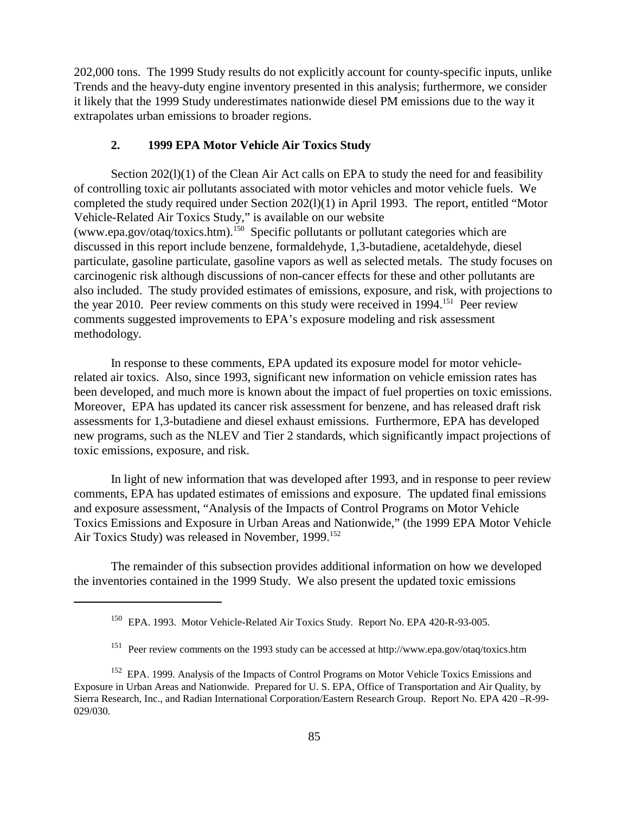202,000 tons. The 1999 Study results do not explicitly account for county-specific inputs, unlike Trends and the heavy-duty engine inventory presented in this analysis; furthermore, we consider it likely that the 1999 Study underestimates nationwide diesel PM emissions due to the way it extrapolates urban emissions to broader regions.

#### **2. 1999 EPA Motor Vehicle Air Toxics Study**

Section 202(1)(1) of the Clean Air Act calls on EPA to study the need for and feasibility of controlling toxic air pollutants associated with motor vehicles and motor vehicle fuels. We completed the study required under Section 202(l)(1) in April 1993. The report, entitled "Motor Vehicle-Related Air Toxics Study," is available on our website (www.epa.gov/otaq/toxics.htm).<sup>150</sup> Specific pollutants or pollutant categories which are discussed in this report include benzene, formaldehyde, 1,3-butadiene, acetaldehyde, diesel particulate, gasoline particulate, gasoline vapors as well as selected metals. The study focuses on carcinogenic risk although discussions of non-cancer effects for these and other pollutants are also included. The study provided estimates of emissions, exposure, and risk, with projections to the year 2010. Peer review comments on this study were received in 1994.<sup>151</sup> Peer review comments suggested improvements to EPA's exposure modeling and risk assessment methodology.

In response to these comments, EPA updated its exposure model for motor vehiclerelated air toxics. Also, since 1993, significant new information on vehicle emission rates has been developed, and much more is known about the impact of fuel properties on toxic emissions. Moreover, EPA has updated its cancer risk assessment for benzene, and has released draft risk assessments for 1,3-butadiene and diesel exhaust emissions. Furthermore, EPA has developed new programs, such as the NLEV and Tier 2 standards, which significantly impact projections of toxic emissions, exposure, and risk.

In light of new information that was developed after 1993, and in response to peer review comments, EPA has updated estimates of emissions and exposure. The updated final emissions and exposure assessment, "Analysis of the Impacts of Control Programs on Motor Vehicle Toxics Emissions and Exposure in Urban Areas and Nationwide," (the 1999 EPA Motor Vehicle Air Toxics Study) was released in November, 1999.<sup>152</sup>

The remainder of this subsection provides additional information on how we developed the inventories contained in the 1999 Study. We also present the updated toxic emissions

<sup>150</sup> EPA. 1993. Motor Vehicle-Related Air Toxics Study. Report No. EPA 420-R-93-005.

<sup>151</sup> Peer review comments on the 1993 study can be accessed at http://www.epa.gov/otaq/toxics.htm

<sup>&</sup>lt;sup>152</sup> EPA. 1999. Analysis of the Impacts of Control Programs on Motor Vehicle Toxics Emissions and Exposure in Urban Areas and Nationwide. Prepared for U. S. EPA, Office of Transportation and Air Quality, by Sierra Research, Inc., and Radian International Corporation/Eastern Research Group. Report No. EPA 420 –R-99- 029/030.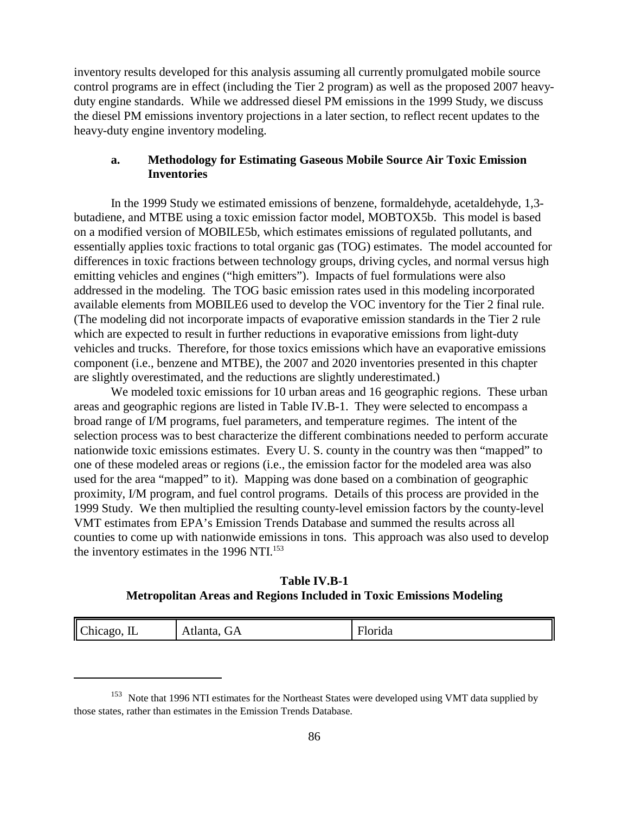inventory results developed for this analysis assuming all currently promulgated mobile source control programs are in effect (including the Tier 2 program) as well as the proposed 2007 heavyduty engine standards. While we addressed diesel PM emissions in the 1999 Study, we discuss the diesel PM emissions inventory projections in a later section, to reflect recent updates to the heavy-duty engine inventory modeling.

# **a. Methodology for Estimating Gaseous Mobile Source Air Toxic Emission Inventories**

In the 1999 Study we estimated emissions of benzene, formaldehyde, acetaldehyde, 1,3 butadiene, and MTBE using a toxic emission factor model, MOBTOX5b. This model is based on a modified version of MOBILE5b, which estimates emissions of regulated pollutants, and essentially applies toxic fractions to total organic gas (TOG) estimates. The model accounted for differences in toxic fractions between technology groups, driving cycles, and normal versus high emitting vehicles and engines ("high emitters"). Impacts of fuel formulations were also addressed in the modeling. The TOG basic emission rates used in this modeling incorporated available elements from MOBILE6 used to develop the VOC inventory for the Tier 2 final rule. (The modeling did not incorporate impacts of evaporative emission standards in the Tier 2 rule which are expected to result in further reductions in evaporative emissions from light-duty vehicles and trucks. Therefore, for those toxics emissions which have an evaporative emissions component (i.e., benzene and MTBE), the 2007 and 2020 inventories presented in this chapter are slightly overestimated, and the reductions are slightly underestimated.)

We modeled toxic emissions for 10 urban areas and 16 geographic regions. These urban areas and geographic regions are listed in Table IV.B-1. They were selected to encompass a broad range of I/M programs, fuel parameters, and temperature regimes. The intent of the selection process was to best characterize the different combinations needed to perform accurate nationwide toxic emissions estimates. Every U. S. county in the country was then "mapped" to one of these modeled areas or regions (i.e., the emission factor for the modeled area was also used for the area "mapped" to it). Mapping was done based on a combination of geographic proximity, I/M program, and fuel control programs. Details of this process are provided in the 1999 Study. We then multiplied the resulting county-level emission factors by the county-level VMT estimates from EPA's Emission Trends Database and summed the results across all counties to come up with nationwide emissions in tons. This approach was also used to develop the inventory estimates in the 1996 NTI.<sup>153</sup>

**Table IV.B-1 Metropolitan Areas and Regions Included in Toxic Emissions Modeling**

| Chicago, IL<br>⇁<br><b>Florida</b><br>Atlanta,<br>$\mathbf{r}$ $\mathbf{A}$<br>ື້ |
|-----------------------------------------------------------------------------------|
|-----------------------------------------------------------------------------------|

<sup>&</sup>lt;sup>153</sup> Note that 1996 NTI estimates for the Northeast States were developed using VMT data supplied by those states, rather than estimates in the Emission Trends Database.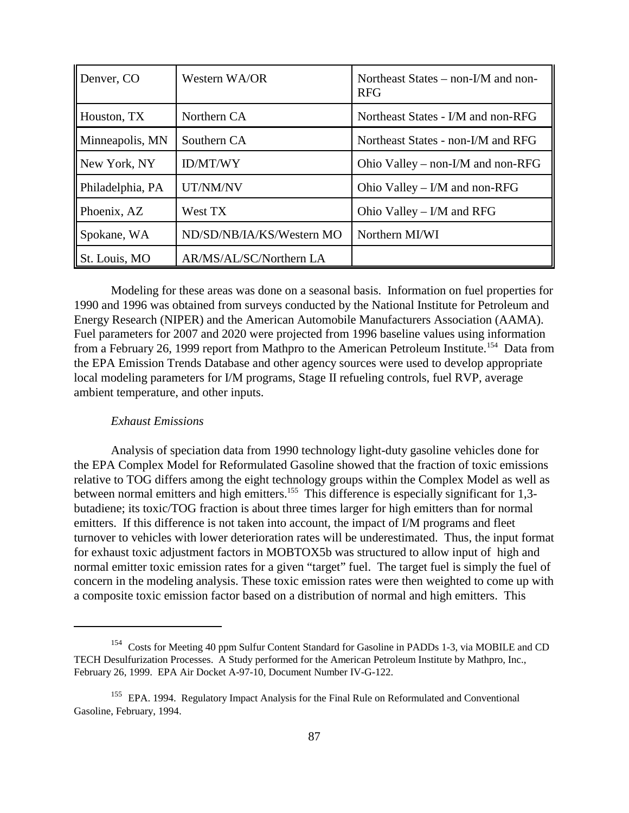| Denver, CO       | Western WA/OR             | Northeast States – non-I/M and non-<br><b>RFG</b> |
|------------------|---------------------------|---------------------------------------------------|
| Houston, TX      | Northern CA               | Northeast States - I/M and non-RFG                |
| Minneapolis, MN  | Southern CA               | Northeast States - non-I/M and RFG                |
| New York, NY     | <b>ID/MT/WY</b>           | Ohio Valley – non-I/M and non-RFG                 |
| Philadelphia, PA | UT/NM/NV                  | Ohio Valley – $I/M$ and non-RFG                   |
| Phoenix, AZ      | West TX                   | Ohio Valley – $I/M$ and RFG                       |
| Spokane, WA      | ND/SD/NB/IA/KS/Western MO | Northern MI/WI                                    |
| St. Louis, MO    | AR/MS/AL/SC/Northern LA   |                                                   |

Modeling for these areas was done on a seasonal basis. Information on fuel properties for 1990 and 1996 was obtained from surveys conducted by the National Institute for Petroleum and Energy Research (NIPER) and the American Automobile Manufacturers Association (AAMA). Fuel parameters for 2007 and 2020 were projected from 1996 baseline values using information from a February 26, 1999 report from Mathpro to the American Petroleum Institute.<sup>154</sup> Data from the EPA Emission Trends Database and other agency sources were used to develop appropriate local modeling parameters for I/M programs, Stage II refueling controls, fuel RVP, average ambient temperature, and other inputs.

#### *Exhaust Emissions*

Analysis of speciation data from 1990 technology light-duty gasoline vehicles done for the EPA Complex Model for Reformulated Gasoline showed that the fraction of toxic emissions relative to TOG differs among the eight technology groups within the Complex Model as well as between normal emitters and high emitters.<sup>155</sup> This difference is especially significant for 1,3butadiene; its toxic/TOG fraction is about three times larger for high emitters than for normal emitters. If this difference is not taken into account, the impact of I/M programs and fleet turnover to vehicles with lower deterioration rates will be underestimated. Thus, the input format for exhaust toxic adjustment factors in MOBTOX5b was structured to allow input of high and normal emitter toxic emission rates for a given "target" fuel. The target fuel is simply the fuel of concern in the modeling analysis. These toxic emission rates were then weighted to come up with a composite toxic emission factor based on a distribution of normal and high emitters. This

<sup>&</sup>lt;sup>154</sup> Costs for Meeting 40 ppm Sulfur Content Standard for Gasoline in PADDs 1-3, via MOBILE and CD TECH Desulfurization Processes. A Study performed for the American Petroleum Institute by Mathpro, Inc., February 26, 1999. EPA Air Docket A-97-10, Document Number IV-G-122.

<sup>&</sup>lt;sup>155</sup> EPA. 1994. Regulatory Impact Analysis for the Final Rule on Reformulated and Conventional Gasoline, February, 1994.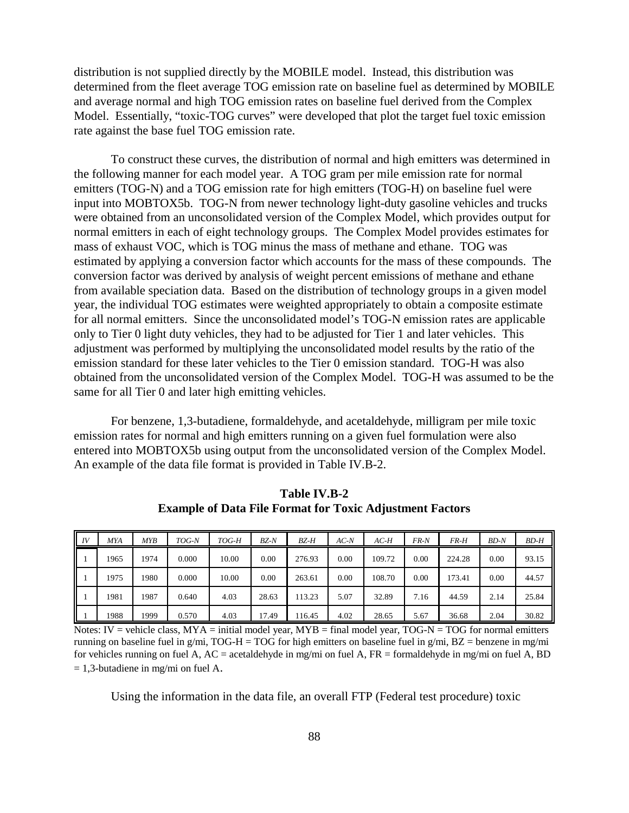distribution is not supplied directly by the MOBILE model. Instead, this distribution was determined from the fleet average TOG emission rate on baseline fuel as determined by MOBILE and average normal and high TOG emission rates on baseline fuel derived from the Complex Model. Essentially, "toxic-TOG curves" were developed that plot the target fuel toxic emission rate against the base fuel TOG emission rate.

To construct these curves, the distribution of normal and high emitters was determined in the following manner for each model year. A TOG gram per mile emission rate for normal emitters (TOG-N) and a TOG emission rate for high emitters (TOG-H) on baseline fuel were input into MOBTOX5b. TOG-N from newer technology light-duty gasoline vehicles and trucks were obtained from an unconsolidated version of the Complex Model, which provides output for normal emitters in each of eight technology groups. The Complex Model provides estimates for mass of exhaust VOC, which is TOG minus the mass of methane and ethane. TOG was estimated by applying a conversion factor which accounts for the mass of these compounds. The conversion factor was derived by analysis of weight percent emissions of methane and ethane from available speciation data. Based on the distribution of technology groups in a given model year, the individual TOG estimates were weighted appropriately to obtain a composite estimate for all normal emitters. Since the unconsolidated model's TOG-N emission rates are applicable only to Tier 0 light duty vehicles, they had to be adjusted for Tier 1 and later vehicles. This adjustment was performed by multiplying the unconsolidated model results by the ratio of the emission standard for these later vehicles to the Tier 0 emission standard. TOG-H was also obtained from the unconsolidated version of the Complex Model. TOG-H was assumed to be the same for all Tier 0 and later high emitting vehicles.

For benzene, 1,3-butadiene, formaldehyde, and acetaldehyde, milligram per mile toxic emission rates for normal and high emitters running on a given fuel formulation were also entered into MOBTOX5b using output from the unconsolidated version of the Complex Model. An example of the data file format is provided in Table IV.B-2.

| IV<br>Ш | <b>MYA</b> | MYB  | TOG-N | TOG-H | $BZ-N$ | BZ-H   | $AC-N$ | $AC-H$ | FR-N | FR-H   | <b>BD-N</b> | BD-H  |
|---------|------------|------|-------|-------|--------|--------|--------|--------|------|--------|-------------|-------|
|         | 1965       | 1974 | 0.000 | 10.00 | 0.00   | 276.93 | 0.00   | 109.72 | 0.00 | 224.28 | 0.00        | 93.15 |
|         | 1975       | 1980 | 0.000 | 10.00 | 0.00   | 263.61 | 0.00   | 108.70 | 0.00 | 173.41 | 0.00        | 44.57 |
|         | 1981       | 1987 | 0.640 | 4.03  | 28.63  | 113.23 | 5.07   | 32.89  | 7.16 | 44.59  | 2.14        | 25.84 |
|         | 1988       | 1999 | 0.570 | 4.03  | 17.49  | 116.45 | 4.02   | 28.65  | 5.67 | 36.68  | 2.04        | 30.82 |

**Table IV.B-2 Example of Data File Format for Toxic Adjustment Factors**

Notes: IV = vehicle class,  $MYA = initial model$  year,  $MYB = final$  model year,  $TOG-N = TOG$  for normal emitters running on baseline fuel in g/mi, TOG-H = TOG for high emitters on baseline fuel in g/mi,  $BZ =$  benzene in mg/mi for vehicles running on fuel A,  $AC =$  acetaldehyde in mg/mi on fuel A,  $FR =$  formaldehyde in mg/mi on fuel A, BD  $= 1,3$ -butadiene in mg/mi on fuel A.

Using the information in the data file, an overall FTP (Federal test procedure) toxic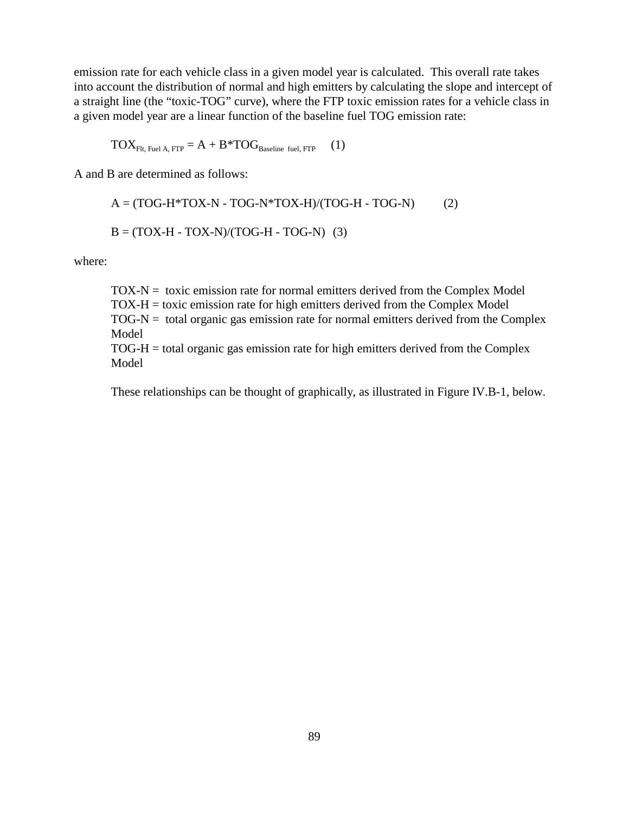emission rate for each vehicle class in a given model year is calculated. This overall rate takes into account the distribution of normal and high emitters by calculating the slope and intercept of a straight line (the "toxic-TOG" curve), where the FTP toxic emission rates for a vehicle class in a given model year are a linear function of the baseline fuel TOG emission rate:

$$
TOX_{Flt, \text{Fuel A}, \text{FTP}} = A + B * TOG_{\text{Baseline fuel}, \text{FTP}} \qquad (1)
$$

A and B are determined as follows:

$$
A = (TOG-H*TOX-N - TOG-N*TOX-H)/(TOG-H - TOG-N)
$$
 (2)  

$$
B = (TOX-H - TOX-N)/(TOG-H - TOG-N)
$$
 (3)

where:

 $TOX-N =$  toxic emission rate for normal emitters derived from the Complex Model TOX-H = toxic emission rate for high emitters derived from the Complex Model  $TOG-N =$  total organic gas emission rate for normal emitters derived from the Complex Model

TOG-H = total organic gas emission rate for high emitters derived from the Complex Model

These relationships can be thought of graphically, as illustrated in Figure IV.B-1, below.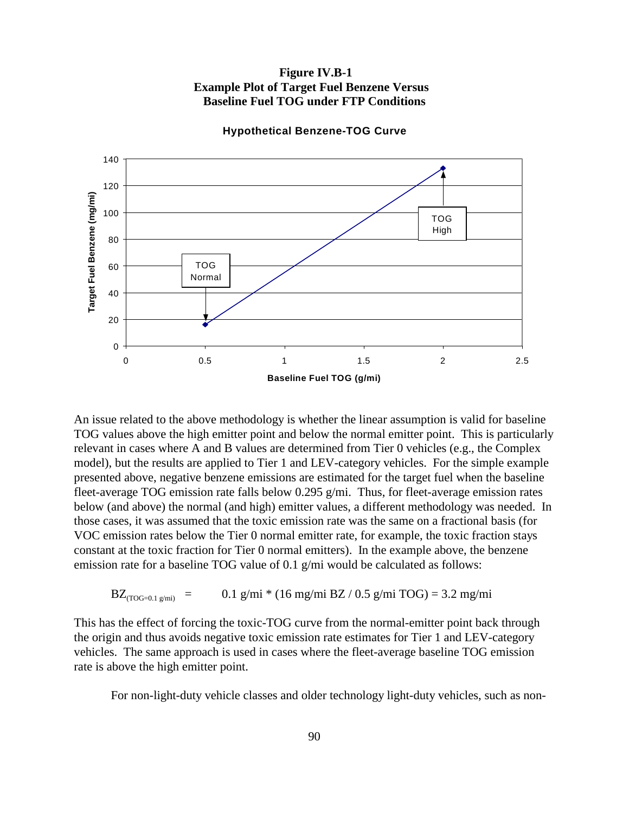# **Figure IV.B-1 Example Plot of Target Fuel Benzene Versus Baseline Fuel TOG under FTP Conditions**



**Hypothetical Benzene-TOG Curve**

An issue related to the above methodology is whether the linear assumption is valid for baseline TOG values above the high emitter point and below the normal emitter point. This is particularly relevant in cases where A and B values are determined from Tier 0 vehicles (e.g., the Complex model), but the results are applied to Tier 1 and LEV-category vehicles. For the simple example presented above, negative benzene emissions are estimated for the target fuel when the baseline fleet-average TOG emission rate falls below 0.295 g/mi. Thus, for fleet-average emission rates below (and above) the normal (and high) emitter values, a different methodology was needed. In those cases, it was assumed that the toxic emission rate was the same on a fractional basis (for VOC emission rates below the Tier 0 normal emitter rate, for example, the toxic fraction stays constant at the toxic fraction for Tier 0 normal emitters). In the example above, the benzene emission rate for a baseline TOG value of 0.1 g/mi would be calculated as follows:

$$
BZ_{(TOG=0.1 g/min)} = 0.1 g/min * (16 mg/min BZ / 0.5 g/min TOG) = 3.2 mg/min
$$

This has the effect of forcing the toxic-TOG curve from the normal-emitter point back through the origin and thus avoids negative toxic emission rate estimates for Tier 1 and LEV-category vehicles. The same approach is used in cases where the fleet-average baseline TOG emission rate is above the high emitter point.

For non-light-duty vehicle classes and older technology light-duty vehicles, such as non-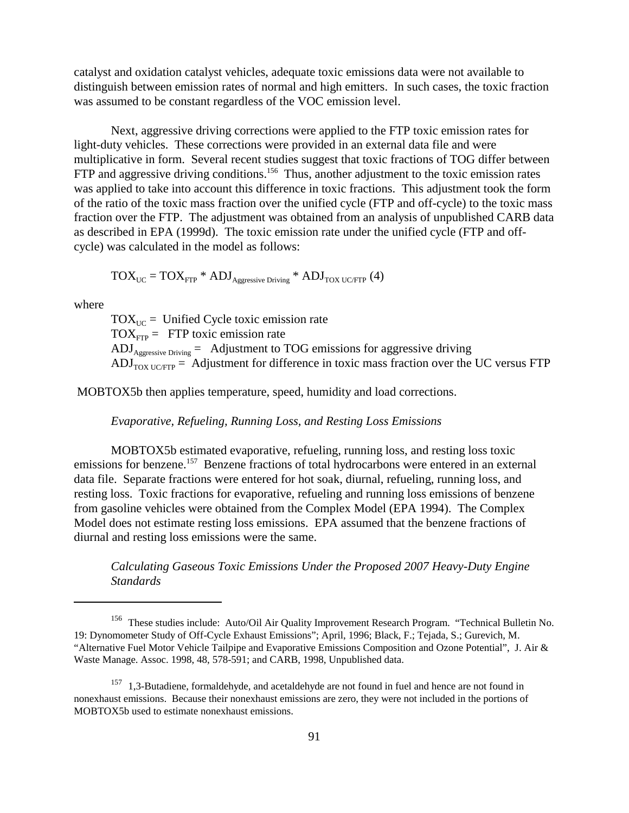catalyst and oxidation catalyst vehicles, adequate toxic emissions data were not available to distinguish between emission rates of normal and high emitters. In such cases, the toxic fraction was assumed to be constant regardless of the VOC emission level.

Next, aggressive driving corrections were applied to the FTP toxic emission rates for light-duty vehicles. These corrections were provided in an external data file and were multiplicative in form. Several recent studies suggest that toxic fractions of TOG differ between FTP and aggressive driving conditions.<sup>156</sup> Thus, another adjustment to the toxic emission rates was applied to take into account this difference in toxic fractions. This adjustment took the form of the ratio of the toxic mass fraction over the unified cycle (FTP and off-cycle) to the toxic mass fraction over the FTP. The adjustment was obtained from an analysis of unpublished CARB data as described in EPA (1999d). The toxic emission rate under the unified cycle (FTP and offcycle) was calculated in the model as follows:

$$
TOX_{UC} = TOX_{FTP} * ADJ_{Aggressive\,} * ADJ_{TOX\ UCFTP} (4)
$$

where

 $TOX<sub>UC</sub>$  = Unified Cycle toxic emission rate  $TOX<sub>FTP</sub> = FTP toxic emission rate$  $\text{ADI}_{\text{Aggressive Driving}} = \text{Adjustment to TOG emissions for aggressive driving}$  $ADJ<sub>TOX UCFTP</sub> = Adjustment for difference in toxic mass fraction over the UC versus FTP$ 

MOBTOX5b then applies temperature, speed, humidity and load corrections.

#### *Evaporative, Refueling, Running Loss, and Resting Loss Emissions*

MOBTOX5b estimated evaporative, refueling, running loss, and resting loss toxic emissions for benzene.<sup>157</sup> Benzene fractions of total hydrocarbons were entered in an external data file. Separate fractions were entered for hot soak, diurnal, refueling, running loss, and resting loss. Toxic fractions for evaporative, refueling and running loss emissions of benzene from gasoline vehicles were obtained from the Complex Model (EPA 1994). The Complex Model does not estimate resting loss emissions. EPA assumed that the benzene fractions of diurnal and resting loss emissions were the same.

*Calculating Gaseous Toxic Emissions Under the Proposed 2007 Heavy-Duty Engine Standards*

<sup>&</sup>lt;sup>156</sup> These studies include: Auto/Oil Air Quality Improvement Research Program. "Technical Bulletin No. 19: Dynomometer Study of Off-Cycle Exhaust Emissions"; April, 1996; Black, F.; Tejada, S.; Gurevich, M. "Alternative Fuel Motor Vehicle Tailpipe and Evaporative Emissions Composition and Ozone Potential", J. Air & Waste Manage. Assoc. 1998, 48, 578-591; and CARB, 1998, Unpublished data.

<sup>&</sup>lt;sup>157</sup> 1,3-Butadiene, formaldehyde, and acetaldehyde are not found in fuel and hence are not found in nonexhaust emissions. Because their nonexhaust emissions are zero, they were not included in the portions of MOBTOX5b used to estimate nonexhaust emissions.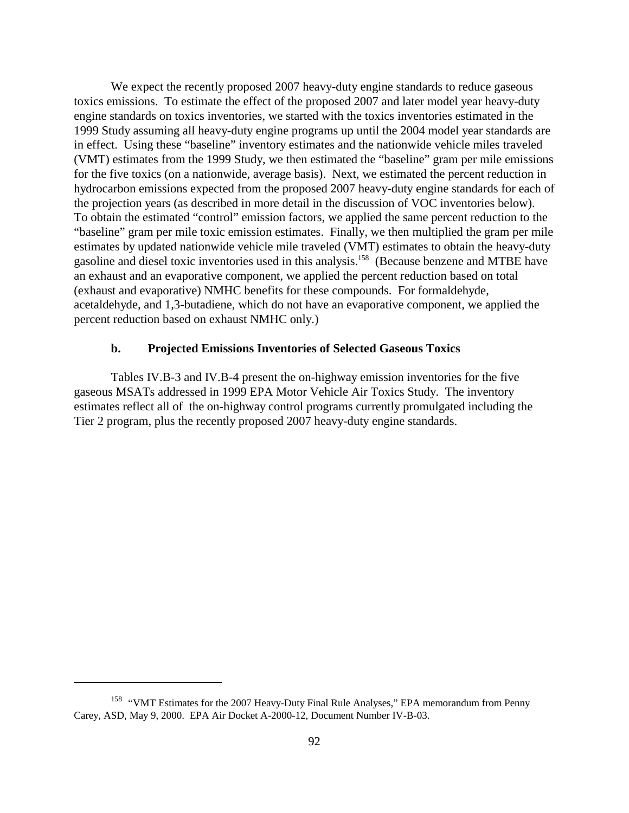We expect the recently proposed 2007 heavy-duty engine standards to reduce gaseous toxics emissions. To estimate the effect of the proposed 2007 and later model year heavy-duty engine standards on toxics inventories, we started with the toxics inventories estimated in the 1999 Study assuming all heavy-duty engine programs up until the 2004 model year standards are in effect. Using these "baseline" inventory estimates and the nationwide vehicle miles traveled (VMT) estimates from the 1999 Study, we then estimated the "baseline" gram per mile emissions for the five toxics (on a nationwide, average basis). Next, we estimated the percent reduction in hydrocarbon emissions expected from the proposed 2007 heavy-duty engine standards for each of the projection years (as described in more detail in the discussion of VOC inventories below). To obtain the estimated "control" emission factors, we applied the same percent reduction to the "baseline" gram per mile toxic emission estimates. Finally, we then multiplied the gram per mile estimates by updated nationwide vehicle mile traveled (VMT) estimates to obtain the heavy-duty gasoline and diesel toxic inventories used in this analysis.158 (Because benzene and MTBE have an exhaust and an evaporative component, we applied the percent reduction based on total (exhaust and evaporative) NMHC benefits for these compounds. For formaldehyde, acetaldehyde, and 1,3-butadiene, which do not have an evaporative component, we applied the percent reduction based on exhaust NMHC only.)

#### **b. Projected Emissions Inventories of Selected Gaseous Toxics**

Tables IV.B-3 and IV.B-4 present the on-highway emission inventories for the five gaseous MSATs addressed in 1999 EPA Motor Vehicle Air Toxics Study. The inventory estimates reflect all of the on-highway control programs currently promulgated including the Tier 2 program, plus the recently proposed 2007 heavy-duty engine standards.

<sup>&</sup>lt;sup>158</sup> "VMT Estimates for the 2007 Heavy-Duty Final Rule Analyses," EPA memorandum from Penny Carey, ASD, May 9, 2000. EPA Air Docket A-2000-12, Document Number IV-B-03.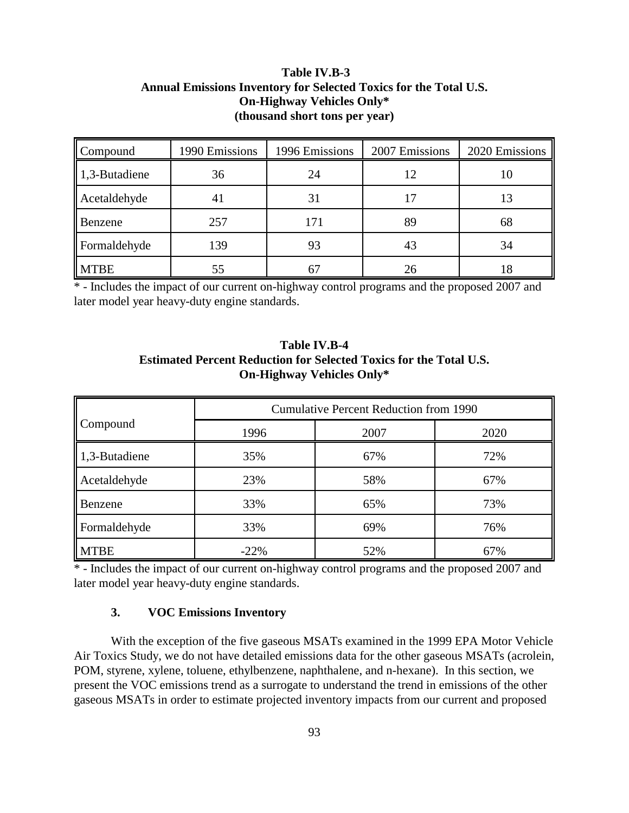# **Table IV.B-3 Annual Emissions Inventory for Selected Toxics for the Total U.S. On-Highway Vehicles Only\* (thousand short tons per year)**

| Compound              | 1990 Emissions | 1996 Emissions | 2007 Emissions | 2020 Emissions |
|-----------------------|----------------|----------------|----------------|----------------|
| $\vert$ 1,3-Butadiene | 36             | 24             | 12             | 10             |
| Acetaldehyde          | 4 I            | 31             |                | 13             |
| Benzene               | 257            | 171            | 89             | 68             |
| Formaldehyde          | 139            | 93             | 43             | 34             |
| <b>MTBE</b>           | 55             |                | 26             | 18             |

\*-Includes the impact of our current on-highway control programs and the proposed 2007 and later model year heavy-duty engine standards.

# **Table IV.B-4 Estimated Percent Reduction for Selected Toxics for the Total U.S. On-Highway Vehicles Only\***

|                       | <b>Cumulative Percent Reduction from 1990</b> |      |      |  |  |
|-----------------------|-----------------------------------------------|------|------|--|--|
| Compound              | 1996                                          | 2007 | 2020 |  |  |
| $\vert$ 1,3-Butadiene | 35%                                           | 67%  | 72%  |  |  |
| Acetaldehyde          | 23%                                           | 58%  | 67%  |  |  |
| Benzene               | 33%                                           | 65%  | 73%  |  |  |
| Formaldehyde          | 33%                                           | 69%  | 76%  |  |  |
| <b>MTBE</b>           | $-22%$                                        | 52%  | 67%  |  |  |

\*-Includes the impact of our current on-highway control programs and the proposed 2007 and later model year heavy-duty engine standards.

# **3. VOC Emissions Inventory**

With the exception of the five gaseous MSATs examined in the 1999 EPA Motor Vehicle Air Toxics Study, we do not have detailed emissions data for the other gaseous MSATs (acrolein, POM, styrene, xylene, toluene, ethylbenzene, naphthalene, and n-hexane). In this section, we present the VOC emissions trend as a surrogate to understand the trend in emissions of the other gaseous MSATs in order to estimate projected inventory impacts from our current and proposed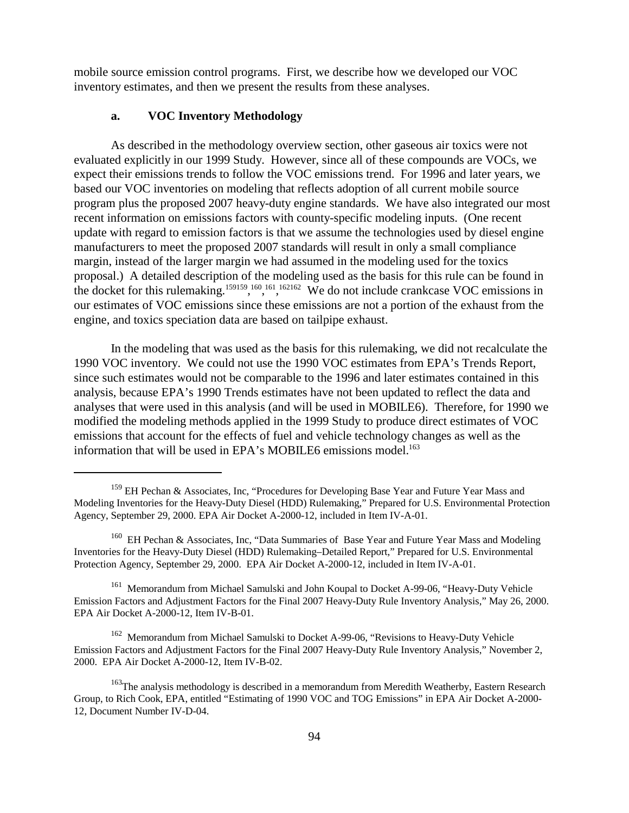mobile source emission control programs. First, we describe how we developed our VOC inventory estimates, and then we present the results from these analyses.

#### **a. VOC Inventory Methodology**

As described in the methodology overview section, other gaseous air toxics were not evaluated explicitly in our 1999 Study. However, since all of these compounds are VOCs, we expect their emissions trends to follow the VOC emissions trend. For 1996 and later years, we based our VOC inventories on modeling that reflects adoption of all current mobile source program plus the proposed 2007 heavy-duty engine standards. We have also integrated our most recent information on emissions factors with county-specific modeling inputs. (One recent update with regard to emission factors is that we assume the technologies used by diesel engine manufacturers to meet the proposed 2007 standards will result in only a small compliance margin, instead of the larger margin we had assumed in the modeling used for the toxics proposal.) A detailed description of the modeling used as the basis for this rule can be found in the docket for this rulemaking.<sup>159159</sup>,<sup>160</sup>,<sup>161</sup>,<sup>162162</sup> We do not include crankcase VOC emissions in our estimates of VOC emissions since these emissions are not a portion of the exhaust from the engine, and toxics speciation data are based on tailpipe exhaust.

In the modeling that was used as the basis for this rulemaking, we did not recalculate the 1990 VOC inventory. We could not use the 1990 VOC estimates from EPA's Trends Report, since such estimates would not be comparable to the 1996 and later estimates contained in this analysis, because EPA's 1990 Trends estimates have not been updated to reflect the data and analyses that were used in this analysis (and will be used in MOBILE6). Therefore, for 1990 we modified the modeling methods applied in the 1999 Study to produce direct estimates of VOC emissions that account for the effects of fuel and vehicle technology changes as well as the information that will be used in EPA's MOBILE6 emissions model.<sup>163</sup>

<sup>&</sup>lt;sup>159</sup> EH Pechan & Associates, Inc, "Procedures for Developing Base Year and Future Year Mass and Modeling Inventories for the Heavy-Duty Diesel (HDD) Rulemaking," Prepared for U.S. Environmental Protection Agency, September 29, 2000. EPA Air Docket A-2000-12, included in Item IV-A-01.

<sup>&</sup>lt;sup>160</sup> EH Pechan & Associates, Inc, "Data Summaries of Base Year and Future Year Mass and Modeling Inventories for the Heavy-Duty Diesel (HDD) Rulemaking–Detailed Report," Prepared for U.S. Environmental Protection Agency, September 29, 2000. EPA Air Docket A-2000-12, included in Item IV-A-01.

<sup>&</sup>lt;sup>161</sup> Memorandum from Michael Samulski and John Koupal to Docket A-99-06, "Heavy-Duty Vehicle Emission Factors and Adjustment Factors for the Final 2007 Heavy-Duty Rule Inventory Analysis," May 26, 2000. EPA Air Docket A-2000-12, Item IV-B-01.

<sup>162</sup> Memorandum from Michael Samulski to Docket A-99-06, "Revisions to Heavy-Duty Vehicle Emission Factors and Adjustment Factors for the Final 2007 Heavy-Duty Rule Inventory Analysis," November 2, 2000. EPA Air Docket A-2000-12, Item IV-B-02.

 $163$ The analysis methodology is described in a memorandum from Meredith Weatherby, Eastern Research Group, to Rich Cook, EPA, entitled "Estimating of 1990 VOC and TOG Emissions" in EPA Air Docket A-2000- 12, Document Number IV-D-04.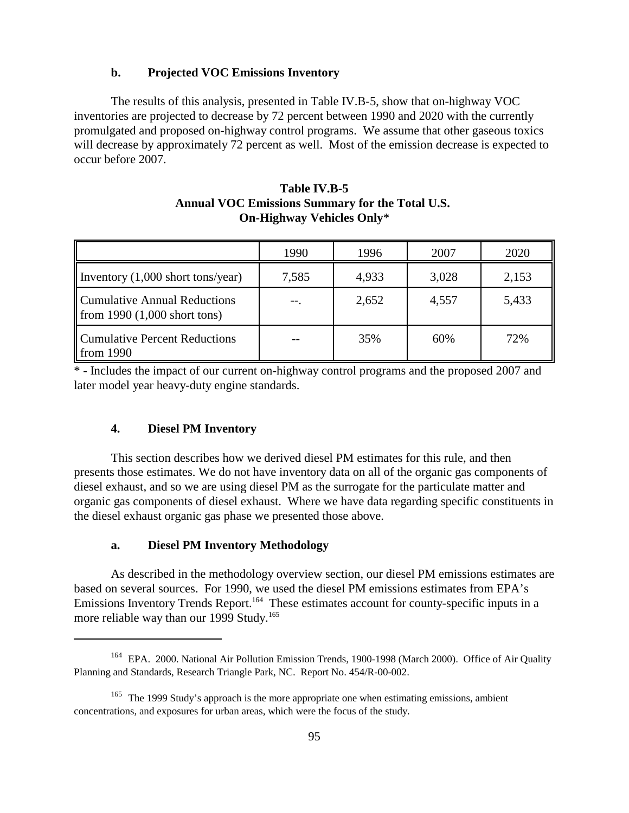#### **b. Projected VOC Emissions Inventory**

The results of this analysis, presented in Table IV.B-5, show that on-highway VOC inventories are projected to decrease by 72 percent between 1990 and 2020 with the currently promulgated and proposed on-highway control programs. We assume that other gaseous toxics will decrease by approximately 72 percent as well. Most of the emission decrease is expected to occur before 2007.

|                                                                       | 1990  | 1996  | 2007  | 2020  |
|-----------------------------------------------------------------------|-------|-------|-------|-------|
| Inventory $(1,000 \text{ short tons/year})$                           | 7,585 | 4,933 | 3,028 | 2,153 |
| <b>Cumulative Annual Reductions</b><br>from $1990 (1,000$ short tons) | --    | 2,652 | 4,557 | 5,433 |
| <b>Cumulative Percent Reductions</b><br>from $1990$                   |       | 35%   | 60%   | 72%   |

# **Table IV.B-5 Annual VOC Emissions Summary for the Total U.S. On-Highway Vehicles Only**\*

\* - Includes the impact of our current on-highway control programs and the proposed 2007 and later model year heavy-duty engine standards.

#### **4. Diesel PM Inventory**

This section describes how we derived diesel PM estimates for this rule, and then presents those estimates. We do not have inventory data on all of the organic gas components of diesel exhaust, and so we are using diesel PM as the surrogate for the particulate matter and organic gas components of diesel exhaust. Where we have data regarding specific constituents in the diesel exhaust organic gas phase we presented those above.

#### **a. Diesel PM Inventory Methodology**

As described in the methodology overview section, our diesel PM emissions estimates are based on several sources. For 1990, we used the diesel PM emissions estimates from EPA's Emissions Inventory Trends Report.<sup>164</sup> These estimates account for county-specific inputs in a more reliable way than our 1999 Study.<sup>165</sup>

<sup>&</sup>lt;sup>164</sup> EPA. 2000. National Air Pollution Emission Trends, 1900-1998 (March 2000). Office of Air Quality Planning and Standards, Research Triangle Park, NC. Report No. 454/R-00-002.

 $165$  The 1999 Study's approach is the more appropriate one when estimating emissions, ambient concentrations, and exposures for urban areas, which were the focus of the study.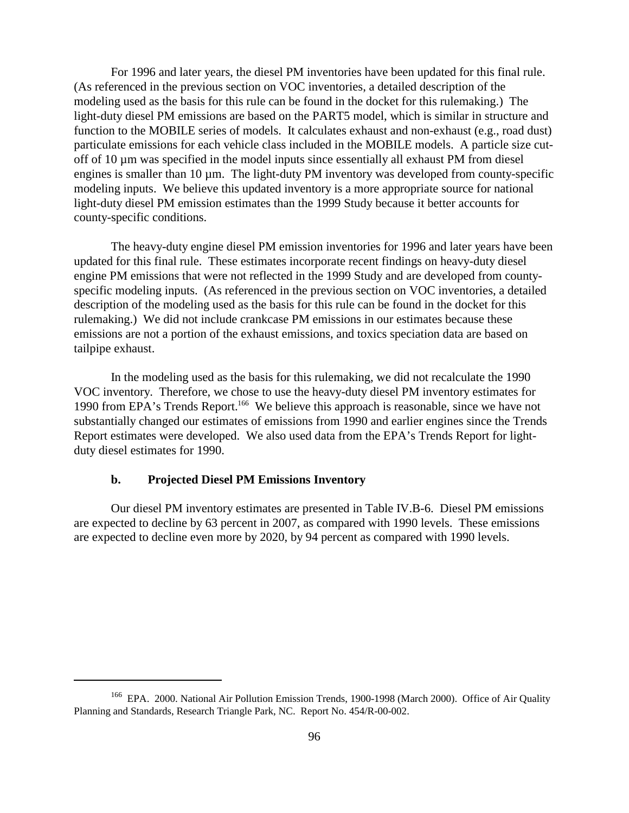For 1996 and later years, the diesel PM inventories have been updated for this final rule. (As referenced in the previous section on VOC inventories, a detailed description of the modeling used as the basis for this rule can be found in the docket for this rulemaking.) The light-duty diesel PM emissions are based on the PART5 model, which is similar in structure and function to the MOBILE series of models. It calculates exhaust and non-exhaust (e.g., road dust) particulate emissions for each vehicle class included in the MOBILE models. A particle size cutoff of 10 µm was specified in the model inputs since essentially all exhaust PM from diesel engines is smaller than 10 µm. The light-duty PM inventory was developed from county-specific modeling inputs. We believe this updated inventory is a more appropriate source for national light-duty diesel PM emission estimates than the 1999 Study because it better accounts for county-specific conditions.

The heavy-duty engine diesel PM emission inventories for 1996 and later years have been updated for this final rule. These estimates incorporate recent findings on heavy-duty diesel engine PM emissions that were not reflected in the 1999 Study and are developed from countyspecific modeling inputs. (As referenced in the previous section on VOC inventories, a detailed description of the modeling used as the basis for this rule can be found in the docket for this rulemaking.) We did not include crankcase PM emissions in our estimates because these emissions are not a portion of the exhaust emissions, and toxics speciation data are based on tailpipe exhaust.

In the modeling used as the basis for this rulemaking, we did not recalculate the 1990 VOC inventory. Therefore, we chose to use the heavy-duty diesel PM inventory estimates for 1990 from EPA's Trends Report.<sup>166</sup> We believe this approach is reasonable, since we have not substantially changed our estimates of emissions from 1990 and earlier engines since the Trends Report estimates were developed. We also used data from the EPA's Trends Report for lightduty diesel estimates for 1990.

#### **b. Projected Diesel PM Emissions Inventory**

Our diesel PM inventory estimates are presented in Table IV.B-6. Diesel PM emissions are expected to decline by 63 percent in 2007, as compared with 1990 levels. These emissions are expected to decline even more by 2020, by 94 percent as compared with 1990 levels.

<sup>&</sup>lt;sup>166</sup> EPA. 2000. National Air Pollution Emission Trends, 1900-1998 (March 2000). Office of Air Quality Planning and Standards, Research Triangle Park, NC. Report No. 454/R-00-002.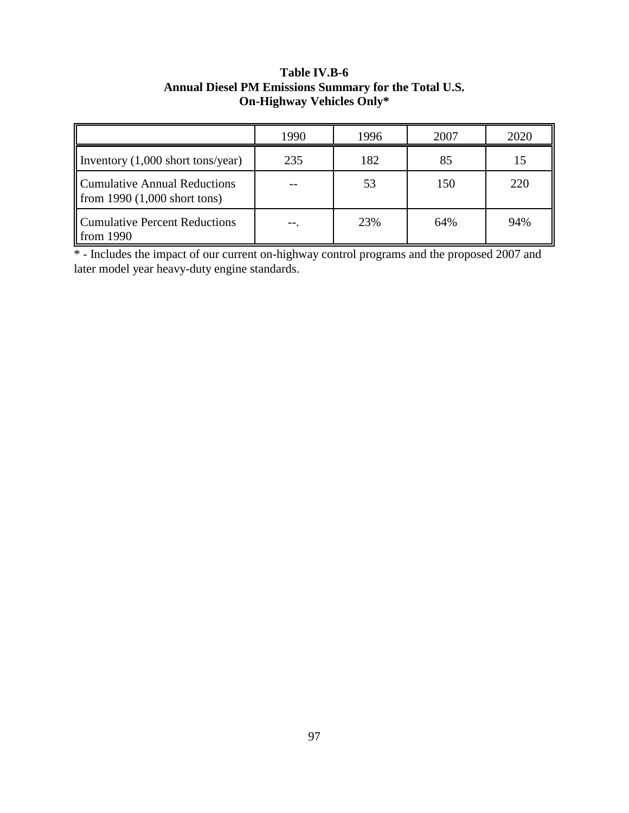# **Table IV.B-6 Annual Diesel PM Emissions Summary for the Total U.S. On-Highway Vehicles Only\***

|                                                                      | 1990 | 1996 | 2007 | 2020 |
|----------------------------------------------------------------------|------|------|------|------|
| Inventory $(1,000 \text{ short tons/year})$                          | 235  | 182  | 85   | 15   |
| <b>Cumulative Annual Reductions</b><br>from $1990(1,000$ short tons) |      | 53   | 150  | 220  |
| <b>Cumulative Percent Reductions</b><br>from 1990                    |      | 23%  | 64%  | 94%  |

\* - Includes the impact of our current on-highway control programs and the proposed 2007 and later model year heavy-duty engine standards.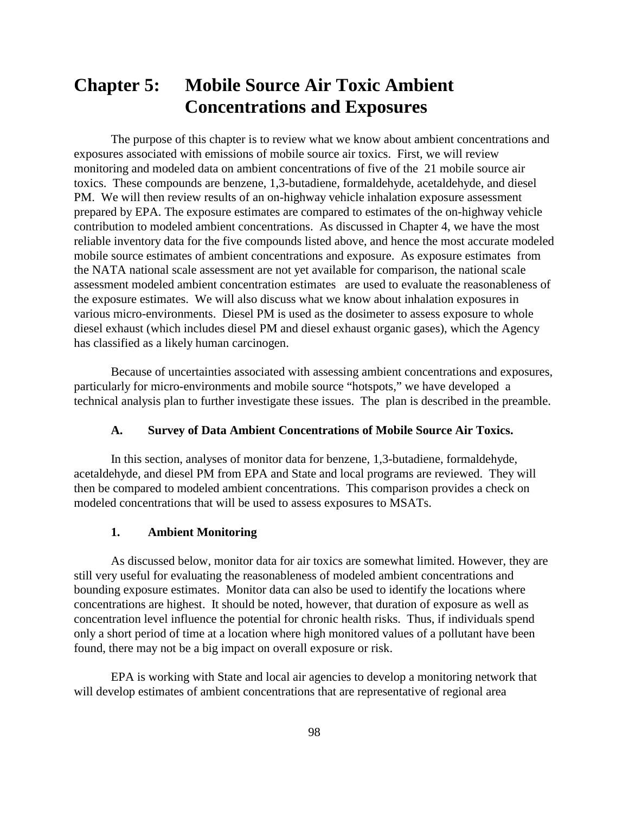# **Chapter 5: Mobile Source Air Toxic Ambient Concentrations and Exposures**

The purpose of this chapter is to review what we know about ambient concentrations and exposures associated with emissions of mobile source air toxics. First, we will review monitoring and modeled data on ambient concentrations of five of the 21 mobile source air toxics. These compounds are benzene, 1,3-butadiene, formaldehyde, acetaldehyde, and diesel PM. We will then review results of an on-highway vehicle inhalation exposure assessment prepared by EPA. The exposure estimates are compared to estimates of the on-highway vehicle contribution to modeled ambient concentrations. As discussed in Chapter 4, we have the most reliable inventory data for the five compounds listed above, and hence the most accurate modeled mobile source estimates of ambient concentrations and exposure. As exposure estimates from the NATA national scale assessment are not yet available for comparison, the national scale assessment modeled ambient concentration estimates are used to evaluate the reasonableness of the exposure estimates. We will also discuss what we know about inhalation exposures in various micro-environments. Diesel PM is used as the dosimeter to assess exposure to whole diesel exhaust (which includes diesel PM and diesel exhaust organic gases), which the Agency has classified as a likely human carcinogen.

Because of uncertainties associated with assessing ambient concentrations and exposures, particularly for micro-environments and mobile source "hotspots," we have developed a technical analysis plan to further investigate these issues. The plan is described in the preamble.

# **A. Survey of Data Ambient Concentrations of Mobile Source Air Toxics.**

In this section, analyses of monitor data for benzene, 1,3-butadiene, formaldehyde, acetaldehyde, and diesel PM from EPA and State and local programs are reviewed. They will then be compared to modeled ambient concentrations. This comparison provides a check on modeled concentrations that will be used to assess exposures to MSATs.

#### **1. Ambient Monitoring**

As discussed below, monitor data for air toxics are somewhat limited. However, they are still very useful for evaluating the reasonableness of modeled ambient concentrations and bounding exposure estimates. Monitor data can also be used to identify the locations where concentrations are highest. It should be noted, however, that duration of exposure as well as concentration level influence the potential for chronic health risks. Thus, if individuals spend only a short period of time at a location where high monitored values of a pollutant have been found, there may not be a big impact on overall exposure or risk.

EPA is working with State and local air agencies to develop a monitoring network that will develop estimates of ambient concentrations that are representative of regional area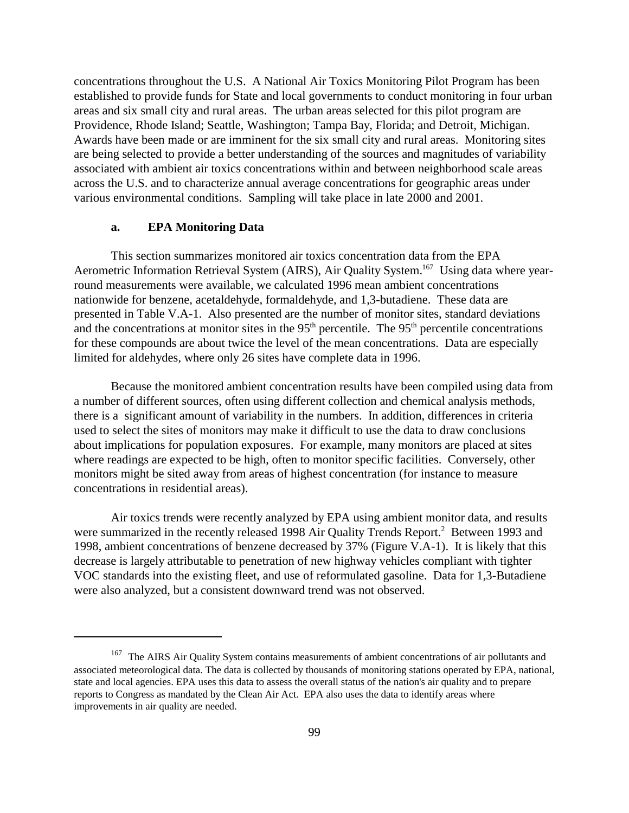concentrations throughout the U.S. A National Air Toxics Monitoring Pilot Program has been established to provide funds for State and local governments to conduct monitoring in four urban areas and six small city and rural areas. The urban areas selected for this pilot program are Providence, Rhode Island; Seattle, Washington; Tampa Bay, Florida; and Detroit, Michigan. Awards have been made or are imminent for the six small city and rural areas. Monitoring sites are being selected to provide a better understanding of the sources and magnitudes of variability associated with ambient air toxics concentrations within and between neighborhood scale areas across the U.S. and to characterize annual average concentrations for geographic areas under various environmental conditions. Sampling will take place in late 2000 and 2001.

#### **a. EPA Monitoring Data**

This section summarizes monitored air toxics concentration data from the EPA Aerometric Information Retrieval System (AIRS), Air Quality System.<sup>167</sup> Using data where yearround measurements were available, we calculated 1996 mean ambient concentrations nationwide for benzene, acetaldehyde, formaldehyde, and 1,3-butadiene. These data are presented in Table V.A-1. Also presented are the number of monitor sites, standard deviations and the concentrations at monitor sites in the  $95<sup>th</sup>$  percentile. The  $95<sup>th</sup>$  percentile concentrations for these compounds are about twice the level of the mean concentrations. Data are especially limited for aldehydes, where only 26 sites have complete data in 1996.

Because the monitored ambient concentration results have been compiled using data from a number of different sources, often using different collection and chemical analysis methods, there is a significant amount of variability in the numbers. In addition, differences in criteria used to select the sites of monitors may make it difficult to use the data to draw conclusions about implications for population exposures. For example, many monitors are placed at sites where readings are expected to be high, often to monitor specific facilities. Conversely, other monitors might be sited away from areas of highest concentration (for instance to measure concentrations in residential areas).

Air toxics trends were recently analyzed by EPA using ambient monitor data, and results were summarized in the recently released 1998 Air Quality Trends Report.<sup>2</sup> Between 1993 and 1998, ambient concentrations of benzene decreased by 37% (Figure V.A-1). It is likely that this decrease is largely attributable to penetration of new highway vehicles compliant with tighter VOC standards into the existing fleet, and use of reformulated gasoline. Data for 1,3-Butadiene were also analyzed, but a consistent downward trend was not observed.

<sup>&</sup>lt;sup>167</sup> The AIRS Air Quality System contains measurements of ambient concentrations of air pollutants and associated meteorological data. The data is collected by thousands of monitoring stations operated by EPA, national, state and local agencies. EPA uses this data to assess the overall status of the nation's air quality and to prepare reports to Congress as mandated by the Clean Air Act. EPA also uses the data to identify areas where improvements in air quality are needed.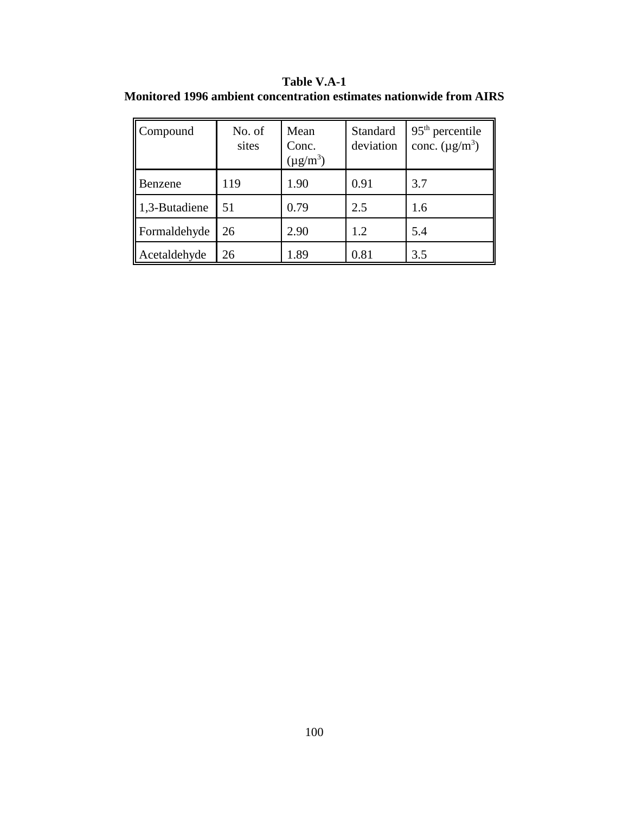**Table V.A-1 Monitored 1996 ambient concentration estimates nationwide from AIRS**

| Compound      | No. of<br>sites | Mean<br>Conc.<br>$(\mu g/m^3)$ | Standard<br>deviation | $95th$ percentile<br>conc. $(\mu g/m^3)$ |
|---------------|-----------------|--------------------------------|-----------------------|------------------------------------------|
| Benzene       | 119             | 1.90                           | 0.91                  | 3.7                                      |
| 1,3-Butadiene | 51              | 0.79                           | 2.5                   | 1.6                                      |
| Formaldehyde  | 26              | 2.90                           | 1.2                   | 5.4                                      |
| Acetaldehyde  | 26              | 1.89                           | 0.81                  | 3.5                                      |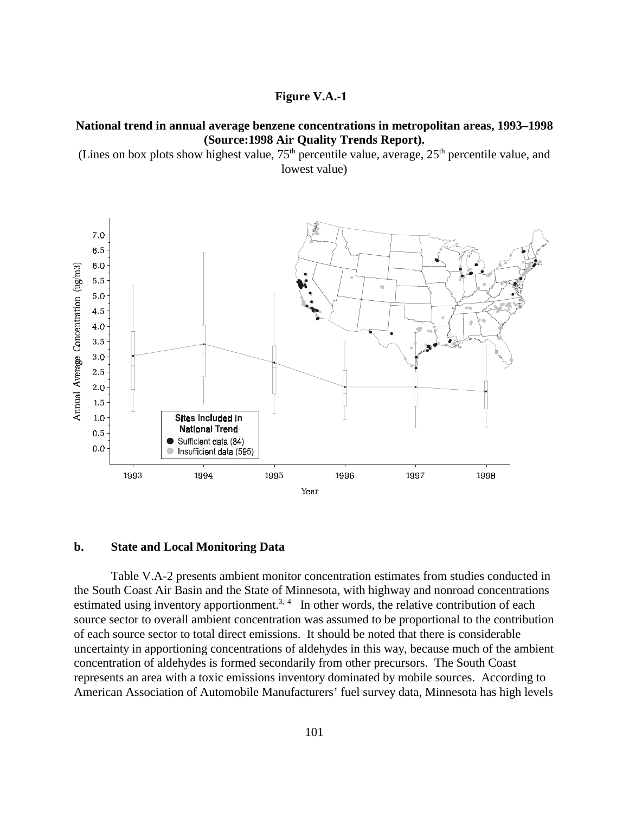## **Figure V.A.-1**

## **National trend in annual average benzene concentrations in metropolitan areas, 1993–1998 (Source:1998 Air Quality Trends Report).**

(Lines on box plots show highest value,  $75<sup>th</sup>$  percentile value, average,  $25<sup>th</sup>$  percentile value, and lowest value)



#### **b. State and Local Monitoring Data**

Table V.A-2 presents ambient monitor concentration estimates from studies conducted in the South Coast Air Basin and the State of Minnesota, with highway and nonroad concentrations estimated using inventory apportionment.<sup>3, 4</sup> In other words, the relative contribution of each source sector to overall ambient concentration was assumed to be proportional to the contribution of each source sector to total direct emissions. It should be noted that there is considerable uncertainty in apportioning concentrations of aldehydes in this way, because much of the ambient concentration of aldehydes is formed secondarily from other precursors. The South Coast represents an area with a toxic emissions inventory dominated by mobile sources. According to American Association of Automobile Manufacturers' fuel survey data, Minnesota has high levels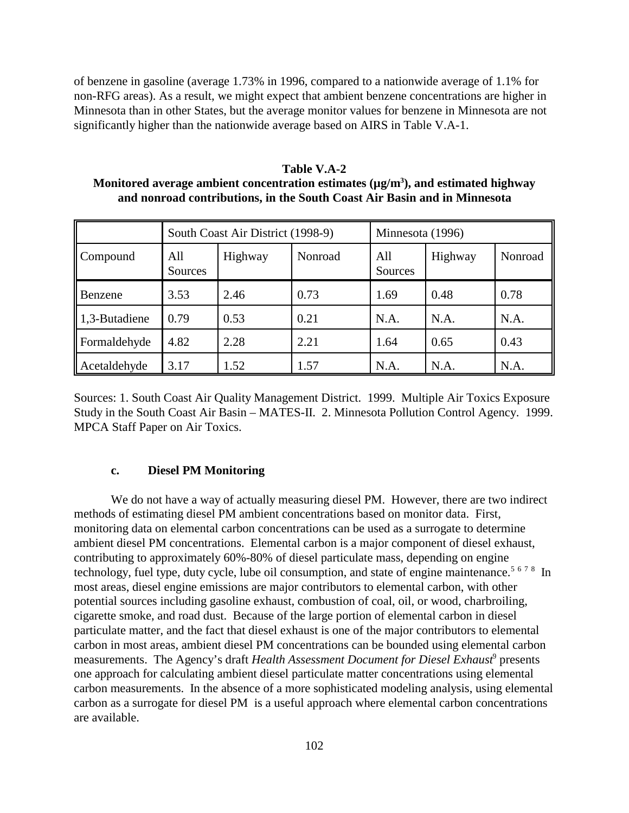of benzene in gasoline (average 1.73% in 1996, compared to a nationwide average of 1.1% for non-RFG areas). As a result, we might expect that ambient benzene concentrations are higher in Minnesota than in other States, but the average monitor values for benzene in Minnesota are not significantly higher than the nationwide average based on AIRS in Table V.A-1.

**Table V.A-2 Monitored average ambient concentration estimates (µg/m3 ), and estimated highway and nonroad contributions, in the South Coast Air Basin and in Minnesota**

|                           |                | South Coast Air District (1998-9) |         |                | Minnesota (1996) |         |  |
|---------------------------|----------------|-----------------------------------|---------|----------------|------------------|---------|--|
| Compound                  | All<br>Sources | Highway                           | Nonroad | All<br>Sources | Highway          | Nonroad |  |
| Benzene                   | 3.53           | 2.46                              | 0.73    | 1.69           | 0.48             | 0.78    |  |
| $\parallel$ 1,3-Butadiene | 0.79           | 0.53                              | 0.21    | N.A.           | N.A.             | N.A.    |  |
| Formaldehyde              | 4.82           | 2.28                              | 2.21    | 1.64           | 0.65             | 0.43    |  |
| Acetaldehyde              | 3.17           | 1.52                              | 1.57    | N.A.           | N.A.             | N.A.    |  |

Sources: 1. South Coast Air Quality Management District. 1999. Multiple Air Toxics Exposure Study in the South Coast Air Basin – MATES-II. 2. Minnesota Pollution Control Agency. 1999. MPCA Staff Paper on Air Toxics.

#### **c. Diesel PM Monitoring**

We do not have a way of actually measuring diesel PM. However, there are two indirect methods of estimating diesel PM ambient concentrations based on monitor data. First, monitoring data on elemental carbon concentrations can be used as a surrogate to determine ambient diesel PM concentrations. Elemental carbon is a major component of diesel exhaust, contributing to approximately 60%-80% of diesel particulate mass, depending on engine technology, fuel type, duty cycle, lube oil consumption, and state of engine maintenance.<sup>5678</sup> In most areas, diesel engine emissions are major contributors to elemental carbon, with other potential sources including gasoline exhaust, combustion of coal, oil, or wood, charbroiling, cigarette smoke, and road dust. Because of the large portion of elemental carbon in diesel particulate matter, and the fact that diesel exhaust is one of the major contributors to elemental carbon in most areas, ambient diesel PM concentrations can be bounded using elemental carbon measurements. The Agency's draft *Health Assessment Document for Diesel Exhaust<sup>9</sup>* presents one approach for calculating ambient diesel particulate matter concentrations using elemental carbon measurements. In the absence of a more sophisticated modeling analysis, using elemental carbon as a surrogate for diesel PM is a useful approach where elemental carbon concentrations are available.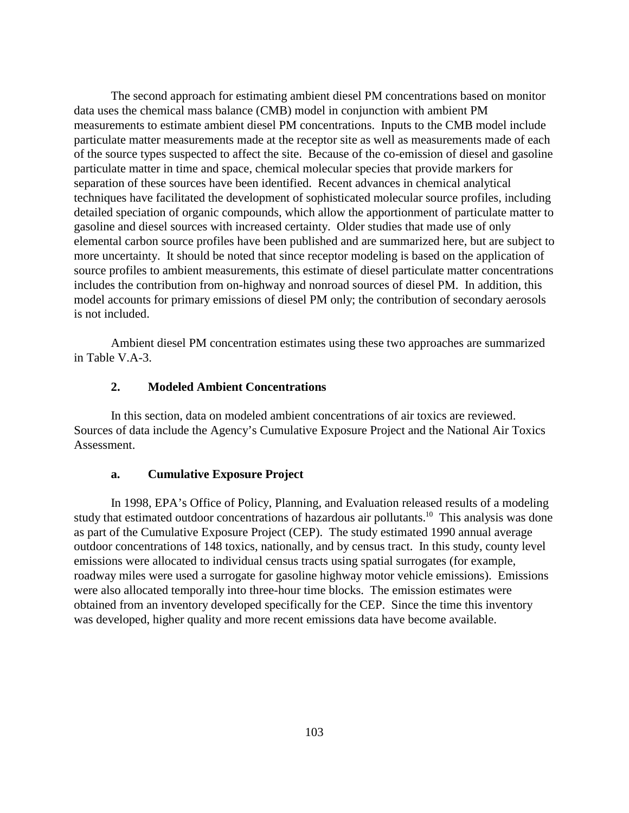The second approach for estimating ambient diesel PM concentrations based on monitor data uses the chemical mass balance (CMB) model in conjunction with ambient PM measurements to estimate ambient diesel PM concentrations. Inputs to the CMB model include particulate matter measurements made at the receptor site as well as measurements made of each of the source types suspected to affect the site. Because of the co-emission of diesel and gasoline particulate matter in time and space, chemical molecular species that provide markers for separation of these sources have been identified. Recent advances in chemical analytical techniques have facilitated the development of sophisticated molecular source profiles, including detailed speciation of organic compounds, which allow the apportionment of particulate matter to gasoline and diesel sources with increased certainty. Older studies that made use of only elemental carbon source profiles have been published and are summarized here, but are subject to more uncertainty. It should be noted that since receptor modeling is based on the application of source profiles to ambient measurements, this estimate of diesel particulate matter concentrations includes the contribution from on-highway and nonroad sources of diesel PM. In addition, this model accounts for primary emissions of diesel PM only; the contribution of secondary aerosols is not included.

Ambient diesel PM concentration estimates using these two approaches are summarized in Table V.A-3.

#### **2. Modeled Ambient Concentrations**

In this section, data on modeled ambient concentrations of air toxics are reviewed. Sources of data include the Agency's Cumulative Exposure Project and the National Air Toxics Assessment.

#### **a. Cumulative Exposure Project**

In 1998, EPA's Office of Policy, Planning, and Evaluation released results of a modeling study that estimated outdoor concentrations of hazardous air pollutants.<sup>10</sup> This analysis was done as part of the Cumulative Exposure Project (CEP). The study estimated 1990 annual average outdoor concentrations of 148 toxics, nationally, and by census tract. In this study, county level emissions were allocated to individual census tracts using spatial surrogates (for example, roadway miles were used a surrogate for gasoline highway motor vehicle emissions). Emissions were also allocated temporally into three-hour time blocks. The emission estimates were obtained from an inventory developed specifically for the CEP. Since the time this inventory was developed, higher quality and more recent emissions data have become available.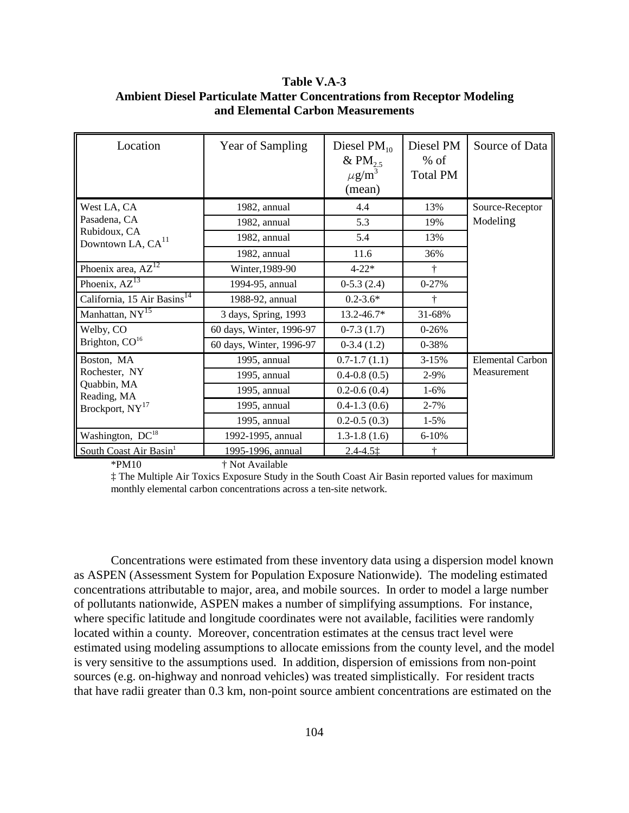# **Table V.A-3 Ambient Diesel Particulate Matter Concentrations from Receptor Modeling and Elemental Carbon Measurements**

| Location                                      | Year of Sampling         | Diesel $PM_{10}$<br>& PM <sub>25</sub><br>$\mu$ g/m <sup>3</sup><br>(mean) | Diesel PM<br>$%$ of<br><b>Total PM</b> | Source of Data   |
|-----------------------------------------------|--------------------------|----------------------------------------------------------------------------|----------------------------------------|------------------|
| West LA, CA                                   | 1982, annual             | 4.4                                                                        | 13%                                    | Source-Receptor  |
| Pasadena, CA                                  | 1982, annual             | 5.3                                                                        | 19%                                    | Modeling         |
| Rubidoux, CA<br>Downtown LA, CA <sup>11</sup> | 1982, annual             | 5.4                                                                        | 13%                                    |                  |
|                                               | 1982, annual             | 11.6                                                                       | 36%                                    |                  |
| Phoenix area, $AZ^{12}$                       | Winter, 1989-90          | $4 - 22*$                                                                  | ÷                                      |                  |
| Phoenix, $AZ^{13}$                            | 1994-95, annual          | $0-5.3(2.4)$                                                               | $0 - 27%$                              |                  |
| California, 15 Air Basins <sup>14</sup>       | 1988-92, annual          | $0.2 - 3.6*$                                                               | ÷                                      |                  |
| Manhattan, NY <sup>15</sup>                   | 3 days, Spring, 1993     | 13.2-46.7*                                                                 | 31-68%                                 |                  |
| Welby, CO                                     | 60 days, Winter, 1996-97 | $0-7.3(1.7)$                                                               | $0-26%$                                |                  |
| Brighton, $CO16$                              | 60 days, Winter, 1996-97 | $0-3.4(1.2)$                                                               | 0-38%                                  |                  |
| Boston, MA                                    | 1995, annual             | $0.7 - 1.7(1.1)$                                                           | 3-15%                                  | Elemental Carbon |
| Rochester, NY                                 | 1995, annual             | $0.4 - 0.8(0.5)$                                                           | 2-9%                                   | Measurement      |
| Quabbin, MA<br>Reading, MA                    | 1995, annual             | $0.2 - 0.6(0.4)$                                                           | $1-6%$                                 |                  |
| Brockport, NY <sup>17</sup>                   | 1995, annual             | $0.4 - 1.3(0.6)$                                                           | $2 - 7%$                               |                  |
|                                               | 1995, annual             | $0.2 - 0.5(0.3)$                                                           | $1 - 5\%$                              |                  |
| Washington, DC <sup>18</sup>                  | 1992-1995, annual        | $1.3-1.8(1.6)$                                                             | $6 - 10%$                              |                  |
| South Coast Air Basin <sup>1</sup>            | 1995-1996, annual        | $2.4 - 4.51$                                                               | ÷                                      |                  |

\*PM10 † Not Available

‡ The Multiple Air Toxics Exposure Study in the South Coast Air Basin reported values for maximum monthly elemental carbon concentrations across a ten-site network.

Concentrations were estimated from these inventory data using a dispersion model known as ASPEN (Assessment System for Population Exposure Nationwide). The modeling estimated concentrations attributable to major, area, and mobile sources. In order to model a large number of pollutants nationwide, ASPEN makes a number of simplifying assumptions. For instance, where specific latitude and longitude coordinates were not available, facilities were randomly located within a county. Moreover, concentration estimates at the census tract level were estimated using modeling assumptions to allocate emissions from the county level, and the model is very sensitive to the assumptions used. In addition, dispersion of emissions from non-point sources (e.g. on-highway and nonroad vehicles) was treated simplistically. For resident tracts that have radii greater than 0.3 km, non-point source ambient concentrations are estimated on the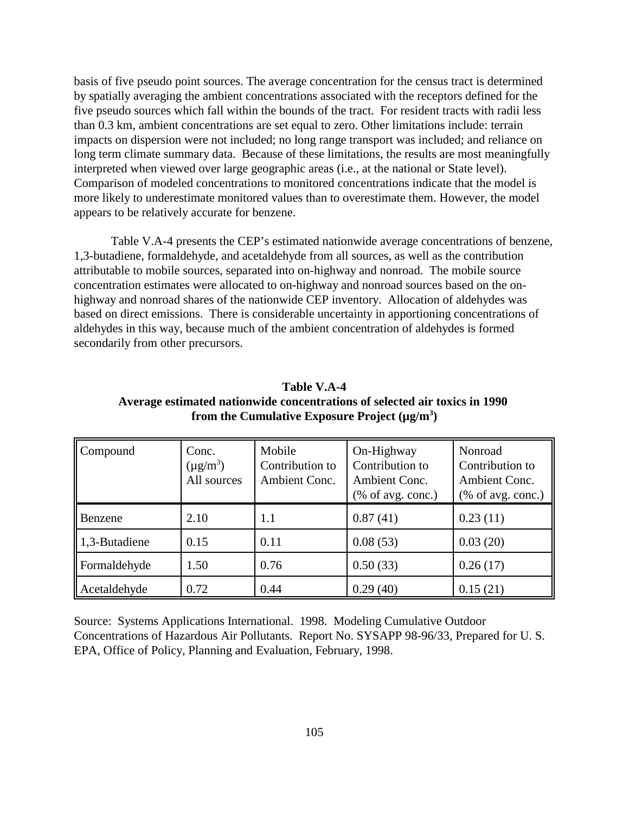basis of five pseudo point sources. The average concentration for the census tract is determined by spatially averaging the ambient concentrations associated with the receptors defined for the five pseudo sources which fall within the bounds of the tract. For resident tracts with radii less than 0.3 km, ambient concentrations are set equal to zero. Other limitations include: terrain impacts on dispersion were not included; no long range transport was included; and reliance on long term climate summary data. Because of these limitations, the results are most meaningfully interpreted when viewed over large geographic areas (i.e., at the national or State level). Comparison of modeled concentrations to monitored concentrations indicate that the model is more likely to underestimate monitored values than to overestimate them. However, the model appears to be relatively accurate for benzene.

Table V.A-4 presents the CEP's estimated nationwide average concentrations of benzene, 1,3-butadiene, formaldehyde, and acetaldehyde from all sources, as well as the contribution attributable to mobile sources, separated into on-highway and nonroad. The mobile source concentration estimates were allocated to on-highway and nonroad sources based on the onhighway and nonroad shares of the nationwide CEP inventory. Allocation of aldehydes was based on direct emissions. There is considerable uncertainty in apportioning concentrations of aldehydes in this way, because much of the ambient concentration of aldehydes is formed secondarily from other precursors.

| Table V.A-4                                                                |
|----------------------------------------------------------------------------|
| Average estimated nationwide concentrations of selected air toxics in 1990 |
| from the Cumulative Exposure Project $(\mu g/m^3)$                         |

**Table V.A-4**

| Compound      | Conc.<br>$(\mu g/m^3)$<br>All sources | Mobile<br>Contribution to<br>Ambient Conc. | On-Highway<br>Contribution to<br>Ambient Conc.<br>$%$ of avg. conc.) | Nonroad<br>Contribution to<br>Ambient Conc.<br>$%$ of avg. conc.) |
|---------------|---------------------------------------|--------------------------------------------|----------------------------------------------------------------------|-------------------------------------------------------------------|
| Benzene       | 2.10                                  | 1.1                                        | 0.87(41)                                                             | 0.23(11)                                                          |
| 1,3-Butadiene | 0.15                                  | 0.11                                       | 0.08(53)                                                             | 0.03(20)                                                          |
| Formaldehyde  | 1.50                                  | 0.76                                       | 0.50(33)                                                             | 0.26(17)                                                          |
| Acetaldehyde  | 0.72                                  | 0.44                                       | 0.29(40)                                                             | 0.15(21)                                                          |

Source: Systems Applications International. 1998. Modeling Cumulative Outdoor Concentrations of Hazardous Air Pollutants. Report No. SYSAPP 98-96/33, Prepared for U. S. EPA, Office of Policy, Planning and Evaluation, February, 1998.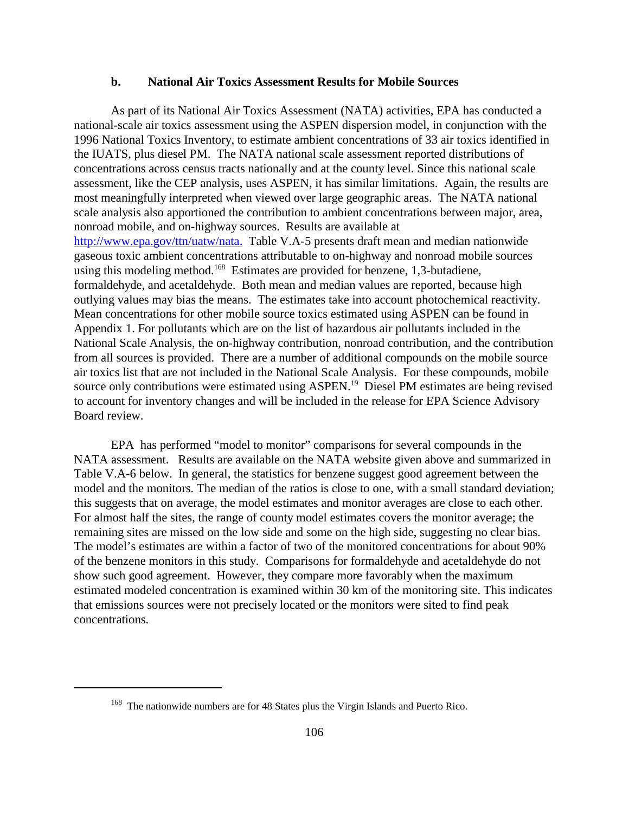#### **b. National Air Toxics Assessment Results for Mobile Sources**

As part of its National Air Toxics Assessment (NATA) activities, EPA has conducted a national-scale air toxics assessment using the ASPEN dispersion model, in conjunction with the 1996 National Toxics Inventory, to estimate ambient concentrations of 33 air toxics identified in the IUATS, plus diesel PM. The NATA national scale assessment reported distributions of concentrations across census tracts nationally and at the county level. Since this national scale assessment, like the CEP analysis, uses ASPEN, it has similar limitations. Again, the results are most meaningfully interpreted when viewed over large geographic areas. The NATA national scale analysis also apportioned the contribution to ambient concentrations between major, area, nonroad mobile, and on-highway sources. Results are available at http://www.epa.gov/ttn/uatw/nata. Table V.A-5 presents draft mean and median nationwide gaseous toxic ambient concentrations attributable to on-highway and nonroad mobile sources using this modeling method.<sup>168</sup> Estimates are provided for benzene, 1,3-butadiene, formaldehyde, and acetaldehyde. Both mean and median values are reported, because high outlying values may bias the means. The estimates take into account photochemical reactivity. Mean concentrations for other mobile source toxics estimated using ASPEN can be found in Appendix 1. For pollutants which are on the list of hazardous air pollutants included in the National Scale Analysis, the on-highway contribution, nonroad contribution, and the contribution from all sources is provided. There are a number of additional compounds on the mobile source air toxics list that are not included in the National Scale Analysis. For these compounds, mobile source only contributions were estimated using ASPEN.<sup>19</sup> Diesel PM estimates are being revised to account for inventory changes and will be included in the release for EPA Science Advisory Board review.

EPA has performed "model to monitor" comparisons for several compounds in the NATA assessment. Results are available on the NATA website given above and summarized in Table V.A-6 below. In general, the statistics for benzene suggest good agreement between the model and the monitors. The median of the ratios is close to one, with a small standard deviation; this suggests that on average, the model estimates and monitor averages are close to each other. For almost half the sites, the range of county model estimates covers the monitor average; the remaining sites are missed on the low side and some on the high side, suggesting no clear bias. The model's estimates are within a factor of two of the monitored concentrations for about 90% of the benzene monitors in this study. Comparisons for formaldehyde and acetaldehyde do not show such good agreement. However, they compare more favorably when the maximum estimated modeled concentration is examined within 30 km of the monitoring site. This indicates that emissions sources were not precisely located or the monitors were sited to find peak concentrations.

<sup>&</sup>lt;sup>168</sup> The nationwide numbers are for 48 States plus the Virgin Islands and Puerto Rico.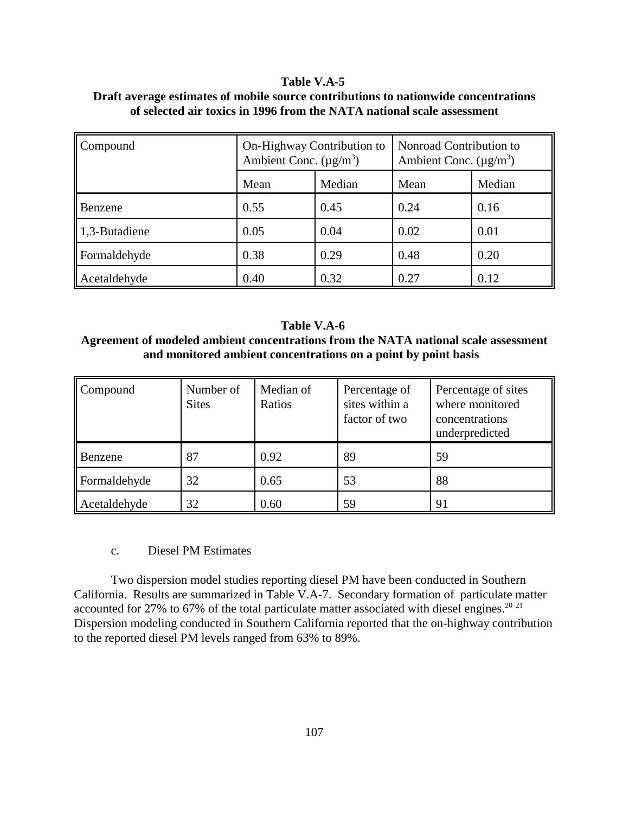## **Table V.A-5**

| Draft average estimates of mobile source contributions to nationwide concentrations |
|-------------------------------------------------------------------------------------|
| of selected air toxics in 1996 from the NATA national scale assessment              |

| Compound                  | On-Highway Contribution to<br>Ambient Conc. $(\mu g/m^3)$ |        | Nonroad Contribution to<br>Ambient Conc. $(\mu g/m^3)$ |        |
|---------------------------|-----------------------------------------------------------|--------|--------------------------------------------------------|--------|
|                           | Mean                                                      | Median | Mean                                                   | Median |
| Benzene                   | 0.55                                                      | 0.45   | 0.24                                                   | 0.16   |
| $\parallel$ 1,3-Butadiene | 0.05                                                      | 0.04   | 0.02                                                   | 0.01   |
| Formaldehyde              | 0.38                                                      | 0.29   | 0.48                                                   | 0.20   |
| Acetaldehyde              | 0.40                                                      | 0.32   | 0.27                                                   | 0.12   |

#### **Table V.A-6**

# **Agreement of modeled ambient concentrations from the NATA national scale assessment and monitored ambient concentrations on a point by point basis**

| Compound       | Number of<br><b>Sites</b> | Median of<br>Ratios | Percentage of<br>sites within a<br>factor of two | Percentage of sites<br>where monitored<br>concentrations<br>underpredicted |
|----------------|---------------------------|---------------------|--------------------------------------------------|----------------------------------------------------------------------------|
| <b>Benzene</b> | 87                        | 0.92                | 89                                               | 59                                                                         |
| Formaldehyde   | 32                        | 0.65                | 53                                               | 88                                                                         |
| Acetaldehyde   | 32                        | 0.60                | 59                                               | 91                                                                         |

# c. Diesel PM Estimates

Two dispersion model studies reporting diesel PM have been conducted in Southern California. Results are summarized in Table V.A-7. Secondary formation of particulate matter accounted for 27% to 67% of the total particulate matter associated with diesel engines.<sup>20 21</sup> Dispersion modeling conducted in Southern California reported that the on-highway contribution to the reported diesel PM levels ranged from 63% to 89%.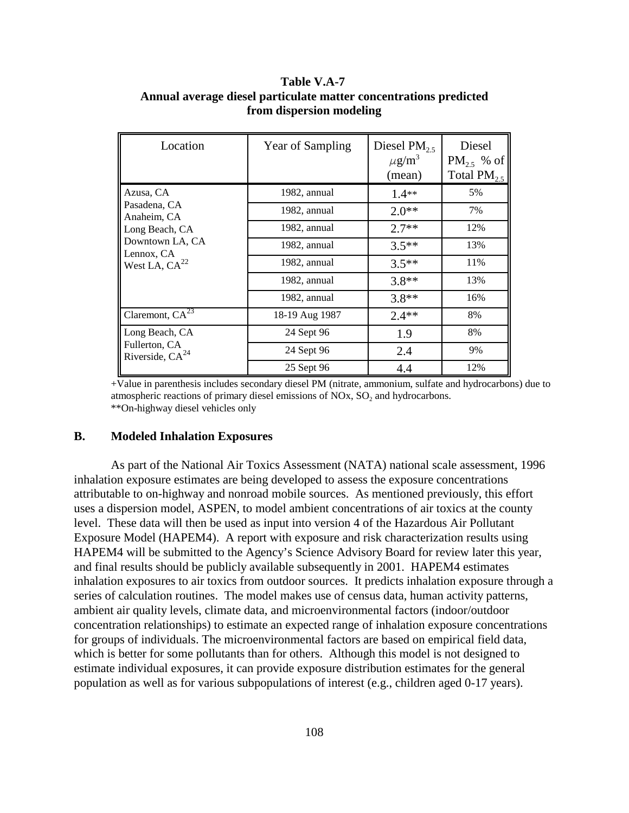# **Table V.A-7 Annual average diesel particulate matter concentrations predicted from dispersion modeling**

| Location                              | Year of Sampling | Diesel PM <sub>25</sub><br>$\mu$ g/m <sup>3</sup><br>(mean) | Diesel<br>$PM_2$ , % of<br>Total $PM_{2.5}$ |
|---------------------------------------|------------------|-------------------------------------------------------------|---------------------------------------------|
| Azusa, CA                             | 1982, annual     | $1.4**$                                                     | 5%                                          |
| Pasadena, CA<br>Anaheim, CA           | 1982, annual     | $2.0**$                                                     | 7%                                          |
| Long Beach, CA                        | 1982, annual     | $2.7**$                                                     | 12%                                         |
| Downtown LA, CA<br>Lennox, CA         | 1982, annual     | $3.5**$                                                     | 13%                                         |
| West LA, $CA^{22}$                    | 1982, annual     | $3.5**$                                                     | 11%                                         |
|                                       | 1982, annual     | $3.8**$                                                     | 13%                                         |
|                                       | 1982, annual     | $3.8**$                                                     | 16%                                         |
| Claremont, $CA^{23}$                  | 18-19 Aug 1987   | $2.4**$                                                     | 8%                                          |
| Long Beach, CA                        | 24 Sept 96       | 1.9                                                         | 8%                                          |
| Fullerton, CA<br>Riverside, $CA^{24}$ | 24 Sept 96       | 2.4                                                         | 9%                                          |
|                                       | 25 Sept 96       | 4.4                                                         | 12%                                         |

+Value in parenthesis includes secondary diesel PM (nitrate, ammonium, sulfate and hydrocarbons) due to atmospheric reactions of primary diesel emissions of  $NOx$ ,  $SO<sub>2</sub>$  and hydrocarbons. \*\*On-highway diesel vehicles only

#### **B. Modeled Inhalation Exposures**

As part of the National Air Toxics Assessment (NATA) national scale assessment, 1996 inhalation exposure estimates are being developed to assess the exposure concentrations attributable to on-highway and nonroad mobile sources. As mentioned previously, this effort uses a dispersion model, ASPEN, to model ambient concentrations of air toxics at the county level. These data will then be used as input into version 4 of the Hazardous Air Pollutant Exposure Model (HAPEM4). A report with exposure and risk characterization results using HAPEM4 will be submitted to the Agency's Science Advisory Board for review later this year, and final results should be publicly available subsequently in 2001. HAPEM4 estimates inhalation exposures to air toxics from outdoor sources. It predicts inhalation exposure through a series of calculation routines. The model makes use of census data, human activity patterns, ambient air quality levels, climate data, and microenvironmental factors (indoor/outdoor concentration relationships) to estimate an expected range of inhalation exposure concentrations for groups of individuals. The microenvironmental factors are based on empirical field data, which is better for some pollutants than for others. Although this model is not designed to estimate individual exposures, it can provide exposure distribution estimates for the general population as well as for various subpopulations of interest (e.g., children aged 0-17 years).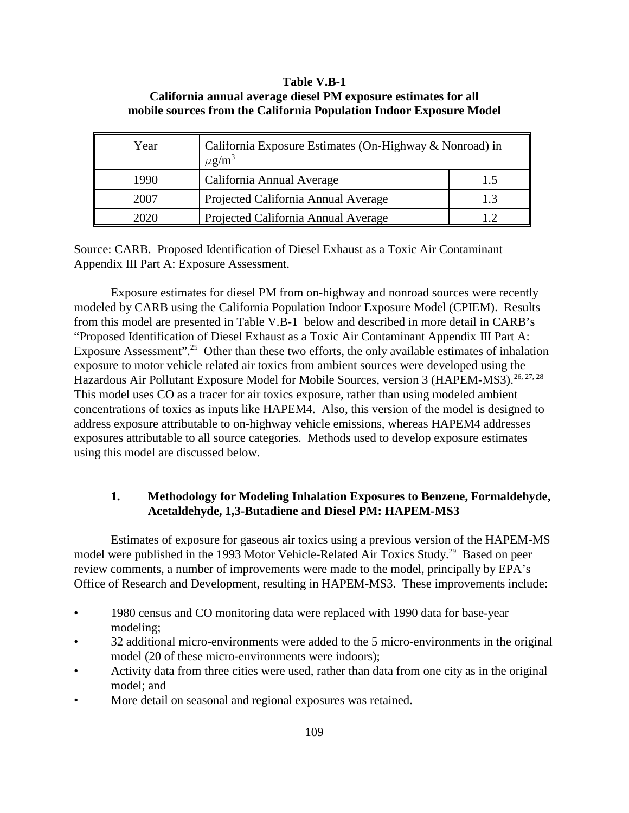## **Table V.B-1**

| California annual average diesel PM exposure estimates for all      |  |
|---------------------------------------------------------------------|--|
| mobile sources from the California Population Indoor Exposure Model |  |

| Year | California Exposure Estimates (On-Highway & Nonroad) in<br>$\mu$ g/m <sup>3</sup> |     |
|------|-----------------------------------------------------------------------------------|-----|
| 1990 | California Annual Average                                                         | 1.5 |
| 2007 | Projected California Annual Average                                               | 1.3 |
| າດາດ | Projected California Annual Average                                               |     |

Source: CARB. Proposed Identification of Diesel Exhaust as a Toxic Air Contaminant Appendix III Part A: Exposure Assessment.

Exposure estimates for diesel PM from on-highway and nonroad sources were recently modeled by CARB using the California Population Indoor Exposure Model (CPIEM). Results from this model are presented in Table V.B-1 below and described in more detail in CARB's "Proposed Identification of Diesel Exhaust as a Toxic Air Contaminant Appendix III Part A: Exposure Assessment"<sup>25</sup> Other than these two efforts, the only available estimates of inhalation exposure to motor vehicle related air toxics from ambient sources were developed using the Hazardous Air Pollutant Exposure Model for Mobile Sources, version 3 (HAPEM-MS3).<sup>26, 27, 28</sup> This model uses CO as a tracer for air toxics exposure, rather than using modeled ambient concentrations of toxics as inputs like HAPEM4. Also, this version of the model is designed to address exposure attributable to on-highway vehicle emissions, whereas HAPEM4 addresses exposures attributable to all source categories. Methods used to develop exposure estimates using this model are discussed below.

## **1. Methodology for Modeling Inhalation Exposures to Benzene, Formaldehyde, Acetaldehyde, 1,3-Butadiene and Diesel PM: HAPEM-MS3**

Estimates of exposure for gaseous air toxics using a previous version of the HAPEM-MS model were published in the 1993 Motor Vehicle-Related Air Toxics Study.<sup>29</sup> Based on peer review comments, a number of improvements were made to the model, principally by EPA's Office of Research and Development, resulting in HAPEM-MS3. These improvements include:

- 1980 census and CO monitoring data were replaced with 1990 data for base-year modeling;
- 32 additional micro-environments were added to the 5 micro-environments in the original model (20 of these micro-environments were indoors);
- Activity data from three cities were used, rather than data from one city as in the original model; and
- More detail on seasonal and regional exposures was retained.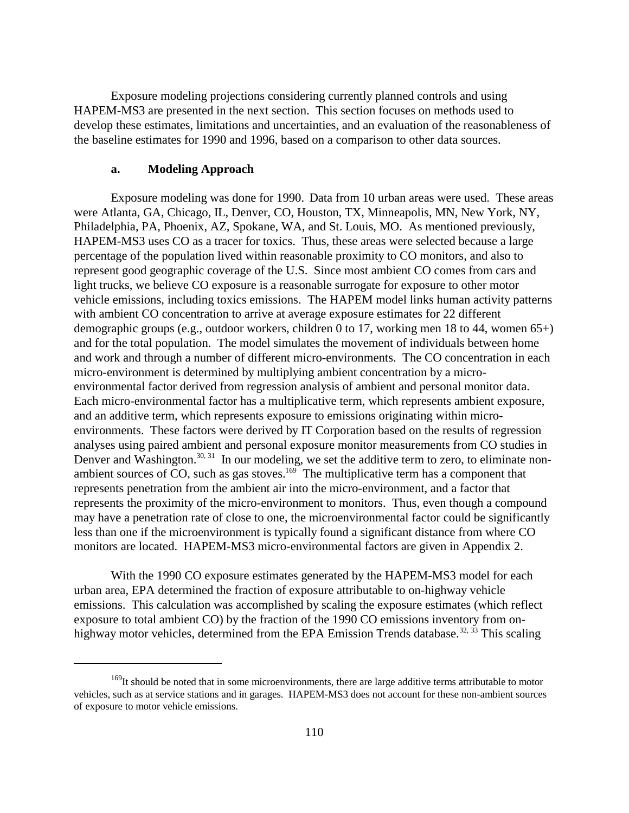Exposure modeling projections considering currently planned controls and using HAPEM-MS3 are presented in the next section. This section focuses on methods used to develop these estimates, limitations and uncertainties, and an evaluation of the reasonableness of the baseline estimates for 1990 and 1996, based on a comparison to other data sources.

#### **a. Modeling Approach**

Exposure modeling was done for 1990. Data from 10 urban areas were used. These areas were Atlanta, GA, Chicago, IL, Denver, CO, Houston, TX, Minneapolis, MN, New York, NY, Philadelphia, PA, Phoenix, AZ, Spokane, WA, and St. Louis, MO. As mentioned previously, HAPEM-MS3 uses CO as a tracer for toxics. Thus, these areas were selected because a large percentage of the population lived within reasonable proximity to CO monitors, and also to represent good geographic coverage of the U.S. Since most ambient CO comes from cars and light trucks, we believe CO exposure is a reasonable surrogate for exposure to other motor vehicle emissions, including toxics emissions. The HAPEM model links human activity patterns with ambient CO concentration to arrive at average exposure estimates for 22 different demographic groups (e.g., outdoor workers, children 0 to 17, working men 18 to 44, women 65+) and for the total population. The model simulates the movement of individuals between home and work and through a number of different micro-environments. The CO concentration in each micro-environment is determined by multiplying ambient concentration by a microenvironmental factor derived from regression analysis of ambient and personal monitor data. Each micro-environmental factor has a multiplicative term, which represents ambient exposure, and an additive term, which represents exposure to emissions originating within microenvironments. These factors were derived by IT Corporation based on the results of regression analyses using paired ambient and personal exposure monitor measurements from CO studies in Denver and Washington.<sup>30, 31</sup> In our modeling, we set the additive term to zero, to eliminate nonambient sources of  $CO$ , such as gas stoves.<sup>169</sup> The multiplicative term has a component that represents penetration from the ambient air into the micro-environment, and a factor that represents the proximity of the micro-environment to monitors. Thus, even though a compound may have a penetration rate of close to one, the microenvironmental factor could be significantly less than one if the microenvironment is typically found a significant distance from where CO monitors are located. HAPEM-MS3 micro-environmental factors are given in Appendix 2.

With the 1990 CO exposure estimates generated by the HAPEM-MS3 model for each urban area, EPA determined the fraction of exposure attributable to on-highway vehicle emissions. This calculation was accomplished by scaling the exposure estimates (which reflect exposure to total ambient CO) by the fraction of the 1990 CO emissions inventory from onhighway motor vehicles, determined from the EPA Emission Trends database.<sup>32, 33</sup> This scaling

<sup>&</sup>lt;sup>169</sup>It should be noted that in some microenvironments, there are large additive terms attributable to motor vehicles, such as at service stations and in garages. HAPEM-MS3 does not account for these non-ambient sources of exposure to motor vehicle emissions.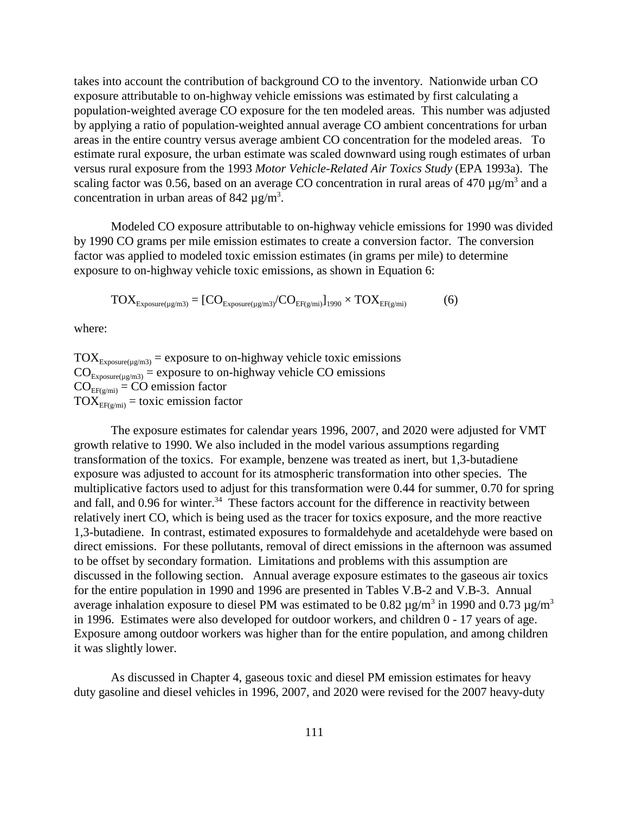takes into account the contribution of background CO to the inventory. Nationwide urban CO exposure attributable to on-highway vehicle emissions was estimated by first calculating a population-weighted average CO exposure for the ten modeled areas. This number was adjusted by applying a ratio of population-weighted annual average CO ambient concentrations for urban areas in the entire country versus average ambient CO concentration for the modeled areas. To estimate rural exposure, the urban estimate was scaled downward using rough estimates of urban versus rural exposure from the 1993 *Motor Vehicle-Related Air Toxics Study* (EPA 1993a). The scaling factor was 0.56, based on an average CO concentration in rural areas of 470  $\mu$ g/m<sup>3</sup> and a concentration in urban areas of 842  $\mu$ g/m<sup>3</sup>.

Modeled CO exposure attributable to on-highway vehicle emissions for 1990 was divided by 1990 CO grams per mile emission estimates to create a conversion factor. The conversion factor was applied to modeled toxic emission estimates (in grams per mile) to determine exposure to on-highway vehicle toxic emissions, as shown in Equation 6:

$$
TOX_{\text{Exposure}(\mu\text{g/m3})} = [CO_{\text{Exposure}(\mu\text{g/m3})}/CO_{\text{EF}(\text{g/mi})}]_{1990} \times TOX_{\text{EF}(\text{g/mi})}
$$
(6)

where:

 $TOX_{\text{Exposure}(\mu g/m3)} =$  exposure to on-highway vehicle toxic emissions  $CO_{\text{Exposure}(\mu\alpha) = \text{exposure}}$  to on-highway vehicle CO emissions  $CO<sub>EF(g/mi)</sub> = CO emission factor$  $TOX_{EF(\sigma/mi)} =$  toxic emission factor

 The exposure estimates for calendar years 1996, 2007, and 2020 were adjusted for VMT growth relative to 1990. We also included in the model various assumptions regarding transformation of the toxics. For example, benzene was treated as inert, but 1,3-butadiene exposure was adjusted to account for its atmospheric transformation into other species. The multiplicative factors used to adjust for this transformation were 0.44 for summer, 0.70 for spring and fall, and 0.96 for winter.<sup>34</sup> These factors account for the difference in reactivity between relatively inert CO, which is being used as the tracer for toxics exposure, and the more reactive 1,3-butadiene. In contrast, estimated exposures to formaldehyde and acetaldehyde were based on direct emissions. For these pollutants, removal of direct emissions in the afternoon was assumed to be offset by secondary formation. Limitations and problems with this assumption are discussed in the following section. Annual average exposure estimates to the gaseous air toxics for the entire population in 1990 and 1996 are presented in Tables V.B-2 and V.B-3. Annual average inhalation exposure to diesel PM was estimated to be 0.82  $\mu$ g/m<sup>3</sup> in 1990 and 0.73  $\mu$ g/m<sup>3</sup> in 1996. Estimates were also developed for outdoor workers, and children 0 - 17 years of age. Exposure among outdoor workers was higher than for the entire population, and among children it was slightly lower.

As discussed in Chapter 4, gaseous toxic and diesel PM emission estimates for heavy duty gasoline and diesel vehicles in 1996, 2007, and 2020 were revised for the 2007 heavy-duty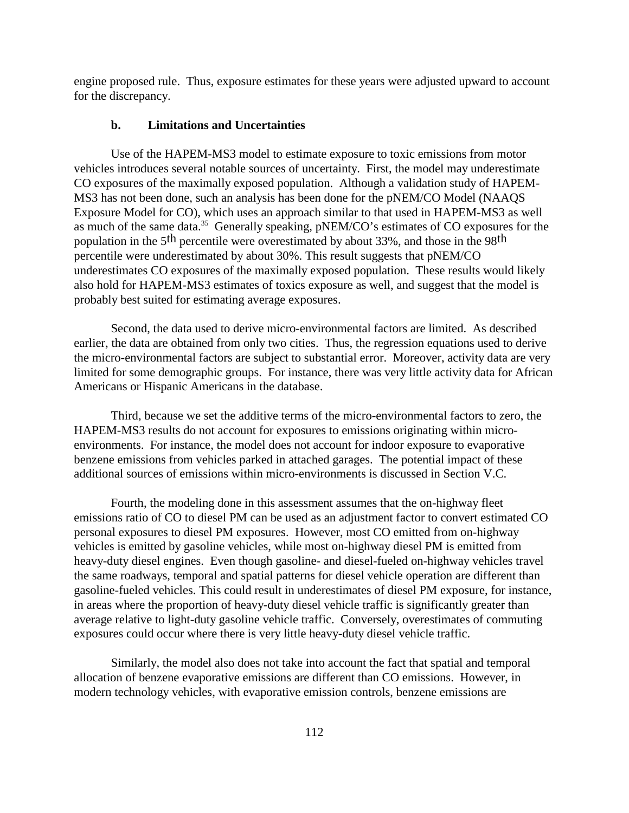engine proposed rule. Thus, exposure estimates for these years were adjusted upward to account for the discrepancy.

#### **b. Limitations and Uncertainties**

Use of the HAPEM-MS3 model to estimate exposure to toxic emissions from motor vehicles introduces several notable sources of uncertainty. First, the model may underestimate CO exposures of the maximally exposed population. Although a validation study of HAPEM-MS3 has not been done, such an analysis has been done for the pNEM/CO Model (NAAQS Exposure Model for CO), which uses an approach similar to that used in HAPEM-MS3 as well as much of the same data.<sup>35</sup> Generally speaking, pNEM/CO's estimates of CO exposures for the population in the 5<sup>th</sup> percentile were overestimated by about 33%, and those in the 98<sup>th</sup> percentile were underestimated by about 30%. This result suggests that pNEM/CO underestimates CO exposures of the maximally exposed population. These results would likely also hold for HAPEM-MS3 estimates of toxics exposure as well, and suggest that the model is probably best suited for estimating average exposures.

Second, the data used to derive micro-environmental factors are limited. As described earlier, the data are obtained from only two cities. Thus, the regression equations used to derive the micro-environmental factors are subject to substantial error. Moreover, activity data are very limited for some demographic groups. For instance, there was very little activity data for African Americans or Hispanic Americans in the database.

Third, because we set the additive terms of the micro-environmental factors to zero, the HAPEM-MS3 results do not account for exposures to emissions originating within microenvironments. For instance, the model does not account for indoor exposure to evaporative benzene emissions from vehicles parked in attached garages. The potential impact of these additional sources of emissions within micro-environments is discussed in Section V.C.

Fourth, the modeling done in this assessment assumes that the on-highway fleet emissions ratio of CO to diesel PM can be used as an adjustment factor to convert estimated CO personal exposures to diesel PM exposures. However, most CO emitted from on-highway vehicles is emitted by gasoline vehicles, while most on-highway diesel PM is emitted from heavy-duty diesel engines. Even though gasoline- and diesel-fueled on-highway vehicles travel the same roadways, temporal and spatial patterns for diesel vehicle operation are different than gasoline-fueled vehicles. This could result in underestimates of diesel PM exposure, for instance, in areas where the proportion of heavy-duty diesel vehicle traffic is significantly greater than average relative to light-duty gasoline vehicle traffic. Conversely, overestimates of commuting exposures could occur where there is very little heavy-duty diesel vehicle traffic.

Similarly, the model also does not take into account the fact that spatial and temporal allocation of benzene evaporative emissions are different than CO emissions. However, in modern technology vehicles, with evaporative emission controls, benzene emissions are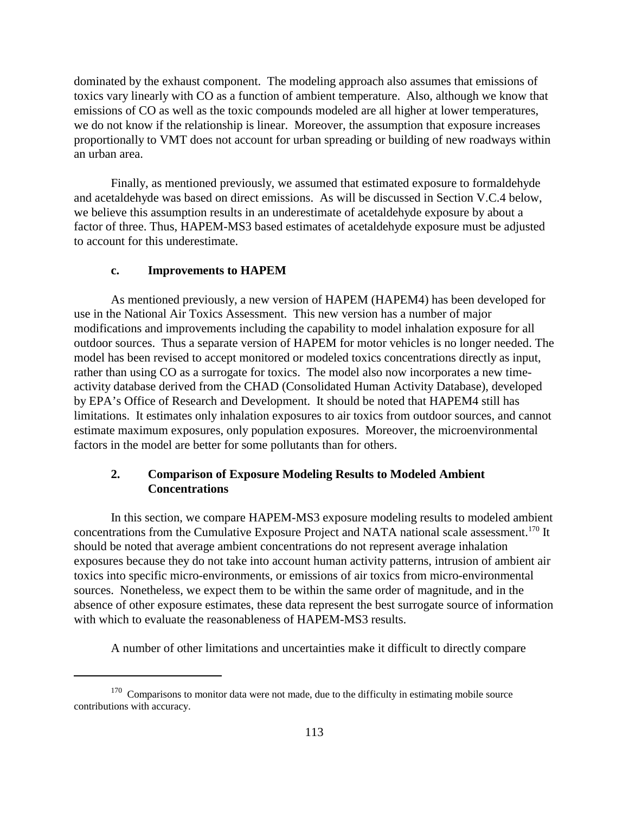dominated by the exhaust component. The modeling approach also assumes that emissions of toxics vary linearly with CO as a function of ambient temperature. Also, although we know that emissions of CO as well as the toxic compounds modeled are all higher at lower temperatures, we do not know if the relationship is linear. Moreover, the assumption that exposure increases proportionally to VMT does not account for urban spreading or building of new roadways within an urban area.

Finally, as mentioned previously, we assumed that estimated exposure to formaldehyde and acetaldehyde was based on direct emissions. As will be discussed in Section V.C.4 below, we believe this assumption results in an underestimate of acetaldehyde exposure by about a factor of three. Thus, HAPEM-MS3 based estimates of acetaldehyde exposure must be adjusted to account for this underestimate.

#### **c. Improvements to HAPEM**

As mentioned previously, a new version of HAPEM (HAPEM4) has been developed for use in the National Air Toxics Assessment. This new version has a number of major modifications and improvements including the capability to model inhalation exposure for all outdoor sources. Thus a separate version of HAPEM for motor vehicles is no longer needed. The model has been revised to accept monitored or modeled toxics concentrations directly as input, rather than using CO as a surrogate for toxics. The model also now incorporates a new timeactivity database derived from the CHAD (Consolidated Human Activity Database), developed by EPA's Office of Research and Development. It should be noted that HAPEM4 still has limitations. It estimates only inhalation exposures to air toxics from outdoor sources, and cannot estimate maximum exposures, only population exposures. Moreover, the microenvironmental factors in the model are better for some pollutants than for others.

## **2. Comparison of Exposure Modeling Results to Modeled Ambient Concentrations**

In this section, we compare HAPEM-MS3 exposure modeling results to modeled ambient concentrations from the Cumulative Exposure Project and NATA national scale assessment.<sup>170</sup> It should be noted that average ambient concentrations do not represent average inhalation exposures because they do not take into account human activity patterns, intrusion of ambient air toxics into specific micro-environments, or emissions of air toxics from micro-environmental sources. Nonetheless, we expect them to be within the same order of magnitude, and in the absence of other exposure estimates, these data represent the best surrogate source of information with which to evaluate the reasonableness of HAPEM-MS3 results.

A number of other limitations and uncertainties make it difficult to directly compare

 $170$  Comparisons to monitor data were not made, due to the difficulty in estimating mobile source contributions with accuracy.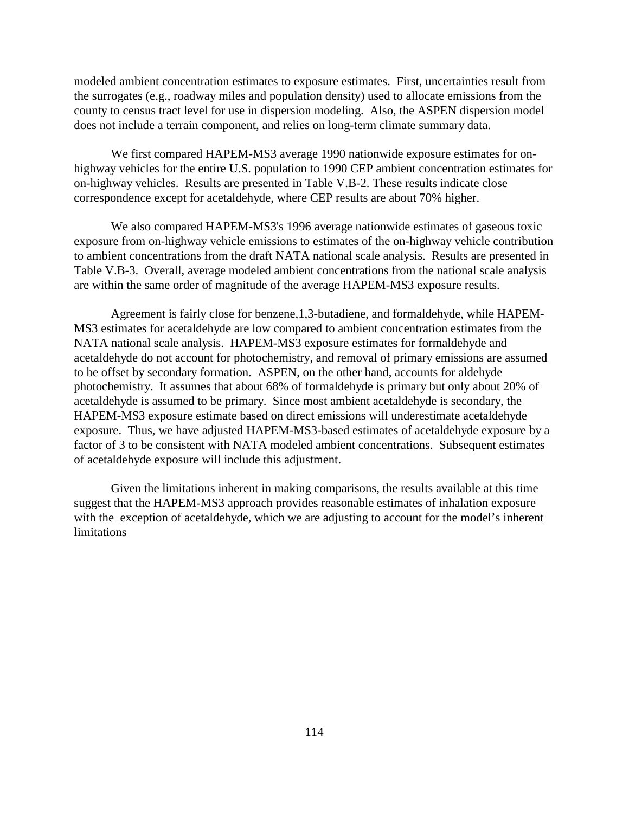modeled ambient concentration estimates to exposure estimates. First, uncertainties result from the surrogates (e.g., roadway miles and population density) used to allocate emissions from the county to census tract level for use in dispersion modeling. Also, the ASPEN dispersion model does not include a terrain component, and relies on long-term climate summary data.

We first compared HAPEM-MS3 average 1990 nationwide exposure estimates for onhighway vehicles for the entire U.S. population to 1990 CEP ambient concentration estimates for on-highway vehicles. Results are presented in Table V.B-2. These results indicate close correspondence except for acetaldehyde, where CEP results are about 70% higher.

We also compared HAPEM-MS3's 1996 average nationwide estimates of gaseous toxic exposure from on-highway vehicle emissions to estimates of the on-highway vehicle contribution to ambient concentrations from the draft NATA national scale analysis. Results are presented in Table V.B-3. Overall, average modeled ambient concentrations from the national scale analysis are within the same order of magnitude of the average HAPEM-MS3 exposure results.

Agreement is fairly close for benzene,1,3-butadiene, and formaldehyde, while HAPEM-MS3 estimates for acetaldehyde are low compared to ambient concentration estimates from the NATA national scale analysis. HAPEM-MS3 exposure estimates for formaldehyde and acetaldehyde do not account for photochemistry, and removal of primary emissions are assumed to be offset by secondary formation. ASPEN, on the other hand, accounts for aldehyde photochemistry. It assumes that about 68% of formaldehyde is primary but only about 20% of acetaldehyde is assumed to be primary. Since most ambient acetaldehyde is secondary, the HAPEM-MS3 exposure estimate based on direct emissions will underestimate acetaldehyde exposure. Thus, we have adjusted HAPEM-MS3-based estimates of acetaldehyde exposure by a factor of 3 to be consistent with NATA modeled ambient concentrations. Subsequent estimates of acetaldehyde exposure will include this adjustment.

Given the limitations inherent in making comparisons, the results available at this time suggest that the HAPEM-MS3 approach provides reasonable estimates of inhalation exposure with the exception of acetaldehyde, which we are adjusting to account for the model's inherent **limitations**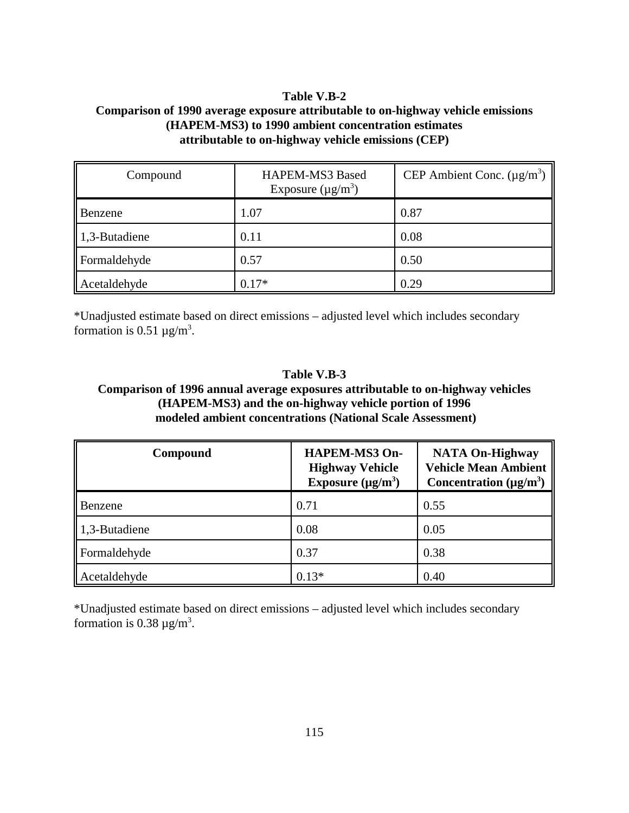## **Table V.B-2 Comparison of 1990 average exposure attributable to on-highway vehicle emissions (HAPEM-MS3) to 1990 ambient concentration estimates attributable to on-highway vehicle emissions (CEP)**

| Compound      | HAPEM-MS3 Based<br>Exposure $(\mu g/m^3)$ | CEP Ambient Conc. $(\mu g/m^3)$ |
|---------------|-------------------------------------------|---------------------------------|
| Benzene       | 1.07                                      | 0.87                            |
| 1,3-Butadiene | 0.11                                      | 0.08                            |
| Formaldehyde  | 0.57                                      | 0.50                            |
| Acetaldehyde  | $0.17*$                                   | 0.29                            |

\*Unadjusted estimate based on direct emissions – adjusted level which includes secondary formation is  $0.51 \mu g/m^3$ .

## **Table V.B-3 Comparison of 1996 annual average exposures attributable to on-highway vehicles (HAPEM-MS3) and the on-highway vehicle portion of 1996 modeled ambient concentrations (National Scale Assessment)**

| Compound      | <b>HAPEM-MS3 On-</b><br><b>Highway Vehicle</b><br>Exposure $(\mu g/m^3)$ | <b>NATA On-Highway</b><br><b>Vehicle Mean Ambient</b><br>Concentration $(\mu g/m^3)$ |
|---------------|--------------------------------------------------------------------------|--------------------------------------------------------------------------------------|
| Benzene       | 0.71                                                                     | 0.55                                                                                 |
| 1,3-Butadiene | 0.08                                                                     | 0.05                                                                                 |
| Formaldehyde  | 0.37                                                                     | 0.38                                                                                 |
| Acetaldehyde  | $0.13*$                                                                  | 0.40                                                                                 |

\*Unadjusted estimate based on direct emissions – adjusted level which includes secondary formation is 0.38  $\mu$ g/m<sup>3</sup>.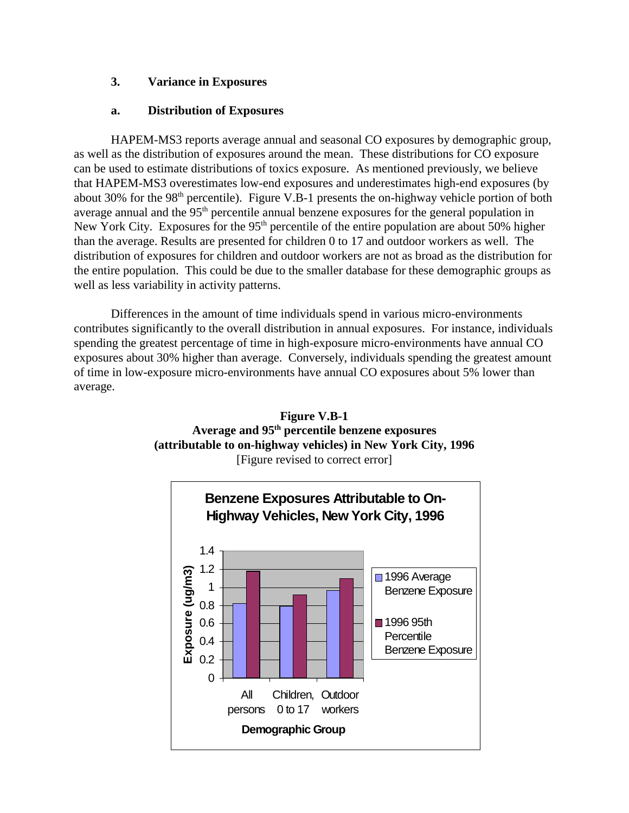## **3. Variance in Exposures**

## **a. Distribution of Exposures**

HAPEM-MS3 reports average annual and seasonal CO exposures by demographic group, as well as the distribution of exposures around the mean. These distributions for CO exposure can be used to estimate distributions of toxics exposure. As mentioned previously, we believe that HAPEM-MS3 overestimates low-end exposures and underestimates high-end exposures (by about 30% for the  $98<sup>th</sup>$  percentile). Figure V.B-1 presents the on-highway vehicle portion of both average annual and the 95<sup>th</sup> percentile annual benzene exposures for the general population in New York City. Exposures for the  $95<sup>th</sup>$  percentile of the entire population are about 50% higher than the average. Results are presented for children 0 to 17 and outdoor workers as well. The distribution of exposures for children and outdoor workers are not as broad as the distribution for the entire population. This could be due to the smaller database for these demographic groups as well as less variability in activity patterns.

Differences in the amount of time individuals spend in various micro-environments contributes significantly to the overall distribution in annual exposures. For instance, individuals spending the greatest percentage of time in high-exposure micro-environments have annual CO exposures about 30% higher than average. Conversely, individuals spending the greatest amount of time in low-exposure micro-environments have annual CO exposures about 5% lower than average.



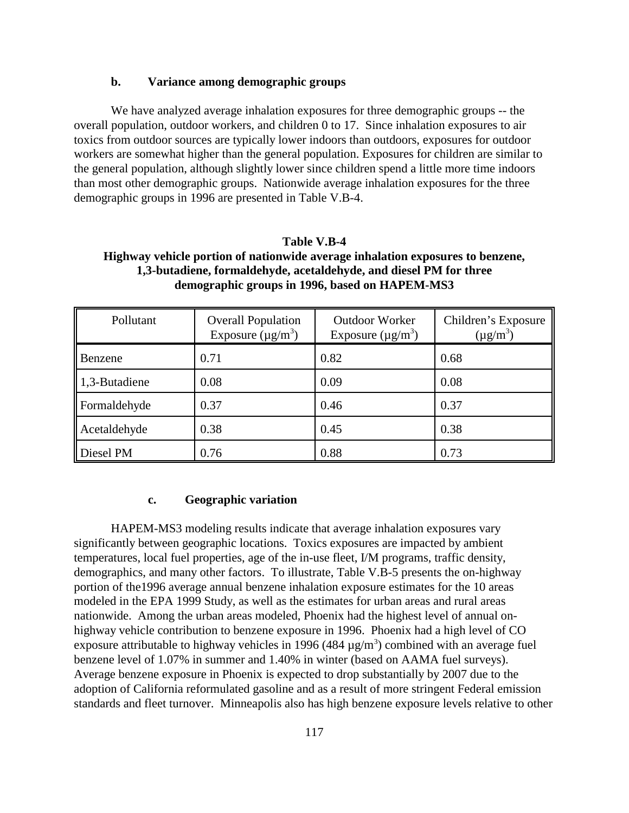### **b. Variance among demographic groups**

We have analyzed average inhalation exposures for three demographic groups -- the overall population, outdoor workers, and children 0 to 17. Since inhalation exposures to air toxics from outdoor sources are typically lower indoors than outdoors, exposures for outdoor workers are somewhat higher than the general population. Exposures for children are similar to the general population, although slightly lower since children spend a little more time indoors than most other demographic groups. Nationwide average inhalation exposures for the three demographic groups in 1996 are presented in Table V.B-4.

## **Table V.B-4 Highway vehicle portion of nationwide average inhalation exposures to benzene, 1,3-butadiene, formaldehyde, acetaldehyde, and diesel PM for three demographic groups in 1996, based on HAPEM-MS3**

| Pollutant     | <b>Overall Population</b><br>Exposure $(\mu g/m^3)$ | <b>Outdoor Worker</b><br>Exposure $(\mu g/m^3)$ | Children's Exposure<br>$(\mu g/m^3)$ |
|---------------|-----------------------------------------------------|-------------------------------------------------|--------------------------------------|
| Benzene       | 0.71                                                | 0.82                                            | 0.68                                 |
| 1,3-Butadiene | 0.08                                                | 0.09                                            | 0.08                                 |
| Formaldehyde  | 0.37                                                | 0.46                                            | 0.37                                 |
| Acetaldehyde  | 0.38                                                | 0.45                                            | 0.38                                 |
| Diesel PM     | 0.76                                                | 0.88                                            | 0.73                                 |

#### **c. Geographic variation**

HAPEM-MS3 modeling results indicate that average inhalation exposures vary significantly between geographic locations. Toxics exposures are impacted by ambient temperatures, local fuel properties, age of the in-use fleet, I/M programs, traffic density, demographics, and many other factors. To illustrate, Table V.B-5 presents the on-highway portion of the1996 average annual benzene inhalation exposure estimates for the 10 areas modeled in the EPA 1999 Study, as well as the estimates for urban areas and rural areas nationwide. Among the urban areas modeled, Phoenix had the highest level of annual onhighway vehicle contribution to benzene exposure in 1996. Phoenix had a high level of CO exposure attributable to highway vehicles in 1996 (484  $\mu$ g/m<sup>3</sup>) combined with an average fuel benzene level of 1.07% in summer and 1.40% in winter (based on AAMA fuel surveys). Average benzene exposure in Phoenix is expected to drop substantially by 2007 due to the adoption of California reformulated gasoline and as a result of more stringent Federal emission standards and fleet turnover. Minneapolis also has high benzene exposure levels relative to other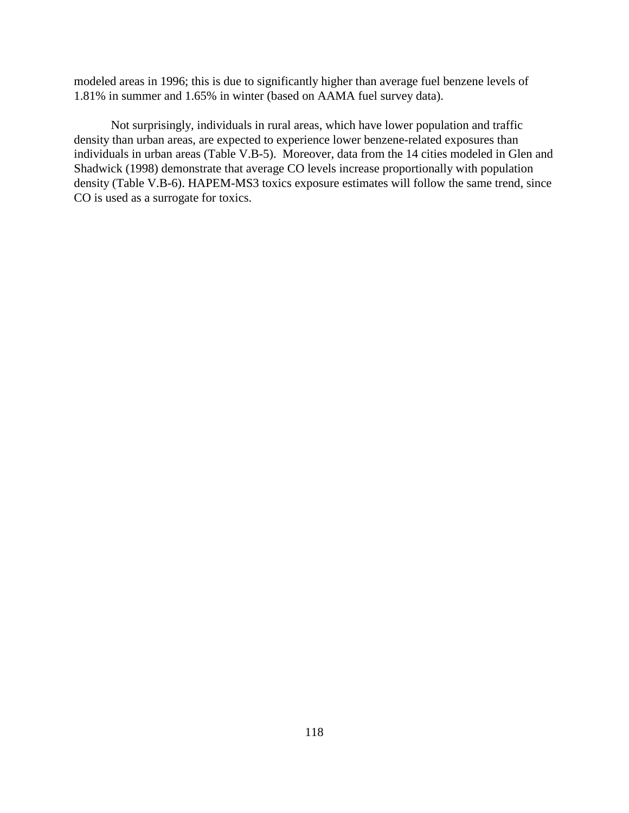modeled areas in 1996; this is due to significantly higher than average fuel benzene levels of 1.81% in summer and 1.65% in winter (based on AAMA fuel survey data).

Not surprisingly, individuals in rural areas, which have lower population and traffic density than urban areas, are expected to experience lower benzene-related exposures than individuals in urban areas (Table V.B-5). Moreover, data from the 14 cities modeled in Glen and Shadwick (1998) demonstrate that average CO levels increase proportionally with population density (Table V.B-6). HAPEM-MS3 toxics exposure estimates will follow the same trend, since CO is used as a surrogate for toxics.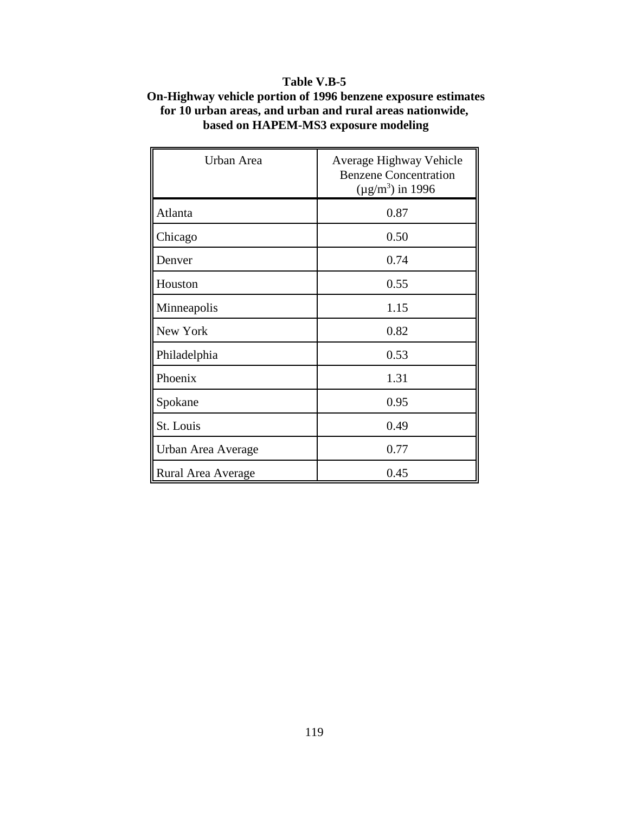## **Table V.B-5**

## **On-Highway vehicle portion of 1996 benzene exposure estimates for 10 urban areas, and urban and rural areas nationwide, based on HAPEM-MS3 exposure modeling**

| Urban Area         | Average Highway Vehicle<br><b>Benzene Concentration</b><br>$(\mu g/m^3)$ in 1996 |
|--------------------|----------------------------------------------------------------------------------|
| Atlanta            | 0.87                                                                             |
| Chicago            | 0.50                                                                             |
| Denver             | 0.74                                                                             |
| Houston            | 0.55                                                                             |
| Minneapolis        | 1.15                                                                             |
| New York           | 0.82                                                                             |
| Philadelphia       | 0.53                                                                             |
| Phoenix            | 1.31                                                                             |
| Spokane            | 0.95                                                                             |
| St. Louis          | 0.49                                                                             |
| Urban Area Average | 0.77                                                                             |
| Rural Area Average | 0.45                                                                             |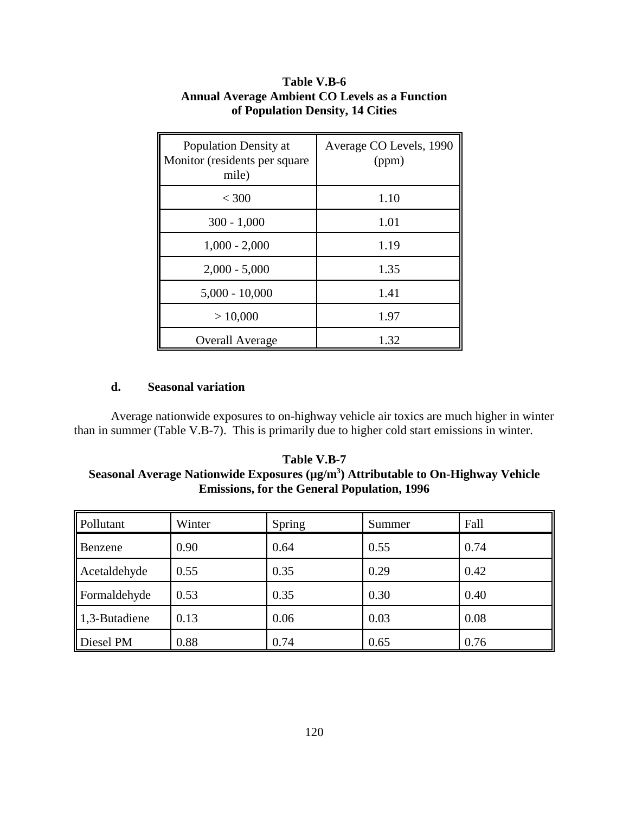| Population Density at<br>Monitor (residents per square<br>mile) | Average CO Levels, 1990<br>(ppm) |
|-----------------------------------------------------------------|----------------------------------|
| $<$ 300                                                         | 1.10                             |
| $300 - 1,000$                                                   | 1.01                             |
| $1,000 - 2,000$                                                 | 1.19                             |
| $2,000 - 5,000$                                                 | 1.35                             |
| $5,000 - 10,000$                                                | 1.41                             |
| > 10,000                                                        | 1.97                             |
| <b>Overall Average</b>                                          | 1.32                             |

## **Table V.B-6 Annual Average Ambient CO Levels as a Function of Population Density, 14 Cities**

## **d. Seasonal variation**

Average nationwide exposures to on-highway vehicle air toxics are much higher in winter than in summer (Table V.B-7). This is primarily due to higher cold start emissions in winter.

**Table V.B-7 Seasonal Average Nationwide Exposures (µg/m3 ) Attributable to On-Highway Vehicle Emissions, for the General Population, 1996**

| Pollutant                 | Winter | Spring | Summer | Fall |
|---------------------------|--------|--------|--------|------|
| <b>Benzene</b>            | 0.90   | 0.64   | 0.55   | 0.74 |
| Acetaldehyde              | 0.55   | 0.35   | 0.29   | 0.42 |
| Formaldehyde              | 0.53   | 0.35   | 0.30   | 0.40 |
| $\parallel$ 1,3-Butadiene | 0.13   | 0.06   | 0.03   | 0.08 |
| Diesel PM                 | 0.88   | 0.74   | 0.65   | 0.76 |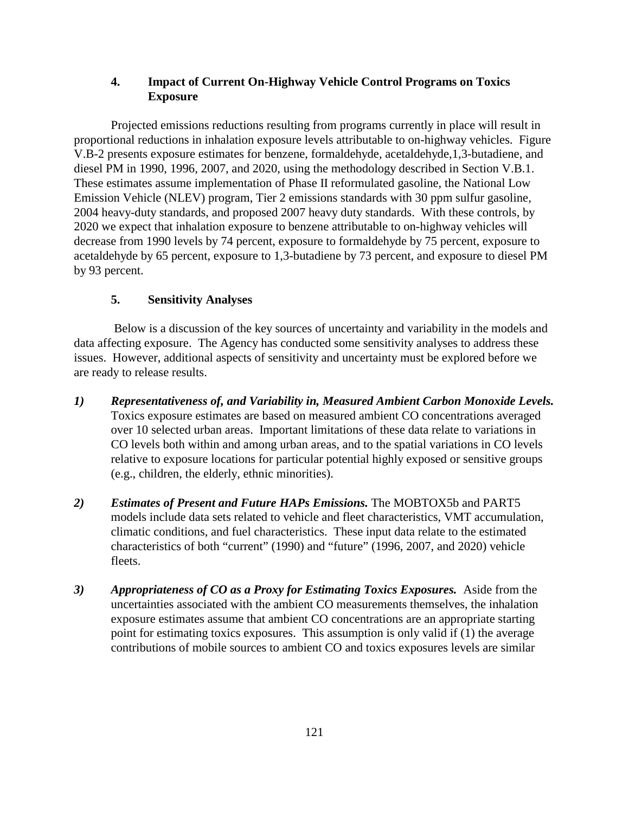## **4. Impact of Current On-Highway Vehicle Control Programs on Toxics Exposure**

Projected emissions reductions resulting from programs currently in place will result in proportional reductions in inhalation exposure levels attributable to on-highway vehicles. Figure V.B-2 presents exposure estimates for benzene, formaldehyde, acetaldehyde,1,3-butadiene, and diesel PM in 1990, 1996, 2007, and 2020, using the methodology described in Section V.B.1. These estimates assume implementation of Phase II reformulated gasoline, the National Low Emission Vehicle (NLEV) program, Tier 2 emissions standards with 30 ppm sulfur gasoline, 2004 heavy-duty standards, and proposed 2007 heavy duty standards. With these controls, by 2020 we expect that inhalation exposure to benzene attributable to on-highway vehicles will decrease from 1990 levels by 74 percent, exposure to formaldehyde by 75 percent, exposure to acetaldehyde by 65 percent, exposure to 1,3-butadiene by 73 percent, and exposure to diesel PM by 93 percent.

## **5. Sensitivity Analyses**

 Below is a discussion of the key sources of uncertainty and variability in the models and data affecting exposure. The Agency has conducted some sensitivity analyses to address these issues. However, additional aspects of sensitivity and uncertainty must be explored before we are ready to release results.

- *1) Representativeness of, and Variability in, Measured Ambient Carbon Monoxide Levels.* Toxics exposure estimates are based on measured ambient CO concentrations averaged over 10 selected urban areas. Important limitations of these data relate to variations in CO levels both within and among urban areas, and to the spatial variations in CO levels relative to exposure locations for particular potential highly exposed or sensitive groups (e.g., children, the elderly, ethnic minorities).
- *2) Estimates of Present and Future HAPs Emissions.* The MOBTOX5b and PART5 models include data sets related to vehicle and fleet characteristics, VMT accumulation, climatic conditions, and fuel characteristics. These input data relate to the estimated characteristics of both "current" (1990) and "future" (1996, 2007, and 2020) vehicle fleets.
- *3) Appropriateness of CO as a Proxy for Estimating Toxics Exposures.* Aside from the uncertainties associated with the ambient CO measurements themselves, the inhalation exposure estimates assume that ambient CO concentrations are an appropriate starting point for estimating toxics exposures. This assumption is only valid if (1) the average contributions of mobile sources to ambient CO and toxics exposures levels are similar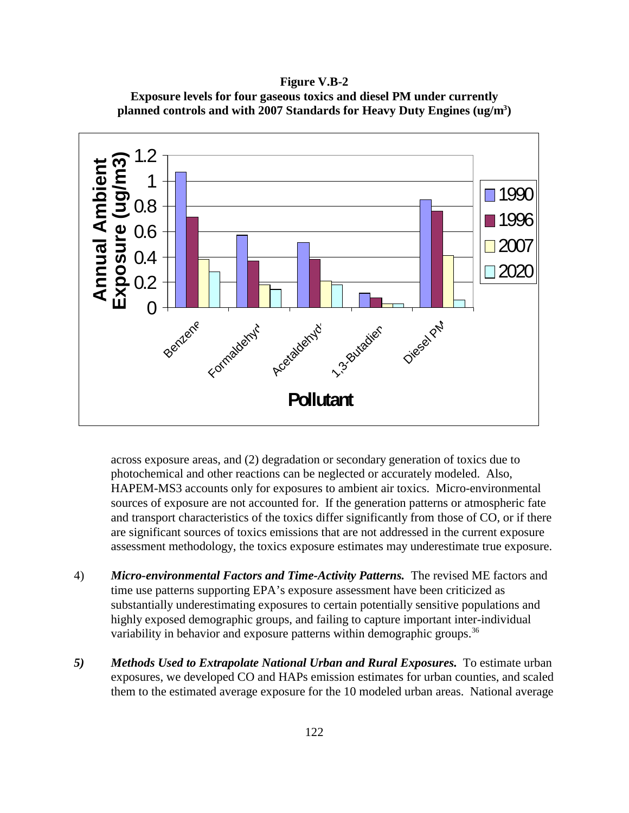**Figure V.B-2 Exposure levels for four gaseous toxics and diesel PM under currently planned controls and with 2007 Standards for Heavy Duty Engines (ug/m3 )**



across exposure areas, and (2) degradation or secondary generation of toxics due to photochemical and other reactions can be neglected or accurately modeled. Also, HAPEM-MS3 accounts only for exposures to ambient air toxics. Micro-environmental sources of exposure are not accounted for. If the generation patterns or atmospheric fate and transport characteristics of the toxics differ significantly from those of CO, or if there are significant sources of toxics emissions that are not addressed in the current exposure assessment methodology, the toxics exposure estimates may underestimate true exposure.

- 4) *Micro-environmental Factors and Time-Activity Patterns.* The revised ME factors and time use patterns supporting EPA's exposure assessment have been criticized as substantially underestimating exposures to certain potentially sensitive populations and highly exposed demographic groups, and failing to capture important inter-individual variability in behavior and exposure patterns within demographic groups.<sup>36</sup>
- 5) Methods Used to Extrapolate National Urban and Rural Exposures. To estimate urban exposures, we developed CO and HAPs emission estimates for urban counties, and scaled them to the estimated average exposure for the 10 modeled urban areas. National average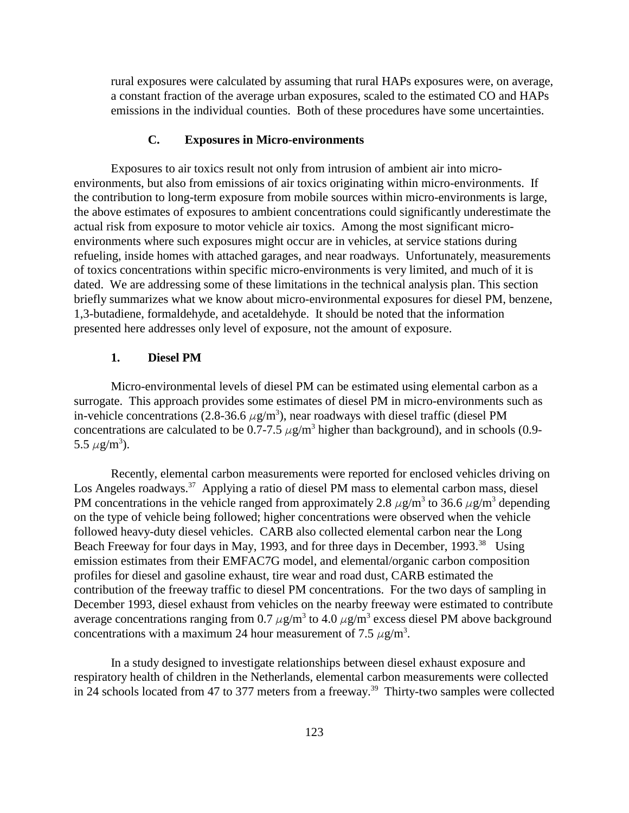rural exposures were calculated by assuming that rural HAPs exposures were, on average, a constant fraction of the average urban exposures, scaled to the estimated CO and HAPs emissions in the individual counties. Both of these procedures have some uncertainties.

## **C. Exposures in Micro-environments**

Exposures to air toxics result not only from intrusion of ambient air into microenvironments, but also from emissions of air toxics originating within micro-environments. If the contribution to long-term exposure from mobile sources within micro-environments is large, the above estimates of exposures to ambient concentrations could significantly underestimate the actual risk from exposure to motor vehicle air toxics. Among the most significant microenvironments where such exposures might occur are in vehicles, at service stations during refueling, inside homes with attached garages, and near roadways. Unfortunately, measurements of toxics concentrations within specific micro-environments is very limited, and much of it is dated. We are addressing some of these limitations in the technical analysis plan. This section briefly summarizes what we know about micro-environmental exposures for diesel PM, benzene, 1,3-butadiene, formaldehyde, and acetaldehyde. It should be noted that the information presented here addresses only level of exposure, not the amount of exposure.

## **1. Diesel PM**

Micro-environmental levels of diesel PM can be estimated using elemental carbon as a surrogate. This approach provides some estimates of diesel PM in micro-environments such as in-vehicle concentrations (2.8-36.6  $\mu$ g/m<sup>3</sup>), near roadways with diesel traffic (diesel PM concentrations are calculated to be 0.7-7.5  $\mu$ g/m<sup>3</sup> higher than background), and in schools (0.9-5.5  $\mu$ g/m<sup>3</sup>).

Recently, elemental carbon measurements were reported for enclosed vehicles driving on Los Angeles roadways.<sup>37</sup> Applying a ratio of diesel PM mass to elemental carbon mass, diesel PM concentrations in the vehicle ranged from approximately 2.8  $\mu$ g/m<sup>3</sup> to 36.6  $\mu$ g/m<sup>3</sup> depending on the type of vehicle being followed; higher concentrations were observed when the vehicle followed heavy-duty diesel vehicles. CARB also collected elemental carbon near the Long Beach Freeway for four days in May, 1993, and for three days in December, 1993.<sup>38</sup> Using emission estimates from their EMFAC7G model, and elemental/organic carbon composition profiles for diesel and gasoline exhaust, tire wear and road dust, CARB estimated the contribution of the freeway traffic to diesel PM concentrations. For the two days of sampling in December 1993, diesel exhaust from vehicles on the nearby freeway were estimated to contribute average concentrations ranging from 0.7  $\mu$ g/m<sup>3</sup> to 4.0  $\mu$ g/m<sup>3</sup> excess diesel PM above background concentrations with a maximum 24 hour measurement of 7.5  $\mu$ g/m<sup>3</sup>.

In a study designed to investigate relationships between diesel exhaust exposure and respiratory health of children in the Netherlands, elemental carbon measurements were collected in 24 schools located from 47 to 377 meters from a freeway.<sup>39</sup> Thirty-two samples were collected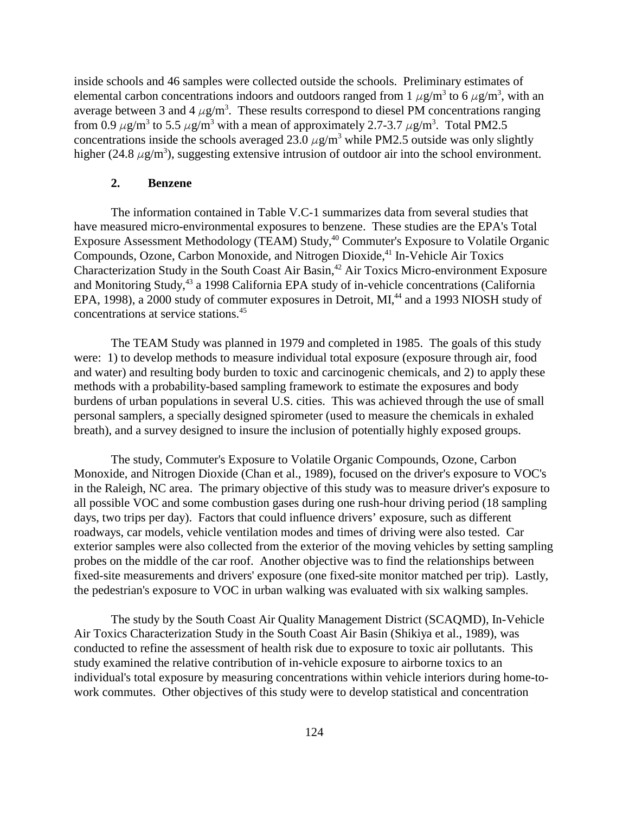inside schools and 46 samples were collected outside the schools. Preliminary estimates of elemental carbon concentrations indoors and outdoors ranged from 1  $\mu$ g/m<sup>3</sup> to 6  $\mu$ g/m<sup>3</sup>, with an average between 3 and 4  $\mu$ g/m<sup>3</sup>. These results correspond to diesel PM concentrations ranging from 0.9  $\mu$ g/m<sup>3</sup> to 5.5  $\mu$ g/m<sup>3</sup> with a mean of approximately 2.7-3.7  $\mu$ g/m<sup>3</sup>. Total PM2.5 concentrations inside the schools averaged 23.0  $\mu$ g/m<sup>3</sup> while PM2.5 outside was only slightly higher (24.8  $\mu$ g/m<sup>3</sup>), suggesting extensive intrusion of outdoor air into the school environment.

### **2. Benzene**

The information contained in Table V.C-1 summarizes data from several studies that have measured micro-environmental exposures to benzene. These studies are the EPA's Total Exposure Assessment Methodology (TEAM) Study,<sup>40</sup> Commuter's Exposure to Volatile Organic Compounds, Ozone, Carbon Monoxide, and Nitrogen Dioxide,<sup>41</sup> In-Vehicle Air Toxics Characterization Study in the South Coast Air Basin,<sup>42</sup> Air Toxics Micro-environment Exposure and Monitoring Study,<sup>43</sup> a 1998 California EPA study of in-vehicle concentrations (California EPA, 1998), a 2000 study of commuter exposures in Detroit, MI,<sup>44</sup> and a 1993 NIOSH study of concentrations at service stations.45

The TEAM Study was planned in 1979 and completed in 1985. The goals of this study were: 1) to develop methods to measure individual total exposure (exposure through air, food and water) and resulting body burden to toxic and carcinogenic chemicals, and 2) to apply these methods with a probability-based sampling framework to estimate the exposures and body burdens of urban populations in several U.S. cities. This was achieved through the use of small personal samplers, a specially designed spirometer (used to measure the chemicals in exhaled breath), and a survey designed to insure the inclusion of potentially highly exposed groups.

The study, Commuter's Exposure to Volatile Organic Compounds, Ozone, Carbon Monoxide, and Nitrogen Dioxide (Chan et al., 1989), focused on the driver's exposure to VOC's in the Raleigh, NC area. The primary objective of this study was to measure driver's exposure to all possible VOC and some combustion gases during one rush-hour driving period (18 sampling days, two trips per day). Factors that could influence drivers' exposure, such as different roadways, car models, vehicle ventilation modes and times of driving were also tested. Car exterior samples were also collected from the exterior of the moving vehicles by setting sampling probes on the middle of the car roof. Another objective was to find the relationships between fixed-site measurements and drivers' exposure (one fixed-site monitor matched per trip). Lastly, the pedestrian's exposure to VOC in urban walking was evaluated with six walking samples.

The study by the South Coast Air Quality Management District (SCAQMD), In-Vehicle Air Toxics Characterization Study in the South Coast Air Basin (Shikiya et al., 1989), was conducted to refine the assessment of health risk due to exposure to toxic air pollutants. This study examined the relative contribution of in-vehicle exposure to airborne toxics to an individual's total exposure by measuring concentrations within vehicle interiors during home-towork commutes. Other objectives of this study were to develop statistical and concentration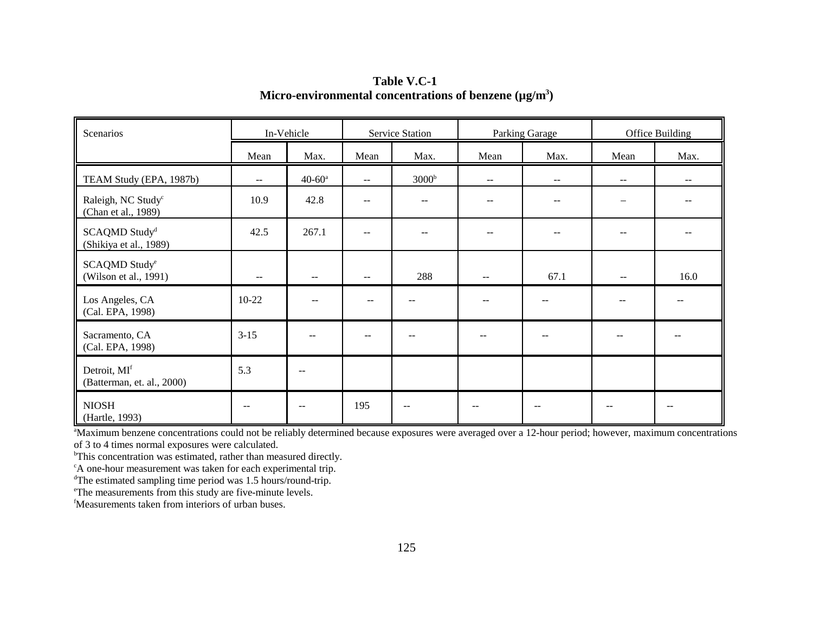Scenarios **In-Vehicle Service Station Parking Garage School** Office Building Mean | Max. | Mean | Max. | Mean | Max. | Mean | Max. TEAM Study (EPA, 1987b) --  $\begin{vmatrix} 40.60^a & -1 & 3000^b & -1 & -1 & -1 & -1 \\ 0 & -1 & 0 & 0 & -1 & -1 \end{vmatrix}$ Raleigh, NC Study<sup>c</sup> (Chan et al., 1989) 10.9 | 42.8 | -- | -- | -- | -- | -- | -- | --SCAQMD Study<sup>d</sup> (Shikiya et al., 1989) 42.5 | 267.1 | -- | -- | -- | -- | -- | -- | --SCAQMD Studye (Wilson et al., 1991)  $\begin{vmatrix} -1 & -1 & -1 \\ -1 & -1 & -1 \end{vmatrix}$   $\begin{vmatrix} -288 & -1 & -1 \\ -1 & -1 & 67.1 \end{vmatrix}$   $\begin{vmatrix} -1 & -1 & 16.0 \\ -1 & -1 & -1 \end{vmatrix}$ Los Angeles, CA (Cal. EPA, 1998) 10-22 -- -- -- -- -- -- -- Sacramento, CA (Cal. EPA, 1998) 3-15 -- -- -- -- -- -- -- Detroit, MI<sup>f</sup> (Batterman, et. al., 2000)  $5.3$  --NIOSH(Hartle, 1993) -- 1 -- 195 - 1 -- 1 -- 1 -- 1 --

**Table V.C-1Micro-environmental concentrations of benzene (µg/m3)**

<sup>a</sup>Maximum benzene concentrations could not be reliably determined because exposures were averaged over a 12-hour period; however, maximum concentrations of 3 to 4 times normal exposures were calculated.

<sup>b</sup>This concentration was estimated, rather than measured directly.

<sup>c</sup>A one-hour measurement was taken for each experimental trip.

dThe estimated sampling time period was 1.5 hours/round-trip.

eThe measurements from this study are five-minute levels.

fMeasurements taken from interiors of urban buses.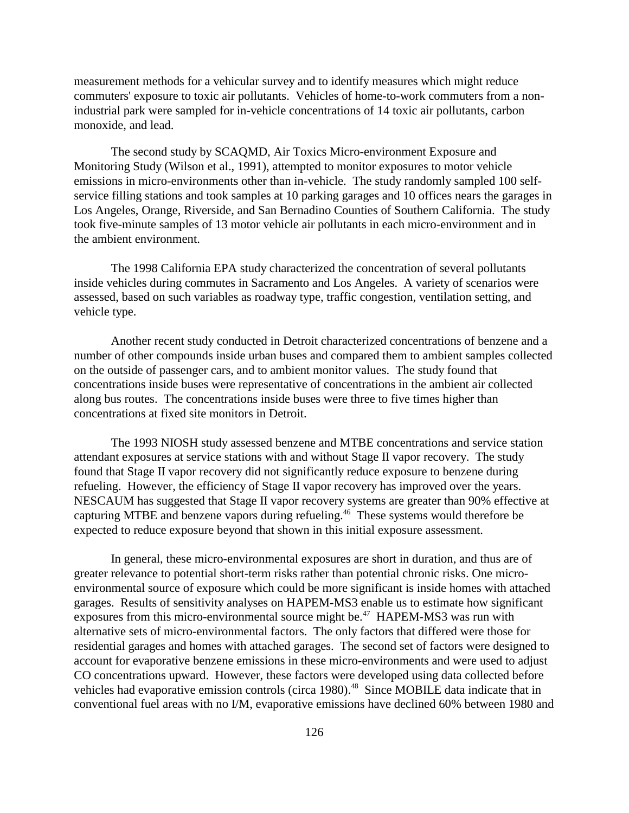measurement methods for a vehicular survey and to identify measures which might reduce commuters' exposure to toxic air pollutants. Vehicles of home-to-work commuters from a nonindustrial park were sampled for in-vehicle concentrations of 14 toxic air pollutants, carbon monoxide, and lead.

The second study by SCAQMD, Air Toxics Micro-environment Exposure and Monitoring Study (Wilson et al., 1991), attempted to monitor exposures to motor vehicle emissions in micro-environments other than in-vehicle. The study randomly sampled 100 selfservice filling stations and took samples at 10 parking garages and 10 offices nears the garages in Los Angeles, Orange, Riverside, and San Bernadino Counties of Southern California. The study took five-minute samples of 13 motor vehicle air pollutants in each micro-environment and in the ambient environment.

The 1998 California EPA study characterized the concentration of several pollutants inside vehicles during commutes in Sacramento and Los Angeles. A variety of scenarios were assessed, based on such variables as roadway type, traffic congestion, ventilation setting, and vehicle type.

Another recent study conducted in Detroit characterized concentrations of benzene and a number of other compounds inside urban buses and compared them to ambient samples collected on the outside of passenger cars, and to ambient monitor values. The study found that concentrations inside buses were representative of concentrations in the ambient air collected along bus routes. The concentrations inside buses were three to five times higher than concentrations at fixed site monitors in Detroit.

The 1993 NIOSH study assessed benzene and MTBE concentrations and service station attendant exposures at service stations with and without Stage II vapor recovery. The study found that Stage II vapor recovery did not significantly reduce exposure to benzene during refueling. However, the efficiency of Stage II vapor recovery has improved over the years. NESCAUM has suggested that Stage II vapor recovery systems are greater than 90% effective at capturing MTBE and benzene vapors during refueling.46 These systems would therefore be expected to reduce exposure beyond that shown in this initial exposure assessment.

In general, these micro-environmental exposures are short in duration, and thus are of greater relevance to potential short-term risks rather than potential chronic risks. One microenvironmental source of exposure which could be more significant is inside homes with attached garages. Results of sensitivity analyses on HAPEM-MS3 enable us to estimate how significant exposures from this micro-environmental source might be.<sup>47</sup> HAPEM-MS3 was run with alternative sets of micro-environmental factors. The only factors that differed were those for residential garages and homes with attached garages. The second set of factors were designed to account for evaporative benzene emissions in these micro-environments and were used to adjust CO concentrations upward. However, these factors were developed using data collected before vehicles had evaporative emission controls (circa 1980).<sup>48</sup> Since MOBILE data indicate that in conventional fuel areas with no I/M, evaporative emissions have declined 60% between 1980 and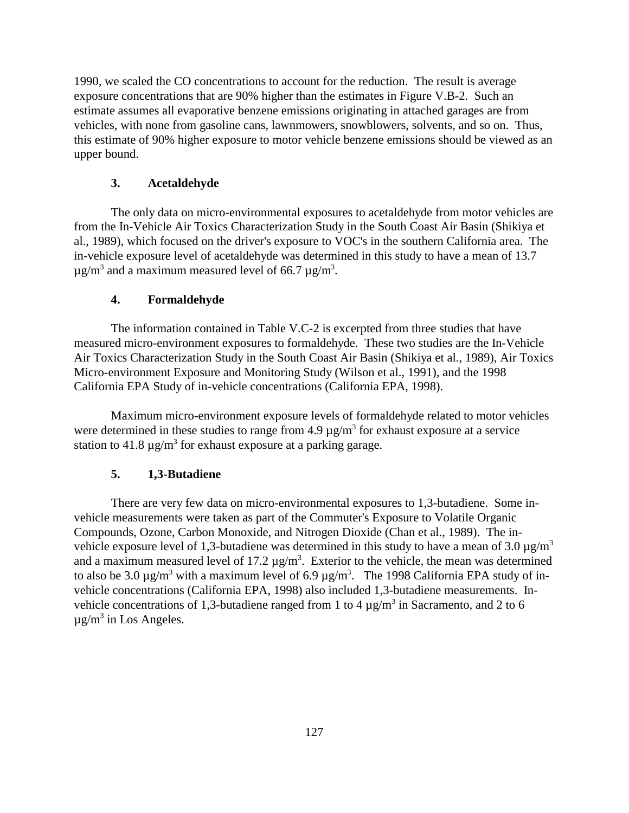1990, we scaled the CO concentrations to account for the reduction. The result is average exposure concentrations that are 90% higher than the estimates in Figure V.B-2. Such an estimate assumes all evaporative benzene emissions originating in attached garages are from vehicles, with none from gasoline cans, lawnmowers, snowblowers, solvents, and so on. Thus, this estimate of 90% higher exposure to motor vehicle benzene emissions should be viewed as an upper bound.

## **3. Acetaldehyde**

The only data on micro-environmental exposures to acetaldehyde from motor vehicles are from the In-Vehicle Air Toxics Characterization Study in the South Coast Air Basin (Shikiya et al., 1989), which focused on the driver's exposure to VOC's in the southern California area. The in-vehicle exposure level of acetaldehyde was determined in this study to have a mean of 13.7  $\mu$ g/m $^3$  and a maximum measured level of 66.7  $\mu$ g/m $^3$ .

### **4. Formaldehyde**

The information contained in Table V.C-2 is excerpted from three studies that have measured micro-environment exposures to formaldehyde. These two studies are the In-Vehicle Air Toxics Characterization Study in the South Coast Air Basin (Shikiya et al., 1989), Air Toxics Micro-environment Exposure and Monitoring Study (Wilson et al., 1991), and the 1998 California EPA Study of in-vehicle concentrations (California EPA, 1998).

Maximum micro-environment exposure levels of formaldehyde related to motor vehicles were determined in these studies to range from  $4.9 \,\mu g/m^3$  for exhaust exposure at a service station to 41.8  $\mu$ g/m<sup>3</sup> for exhaust exposure at a parking garage.

#### **5. 1,3-Butadiene**

There are very few data on micro-environmental exposures to 1,3-butadiene. Some invehicle measurements were taken as part of the Commuter's Exposure to Volatile Organic Compounds, Ozone, Carbon Monoxide, and Nitrogen Dioxide (Chan et al., 1989). The invehicle exposure level of 1,3-butadiene was determined in this study to have a mean of 3.0  $\mu$ g/m<sup>3</sup> and a maximum measured level of 17.2  $\mu$ g/m<sup>3</sup>. Exterior to the vehicle, the mean was determined to also be 3.0  $\mu$ g/m<sup>3</sup> with a maximum level of 6.9  $\mu$ g/m<sup>3</sup>. The 1998 California EPA study of invehicle concentrations (California EPA, 1998) also included 1,3-butadiene measurements. Invehicle concentrations of 1,3-butadiene ranged from 1 to 4  $\mu$ g/m<sup>3</sup> in Sacramento, and 2 to 6  $\mu$ g/m<sup>3</sup> in Los Angeles.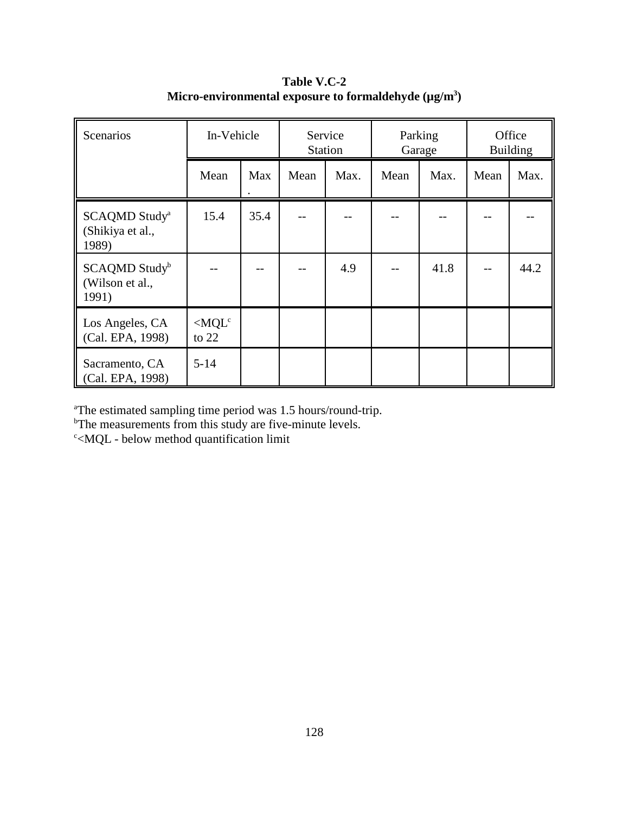| Scenarios                                              | In-Vehicle                 |      |      | Service<br><b>Station</b> |      | Parking<br>Garage |      | Office<br><b>Building</b> |
|--------------------------------------------------------|----------------------------|------|------|---------------------------|------|-------------------|------|---------------------------|
|                                                        | Mean                       | Max  | Mean | Max.                      | Mean | Max.              | Mean | Max.                      |
| SCAQMD Study <sup>a</sup><br>(Shikiya et al.,<br>1989) | 15.4                       | 35.4 |      |                           |      |                   |      |                           |
| SCAQMD Study <sup>b</sup><br>(Wilson et al.,<br>1991)  |                            |      |      | 4.9                       |      | 41.8              |      | 44.2                      |
| Los Angeles, CA<br>(Cal. EPA, 1998)                    | $\langle MQL^c$<br>to $22$ |      |      |                           |      |                   |      |                           |
| Sacramento, CA<br>(Cal. EPA, 1998)                     | $5 - 14$                   |      |      |                           |      |                   |      |                           |

**Table V.C-2 Micro-environmental exposure to formaldehyde (µg/m3 )**

a The estimated sampling time period was 1.5 hours/round-trip.

<sup>b</sup>The measurements from this study are five-minute levels.

c <MQL - below method quantification limit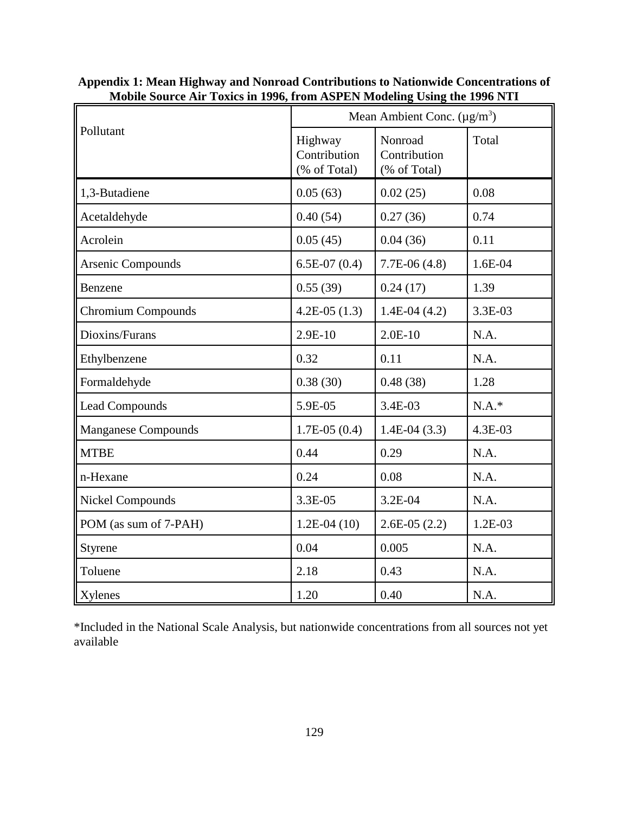|                            | Mean Ambient Conc. $(\mu g/m^3)$        |                                         |           |  |
|----------------------------|-----------------------------------------|-----------------------------------------|-----------|--|
| Pollutant                  | Highway<br>Contribution<br>(% of Total) | Nonroad<br>Contribution<br>(% of Total) | Total     |  |
| 1,3-Butadiene              | 0.05(63)                                | 0.02(25)                                | 0.08      |  |
| Acetaldehyde               | 0.40(54)                                | 0.27(36)                                | 0.74      |  |
| Acrolein                   | 0.05(45)                                | 0.04(36)                                | 0.11      |  |
| Arsenic Compounds          | $6.5E-07(0.4)$                          | $7.7E-06(4.8)$                          | 1.6E-04   |  |
| Benzene                    | 0.55(39)                                | 0.24(17)                                | 1.39      |  |
| <b>Chromium Compounds</b>  | $4.2E-05(1.3)$                          | $1.4E-04(4.2)$                          | 3.3E-03   |  |
| Dioxins/Furans             | $2.9E-10$                               | $2.0E-10$                               | N.A.      |  |
| Ethylbenzene               | 0.32                                    | 0.11                                    | N.A.      |  |
| Formaldehyde               | 0.38(30)                                | 0.48(38)                                | 1.28      |  |
| <b>Lead Compounds</b>      | 5.9E-05                                 | 3.4E-03                                 | $N.A.*$   |  |
| <b>Manganese Compounds</b> | $1.7E-05(0.4)$                          | $1.4E-04(3.3)$                          | 4.3E-03   |  |
| <b>MTBE</b>                | 0.44                                    | 0.29                                    | N.A.      |  |
| n-Hexane                   | 0.24                                    | 0.08                                    | N.A.      |  |
| Nickel Compounds           | 3.3E-05                                 | 3.2E-04                                 | N.A.      |  |
| POM (as sum of 7-PAH)      | $1.2E-04(10)$                           | $2.6E-05(2.2)$                          | $1.2E-03$ |  |
| Styrene                    | 0.04                                    | 0.005                                   | N.A.      |  |
| Toluene                    | 2.18                                    | 0.43                                    | N.A.      |  |
| Xylenes                    | 1.20                                    | 0.40                                    | N.A.      |  |

| Appendix 1: Mean Highway and Nonroad Contributions to Nationwide Concentrations of |  |
|------------------------------------------------------------------------------------|--|
| Mobile Source Air Toxics in 1996, from ASPEN Modeling Using the 1996 NTI           |  |

\*Included in the National Scale Analysis, but nationwide concentrations from all sources not yet available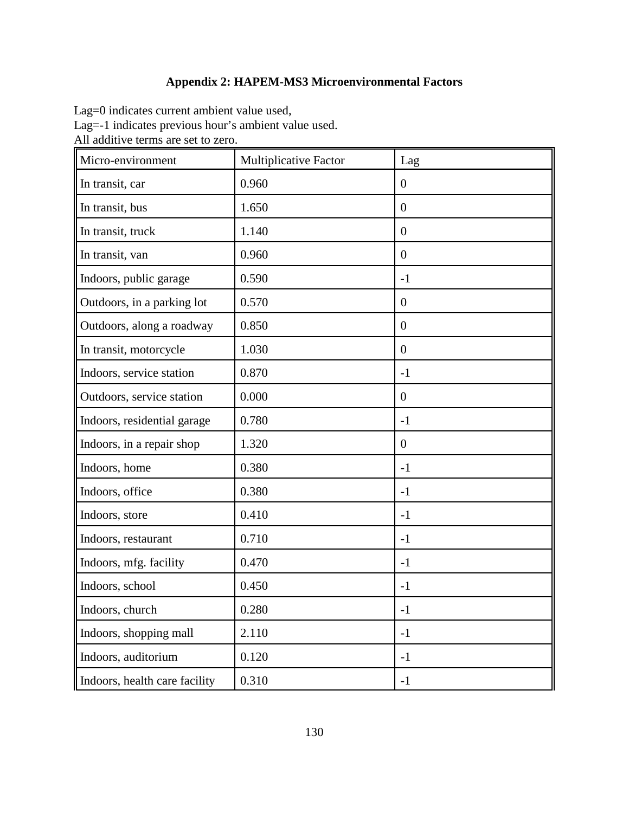## **Appendix 2: HAPEM-MS3 Microenvironmental Factors**

Lag=0 indicates current ambient value used,

Lag=-1 indicates previous hour's ambient value used.

All additive terms are set to zero.

| Micro-environment             | <b>Multiplicative Factor</b> | Lag            |
|-------------------------------|------------------------------|----------------|
| In transit, car               | 0.960                        | $\overline{0}$ |
| In transit, bus               | 1.650                        | $\overline{0}$ |
| In transit, truck             | 1.140                        | $\overline{0}$ |
| In transit, van               | 0.960                        | $\theta$       |
| Indoors, public garage        | 0.590                        | $-1$           |
| Outdoors, in a parking lot    | 0.570                        | $\theta$       |
| Outdoors, along a roadway     | 0.850                        | $\overline{0}$ |
| In transit, motorcycle        | 1.030                        | $\overline{0}$ |
| Indoors, service station      | 0.870                        | $-1$           |
| Outdoors, service station     | 0.000                        | $\theta$       |
| Indoors, residential garage   | 0.780                        | $-1$           |
| Indoors, in a repair shop     | 1.320                        | $\overline{0}$ |
| Indoors, home                 | 0.380                        | $-1$           |
| Indoors, office               | 0.380                        | $-1$           |
| Indoors, store                | 0.410                        | $-1$           |
| Indoors, restaurant           | 0.710                        | $-1$           |
| Indoors, mfg. facility        | 0.470                        | $-1$           |
| Indoors, school               | 0.450                        | $-1$           |
| Indoors, church               | 0.280                        | $-1$           |
| Indoors, shopping mall        | 2.110                        | $-1$           |
| Indoors, auditorium           | 0.120                        | $-1$           |
| Indoors, health care facility | 0.310                        | $-1$           |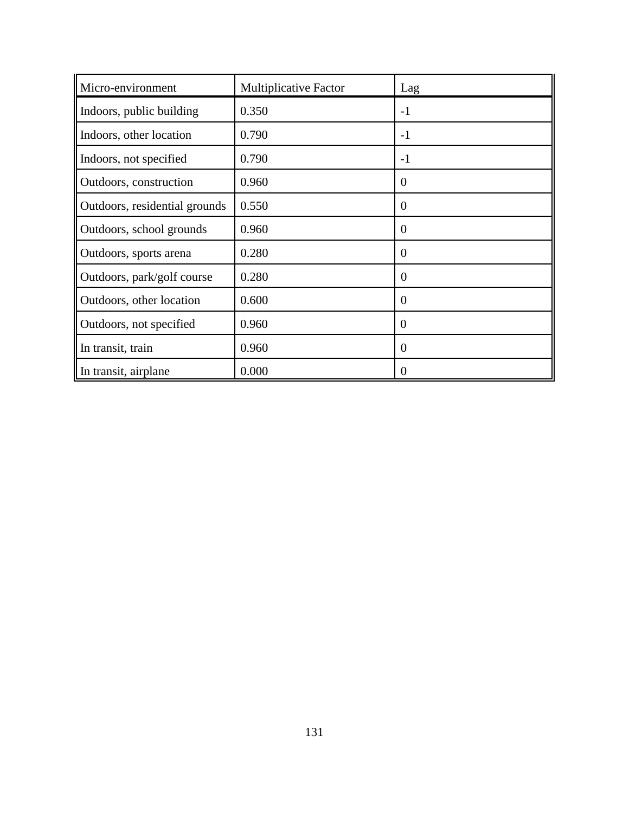| Micro-environment             | <b>Multiplicative Factor</b> | Lag            |
|-------------------------------|------------------------------|----------------|
| Indoors, public building      | 0.350                        | $-1$           |
| Indoors, other location       | 0.790                        | $-1$           |
| Indoors, not specified        | 0.790                        | $-1$           |
| Outdoors, construction        | 0.960                        | $\Omega$       |
| Outdoors, residential grounds | 0.550                        | $\theta$       |
| Outdoors, school grounds      | 0.960                        | $\theta$       |
| Outdoors, sports arena        | 0.280                        | $\overline{0}$ |
| Outdoors, park/golf course    | 0.280                        | $\overline{0}$ |
| Outdoors, other location      | 0.600                        | $\overline{0}$ |
| Outdoors, not specified       | 0.960                        | $\overline{0}$ |
| In transit, train             | 0.960                        | $\theta$       |
| In transit, airplane          | 0.000                        | $\Omega$       |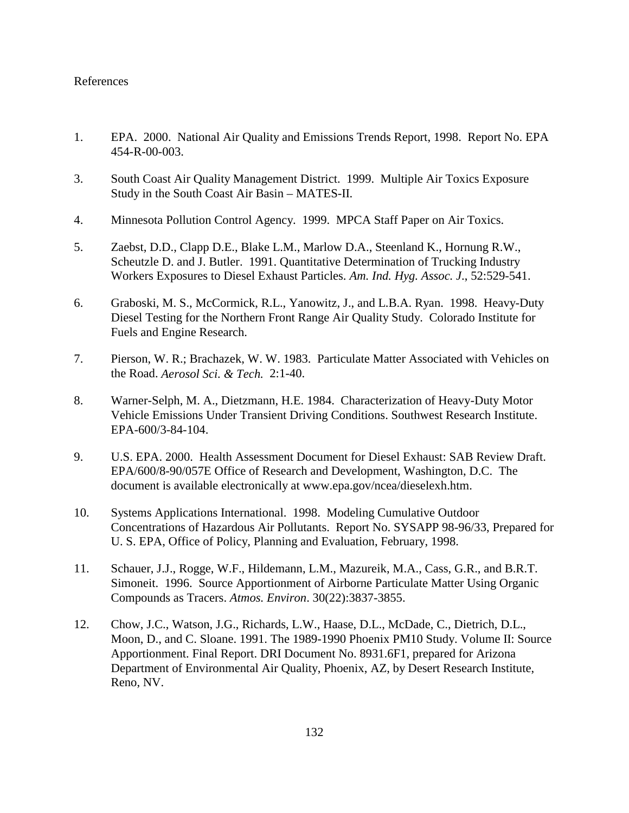#### References

- 1. EPA. 2000. National Air Quality and Emissions Trends Report, 1998. Report No. EPA 454-R-00-003.
- 3. South Coast Air Quality Management District. 1999. Multiple Air Toxics Exposure Study in the South Coast Air Basin – MATES-II.
- 4. Minnesota Pollution Control Agency. 1999. MPCA Staff Paper on Air Toxics.
- 5. Zaebst, D.D., Clapp D.E., Blake L.M., Marlow D.A., Steenland K., Hornung R.W., Scheutzle D. and J. Butler. 1991. Quantitative Determination of Trucking Industry Workers Exposures to Diesel Exhaust Particles. *Am. Ind. Hyg. Assoc. J*., 52:529-541.
- 6. Graboski, M. S., McCormick, R.L., Yanowitz, J., and L.B.A. Ryan. 1998. Heavy-Duty Diesel Testing for the Northern Front Range Air Quality Study. Colorado Institute for Fuels and Engine Research.
- 7. Pierson, W. R.; Brachazek, W. W. 1983. Particulate Matter Associated with Vehicles on the Road. *Aerosol Sci. & Tech.* 2:1-40.
- 8. Warner-Selph, M. A., Dietzmann, H.E. 1984. Characterization of Heavy-Duty Motor Vehicle Emissions Under Transient Driving Conditions. Southwest Research Institute. EPA-600/3-84-104.
- 9. U.S. EPA. 2000. Health Assessment Document for Diesel Exhaust: SAB Review Draft. EPA/600/8-90/057E Office of Research and Development, Washington, D.C. The document is available electronically at www.epa.gov/ncea/dieselexh.htm.
- 10. Systems Applications International. 1998. Modeling Cumulative Outdoor Concentrations of Hazardous Air Pollutants. Report No. SYSAPP 98-96/33, Prepared for U. S. EPA, Office of Policy, Planning and Evaluation, February, 1998.
- 11. Schauer, J.J., Rogge, W.F., Hildemann, L.M., Mazureik, M.A., Cass, G.R., and B.R.T. Simoneit. 1996. Source Apportionment of Airborne Particulate Matter Using Organic Compounds as Tracers. *Atmos. Environ*. 30(22):3837-3855.
- 12. Chow, J.C., Watson, J.G., Richards, L.W., Haase, D.L., McDade, C., Dietrich, D.L., Moon, D., and C. Sloane. 1991. The 1989-1990 Phoenix PM10 Study. Volume II: Source Apportionment. Final Report. DRI Document No. 8931.6F1, prepared for Arizona Department of Environmental Air Quality, Phoenix, AZ, by Desert Research Institute, Reno, NV.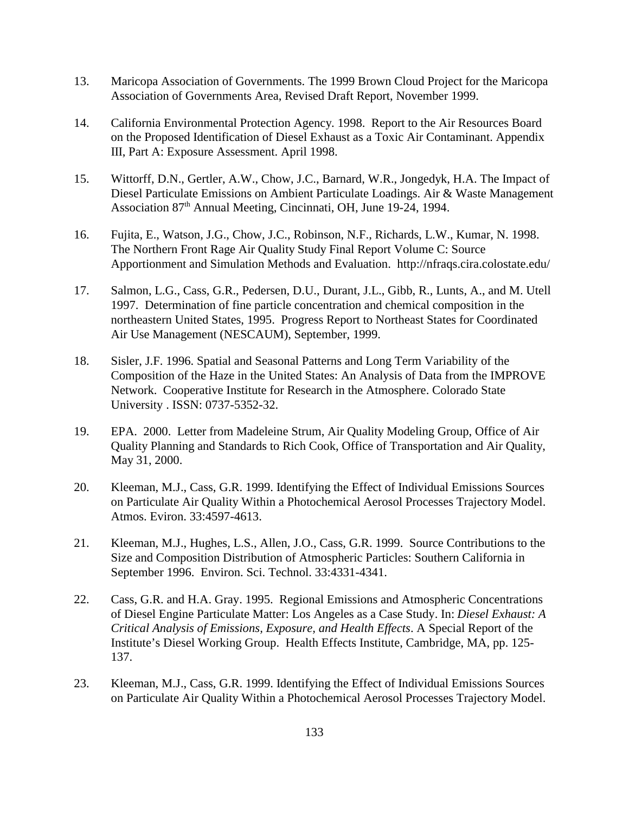- 13. Maricopa Association of Governments. The 1999 Brown Cloud Project for the Maricopa Association of Governments Area, Revised Draft Report, November 1999.
- 14. California Environmental Protection Agency. 1998. Report to the Air Resources Board on the Proposed Identification of Diesel Exhaust as a Toxic Air Contaminant. Appendix III, Part A: Exposure Assessment. April 1998.
- 15. Wittorff, D.N., Gertler, A.W., Chow, J.C., Barnard, W.R., Jongedyk, H.A. The Impact of Diesel Particulate Emissions on Ambient Particulate Loadings. Air & Waste Management Association 87<sup>th</sup> Annual Meeting, Cincinnati, OH, June 19-24, 1994.
- 16. Fujita, E., Watson, J.G., Chow, J.C., Robinson, N.F., Richards, L.W., Kumar, N. 1998. The Northern Front Rage Air Quality Study Final Report Volume C: Source Apportionment and Simulation Methods and Evaluation. http://nfraqs.cira.colostate.edu/
- 17. Salmon, L.G., Cass, G.R., Pedersen, D.U., Durant, J.L., Gibb, R., Lunts, A., and M. Utell 1997. Determination of fine particle concentration and chemical composition in the northeastern United States, 1995. Progress Report to Northeast States for Coordinated Air Use Management (NESCAUM), September, 1999.
- 18. Sisler, J.F. 1996. Spatial and Seasonal Patterns and Long Term Variability of the Composition of the Haze in the United States: An Analysis of Data from the IMPROVE Network. Cooperative Institute for Research in the Atmosphere. Colorado State University . ISSN: 0737-5352-32.
- 19. EPA. 2000. Letter from Madeleine Strum, Air Quality Modeling Group, Office of Air Quality Planning and Standards to Rich Cook, Office of Transportation and Air Quality, May 31, 2000.
- 20. Kleeman, M.J., Cass, G.R. 1999. Identifying the Effect of Individual Emissions Sources on Particulate Air Quality Within a Photochemical Aerosol Processes Trajectory Model. Atmos. Eviron. 33:4597-4613.
- 21. Kleeman, M.J., Hughes, L.S., Allen, J.O., Cass, G.R. 1999. Source Contributions to the Size and Composition Distribution of Atmospheric Particles: Southern California in September 1996. Environ. Sci. Technol. 33:4331-4341.
- 22. Cass, G.R. and H.A. Gray. 1995. Regional Emissions and Atmospheric Concentrations of Diesel Engine Particulate Matter: Los Angeles as a Case Study. In: *Diesel Exhaust: A Critical Analysis of Emissions, Exposure, and Health Effects*. A Special Report of the Institute's Diesel Working Group. Health Effects Institute, Cambridge, MA, pp. 125- 137.
- 23. Kleeman, M.J., Cass, G.R. 1999. Identifying the Effect of Individual Emissions Sources on Particulate Air Quality Within a Photochemical Aerosol Processes Trajectory Model.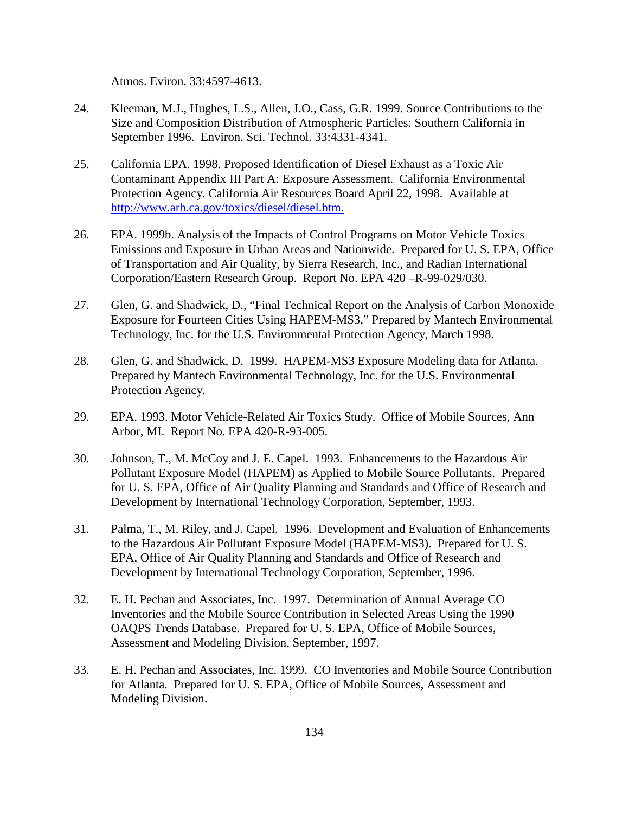Atmos. Eviron. 33:4597-4613.

- 24. Kleeman, M.J., Hughes, L.S., Allen, J.O., Cass, G.R. 1999. Source Contributions to the Size and Composition Distribution of Atmospheric Particles: Southern California in September 1996. Environ. Sci. Technol. 33:4331-4341.
- 25. California EPA. 1998. Proposed Identification of Diesel Exhaust as a Toxic Air Contaminant Appendix III Part A: Exposure Assessment. California Environmental Protection Agency. California Air Resources Board April 22, 1998. Available at http://www.arb.ca.gov/toxics/diesel/diesel.htm.
- 26. EPA. 1999b. Analysis of the Impacts of Control Programs on Motor Vehicle Toxics Emissions and Exposure in Urban Areas and Nationwide. Prepared for U. S. EPA, Office of Transportation and Air Quality, by Sierra Research, Inc., and Radian International Corporation/Eastern Research Group. Report No. EPA 420 –R-99-029/030.
- 27. Glen, G. and Shadwick, D., "Final Technical Report on the Analysis of Carbon Monoxide Exposure for Fourteen Cities Using HAPEM-MS3," Prepared by Mantech Environmental Technology, Inc. for the U.S. Environmental Protection Agency, March 1998.
- 28. Glen, G. and Shadwick, D. 1999. HAPEM-MS3 Exposure Modeling data for Atlanta. Prepared by Mantech Environmental Technology, Inc. for the U.S. Environmental Protection Agency.
- 29. EPA. 1993. Motor Vehicle-Related Air Toxics Study. Office of Mobile Sources, Ann Arbor, MI. Report No. EPA 420-R-93-005.
- 30. Johnson, T., M. McCoy and J. E. Capel. 1993. Enhancements to the Hazardous Air Pollutant Exposure Model (HAPEM) as Applied to Mobile Source Pollutants. Prepared for U. S. EPA, Office of Air Quality Planning and Standards and Office of Research and Development by International Technology Corporation, September, 1993.
- 31. Palma, T., M. Riley, and J. Capel. 1996. Development and Evaluation of Enhancements to the Hazardous Air Pollutant Exposure Model (HAPEM-MS3). Prepared for U. S. EPA, Office of Air Quality Planning and Standards and Office of Research and Development by International Technology Corporation, September, 1996.
- 32. E. H. Pechan and Associates, Inc. 1997. Determination of Annual Average CO Inventories and the Mobile Source Contribution in Selected Areas Using the 1990 OAQPS Trends Database. Prepared for U. S. EPA, Office of Mobile Sources, Assessment and Modeling Division, September, 1997.
- 33. E. H. Pechan and Associates, Inc. 1999. CO Inventories and Mobile Source Contribution for Atlanta. Prepared for U. S. EPA, Office of Mobile Sources, Assessment and Modeling Division.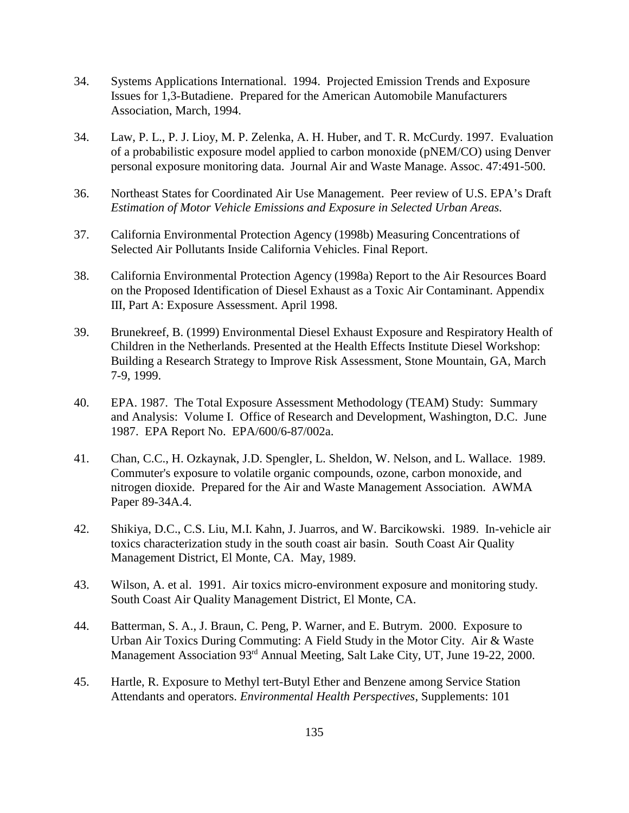- 34. Systems Applications International. 1994. Projected Emission Trends and Exposure Issues for 1,3-Butadiene. Prepared for the American Automobile Manufacturers Association, March, 1994.
- 34. Law, P. L., P. J. Lioy, M. P. Zelenka, A. H. Huber, and T. R. McCurdy. 1997. Evaluation of a probabilistic exposure model applied to carbon monoxide (pNEM/CO) using Denver personal exposure monitoring data. Journal Air and Waste Manage. Assoc. 47:491-500.
- 36. Northeast States for Coordinated Air Use Management. Peer review of U.S. EPA's Draft *Estimation of Motor Vehicle Emissions and Exposure in Selected Urban Areas*.
- 37. California Environmental Protection Agency (1998b) Measuring Concentrations of Selected Air Pollutants Inside California Vehicles. Final Report.
- 38. California Environmental Protection Agency (1998a) Report to the Air Resources Board on the Proposed Identification of Diesel Exhaust as a Toxic Air Contaminant. Appendix III, Part A: Exposure Assessment. April 1998.
- 39. Brunekreef, B. (1999) Environmental Diesel Exhaust Exposure and Respiratory Health of Children in the Netherlands. Presented at the Health Effects Institute Diesel Workshop: Building a Research Strategy to Improve Risk Assessment, Stone Mountain, GA, March 7-9, 1999.
- 40. EPA. 1987. The Total Exposure Assessment Methodology (TEAM) Study: Summary and Analysis: Volume I. Office of Research and Development, Washington, D.C. June 1987. EPA Report No. EPA/600/6-87/002a.
- 41. Chan, C.C., H. Ozkaynak, J.D. Spengler, L. Sheldon, W. Nelson, and L. Wallace. 1989. Commuter's exposure to volatile organic compounds, ozone, carbon monoxide, and nitrogen dioxide. Prepared for the Air and Waste Management Association. AWMA Paper 89-34A.4.
- 42. Shikiya, D.C., C.S. Liu, M.I. Kahn, J. Juarros, and W. Barcikowski. 1989. In-vehicle air toxics characterization study in the south coast air basin. South Coast Air Quality Management District, El Monte, CA. May, 1989.
- 43. Wilson, A. et al. 1991. Air toxics micro-environment exposure and monitoring study. South Coast Air Quality Management District, El Monte, CA.
- 44. Batterman, S. A., J. Braun, C. Peng, P. Warner, and E. Butrym. 2000. Exposure to Urban Air Toxics During Commuting: A Field Study in the Motor City. Air & Waste Management Association 93<sup>rd</sup> Annual Meeting, Salt Lake City, UT, June 19-22, 2000.
- 45. Hartle, R. Exposure to Methyl tert-Butyl Ether and Benzene among Service Station Attendants and operators. *Environmental Health Perspectives*, Supplements: 101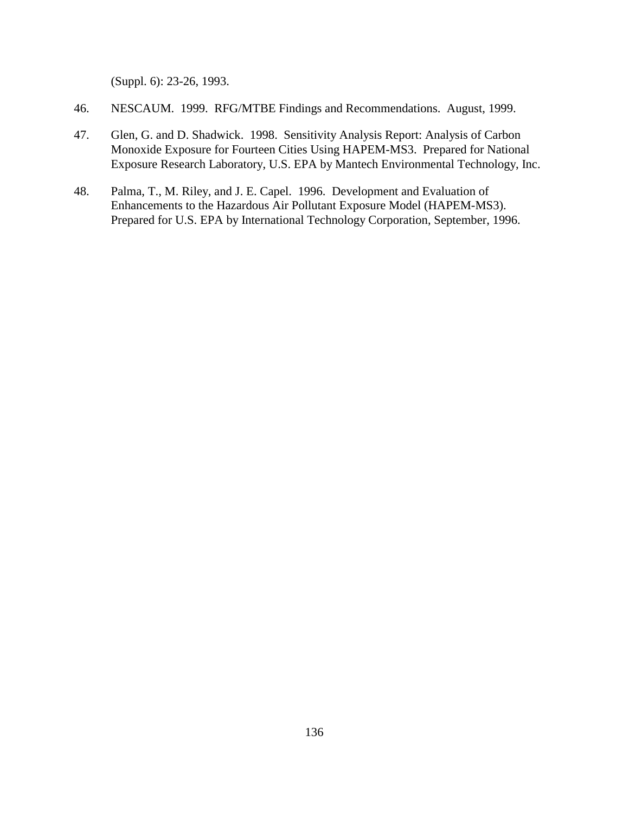(Suppl. 6): 23-26, 1993.

- 46. NESCAUM. 1999. RFG/MTBE Findings and Recommendations. August, 1999.
- 47. Glen, G. and D. Shadwick. 1998. Sensitivity Analysis Report: Analysis of Carbon Monoxide Exposure for Fourteen Cities Using HAPEM-MS3. Prepared for National Exposure Research Laboratory, U.S. EPA by Mantech Environmental Technology, Inc.
- 48. Palma, T., M. Riley, and J. E. Capel. 1996. Development and Evaluation of Enhancements to the Hazardous Air Pollutant Exposure Model (HAPEM-MS3). Prepared for U.S. EPA by International Technology Corporation, September, 1996.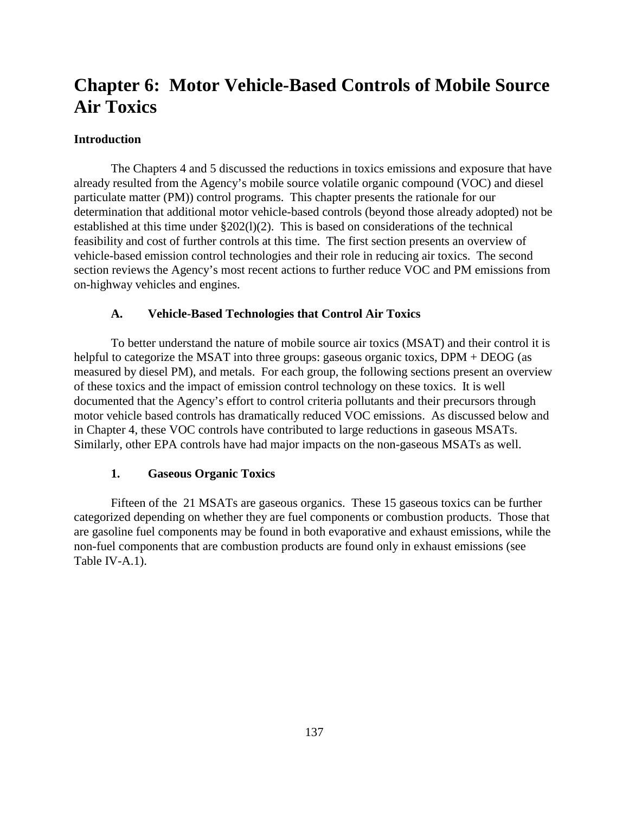# **Chapter 6: Motor Vehicle-Based Controls of Mobile Source Air Toxics**

#### **Introduction**

The Chapters 4 and 5 discussed the reductions in toxics emissions and exposure that have already resulted from the Agency's mobile source volatile organic compound (VOC) and diesel particulate matter (PM)) control programs. This chapter presents the rationale for our determination that additional motor vehicle-based controls (beyond those already adopted) not be established at this time under §202(l)(2). This is based on considerations of the technical feasibility and cost of further controls at this time. The first section presents an overview of vehicle-based emission control technologies and their role in reducing air toxics. The second section reviews the Agency's most recent actions to further reduce VOC and PM emissions from on-highway vehicles and engines.

#### **A. Vehicle-Based Technologies that Control Air Toxics**

To better understand the nature of mobile source air toxics (MSAT) and their control it is helpful to categorize the MSAT into three groups: gaseous organic toxics, DPM + DEOG (as measured by diesel PM), and metals. For each group, the following sections present an overview of these toxics and the impact of emission control technology on these toxics. It is well documented that the Agency's effort to control criteria pollutants and their precursors through motor vehicle based controls has dramatically reduced VOC emissions. As discussed below and in Chapter 4, these VOC controls have contributed to large reductions in gaseous MSATs. Similarly, other EPA controls have had major impacts on the non-gaseous MSATs as well.

#### **1. Gaseous Organic Toxics**

Fifteen of the 21 MSATs are gaseous organics. These 15 gaseous toxics can be further categorized depending on whether they are fuel components or combustion products. Those that are gasoline fuel components may be found in both evaporative and exhaust emissions, while the non-fuel components that are combustion products are found only in exhaust emissions (see Table IV-A.1).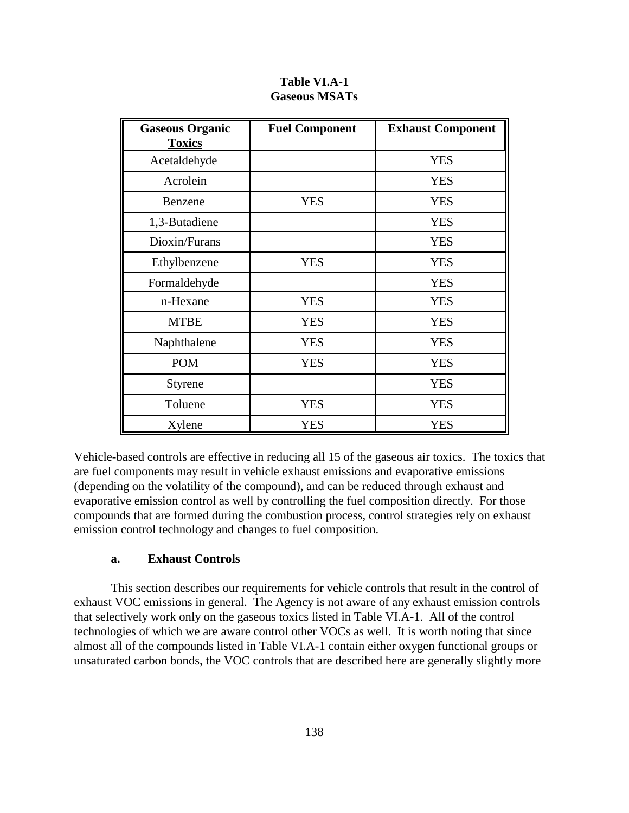| <b>Gaseous Organic</b><br><b>Toxics</b> | <b>Fuel Component</b> | <b>Exhaust Component</b> |
|-----------------------------------------|-----------------------|--------------------------|
| Acetaldehyde                            |                       | <b>YES</b>               |
| Acrolein                                |                       | <b>YES</b>               |
| Benzene                                 | <b>YES</b>            | <b>YES</b>               |
| 1,3-Butadiene                           |                       | <b>YES</b>               |
| Dioxin/Furans                           |                       | <b>YES</b>               |
| Ethylbenzene                            | <b>YES</b>            | <b>YES</b>               |
| Formaldehyde                            |                       | <b>YES</b>               |
| n-Hexane                                | <b>YES</b>            | <b>YES</b>               |
| <b>MTBE</b>                             | <b>YES</b>            | <b>YES</b>               |
| Naphthalene                             | <b>YES</b>            | <b>YES</b>               |
| <b>POM</b>                              | <b>YES</b>            | <b>YES</b>               |
| <b>Styrene</b>                          |                       | <b>YES</b>               |
| Toluene                                 | <b>YES</b>            | <b>YES</b>               |
| Xylene                                  | <b>YES</b>            | <b>YES</b>               |

**Table VI.A-1 Gaseous MSATs**

Vehicle-based controls are effective in reducing all 15 of the gaseous air toxics. The toxics that are fuel components may result in vehicle exhaust emissions and evaporative emissions (depending on the volatility of the compound), and can be reduced through exhaust and evaporative emission control as well by controlling the fuel composition directly. For those compounds that are formed during the combustion process, control strategies rely on exhaust emission control technology and changes to fuel composition.

#### **a. Exhaust Controls**

This section describes our requirements for vehicle controls that result in the control of exhaust VOC emissions in general. The Agency is not aware of any exhaust emission controls that selectively work only on the gaseous toxics listed in Table VI.A-1. All of the control technologies of which we are aware control other VOCs as well. It is worth noting that since almost all of the compounds listed in Table VI.A-1 contain either oxygen functional groups or unsaturated carbon bonds, the VOC controls that are described here are generally slightly more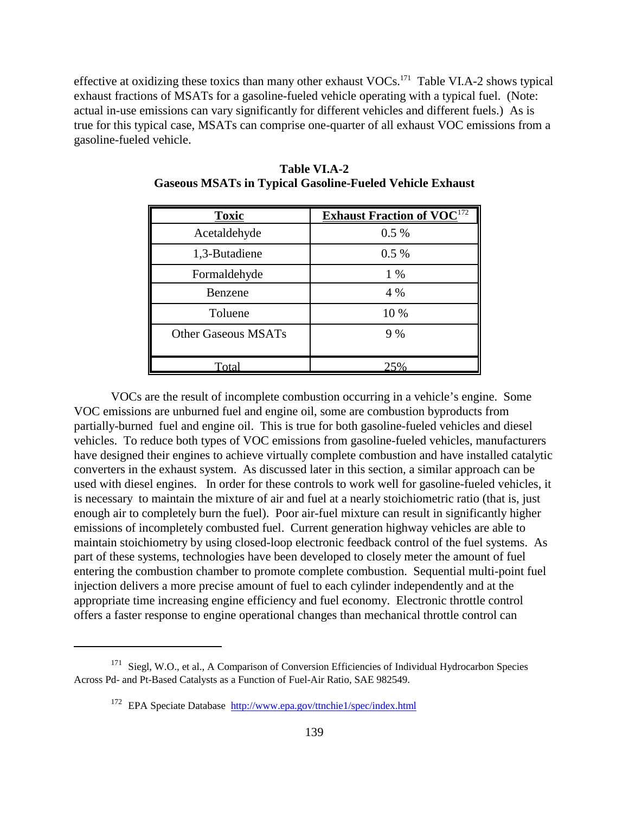effective at oxidizing these toxics than many other exhaust VOCs.171 Table VI.A-2 shows typical exhaust fractions of MSATs for a gasoline-fueled vehicle operating with a typical fuel. (Note: actual in-use emissions can vary significantly for different vehicles and different fuels.) As is true for this typical case, MSATs can comprise one-quarter of all exhaust VOC emissions from a gasoline-fueled vehicle.

| <b>Toxic</b>               | <b>Exhaust Fraction of VOC</b> <sup>172</sup> |
|----------------------------|-----------------------------------------------|
| Acetaldehyde               | $0.5\%$                                       |
| 1,3-Butadiene              | $0.5\%$                                       |
| Formaldehyde               | $1\%$                                         |
| Benzene                    | 4 %                                           |
| Toluene                    | 10 %                                          |
| <b>Other Gaseous MSATs</b> | 9%                                            |
|                            |                                               |
| Total                      | 25%                                           |

**Table VI.A-2 Gaseous MSATs in Typical Gasoline-Fueled Vehicle Exhaust**

VOCs are the result of incomplete combustion occurring in a vehicle's engine. Some VOC emissions are unburned fuel and engine oil, some are combustion byproducts from partially-burned fuel and engine oil. This is true for both gasoline-fueled vehicles and diesel vehicles. To reduce both types of VOC emissions from gasoline-fueled vehicles, manufacturers have designed their engines to achieve virtually complete combustion and have installed catalytic converters in the exhaust system. As discussed later in this section, a similar approach can be used with diesel engines. In order for these controls to work well for gasoline-fueled vehicles, it is necessary to maintain the mixture of air and fuel at a nearly stoichiometric ratio (that is, just enough air to completely burn the fuel). Poor air-fuel mixture can result in significantly higher emissions of incompletely combusted fuel. Current generation highway vehicles are able to maintain stoichiometry by using closed-loop electronic feedback control of the fuel systems. As part of these systems, technologies have been developed to closely meter the amount of fuel entering the combustion chamber to promote complete combustion. Sequential multi-point fuel injection delivers a more precise amount of fuel to each cylinder independently and at the appropriate time increasing engine efficiency and fuel economy. Electronic throttle control offers a faster response to engine operational changes than mechanical throttle control can

<sup>&</sup>lt;sup>171</sup> Siegl, W.O., et al., A Comparison of Conversion Efficiencies of Individual Hydrocarbon Species Across Pd- and Pt-Based Catalysts as a Function of Fuel-Air Ratio, SAE 982549.

<sup>172</sup> EPA Speciate Database http://www.epa.gov/ttnchie1/spec/index.html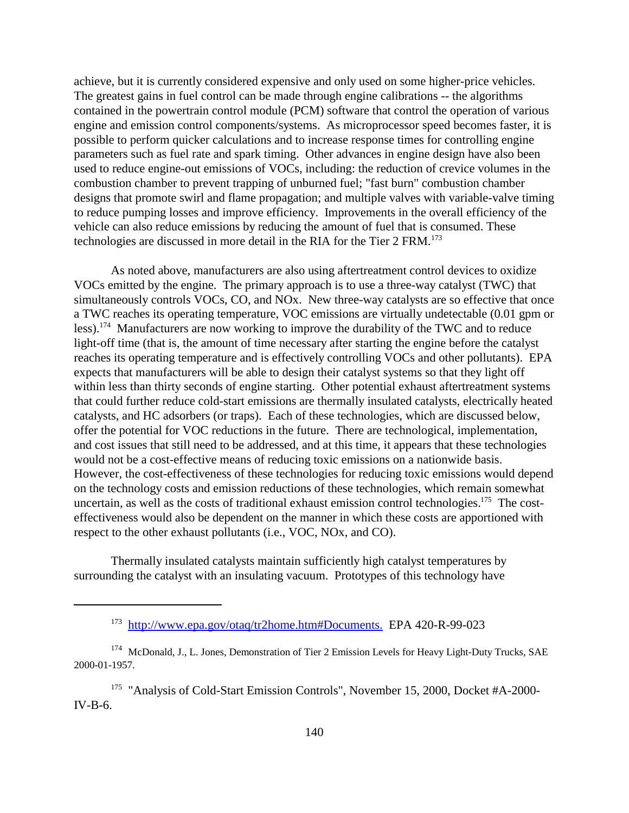achieve, but it is currently considered expensive and only used on some higher-price vehicles. The greatest gains in fuel control can be made through engine calibrations -- the algorithms contained in the powertrain control module (PCM) software that control the operation of various engine and emission control components/systems. As microprocessor speed becomes faster, it is possible to perform quicker calculations and to increase response times for controlling engine parameters such as fuel rate and spark timing. Other advances in engine design have also been used to reduce engine-out emissions of VOCs, including: the reduction of crevice volumes in the combustion chamber to prevent trapping of unburned fuel; "fast burn" combustion chamber designs that promote swirl and flame propagation; and multiple valves with variable-valve timing to reduce pumping losses and improve efficiency. Improvements in the overall efficiency of the vehicle can also reduce emissions by reducing the amount of fuel that is consumed. These technologies are discussed in more detail in the RIA for the Tier 2 FRM.<sup>173</sup>

As noted above, manufacturers are also using aftertreatment control devices to oxidize VOCs emitted by the engine. The primary approach is to use a three-way catalyst (TWC) that simultaneously controls VOCs, CO, and NOx. New three-way catalysts are so effective that once a TWC reaches its operating temperature, VOC emissions are virtually undetectable (0.01 gpm or less).174 Manufacturers are now working to improve the durability of the TWC and to reduce light-off time (that is, the amount of time necessary after starting the engine before the catalyst reaches its operating temperature and is effectively controlling VOCs and other pollutants). EPA expects that manufacturers will be able to design their catalyst systems so that they light off within less than thirty seconds of engine starting. Other potential exhaust aftertreatment systems that could further reduce cold-start emissions are thermally insulated catalysts, electrically heated catalysts, and HC adsorbers (or traps). Each of these technologies, which are discussed below, offer the potential for VOC reductions in the future. There are technological, implementation, and cost issues that still need to be addressed, and at this time, it appears that these technologies would not be a cost-effective means of reducing toxic emissions on a nationwide basis. However, the cost-effectiveness of these technologies for reducing toxic emissions would depend on the technology costs and emission reductions of these technologies, which remain somewhat uncertain, as well as the costs of traditional exhaust emission control technologies.<sup>175</sup> The costeffectiveness would also be dependent on the manner in which these costs are apportioned with respect to the other exhaust pollutants (i.e., VOC, NOx, and CO).

Thermally insulated catalysts maintain sufficiently high catalyst temperatures by surrounding the catalyst with an insulating vacuum. Prototypes of this technology have

<sup>173</sup> http://www.epa.gov/otaq/tr2home.htm#Documents. EPA 420-R-99-023

<sup>174</sup> McDonald, J., L. Jones, Demonstration of Tier 2 Emission Levels for Heavy Light-Duty Trucks, SAE 2000-01-1957.

<sup>&</sup>lt;sup>175</sup> "Analysis of Cold-Start Emission Controls", November 15, 2000, Docket #A-2000-IV-B-6.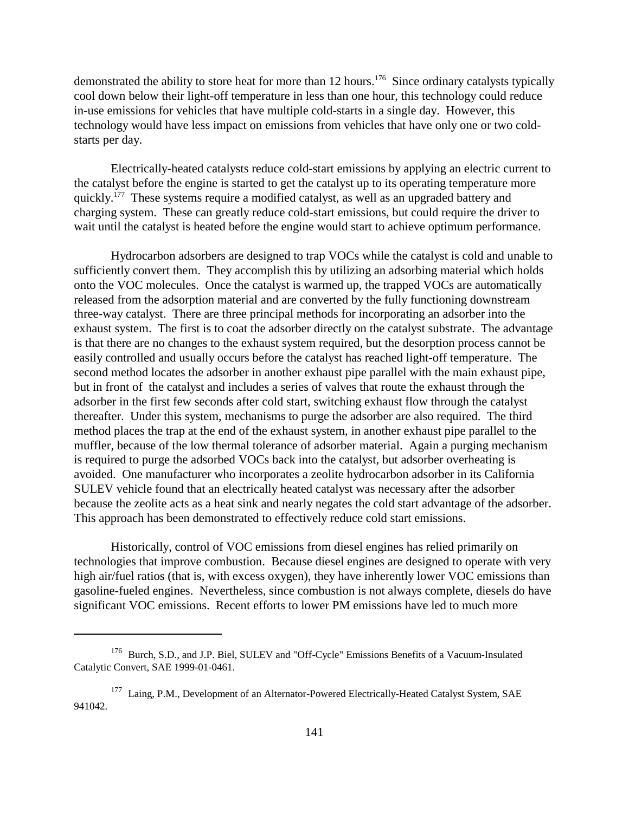demonstrated the ability to store heat for more than 12 hours.<sup>176</sup> Since ordinary catalysts typically cool down below their light-off temperature in less than one hour, this technology could reduce in-use emissions for vehicles that have multiple cold-starts in a single day. However, this technology would have less impact on emissions from vehicles that have only one or two coldstarts per day.

Electrically-heated catalysts reduce cold-start emissions by applying an electric current to the catalyst before the engine is started to get the catalyst up to its operating temperature more quickly.<sup>177</sup> These systems require a modified catalyst, as well as an upgraded battery and charging system. These can greatly reduce cold-start emissions, but could require the driver to wait until the catalyst is heated before the engine would start to achieve optimum performance.

Hydrocarbon adsorbers are designed to trap VOCs while the catalyst is cold and unable to sufficiently convert them. They accomplish this by utilizing an adsorbing material which holds onto the VOC molecules. Once the catalyst is warmed up, the trapped VOCs are automatically released from the adsorption material and are converted by the fully functioning downstream three-way catalyst. There are three principal methods for incorporating an adsorber into the exhaust system. The first is to coat the adsorber directly on the catalyst substrate. The advantage is that there are no changes to the exhaust system required, but the desorption process cannot be easily controlled and usually occurs before the catalyst has reached light-off temperature. The second method locates the adsorber in another exhaust pipe parallel with the main exhaust pipe, but in front of the catalyst and includes a series of valves that route the exhaust through the adsorber in the first few seconds after cold start, switching exhaust flow through the catalyst thereafter. Under this system, mechanisms to purge the adsorber are also required. The third method places the trap at the end of the exhaust system, in another exhaust pipe parallel to the muffler, because of the low thermal tolerance of adsorber material. Again a purging mechanism is required to purge the adsorbed VOCs back into the catalyst, but adsorber overheating is avoided. One manufacturer who incorporates a zeolite hydrocarbon adsorber in its California SULEV vehicle found that an electrically heated catalyst was necessary after the adsorber because the zeolite acts as a heat sink and nearly negates the cold start advantage of the adsorber. This approach has been demonstrated to effectively reduce cold start emissions.

Historically, control of VOC emissions from diesel engines has relied primarily on technologies that improve combustion. Because diesel engines are designed to operate with very high air/fuel ratios (that is, with excess oxygen), they have inherently lower VOC emissions than gasoline-fueled engines. Nevertheless, since combustion is not always complete, diesels do have significant VOC emissions. Recent efforts to lower PM emissions have led to much more

<sup>176</sup> Burch, S.D., and J.P. Biel, SULEV and "Off-Cycle" Emissions Benefits of a Vacuum-Insulated Catalytic Convert, SAE 1999-01-0461.

<sup>&</sup>lt;sup>177</sup> Laing, P.M., Development of an Alternator-Powered Electrically-Heated Catalyst System, SAE 941042.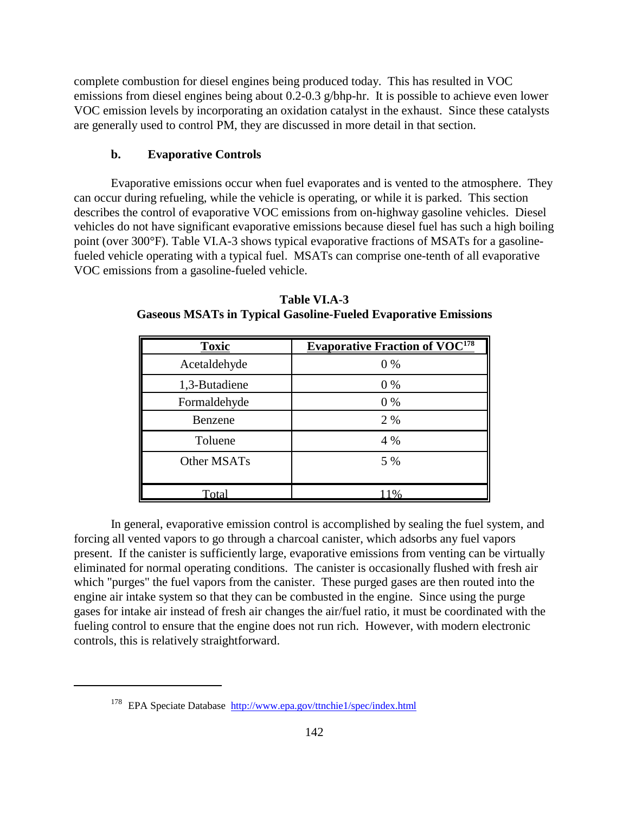complete combustion for diesel engines being produced today. This has resulted in VOC emissions from diesel engines being about 0.2-0.3 g/bhp-hr. It is possible to achieve even lower VOC emission levels by incorporating an oxidation catalyst in the exhaust. Since these catalysts are generally used to control PM, they are discussed in more detail in that section.

### **b. Evaporative Controls**

Evaporative emissions occur when fuel evaporates and is vented to the atmosphere. They can occur during refueling, while the vehicle is operating, or while it is parked. This section describes the control of evaporative VOC emissions from on-highway gasoline vehicles. Diesel vehicles do not have significant evaporative emissions because diesel fuel has such a high boiling point (over 300°F). Table VI.A-3 shows typical evaporative fractions of MSATs for a gasolinefueled vehicle operating with a typical fuel. MSATs can comprise one-tenth of all evaporative VOC emissions from a gasoline-fueled vehicle.

| <b>Toxic</b>  | <b>Evaporative Fraction of VOC</b> <sup>178</sup> |
|---------------|---------------------------------------------------|
| Acetaldehyde  | $0\%$                                             |
| 1,3-Butadiene | $0\%$                                             |
| Formaldehyde  | 0%                                                |
| Benzene       | 2 %                                               |
| Toluene       | 4 %                                               |
| Other MSATs   | 5 %                                               |
|               |                                                   |
| Total         | 1%                                                |

**Table VI.A-3 Gaseous MSATs in Typical Gasoline-Fueled Evaporative Emissions**

In general, evaporative emission control is accomplished by sealing the fuel system, and forcing all vented vapors to go through a charcoal canister, which adsorbs any fuel vapors present. If the canister is sufficiently large, evaporative emissions from venting can be virtually eliminated for normal operating conditions. The canister is occasionally flushed with fresh air which "purges" the fuel vapors from the canister. These purged gases are then routed into the engine air intake system so that they can be combusted in the engine. Since using the purge gases for intake air instead of fresh air changes the air/fuel ratio, it must be coordinated with the fueling control to ensure that the engine does not run rich. However, with modern electronic controls, this is relatively straightforward.

<sup>178</sup> EPA Speciate Database http://www.epa.gov/ttnchie1/spec/index.html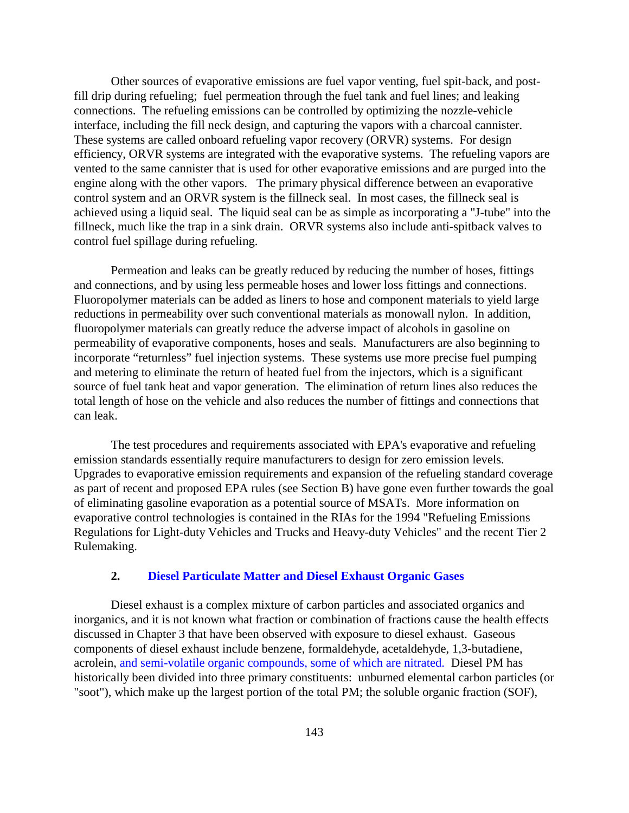Other sources of evaporative emissions are fuel vapor venting, fuel spit-back, and postfill drip during refueling; fuel permeation through the fuel tank and fuel lines; and leaking connections. The refueling emissions can be controlled by optimizing the nozzle-vehicle interface, including the fill neck design, and capturing the vapors with a charcoal cannister. These systems are called onboard refueling vapor recovery (ORVR) systems. For design efficiency, ORVR systems are integrated with the evaporative systems. The refueling vapors are vented to the same cannister that is used for other evaporative emissions and are purged into the engine along with the other vapors. The primary physical difference between an evaporative control system and an ORVR system is the fillneck seal. In most cases, the fillneck seal is achieved using a liquid seal. The liquid seal can be as simple as incorporating a "J-tube" into the fillneck, much like the trap in a sink drain. ORVR systems also include anti-spitback valves to control fuel spillage during refueling.

Permeation and leaks can be greatly reduced by reducing the number of hoses, fittings and connections, and by using less permeable hoses and lower loss fittings and connections. Fluoropolymer materials can be added as liners to hose and component materials to yield large reductions in permeability over such conventional materials as monowall nylon. In addition, fluoropolymer materials can greatly reduce the adverse impact of alcohols in gasoline on permeability of evaporative components, hoses and seals. Manufacturers are also beginning to incorporate "returnless" fuel injection systems. These systems use more precise fuel pumping and metering to eliminate the return of heated fuel from the injectors, which is a significant source of fuel tank heat and vapor generation. The elimination of return lines also reduces the total length of hose on the vehicle and also reduces the number of fittings and connections that can leak.

The test procedures and requirements associated with EPA's evaporative and refueling emission standards essentially require manufacturers to design for zero emission levels. Upgrades to evaporative emission requirements and expansion of the refueling standard coverage as part of recent and proposed EPA rules (see Section B) have gone even further towards the goal of eliminating gasoline evaporation as a potential source of MSATs. More information on evaporative control technologies is contained in the RIAs for the 1994 "Refueling Emissions Regulations for Light-duty Vehicles and Trucks and Heavy-duty Vehicles" and the recent Tier 2 Rulemaking.

## **2. Diesel Particulate Matter and Diesel Exhaust Organic Gases**

Diesel exhaust is a complex mixture of carbon particles and associated organics and inorganics, and it is not known what fraction or combination of fractions cause the health effects discussed in Chapter 3 that have been observed with exposure to diesel exhaust. Gaseous components of diesel exhaust include benzene, formaldehyde, acetaldehyde, 1,3-butadiene, acrolein, and semi-volatile organic compounds, some of which are nitrated. Diesel PM has historically been divided into three primary constituents: unburned elemental carbon particles (or "soot"), which make up the largest portion of the total PM; the soluble organic fraction (SOF),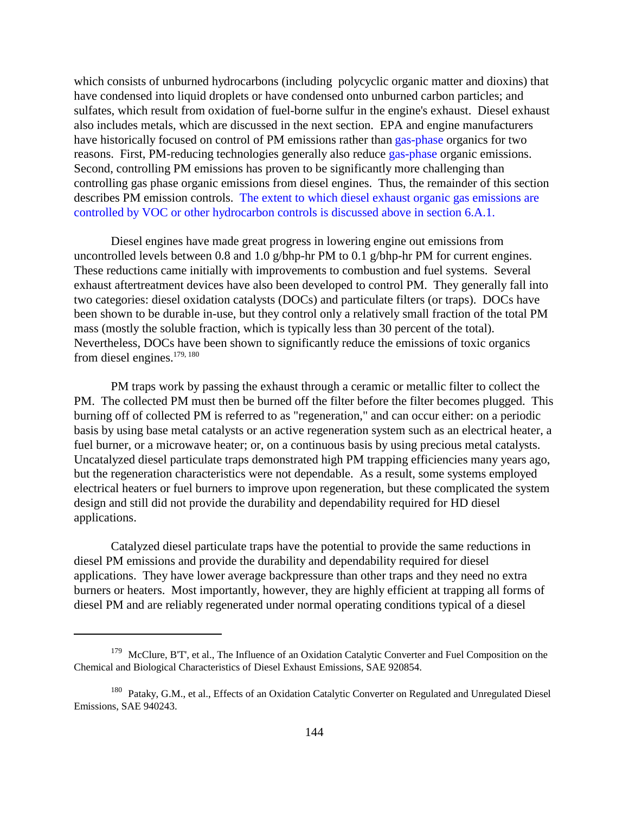which consists of unburned hydrocarbons (including polycyclic organic matter and dioxins) that have condensed into liquid droplets or have condensed onto unburned carbon particles; and sulfates, which result from oxidation of fuel-borne sulfur in the engine's exhaust. Diesel exhaust also includes metals, which are discussed in the next section. EPA and engine manufacturers have historically focused on control of PM emissions rather than gas-phase organics for two reasons. First, PM-reducing technologies generally also reduce gas-phase organic emissions. Second, controlling PM emissions has proven to be significantly more challenging than controlling gas phase organic emissions from diesel engines. Thus, the remainder of this section describes PM emission controls. The extent to which diesel exhaust organic gas emissions are controlled by VOC or other hydrocarbon controls is discussed above in section 6.A.1.

Diesel engines have made great progress in lowering engine out emissions from uncontrolled levels between 0.8 and 1.0 g/bhp-hr PM to 0.1 g/bhp-hr PM for current engines. These reductions came initially with improvements to combustion and fuel systems. Several exhaust aftertreatment devices have also been developed to control PM. They generally fall into two categories: diesel oxidation catalysts (DOCs) and particulate filters (or traps). DOCs have been shown to be durable in-use, but they control only a relatively small fraction of the total PM mass (mostly the soluble fraction, which is typically less than 30 percent of the total). Nevertheless, DOCs have been shown to significantly reduce the emissions of toxic organics from diesel engines.<sup>179, 180</sup>

PM traps work by passing the exhaust through a ceramic or metallic filter to collect the PM. The collected PM must then be burned off the filter before the filter becomes plugged. This burning off of collected PM is referred to as "regeneration," and can occur either: on a periodic basis by using base metal catalysts or an active regeneration system such as an electrical heater, a fuel burner, or a microwave heater; or, on a continuous basis by using precious metal catalysts. Uncatalyzed diesel particulate traps demonstrated high PM trapping efficiencies many years ago, but the regeneration characteristics were not dependable. As a result, some systems employed electrical heaters or fuel burners to improve upon regeneration, but these complicated the system design and still did not provide the durability and dependability required for HD diesel applications.

Catalyzed diesel particulate traps have the potential to provide the same reductions in diesel PM emissions and provide the durability and dependability required for diesel applications. They have lower average backpressure than other traps and they need no extra burners or heaters. Most importantly, however, they are highly efficient at trapping all forms of diesel PM and are reliably regenerated under normal operating conditions typical of a diesel

<sup>&</sup>lt;sup>179</sup> McClure, B'T', et al., The Influence of an Oxidation Catalytic Converter and Fuel Composition on the Chemical and Biological Characteristics of Diesel Exhaust Emissions, SAE 920854.

<sup>&</sup>lt;sup>180</sup> Pataky, G.M., et al., Effects of an Oxidation Catalytic Converter on Regulated and Unregulated Diesel Emissions, SAE 940243.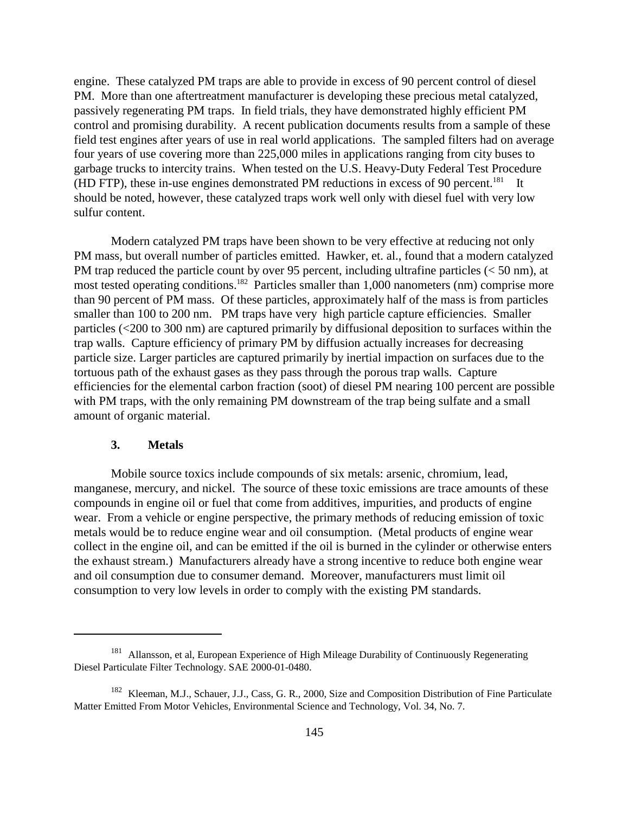engine. These catalyzed PM traps are able to provide in excess of 90 percent control of diesel PM. More than one aftertreatment manufacturer is developing these precious metal catalyzed, passively regenerating PM traps. In field trials, they have demonstrated highly efficient PM control and promising durability. A recent publication documents results from a sample of these field test engines after years of use in real world applications. The sampled filters had on average four years of use covering more than 225,000 miles in applications ranging from city buses to garbage trucks to intercity trains. When tested on the U.S. Heavy-Duty Federal Test Procedure (HD FTP), these in-use engines demonstrated PM reductions in excess of 90 percent.<sup>181</sup> It should be noted, however, these catalyzed traps work well only with diesel fuel with very low sulfur content.

Modern catalyzed PM traps have been shown to be very effective at reducing not only PM mass, but overall number of particles emitted. Hawker, et. al., found that a modern catalyzed PM trap reduced the particle count by over 95 percent, including ultrafine particles (< 50 nm), at most tested operating conditions.<sup>182</sup> Particles smaller than 1,000 nanometers (nm) comprise more than 90 percent of PM mass. Of these particles, approximately half of the mass is from particles smaller than 100 to 200 nm. PM traps have very high particle capture efficiencies. Smaller particles (<200 to 300 nm) are captured primarily by diffusional deposition to surfaces within the trap walls. Capture efficiency of primary PM by diffusion actually increases for decreasing particle size. Larger particles are captured primarily by inertial impaction on surfaces due to the tortuous path of the exhaust gases as they pass through the porous trap walls. Capture efficiencies for the elemental carbon fraction (soot) of diesel PM nearing 100 percent are possible with PM traps, with the only remaining PM downstream of the trap being sulfate and a small amount of organic material.

#### **3. Metals**

Mobile source toxics include compounds of six metals: arsenic, chromium, lead, manganese, mercury, and nickel. The source of these toxic emissions are trace amounts of these compounds in engine oil or fuel that come from additives, impurities, and products of engine wear. From a vehicle or engine perspective, the primary methods of reducing emission of toxic metals would be to reduce engine wear and oil consumption. (Metal products of engine wear collect in the engine oil, and can be emitted if the oil is burned in the cylinder or otherwise enters the exhaust stream.) Manufacturers already have a strong incentive to reduce both engine wear and oil consumption due to consumer demand. Moreover, manufacturers must limit oil consumption to very low levels in order to comply with the existing PM standards.

<sup>&</sup>lt;sup>181</sup> Allansson, et al, European Experience of High Mileage Durability of Continuously Regenerating Diesel Particulate Filter Technology. SAE 2000-01-0480.

<sup>&</sup>lt;sup>182</sup> Kleeman, M.J., Schauer, J.J., Cass, G. R., 2000, Size and Composition Distribution of Fine Particulate Matter Emitted From Motor Vehicles, Environmental Science and Technology, Vol. 34, No. 7.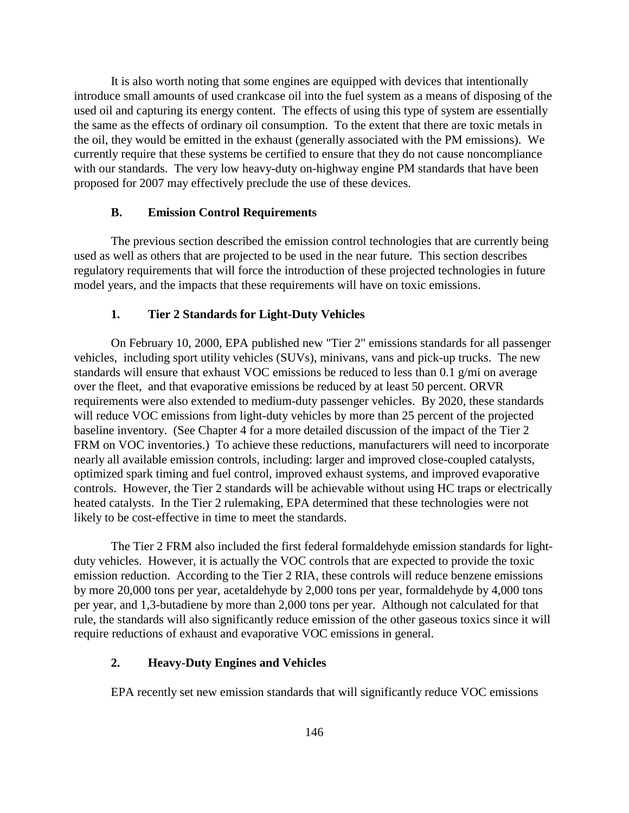It is also worth noting that some engines are equipped with devices that intentionally introduce small amounts of used crankcase oil into the fuel system as a means of disposing of the used oil and capturing its energy content. The effects of using this type of system are essentially the same as the effects of ordinary oil consumption. To the extent that there are toxic metals in the oil, they would be emitted in the exhaust (generally associated with the PM emissions). We currently require that these systems be certified to ensure that they do not cause noncompliance with our standards. The very low heavy-duty on-highway engine PM standards that have been proposed for 2007 may effectively preclude the use of these devices.

#### **B. Emission Control Requirements**

The previous section described the emission control technologies that are currently being used as well as others that are projected to be used in the near future. This section describes regulatory requirements that will force the introduction of these projected technologies in future model years, and the impacts that these requirements will have on toxic emissions.

#### **1. Tier 2 Standards for Light-Duty Vehicles**

On February 10, 2000, EPA published new "Tier 2" emissions standards for all passenger vehicles, including sport utility vehicles (SUVs), minivans, vans and pick-up trucks. The new standards will ensure that exhaust VOC emissions be reduced to less than 0.1 g/mi on average over the fleet, and that evaporative emissions be reduced by at least 50 percent. ORVR requirements were also extended to medium-duty passenger vehicles. By 2020, these standards will reduce VOC emissions from light-duty vehicles by more than 25 percent of the projected baseline inventory. (See Chapter 4 for a more detailed discussion of the impact of the Tier 2 FRM on VOC inventories.) To achieve these reductions, manufacturers will need to incorporate nearly all available emission controls, including: larger and improved close-coupled catalysts, optimized spark timing and fuel control, improved exhaust systems, and improved evaporative controls. However, the Tier 2 standards will be achievable without using HC traps or electrically heated catalysts. In the Tier 2 rulemaking, EPA determined that these technologies were not likely to be cost-effective in time to meet the standards.

The Tier 2 FRM also included the first federal formaldehyde emission standards for lightduty vehicles. However, it is actually the VOC controls that are expected to provide the toxic emission reduction. According to the Tier 2 RIA, these controls will reduce benzene emissions by more 20,000 tons per year, acetaldehyde by 2,000 tons per year, formaldehyde by 4,000 tons per year, and 1,3-butadiene by more than 2,000 tons per year. Although not calculated for that rule, the standards will also significantly reduce emission of the other gaseous toxics since it will require reductions of exhaust and evaporative VOC emissions in general.

#### **2. Heavy-Duty Engines and Vehicles**

EPA recently set new emission standards that will significantly reduce VOC emissions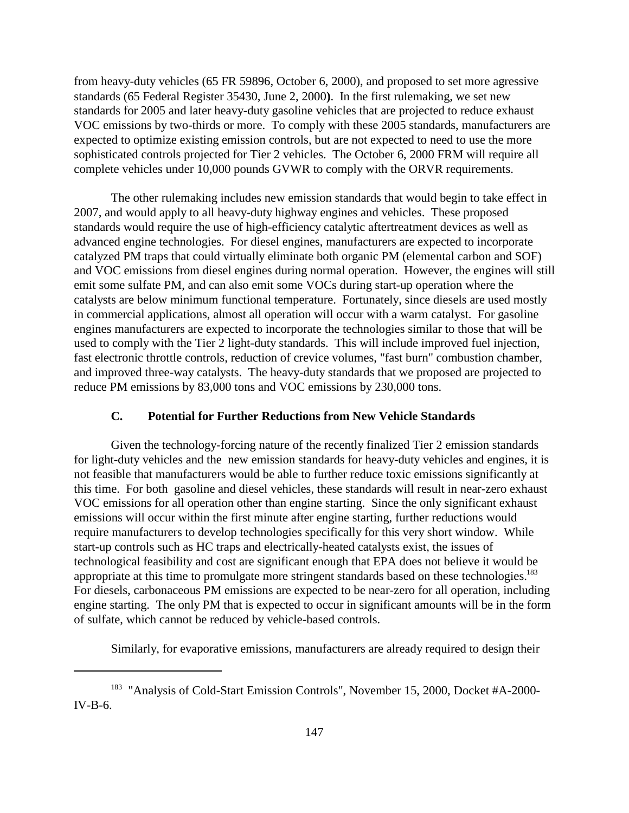from heavy-duty vehicles (65 FR 59896, October 6, 2000), and proposed to set more agressive standards (65 Federal Register 35430, June 2, 2000**)**. In the first rulemaking, we set new standards for 2005 and later heavy-duty gasoline vehicles that are projected to reduce exhaust VOC emissions by two-thirds or more. To comply with these 2005 standards, manufacturers are expected to optimize existing emission controls, but are not expected to need to use the more sophisticated controls projected for Tier 2 vehicles. The October 6, 2000 FRM will require all complete vehicles under 10,000 pounds GVWR to comply with the ORVR requirements.

The other rulemaking includes new emission standards that would begin to take effect in 2007, and would apply to all heavy-duty highway engines and vehicles. These proposed standards would require the use of high-efficiency catalytic aftertreatment devices as well as advanced engine technologies. For diesel engines, manufacturers are expected to incorporate catalyzed PM traps that could virtually eliminate both organic PM (elemental carbon and SOF) and VOC emissions from diesel engines during normal operation. However, the engines will still emit some sulfate PM, and can also emit some VOCs during start-up operation where the catalysts are below minimum functional temperature. Fortunately, since diesels are used mostly in commercial applications, almost all operation will occur with a warm catalyst. For gasoline engines manufacturers are expected to incorporate the technologies similar to those that will be used to comply with the Tier 2 light-duty standards. This will include improved fuel injection, fast electronic throttle controls, reduction of crevice volumes, "fast burn" combustion chamber, and improved three-way catalysts. The heavy-duty standards that we proposed are projected to reduce PM emissions by 83,000 tons and VOC emissions by 230,000 tons.

### **C. Potential for Further Reductions from New Vehicle Standards**

Given the technology-forcing nature of the recently finalized Tier 2 emission standards for light-duty vehicles and the new emission standards for heavy-duty vehicles and engines, it is not feasible that manufacturers would be able to further reduce toxic emissions significantly at this time. For both gasoline and diesel vehicles, these standards will result in near-zero exhaust VOC emissions for all operation other than engine starting. Since the only significant exhaust emissions will occur within the first minute after engine starting, further reductions would require manufacturers to develop technologies specifically for this very short window. While start-up controls such as HC traps and electrically-heated catalysts exist, the issues of technological feasibility and cost are significant enough that EPA does not believe it would be appropriate at this time to promulgate more stringent standards based on these technologies.<sup>183</sup> For diesels, carbonaceous PM emissions are expected to be near-zero for all operation, including engine starting. The only PM that is expected to occur in significant amounts will be in the form of sulfate, which cannot be reduced by vehicle-based controls.

Similarly, for evaporative emissions, manufacturers are already required to design their

<sup>&</sup>lt;sup>183</sup> "Analysis of Cold-Start Emission Controls", November 15, 2000, Docket #A-2000-IV-B-6.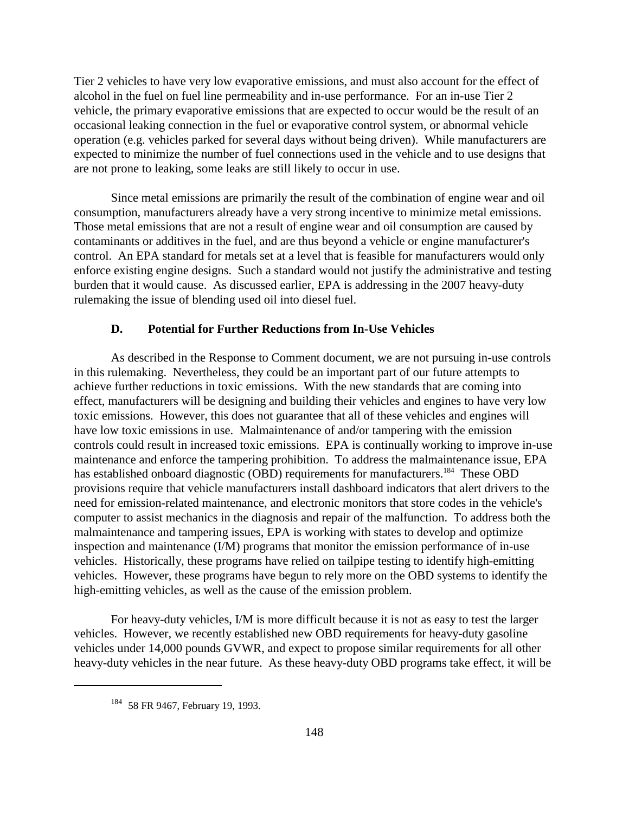Tier 2 vehicles to have very low evaporative emissions, and must also account for the effect of alcohol in the fuel on fuel line permeability and in-use performance. For an in-use Tier 2 vehicle, the primary evaporative emissions that are expected to occur would be the result of an occasional leaking connection in the fuel or evaporative control system, or abnormal vehicle operation (e.g. vehicles parked for several days without being driven). While manufacturers are expected to minimize the number of fuel connections used in the vehicle and to use designs that are not prone to leaking, some leaks are still likely to occur in use.

Since metal emissions are primarily the result of the combination of engine wear and oil consumption, manufacturers already have a very strong incentive to minimize metal emissions. Those metal emissions that are not a result of engine wear and oil consumption are caused by contaminants or additives in the fuel, and are thus beyond a vehicle or engine manufacturer's control. An EPA standard for metals set at a level that is feasible for manufacturers would only enforce existing engine designs. Such a standard would not justify the administrative and testing burden that it would cause. As discussed earlier, EPA is addressing in the 2007 heavy-duty rulemaking the issue of blending used oil into diesel fuel.

#### **D. Potential for Further Reductions from In-Use Vehicles**

As described in the Response to Comment document, we are not pursuing in-use controls in this rulemaking. Nevertheless, they could be an important part of our future attempts to achieve further reductions in toxic emissions. With the new standards that are coming into effect, manufacturers will be designing and building their vehicles and engines to have very low toxic emissions. However, this does not guarantee that all of these vehicles and engines will have low toxic emissions in use. Malmaintenance of and/or tampering with the emission controls could result in increased toxic emissions. EPA is continually working to improve in-use maintenance and enforce the tampering prohibition. To address the malmaintenance issue, EPA has established onboard diagnostic (OBD) requirements for manufacturers.<sup>184</sup> These OBD provisions require that vehicle manufacturers install dashboard indicators that alert drivers to the need for emission-related maintenance, and electronic monitors that store codes in the vehicle's computer to assist mechanics in the diagnosis and repair of the malfunction. To address both the malmaintenance and tampering issues, EPA is working with states to develop and optimize inspection and maintenance (I/M) programs that monitor the emission performance of in-use vehicles. Historically, these programs have relied on tailpipe testing to identify high-emitting vehicles. However, these programs have begun to rely more on the OBD systems to identify the high-emitting vehicles, as well as the cause of the emission problem.

For heavy-duty vehicles, I/M is more difficult because it is not as easy to test the larger vehicles. However, we recently established new OBD requirements for heavy-duty gasoline vehicles under 14,000 pounds GVWR, and expect to propose similar requirements for all other heavy-duty vehicles in the near future. As these heavy-duty OBD programs take effect, it will be

<sup>184 58</sup> FR 9467, February 19, 1993.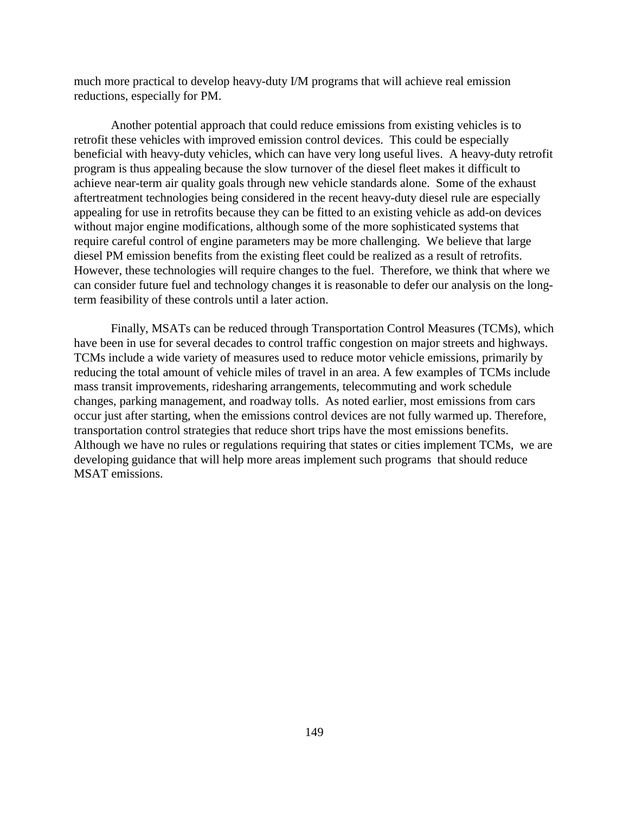much more practical to develop heavy-duty I/M programs that will achieve real emission reductions, especially for PM.

Another potential approach that could reduce emissions from existing vehicles is to retrofit these vehicles with improved emission control devices. This could be especially beneficial with heavy-duty vehicles, which can have very long useful lives. A heavy-duty retrofit program is thus appealing because the slow turnover of the diesel fleet makes it difficult to achieve near-term air quality goals through new vehicle standards alone. Some of the exhaust aftertreatment technologies being considered in the recent heavy-duty diesel rule are especially appealing for use in retrofits because they can be fitted to an existing vehicle as add-on devices without major engine modifications, although some of the more sophisticated systems that require careful control of engine parameters may be more challenging. We believe that large diesel PM emission benefits from the existing fleet could be realized as a result of retrofits. However, these technologies will require changes to the fuel. Therefore, we think that where we can consider future fuel and technology changes it is reasonable to defer our analysis on the longterm feasibility of these controls until a later action.

Finally, MSATs can be reduced through Transportation Control Measures (TCMs), which have been in use for several decades to control traffic congestion on major streets and highways. TCMs include a wide variety of measures used to reduce motor vehicle emissions, primarily by reducing the total amount of vehicle miles of travel in an area. A few examples of TCMs include mass transit improvements, ridesharing arrangements, telecommuting and work schedule changes, parking management, and roadway tolls. As noted earlier, most emissions from cars occur just after starting, when the emissions control devices are not fully warmed up. Therefore, transportation control strategies that reduce short trips have the most emissions benefits. Although we have no rules or regulations requiring that states or cities implement TCMs, we are developing guidance that will help more areas implement such programs that should reduce MSAT emissions.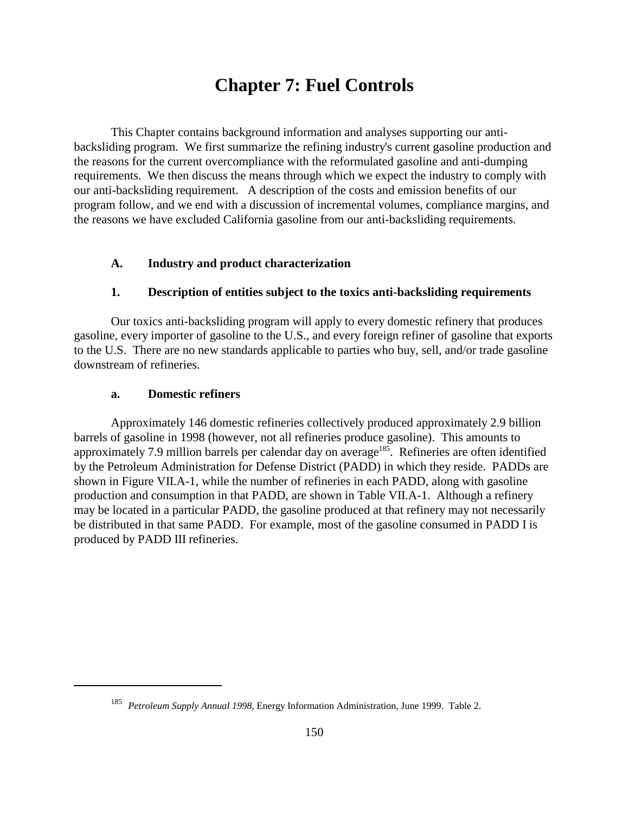# **Chapter 7: Fuel Controls**

This Chapter contains background information and analyses supporting our antibacksliding program. We first summarize the refining industry's current gasoline production and the reasons for the current overcompliance with the reformulated gasoline and anti-dumping requirements. We then discuss the means through which we expect the industry to comply with our anti-backsliding requirement. A description of the costs and emission benefits of our program follow, and we end with a discussion of incremental volumes, compliance margins, and the reasons we have excluded California gasoline from our anti-backsliding requirements.

#### **A. Industry and product characterization**

### **1. Description of entities subject to the toxics anti-backsliding requirements**

Our toxics anti-backsliding program will apply to every domestic refinery that produces gasoline, every importer of gasoline to the U.S., and every foreign refiner of gasoline that exports to the U.S. There are no new standards applicable to parties who buy, sell, and/or trade gasoline downstream of refineries.

#### **a. Domestic refiners**

Approximately 146 domestic refineries collectively produced approximately 2.9 billion barrels of gasoline in 1998 (however, not all refineries produce gasoline). This amounts to approximately 7.9 million barrels per calendar day on average<sup>185</sup>. Refineries are often identified by the Petroleum Administration for Defense District (PADD) in which they reside. PADDs are shown in Figure VII.A-1, while the number of refineries in each PADD, along with gasoline production and consumption in that PADD, are shown in Table VII.A-1. Although a refinery may be located in a particular PADD, the gasoline produced at that refinery may not necessarily be distributed in that same PADD. For example, most of the gasoline consumed in PADD I is produced by PADD III refineries.

<sup>185</sup> *Petroleum Supply Annual 1998*, Energy Information Administration, June 1999. Table 2.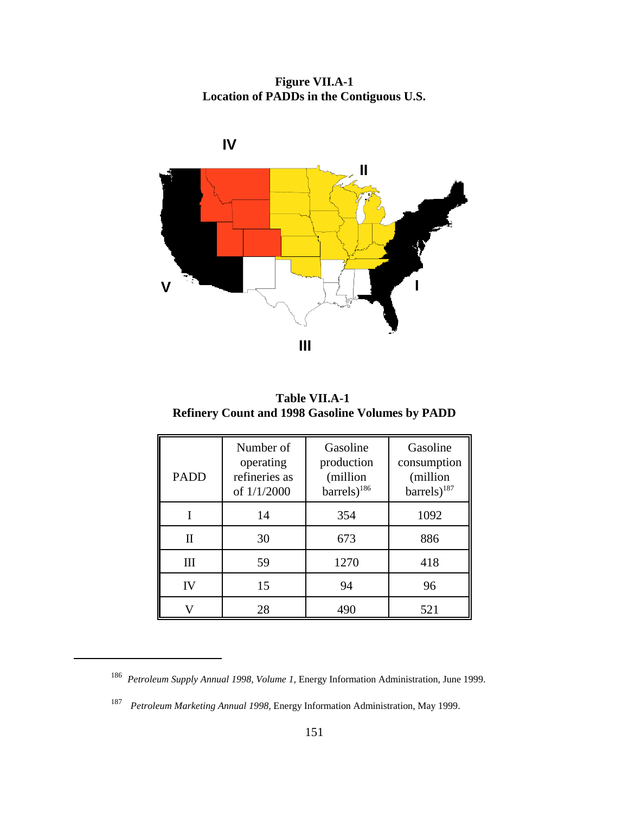**Figure VII.A-1 Location of PADDs in the Contiguous U.S.**



**Table VII.A-1 Refinery Count and 1998 Gasoline Volumes by PADD**

| <b>PADD</b> | Number of<br>operating<br>refineries as<br>of $1/1/2000$ | Gasoline<br>production<br>(million<br>$barrels)$ <sup>186</sup> | Gasoline<br>consumption<br>(million<br>barrels) <sup>187</sup> |
|-------------|----------------------------------------------------------|-----------------------------------------------------------------|----------------------------------------------------------------|
|             | 14                                                       | 354                                                             | 1092                                                           |
| Π           | 30                                                       | 673                                                             | 886                                                            |
| Ш           | 59                                                       | 1270                                                            | 418                                                            |
| IV          | 15                                                       | 94                                                              | 96                                                             |
|             | 28                                                       | 490                                                             | 521                                                            |

<sup>186</sup> *Petroleum Supply Annual 1998, Volume 1*, Energy Information Administration, June 1999.

<sup>187</sup> *Petroleum Marketing Annual 1998,* Energy Information Administration, May 1999.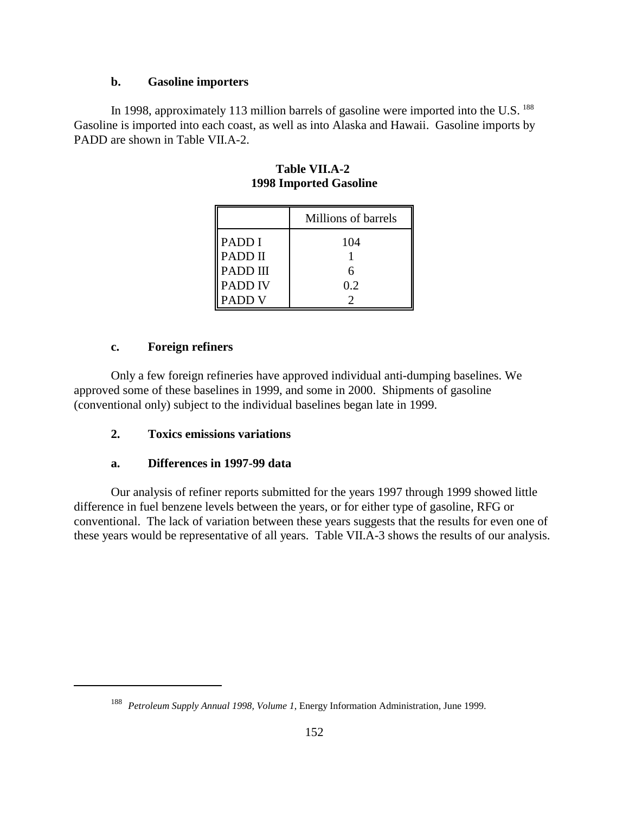### **b. Gasoline importers**

In 1998, approximately 113 million barrels of gasoline were imported into the U.S. <sup>188</sup> Gasoline is imported into each coast, as well as into Alaska and Hawaii. Gasoline imports by PADD are shown in Table VII.A-2.

|                | Millions of barrels |
|----------------|---------------------|
| PADD I         | 104                 |
| PADD II        |                     |
| PADD III       |                     |
| <b>PADD IV</b> | 0.2                 |
| PADD V         |                     |

**Table VII.A-2 1998 Imported Gasoline**

### **c. Foreign refiners**

Only a few foreign refineries have approved individual anti-dumping baselines. We approved some of these baselines in 1999, and some in 2000. Shipments of gasoline (conventional only) subject to the individual baselines began late in 1999.

# **2. Toxics emissions variations**

# **a. Differences in 1997-99 data**

Our analysis of refiner reports submitted for the years 1997 through 1999 showed little difference in fuel benzene levels between the years, or for either type of gasoline, RFG or conventional. The lack of variation between these years suggests that the results for even one of these years would be representative of all years. Table VII.A-3 shows the results of our analysis.

<sup>188</sup> *Petroleum Supply Annual 1998, Volume 1*, Energy Information Administration, June 1999.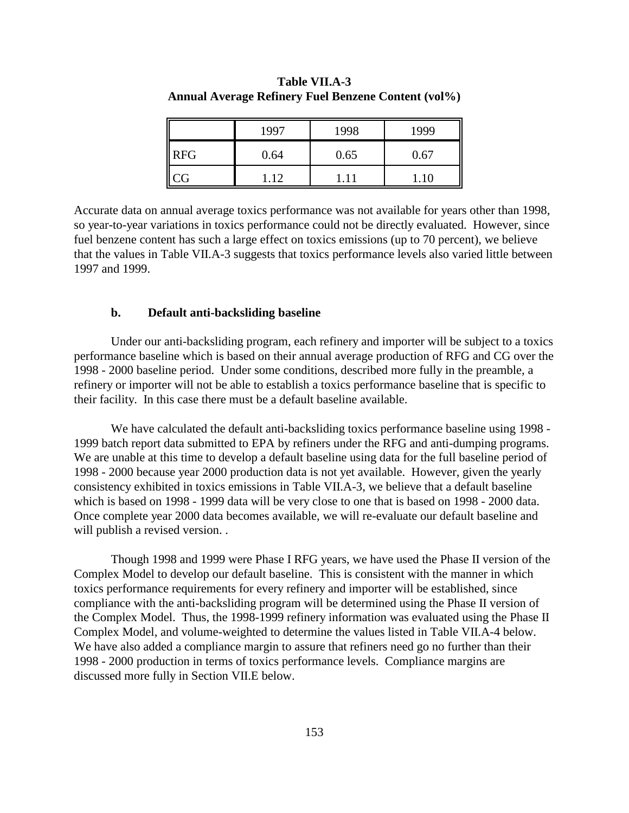| I          | 1997            | 1998 | 1999 |
|------------|-----------------|------|------|
| <b>RFG</b> | 0.64            | 0.65 | 0.67 |
| $\ $ CG    | $\overline{12}$ |      | .10  |

**Table VII.A-3 Annual Average Refinery Fuel Benzene Content (vol%)**

Accurate data on annual average toxics performance was not available for years other than 1998, so year-to-year variations in toxics performance could not be directly evaluated. However, since fuel benzene content has such a large effect on toxics emissions (up to 70 percent), we believe that the values in Table VII.A-3 suggests that toxics performance levels also varied little between 1997 and 1999.

### **b. Default anti-backsliding baseline**

Under our anti-backsliding program, each refinery and importer will be subject to a toxics performance baseline which is based on their annual average production of RFG and CG over the 1998 - 2000 baseline period. Under some conditions, described more fully in the preamble, a refinery or importer will not be able to establish a toxics performance baseline that is specific to their facility. In this case there must be a default baseline available.

We have calculated the default anti-backsliding toxics performance baseline using 1998 - 1999 batch report data submitted to EPA by refiners under the RFG and anti-dumping programs. We are unable at this time to develop a default baseline using data for the full baseline period of 1998 - 2000 because year 2000 production data is not yet available. However, given the yearly consistency exhibited in toxics emissions in Table VII.A-3, we believe that a default baseline which is based on 1998 - 1999 data will be very close to one that is based on 1998 - 2000 data. Once complete year 2000 data becomes available, we will re-evaluate our default baseline and will publish a revised version. .

Though 1998 and 1999 were Phase I RFG years, we have used the Phase II version of the Complex Model to develop our default baseline. This is consistent with the manner in which toxics performance requirements for every refinery and importer will be established, since compliance with the anti-backsliding program will be determined using the Phase II version of the Complex Model. Thus, the 1998-1999 refinery information was evaluated using the Phase II Complex Model, and volume-weighted to determine the values listed in Table VII.A-4 below. We have also added a compliance margin to assure that refiners need go no further than their 1998 - 2000 production in terms of toxics performance levels. Compliance margins are discussed more fully in Section VII.E below.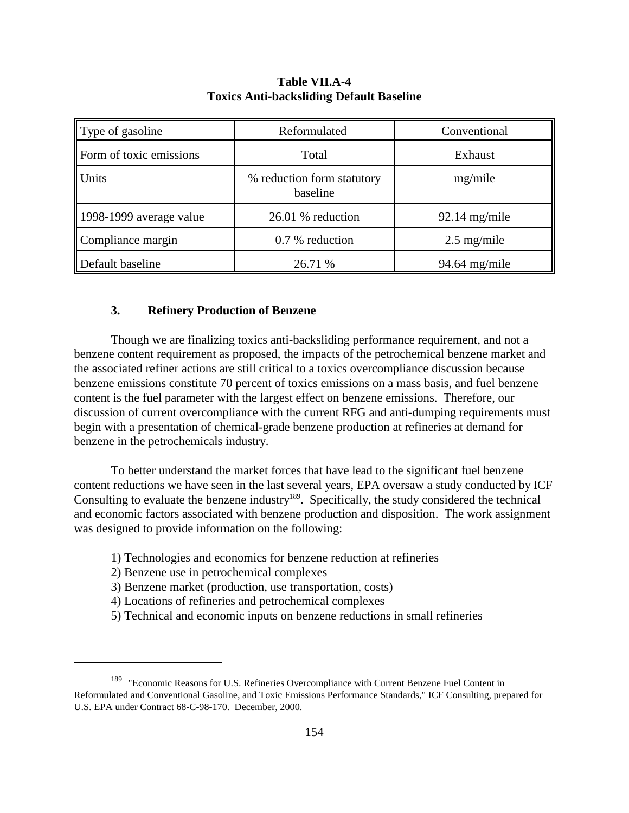| Type of gasoline                    | Reformulated                           | Conventional    |  |
|-------------------------------------|----------------------------------------|-----------------|--|
| Form of toxic emissions             | Total                                  | Exhaust         |  |
| <b>Units</b>                        | % reduction form statutory<br>baseline | mg/mile         |  |
| $\parallel$ 1998-1999 average value | 26.01 % reduction                      | $92.14$ mg/mile |  |
| Compliance margin                   | 0.7 % reduction                        | $2.5$ mg/mile   |  |
| Default baseline                    | 26.71 %                                | $94.64$ mg/mile |  |

### **Table VII.A-4 Toxics Anti-backsliding Default Baseline**

### **3. Refinery Production of Benzene**

Though we are finalizing toxics anti-backsliding performance requirement, and not a benzene content requirement as proposed, the impacts of the petrochemical benzene market and the associated refiner actions are still critical to a toxics overcompliance discussion because benzene emissions constitute 70 percent of toxics emissions on a mass basis, and fuel benzene content is the fuel parameter with the largest effect on benzene emissions. Therefore, our discussion of current overcompliance with the current RFG and anti-dumping requirements must begin with a presentation of chemical-grade benzene production at refineries at demand for benzene in the petrochemicals industry.

To better understand the market forces that have lead to the significant fuel benzene content reductions we have seen in the last several years, EPA oversaw a study conducted by ICF Consulting to evaluate the benzene industry<sup>189</sup>. Specifically, the study considered the technical and economic factors associated with benzene production and disposition. The work assignment was designed to provide information on the following:

- 1) Technologies and economics for benzene reduction at refineries
- 2) Benzene use in petrochemical complexes
- 3) Benzene market (production, use transportation, costs)
- 4) Locations of refineries and petrochemical complexes
- 5) Technical and economic inputs on benzene reductions in small refineries

<sup>&</sup>lt;sup>189</sup> "Economic Reasons for U.S. Refineries Overcompliance with Current Benzene Fuel Content in Reformulated and Conventional Gasoline, and Toxic Emissions Performance Standards," ICF Consulting, prepared for U.S. EPA under Contract 68-C-98-170. December, 2000.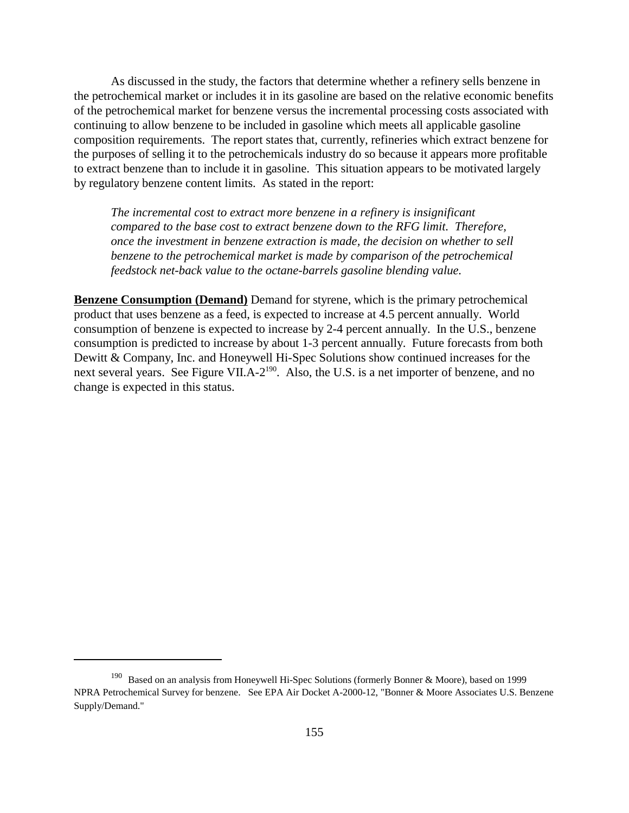As discussed in the study, the factors that determine whether a refinery sells benzene in the petrochemical market or includes it in its gasoline are based on the relative economic benefits of the petrochemical market for benzene versus the incremental processing costs associated with continuing to allow benzene to be included in gasoline which meets all applicable gasoline composition requirements. The report states that, currently, refineries which extract benzene for the purposes of selling it to the petrochemicals industry do so because it appears more profitable to extract benzene than to include it in gasoline. This situation appears to be motivated largely by regulatory benzene content limits. As stated in the report:

*The incremental cost to extract more benzene in a refinery is insignificant compared to the base cost to extract benzene down to the RFG limit. Therefore, once the investment in benzene extraction is made, the decision on whether to sell benzene to the petrochemical market is made by comparison of the petrochemical feedstock net-back value to the octane-barrels gasoline blending value.*

**Benzene Consumption (Demand)** Demand for styrene, which is the primary petrochemical product that uses benzene as a feed, is expected to increase at 4.5 percent annually. World consumption of benzene is expected to increase by 2-4 percent annually. In the U.S., benzene consumption is predicted to increase by about 1-3 percent annually. Future forecasts from both Dewitt & Company, Inc. and Honeywell Hi-Spec Solutions show continued increases for the next several years. See Figure VII.A-2<sup>190</sup>. Also, the U.S. is a net importer of benzene, and no change is expected in this status.

<sup>190</sup> Based on an analysis from Honeywell Hi-Spec Solutions (formerly Bonner & Moore), based on 1999 NPRA Petrochemical Survey for benzene. See EPA Air Docket A-2000-12, "Bonner & Moore Associates U.S. Benzene Supply/Demand."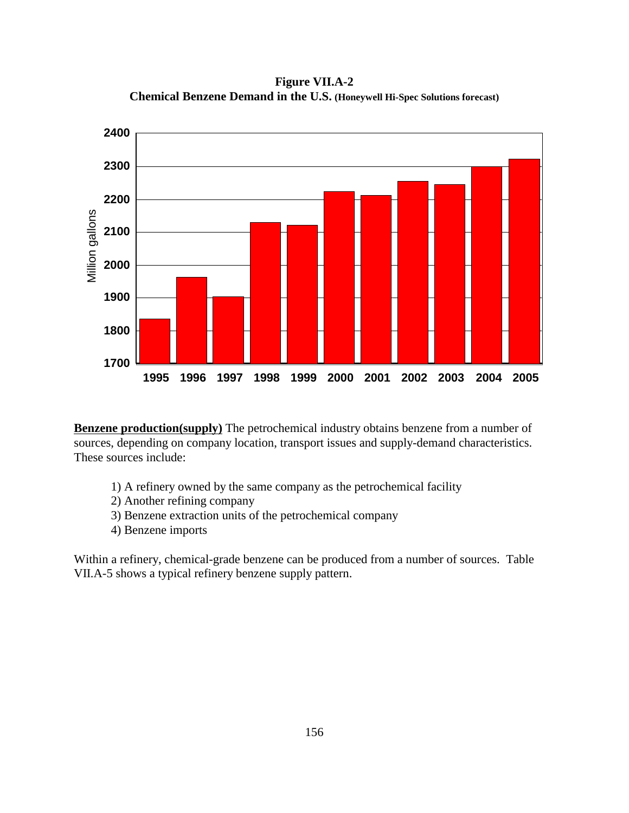**Figure VII.A-2 Chemical Benzene Demand in the U.S. (Honeywell Hi-Spec Solutions forecast)**



**Benzene production(supply)** The petrochemical industry obtains benzene from a number of sources, depending on company location, transport issues and supply-demand characteristics. These sources include:

- 1) A refinery owned by the same company as the petrochemical facility
- 2) Another refining company
- 3) Benzene extraction units of the petrochemical company
- 4) Benzene imports

Within a refinery, chemical-grade benzene can be produced from a number of sources. Table VII.A-5 shows a typical refinery benzene supply pattern.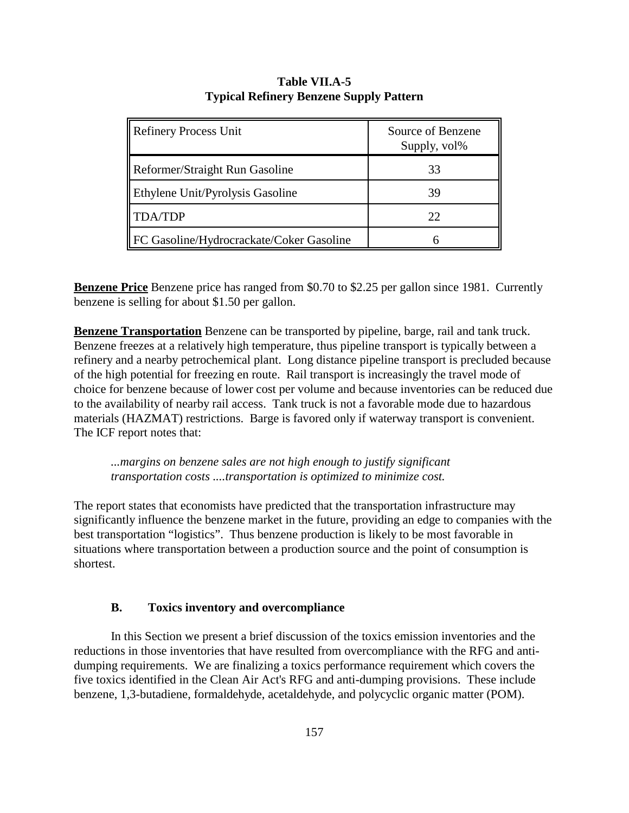| <b>Refinery Process Unit</b>             | Source of Benzene<br>Supply, vol% |
|------------------------------------------|-----------------------------------|
| Reformer/Straight Run Gasoline           | 33                                |
| Ethylene Unit/Pyrolysis Gasoline         | 39                                |
| <b>TDA/TDP</b>                           | 22                                |
| FC Gasoline/Hydrocrackate/Coker Gasoline |                                   |

### **Table VII.A-5 Typical Refinery Benzene Supply Pattern**

**Benzene Price** Benzene price has ranged from \$0.70 to \$2.25 per gallon since 1981. Currently benzene is selling for about \$1.50 per gallon.

**Benzene Transportation** Benzene can be transported by pipeline, barge, rail and tank truck. Benzene freezes at a relatively high temperature, thus pipeline transport is typically between a refinery and a nearby petrochemical plant. Long distance pipeline transport is precluded because of the high potential for freezing en route. Rail transport is increasingly the travel mode of choice for benzene because of lower cost per volume and because inventories can be reduced due to the availability of nearby rail access. Tank truck is not a favorable mode due to hazardous materials (HAZMAT) restrictions. Barge is favored only if waterway transport is convenient. The ICF report notes that:

*...margins on benzene sales are not high enough to justify significant transportation costs ....transportation is optimized to minimize cost.*

The report states that economists have predicted that the transportation infrastructure may significantly influence the benzene market in the future, providing an edge to companies with the best transportation "logistics". Thus benzene production is likely to be most favorable in situations where transportation between a production source and the point of consumption is shortest.

### **B. Toxics inventory and overcompliance**

In this Section we present a brief discussion of the toxics emission inventories and the reductions in those inventories that have resulted from overcompliance with the RFG and antidumping requirements. We are finalizing a toxics performance requirement which covers the five toxics identified in the Clean Air Act's RFG and anti-dumping provisions. These include benzene, 1,3-butadiene, formaldehyde, acetaldehyde, and polycyclic organic matter (POM).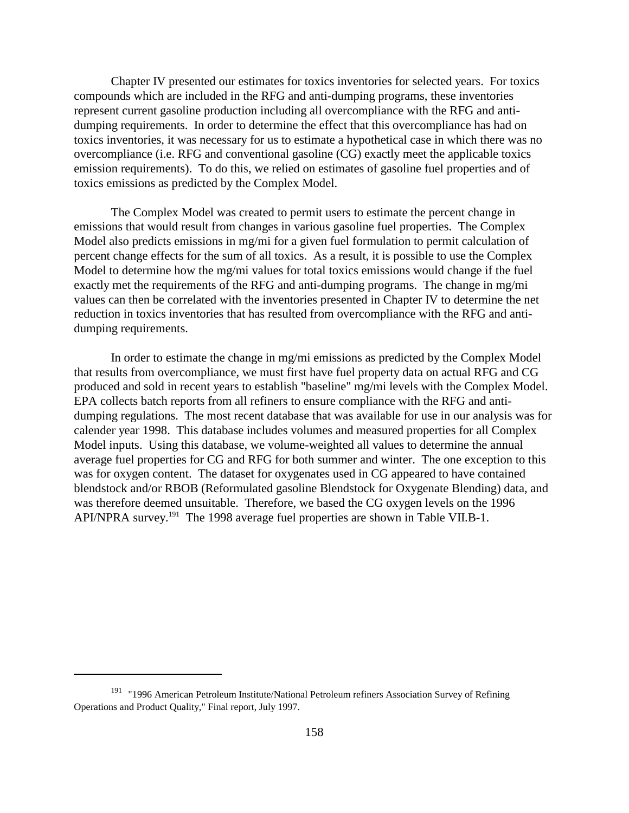Chapter IV presented our estimates for toxics inventories for selected years. For toxics compounds which are included in the RFG and anti-dumping programs, these inventories represent current gasoline production including all overcompliance with the RFG and antidumping requirements. In order to determine the effect that this overcompliance has had on toxics inventories, it was necessary for us to estimate a hypothetical case in which there was no overcompliance (i.e. RFG and conventional gasoline (CG) exactly meet the applicable toxics emission requirements). To do this, we relied on estimates of gasoline fuel properties and of toxics emissions as predicted by the Complex Model.

The Complex Model was created to permit users to estimate the percent change in emissions that would result from changes in various gasoline fuel properties. The Complex Model also predicts emissions in mg/mi for a given fuel formulation to permit calculation of percent change effects for the sum of all toxics. As a result, it is possible to use the Complex Model to determine how the mg/mi values for total toxics emissions would change if the fuel exactly met the requirements of the RFG and anti-dumping programs. The change in mg/mi values can then be correlated with the inventories presented in Chapter IV to determine the net reduction in toxics inventories that has resulted from overcompliance with the RFG and antidumping requirements.

In order to estimate the change in mg/mi emissions as predicted by the Complex Model that results from overcompliance, we must first have fuel property data on actual RFG and CG produced and sold in recent years to establish "baseline" mg/mi levels with the Complex Model. EPA collects batch reports from all refiners to ensure compliance with the RFG and antidumping regulations. The most recent database that was available for use in our analysis was for calender year 1998. This database includes volumes and measured properties for all Complex Model inputs. Using this database, we volume-weighted all values to determine the annual average fuel properties for CG and RFG for both summer and winter. The one exception to this was for oxygen content. The dataset for oxygenates used in CG appeared to have contained blendstock and/or RBOB (Reformulated gasoline Blendstock for Oxygenate Blending) data, and was therefore deemed unsuitable. Therefore, we based the CG oxygen levels on the 1996 API/NPRA survey.191 The 1998 average fuel properties are shown in Table VII.B-1.

<sup>&</sup>lt;sup>191</sup> "1996 American Petroleum Institute/National Petroleum refiners Association Survey of Refining Operations and Product Quality," Final report, July 1997.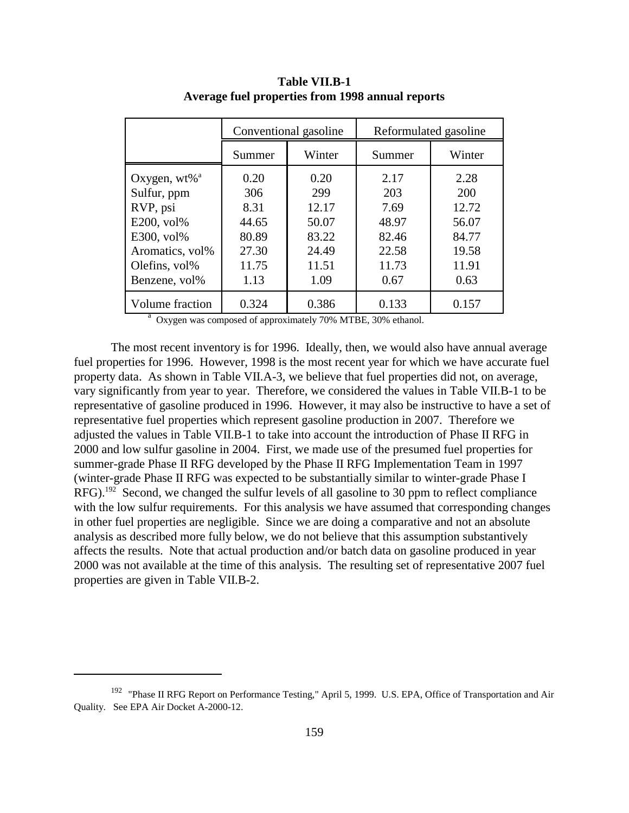|                          |        | Conventional gasoline | Reformulated gasoline |        |  |
|--------------------------|--------|-----------------------|-----------------------|--------|--|
|                          | Summer | Winter                | Summer                | Winter |  |
| Oxygen, wt% <sup>a</sup> | 0.20   | 0.20                  | 2.17                  | 2.28   |  |
| Sulfur, ppm              | 306    | 299                   | 203                   | 200    |  |
| RVP, psi                 | 8.31   | 12.17                 | 7.69                  | 12.72  |  |
| E200, vol%               | 44.65  | 50.07                 | 48.97                 | 56.07  |  |
| $E300, vol\%$            | 80.89  | 83.22                 | 82.46                 | 84.77  |  |
| Aromatics, vol%          | 27.30  | 24.49                 | 22.58                 | 19.58  |  |
| Olefins, vol%            | 11.75  | 11.51                 | 11.73                 | 11.91  |  |
| Benzene, vol%            | 1.13   | 1.09                  | 0.67                  | 0.63   |  |
| Volume fraction          | 0.324  | 0.386                 | 0.133                 | 0.157  |  |

**Table VII.B-1 Average fuel properties from 1998 annual reports**

<sup>a</sup> Oxygen was composed of approximately 70% MTBE, 30% ethanol.

The most recent inventory is for 1996. Ideally, then, we would also have annual average fuel properties for 1996. However, 1998 is the most recent year for which we have accurate fuel property data. As shown in Table VII.A-3, we believe that fuel properties did not, on average, vary significantly from year to year. Therefore, we considered the values in Table VII.B-1 to be representative of gasoline produced in 1996. However, it may also be instructive to have a set of representative fuel properties which represent gasoline production in 2007. Therefore we adjusted the values in Table VII.B-1 to take into account the introduction of Phase II RFG in 2000 and low sulfur gasoline in 2004. First, we made use of the presumed fuel properties for summer-grade Phase II RFG developed by the Phase II RFG Implementation Team in 1997 (winter-grade Phase II RFG was expected to be substantially similar to winter-grade Phase I RFG).<sup>192</sup> Second, we changed the sulfur levels of all gasoline to 30 ppm to reflect compliance with the low sulfur requirements. For this analysis we have assumed that corresponding changes in other fuel properties are negligible. Since we are doing a comparative and not an absolute analysis as described more fully below, we do not believe that this assumption substantively affects the results. Note that actual production and/or batch data on gasoline produced in year 2000 was not available at the time of this analysis. The resulting set of representative 2007 fuel properties are given in Table VII.B-2.

<sup>&</sup>lt;sup>192</sup> "Phase II RFG Report on Performance Testing," April 5, 1999. U.S. EPA, Office of Transportation and Air Quality. See EPA Air Docket A-2000-12.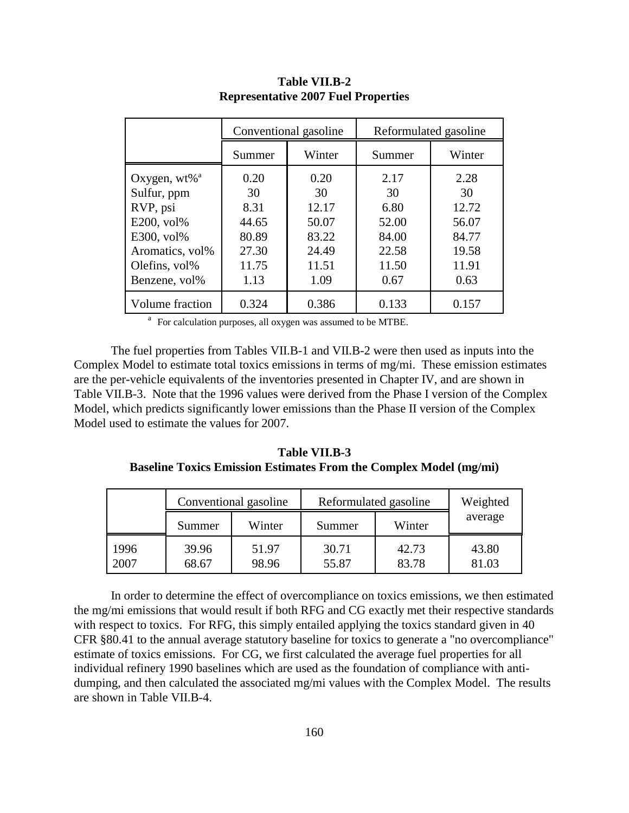|                             |        | Conventional gasoline | Reformulated gasoline |        |  |
|-----------------------------|--------|-----------------------|-----------------------|--------|--|
|                             | Summer | Winter                | Summer                | Winter |  |
| Oxygen, $wt\%$ <sup>a</sup> | 0.20   | 0.20                  | 2.17                  | 2.28   |  |
| Sulfur, ppm                 | 30     | 30                    | 30                    | 30     |  |
| RVP, psi                    | 8.31   | 12.17                 | 6.80                  | 12.72  |  |
| E200, vol%                  | 44.65  | 50.07                 | 52.00                 | 56.07  |  |
| E300, vol%                  | 80.89  | 83.22                 | 84.00                 | 84.77  |  |
| Aromatics, vol%             | 27.30  | 24.49                 | 22.58                 | 19.58  |  |
| Olefins, vol%               | 11.75  | 11.51                 | 11.50                 | 11.91  |  |
| Benzene, vol%               | 1.13   | 1.09                  | 0.67                  | 0.63   |  |
| Volume fraction             | 0.324  | 0.386                 | 0.133                 | 0.157  |  |

**Table VII.B-2 Representative 2007 Fuel Properties**

<sup>a</sup> For calculation purposes, all oxygen was assumed to be MTBE.

The fuel properties from Tables VII.B-1 and VII.B-2 were then used as inputs into the Complex Model to estimate total toxics emissions in terms of mg/mi. These emission estimates are the per-vehicle equivalents of the inventories presented in Chapter IV, and are shown in Table VII.B-3. Note that the 1996 values were derived from the Phase I version of the Complex Model, which predicts significantly lower emissions than the Phase II version of the Complex Model used to estimate the values for 2007.

**Table VII.B-3 Baseline Toxics Emission Estimates From the Complex Model (mg/mi)**

|              | Conventional gasoline |                | Reformulated gasoline |                | Weighted       |
|--------------|-----------------------|----------------|-----------------------|----------------|----------------|
|              | Summer                | Winter         | Summer                | Winter         |                |
| 1996<br>2007 | 39.96<br>68.67        | 51.97<br>98.96 | 30.71<br>55.87        | 42.73<br>83.78 | 43.80<br>81.03 |

In order to determine the effect of overcompliance on toxics emissions, we then estimated the mg/mi emissions that would result if both RFG and CG exactly met their respective standards with respect to toxics. For RFG, this simply entailed applying the toxics standard given in 40 CFR §80.41 to the annual average statutory baseline for toxics to generate a "no overcompliance" estimate of toxics emissions. For CG, we first calculated the average fuel properties for all individual refinery 1990 baselines which are used as the foundation of compliance with antidumping, and then calculated the associated mg/mi values with the Complex Model. The results are shown in Table VII.B-4.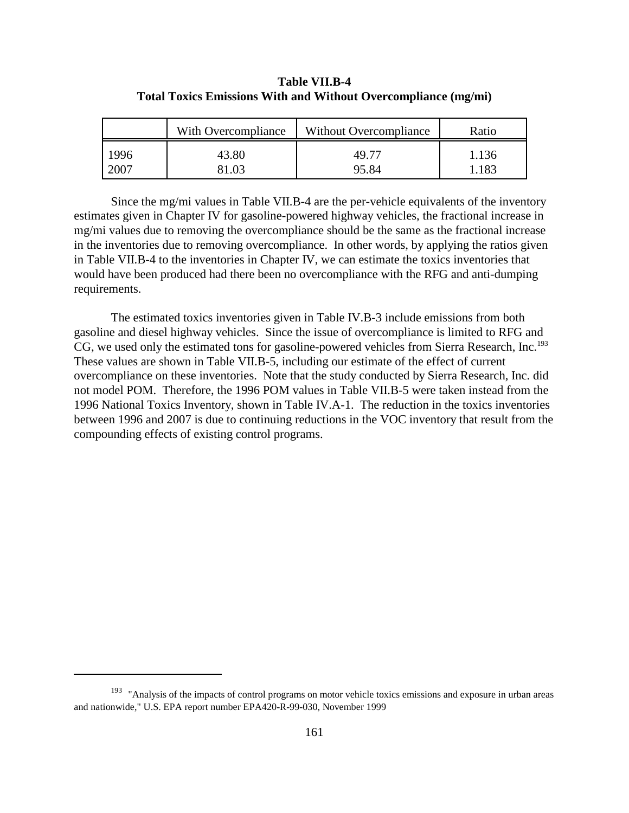|      | With Overcompliance | Without Overcompliance | Ratio |
|------|---------------------|------------------------|-------|
| 1996 | 43.80               | 49 77                  | 1.136 |
| 2007 | 31.03               | 95.84                  | 1.183 |

**Table VII.B-4 Total Toxics Emissions With and Without Overcompliance (mg/mi)**

Since the mg/mi values in Table VII.B-4 are the per-vehicle equivalents of the inventory estimates given in Chapter IV for gasoline-powered highway vehicles, the fractional increase in mg/mi values due to removing the overcompliance should be the same as the fractional increase in the inventories due to removing overcompliance. In other words, by applying the ratios given in Table VII.B-4 to the inventories in Chapter IV, we can estimate the toxics inventories that would have been produced had there been no overcompliance with the RFG and anti-dumping requirements.

The estimated toxics inventories given in Table IV.B-3 include emissions from both gasoline and diesel highway vehicles. Since the issue of overcompliance is limited to RFG and CG, we used only the estimated tons for gasoline-powered vehicles from Sierra Research, Inc.<sup>193</sup> These values are shown in Table VII.B-5, including our estimate of the effect of current overcompliance on these inventories. Note that the study conducted by Sierra Research, Inc. did not model POM. Therefore, the 1996 POM values in Table VII.B-5 were taken instead from the 1996 National Toxics Inventory, shown in Table IV.A-1. The reduction in the toxics inventories between 1996 and 2007 is due to continuing reductions in the VOC inventory that result from the compounding effects of existing control programs.

<sup>&</sup>lt;sup>193</sup> "Analysis of the impacts of control programs on motor vehicle toxics emissions and exposure in urban areas and nationwide," U.S. EPA report number EPA420-R-99-030, November 1999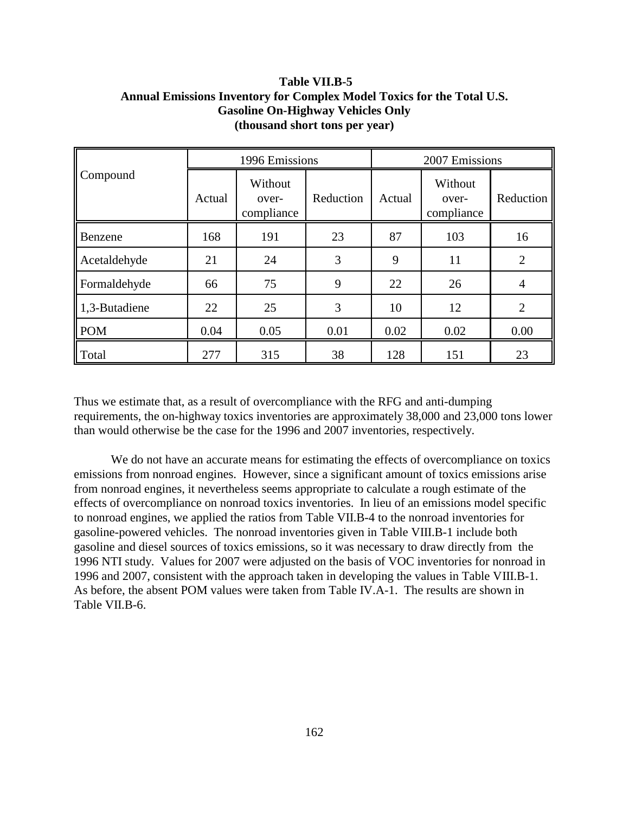# **Table VII.B-5 Annual Emissions Inventory for Complex Model Toxics for the Total U.S. Gasoline On-Highway Vehicles Only (thousand short tons per year)**

|               | 1996 Emissions |                                |           | 2007 Emissions |                                |                |
|---------------|----------------|--------------------------------|-----------|----------------|--------------------------------|----------------|
| Compound      | Actual         | Without<br>over-<br>compliance | Reduction | Actual         | Without<br>over-<br>compliance | Reduction      |
| Benzene       | 168            | 191                            | 23        | 87             | 103                            | 16             |
| Acetaldehyde  | 21             | 24                             | 3         | 9              | 11                             | $\overline{2}$ |
| Formaldehyde  | 66             | 75                             | 9         | 22             | 26                             | $\overline{4}$ |
| 1,3-Butadiene | 22             | 25                             | 3         | 10             | 12                             | $\overline{2}$ |
| <b>POM</b>    | 0.04           | 0.05                           | 0.01      | 0.02           | 0.02                           | 0.00           |
| Total         | 277            | 315                            | 38        | 128            | 151                            | 23             |

Thus we estimate that, as a result of overcompliance with the RFG and anti-dumping requirements, the on-highway toxics inventories are approximately 38,000 and 23,000 tons lower than would otherwise be the case for the 1996 and 2007 inventories, respectively.

We do not have an accurate means for estimating the effects of overcompliance on toxics emissions from nonroad engines. However, since a significant amount of toxics emissions arise from nonroad engines, it nevertheless seems appropriate to calculate a rough estimate of the effects of overcompliance on nonroad toxics inventories. In lieu of an emissions model specific to nonroad engines, we applied the ratios from Table VII.B-4 to the nonroad inventories for gasoline-powered vehicles. The nonroad inventories given in Table VIII.B-1 include both gasoline and diesel sources of toxics emissions, so it was necessary to draw directly from the 1996 NTI study. Values for 2007 were adjusted on the basis of VOC inventories for nonroad in 1996 and 2007, consistent with the approach taken in developing the values in Table VIII.B-1. As before, the absent POM values were taken from Table IV.A-1. The results are shown in Table VII.B-6.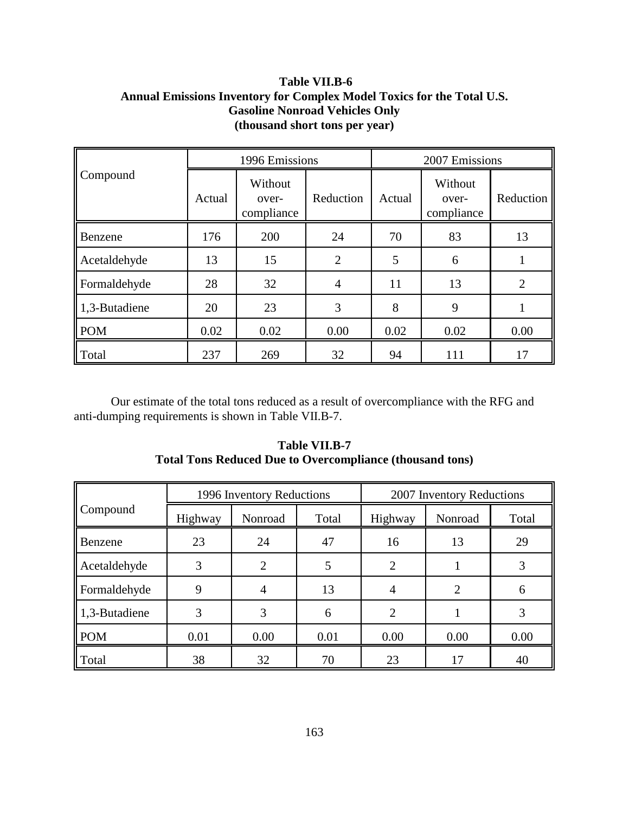# **Table VII.B-6 Annual Emissions Inventory for Complex Model Toxics for the Total U.S. Gasoline Nonroad Vehicles Only (thousand short tons per year)**

|               | 1996 Emissions |                                |                | 2007 Emissions |                                |                |
|---------------|----------------|--------------------------------|----------------|----------------|--------------------------------|----------------|
| Compound      | Actual         | Without<br>over-<br>compliance | Reduction      | Actual         | Without<br>over-<br>compliance | Reduction      |
| Benzene       | 176            | 200                            | 24             | 70             | 83                             | 13             |
| Acetaldehyde  | 13             | 15                             | $\overline{2}$ | 5              | 6                              |                |
| Formaldehyde  | 28             | 32                             | 4              | 11             | 13                             | $\overline{2}$ |
| 1,3-Butadiene | 20             | 23                             | 3              | 8              | 9                              |                |
| <b>POM</b>    | 0.02           | 0.02                           | 0.00           | 0.02           | 0.02                           | 0.00           |
| Total         | 237            | 269                            | 32             | 94             | 111                            | 17             |

Our estimate of the total tons reduced as a result of overcompliance with the RFG and anti-dumping requirements is shown in Table VII.B-7.

|               | 1996 Inventory Reductions |                |       | 2007 Inventory Reductions |         |       |
|---------------|---------------------------|----------------|-------|---------------------------|---------|-------|
| Compound      | Highway                   | Nonroad        | Total | Highway                   | Nonroad | Total |
| Benzene       | 23                        | 24             | 47    | 16                        | 13      | 29    |
| Acetaldehyde  | 3                         | $\overline{2}$ |       | $\overline{2}$            |         | 3     |
| Formaldehyde  | 9                         | 4              | 13    | 4                         | 2       | 6     |
| 1,3-Butadiene | 3                         | 3              | 6     | 2                         |         | 3     |
| <b>POM</b>    | 0.01                      | 0.00           | 0.01  | 0.00                      | 0.00    | 0.00  |
| Total         | 38                        | 32             | 70    | 23                        | 17      | 40    |

# **Table VII.B-7 Total Tons Reduced Due to Overcompliance (thousand tons)**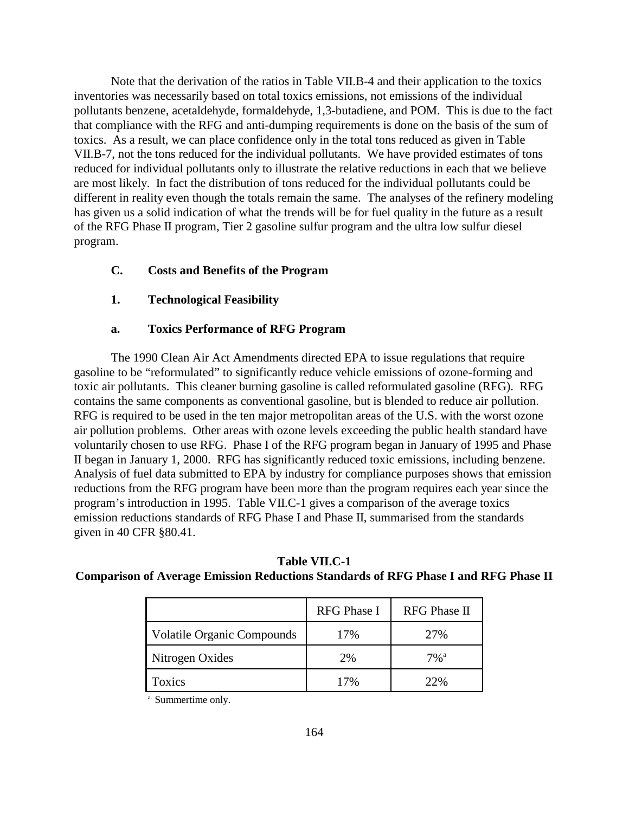Note that the derivation of the ratios in Table VII.B-4 and their application to the toxics inventories was necessarily based on total toxics emissions, not emissions of the individual pollutants benzene, acetaldehyde, formaldehyde, 1,3-butadiene, and POM. This is due to the fact that compliance with the RFG and anti-dumping requirements is done on the basis of the sum of toxics. As a result, we can place confidence only in the total tons reduced as given in Table VII.B-7, not the tons reduced for the individual pollutants. We have provided estimates of tons reduced for individual pollutants only to illustrate the relative reductions in each that we believe are most likely. In fact the distribution of tons reduced for the individual pollutants could be different in reality even though the totals remain the same. The analyses of the refinery modeling has given us a solid indication of what the trends will be for fuel quality in the future as a result of the RFG Phase II program, Tier 2 gasoline sulfur program and the ultra low sulfur diesel program.

### **C. Costs and Benefits of the Program**

### **1. Technological Feasibility**

### **a. Toxics Performance of RFG Program**

The 1990 Clean Air Act Amendments directed EPA to issue regulations that require gasoline to be "reformulated" to significantly reduce vehicle emissions of ozone-forming and toxic air pollutants. This cleaner burning gasoline is called reformulated gasoline (RFG). RFG contains the same components as conventional gasoline, but is blended to reduce air pollution. RFG is required to be used in the ten major metropolitan areas of the U.S. with the worst ozone air pollution problems. Other areas with ozone levels exceeding the public health standard have voluntarily chosen to use RFG. Phase I of the RFG program began in January of 1995 and Phase II began in January 1, 2000. RFG has significantly reduced toxic emissions, including benzene. Analysis of fuel data submitted to EPA by industry for compliance purposes shows that emission reductions from the RFG program have been more than the program requires each year since the program's introduction in 1995. Table VII.C-1 gives a comparison of the average toxics emission reductions standards of RFG Phase I and Phase II, summarised from the standards given in 40 CFR §80.41.

|                                   | RFG Phase I | <b>RFG</b> Phase II |
|-----------------------------------|-------------|---------------------|
| <b>Volatile Organic Compounds</b> | 17%         | 27%                 |
| Nitrogen Oxides                   | 2%          | $7\%$ <sup>a</sup>  |
| <b>Foxics</b>                     | 70/         |                     |

**Table VII.C-1 Comparison of Average Emission Reductions Standards of RFG Phase I and RFG Phase II**

a. Summertime only.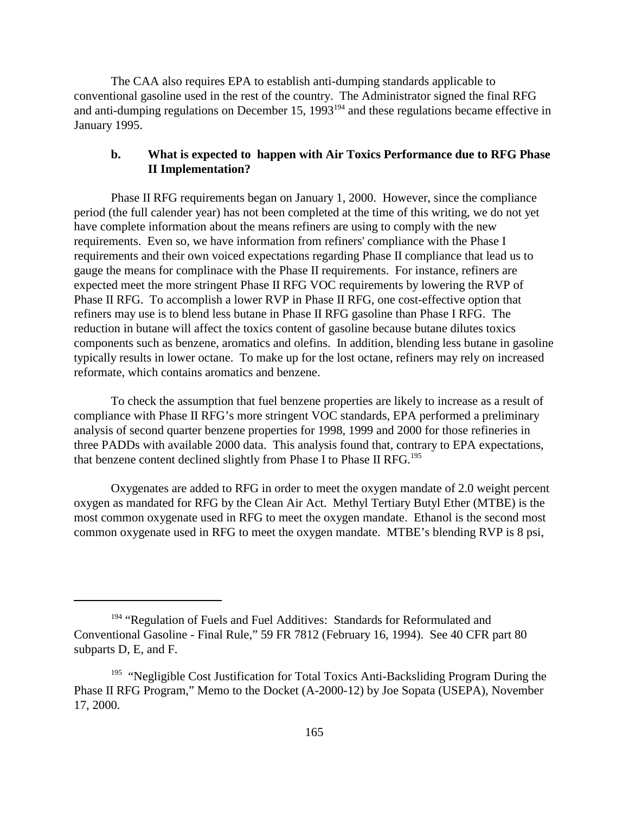The CAA also requires EPA to establish anti-dumping standards applicable to conventional gasoline used in the rest of the country. The Administrator signed the final RFG and anti-dumping regulations on December 15, 1993<sup>194</sup> and these regulations became effective in January 1995.

### **b. What is expected to happen with Air Toxics Performance due to RFG Phase II Implementation?**

Phase II RFG requirements began on January 1, 2000. However, since the compliance period (the full calender year) has not been completed at the time of this writing, we do not yet have complete information about the means refiners are using to comply with the new requirements. Even so, we have information from refiners' compliance with the Phase I requirements and their own voiced expectations regarding Phase II compliance that lead us to gauge the means for complinace with the Phase II requirements. For instance, refiners are expected meet the more stringent Phase II RFG VOC requirements by lowering the RVP of Phase II RFG. To accomplish a lower RVP in Phase II RFG, one cost-effective option that refiners may use is to blend less butane in Phase II RFG gasoline than Phase I RFG. The reduction in butane will affect the toxics content of gasoline because butane dilutes toxics components such as benzene, aromatics and olefins. In addition, blending less butane in gasoline typically results in lower octane. To make up for the lost octane, refiners may rely on increased reformate, which contains aromatics and benzene.

To check the assumption that fuel benzene properties are likely to increase as a result of compliance with Phase II RFG's more stringent VOC standards, EPA performed a preliminary analysis of second quarter benzene properties for 1998, 1999 and 2000 for those refineries in three PADDs with available 2000 data. This analysis found that, contrary to EPA expectations, that benzene content declined slightly from Phase I to Phase II RFG.<sup>195</sup>

Oxygenates are added to RFG in order to meet the oxygen mandate of 2.0 weight percent oxygen as mandated for RFG by the Clean Air Act. Methyl Tertiary Butyl Ether (MTBE) is the most common oxygenate used in RFG to meet the oxygen mandate. Ethanol is the second most common oxygenate used in RFG to meet the oxygen mandate. MTBE's blending RVP is 8 psi,

<sup>&</sup>lt;sup>194</sup> "Regulation of Fuels and Fuel Additives: Standards for Reformulated and Conventional Gasoline - Final Rule," 59 FR 7812 (February 16, 1994). See 40 CFR part 80 subparts D, E, and F.

<sup>&</sup>lt;sup>195</sup> "Negligible Cost Justification for Total Toxics Anti-Backsliding Program During the Phase II RFG Program," Memo to the Docket (A-2000-12) by Joe Sopata (USEPA), November 17, 2000.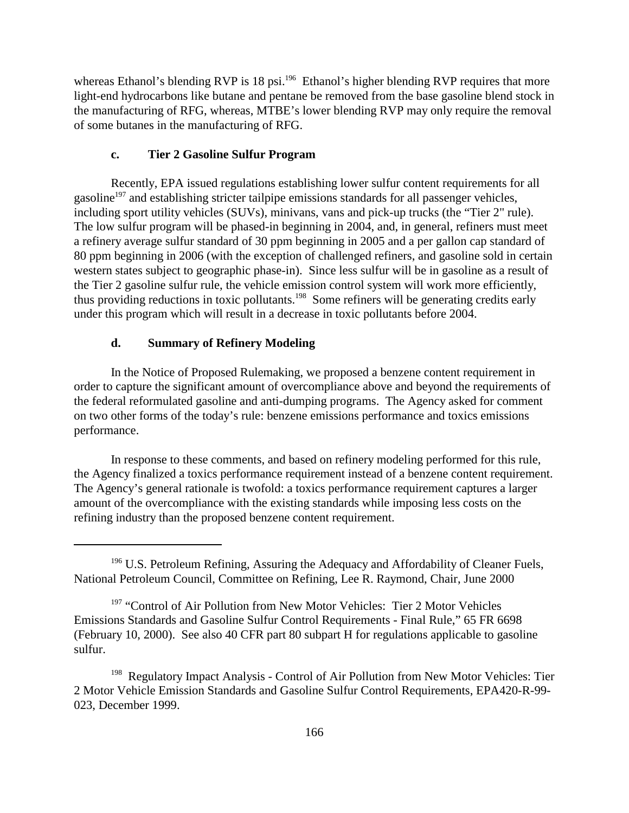whereas Ethanol's blending RVP is 18 psi.<sup>196</sup> Ethanol's higher blending RVP requires that more light-end hydrocarbons like butane and pentane be removed from the base gasoline blend stock in the manufacturing of RFG, whereas, MTBE's lower blending RVP may only require the removal of some butanes in the manufacturing of RFG.

### **c. Tier 2 Gasoline Sulfur Program**

Recently, EPA issued regulations establishing lower sulfur content requirements for all gasoline<sup>197</sup> and establishing stricter tailpipe emissions standards for all passenger vehicles, including sport utility vehicles (SUVs), minivans, vans and pick-up trucks (the "Tier 2" rule). The low sulfur program will be phased-in beginning in 2004, and, in general, refiners must meet a refinery average sulfur standard of 30 ppm beginning in 2005 and a per gallon cap standard of 80 ppm beginning in 2006 (with the exception of challenged refiners, and gasoline sold in certain western states subject to geographic phase-in). Since less sulfur will be in gasoline as a result of the Tier 2 gasoline sulfur rule, the vehicle emission control system will work more efficiently, thus providing reductions in toxic pollutants.198 Some refiners will be generating credits early under this program which will result in a decrease in toxic pollutants before 2004.

### **d. Summary of Refinery Modeling**

In the Notice of Proposed Rulemaking, we proposed a benzene content requirement in order to capture the significant amount of overcompliance above and beyond the requirements of the federal reformulated gasoline and anti-dumping programs. The Agency asked for comment on two other forms of the today's rule: benzene emissions performance and toxics emissions performance.

In response to these comments, and based on refinery modeling performed for this rule, the Agency finalized a toxics performance requirement instead of a benzene content requirement. The Agency's general rationale is twofold: a toxics performance requirement captures a larger amount of the overcompliance with the existing standards while imposing less costs on the refining industry than the proposed benzene content requirement.

<sup>&</sup>lt;sup>196</sup> U.S. Petroleum Refining, Assuring the Adequacy and Affordability of Cleaner Fuels, National Petroleum Council, Committee on Refining, Lee R. Raymond, Chair, June 2000

<sup>&</sup>lt;sup>197</sup> "Control of Air Pollution from New Motor Vehicles: Tier 2 Motor Vehicles Emissions Standards and Gasoline Sulfur Control Requirements - Final Rule," 65 FR 6698 (February 10, 2000). See also 40 CFR part 80 subpart H for regulations applicable to gasoline sulfur.

Regulatory Impact Analysis - Control of Air Pollution from New Motor Vehicles: Tier 2 Motor Vehicle Emission Standards and Gasoline Sulfur Control Requirements, EPA420-R-99- 023, December 1999.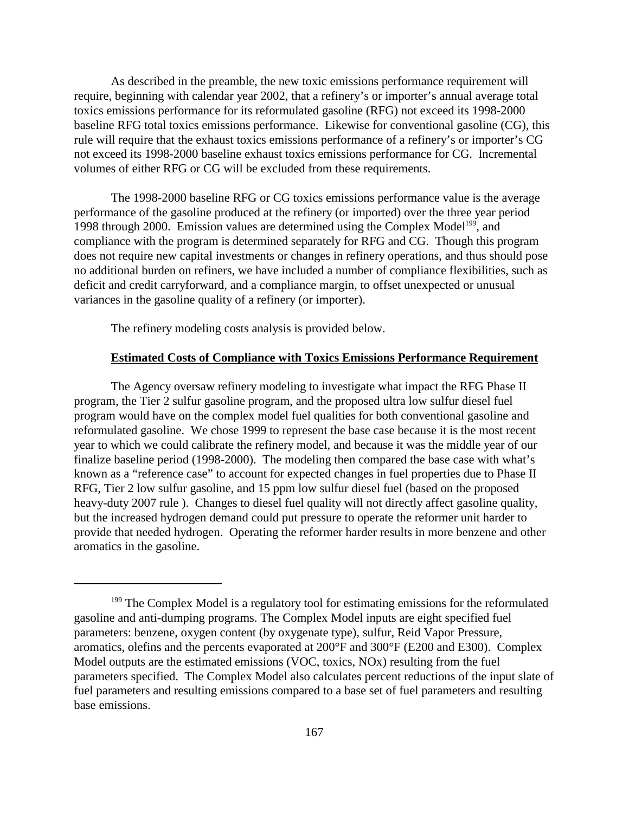As described in the preamble, the new toxic emissions performance requirement will require, beginning with calendar year 2002, that a refinery's or importer's annual average total toxics emissions performance for its reformulated gasoline (RFG) not exceed its 1998-2000 baseline RFG total toxics emissions performance. Likewise for conventional gasoline (CG), this rule will require that the exhaust toxics emissions performance of a refinery's or importer's CG not exceed its 1998-2000 baseline exhaust toxics emissions performance for CG. Incremental volumes of either RFG or CG will be excluded from these requirements.

The 1998-2000 baseline RFG or CG toxics emissions performance value is the average performance of the gasoline produced at the refinery (or imported) over the three year period 1998 through 2000. Emission values are determined using the Complex Model<sup>199</sup>, and compliance with the program is determined separately for RFG and CG. Though this program does not require new capital investments or changes in refinery operations, and thus should pose no additional burden on refiners, we have included a number of compliance flexibilities, such as deficit and credit carryforward, and a compliance margin, to offset unexpected or unusual variances in the gasoline quality of a refinery (or importer).

The refinery modeling costs analysis is provided below.

#### **Estimated Costs of Compliance with Toxics Emissions Performance Requirement**

The Agency oversaw refinery modeling to investigate what impact the RFG Phase II program, the Tier 2 sulfur gasoline program, and the proposed ultra low sulfur diesel fuel program would have on the complex model fuel qualities for both conventional gasoline and reformulated gasoline. We chose 1999 to represent the base case because it is the most recent year to which we could calibrate the refinery model, and because it was the middle year of our finalize baseline period (1998-2000). The modeling then compared the base case with what's known as a "reference case" to account for expected changes in fuel properties due to Phase II RFG, Tier 2 low sulfur gasoline, and 15 ppm low sulfur diesel fuel (based on the proposed heavy-duty 2007 rule ). Changes to diesel fuel quality will not directly affect gasoline quality, but the increased hydrogen demand could put pressure to operate the reformer unit harder to provide that needed hydrogen. Operating the reformer harder results in more benzene and other aromatics in the gasoline.

<sup>&</sup>lt;sup>199</sup> The Complex Model is a regulatory tool for estimating emissions for the reformulated gasoline and anti-dumping programs. The Complex Model inputs are eight specified fuel parameters: benzene, oxygen content (by oxygenate type), sulfur, Reid Vapor Pressure, aromatics, olefins and the percents evaporated at 200°F and 300°F (E200 and E300). Complex Model outputs are the estimated emissions (VOC, toxics, NOx) resulting from the fuel parameters specified. The Complex Model also calculates percent reductions of the input slate of fuel parameters and resulting emissions compared to a base set of fuel parameters and resulting base emissions.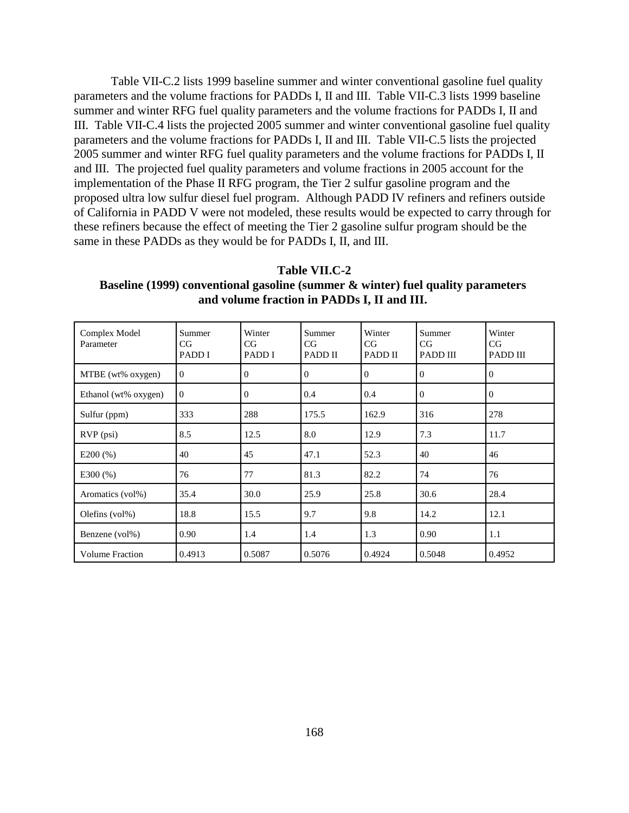Table VII-C.2 lists 1999 baseline summer and winter conventional gasoline fuel quality parameters and the volume fractions for PADDs I, II and III. Table VII-C.3 lists 1999 baseline summer and winter RFG fuel quality parameters and the volume fractions for PADDs I, II and III. Table VII-C.4 lists the projected 2005 summer and winter conventional gasoline fuel quality parameters and the volume fractions for PADDs I, II and III. Table VII-C.5 lists the projected 2005 summer and winter RFG fuel quality parameters and the volume fractions for PADDs I, II and III. The projected fuel quality parameters and volume fractions in 2005 account for the implementation of the Phase II RFG program, the Tier 2 sulfur gasoline program and the proposed ultra low sulfur diesel fuel program. Although PADD IV refiners and refiners outside of California in PADD V were not modeled, these results would be expected to carry through for these refiners because the effect of meeting the Tier 2 gasoline sulfur program should be the same in these PADDs as they would be for PADDs I, II, and III.

**Table VII.C-2 Baseline (1999) conventional gasoline (summer & winter) fuel quality parameters and volume fraction in PADDs I, II and III.**

| Complex Model<br>Parameter | Summer<br>CG<br>PADD I | Winter<br>CG<br>PADD I | Summer<br>CG<br>PADD II | Winter<br>CG<br>PADD II | Summer<br>CG<br>PADD III | Winter<br>CG<br><b>PADD III</b> |
|----------------------------|------------------------|------------------------|-------------------------|-------------------------|--------------------------|---------------------------------|
| MTBE (wt% oxygen)          | $\overline{0}$         | $\Omega$               | $\mathbf{0}$            | $\Omega$                | $\theta$                 | $\Omega$                        |
| Ethanol (wt% oxygen)       | $\theta$               | $\Omega$               | 0.4                     | 0.4                     | $\mathbf{0}$             | $\Omega$                        |
| Sulfur (ppm)               | 333                    | 288                    | 175.5                   | 162.9                   | 316                      | 278                             |
| $RVP$ (psi)                | 8.5                    | 12.5                   | 8.0                     | 12.9                    | 7.3                      | 11.7                            |
| E200(%)                    | 40                     | 45                     | 47.1                    | 52.3                    | 40                       | 46                              |
| E300(%)                    | 76                     | 77                     | 81.3                    | 82.2                    | 74                       | 76                              |
| Aromatics (vol%)           | 35.4                   | 30.0                   | 25.9                    | 25.8                    | 30.6                     | 28.4                            |
| Olefins (vol%)             | 18.8                   | 15.5                   | 9.7                     | 9.8                     | 14.2                     | 12.1                            |
| Benzene (vol%)             | 0.90                   | 1.4                    | 1.4                     | 1.3                     | 0.90                     | 1.1                             |
| <b>Volume Fraction</b>     | 0.4913                 | 0.5087                 | 0.5076                  | 0.4924                  | 0.5048                   | 0.4952                          |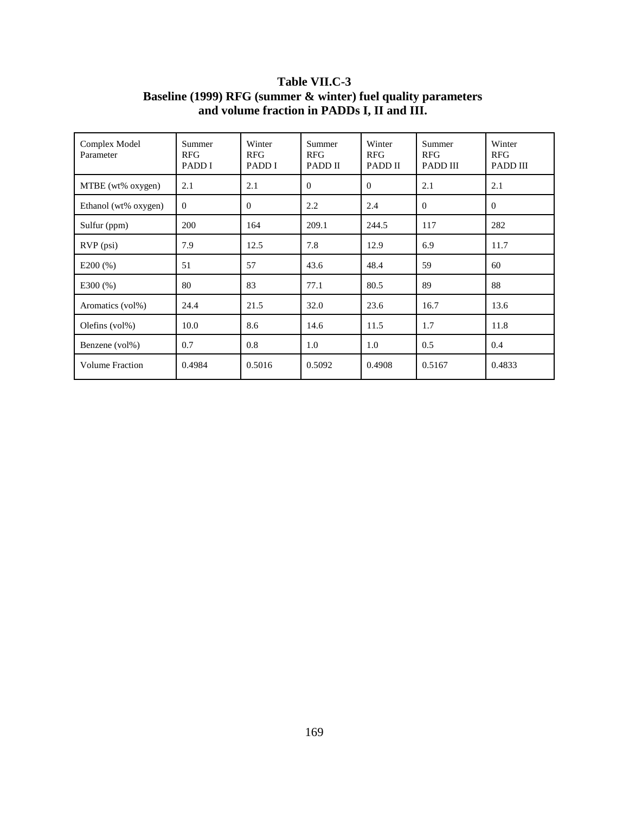| Complex Model<br>Parameter       | Summer<br><b>RFG</b><br>PADD I | Winter<br><b>RFG</b><br>PADD I | Summer<br><b>RFG</b><br>PADD II | Winter<br><b>RFG</b><br>PADD II | Summer<br><b>RFG</b><br><b>PADD III</b> | Winter<br><b>RFG</b><br>PADD III |
|----------------------------------|--------------------------------|--------------------------------|---------------------------------|---------------------------------|-----------------------------------------|----------------------------------|
| MTBE (wt% oxygen)                | 2.1                            | 2.1                            | $\Omega$                        | $\theta$                        | 2.1                                     | 2.1                              |
| Ethanol (wt% oxygen)<br>$\theta$ |                                | $\Omega$                       | 2.2                             | 2.4                             | $\Omega$                                | $\theta$                         |
| Sulfur (ppm)                     | 200                            | 164                            | 209.1                           | 244.5                           | 117                                     | 282                              |
| $RVP$ (psi)                      | 7.9                            | 12.5                           | 7.8                             | 12.9                            | 6.9                                     | 11.7                             |
| E200(%)                          | 51                             | 57                             | 43.6                            | 48.4                            | 59                                      | 60                               |
| E300(%)                          | 80                             | 83                             | 77.1                            | 80.5                            | 89                                      | 88                               |
| Aromatics (vol%)                 | 24.4                           | 21.5                           | 32.0                            | 23.6                            | 16.7                                    | 13.6                             |
| Olefins $(vol\%)$                | 10.0                           | 8.6                            | 14.6                            | 11.5                            | 1.7                                     | 11.8                             |
| 0.7<br>Benzene (vol%)            |                                | 0.8                            | 1.0                             | 1.0                             | 0.5                                     | 0.4                              |
| 0.4984<br><b>Volume Fraction</b> |                                | 0.5016                         | 0.5092                          | 0.4908                          | 0.5167                                  | 0.4833                           |

# **Table VII.C-3 Baseline (1999) RFG (summer & winter) fuel quality parameters and volume fraction in PADDs I, II and III.**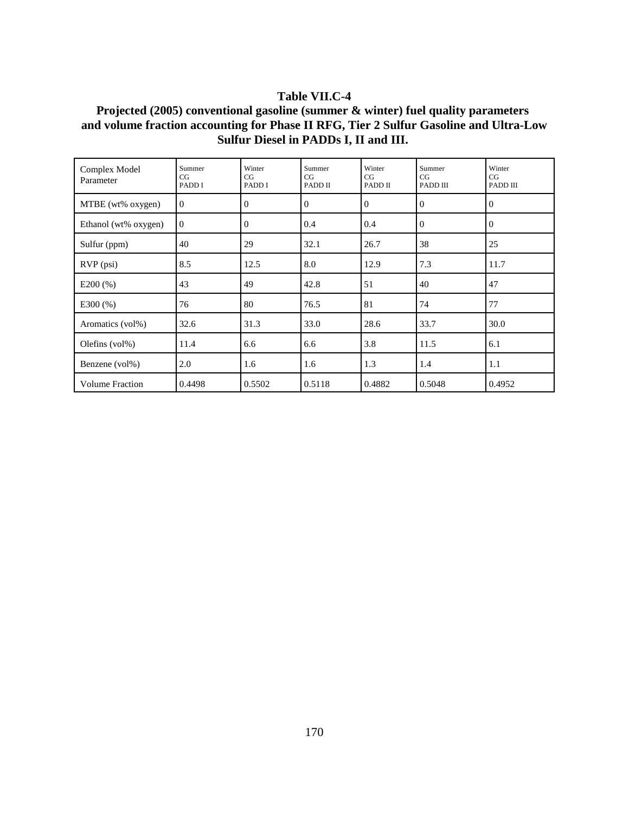### **Table VII.C-4**

# **Projected (2005) conventional gasoline (summer & winter) fuel quality parameters and volume fraction accounting for Phase II RFG, Tier 2 Sulfur Gasoline and Ultra-Low Sulfur Diesel in PADDs I, II and III.**

| Complex Model<br>Parameter | Summer<br>CG<br>PADD I | Winter<br>CG<br>PADD I | Summer<br>CG<br>PADD II | Winter<br>CG<br>PADD II | Summer<br>CG<br>PADD III | Winter<br>CG<br>PADD III |
|----------------------------|------------------------|------------------------|-------------------------|-------------------------|--------------------------|--------------------------|
| MTBE (wt% oxygen)          | $\mathbf{0}$           | $\mathbf{0}$           | $\overline{0}$          | $\mathbf{0}$            | $\theta$                 | $\mathbf{0}$             |
| Ethanol (wt% oxygen)       | $\overline{0}$         | $\Omega$               | 0.4                     | 0.4                     | $\mathbf{0}$             | $\Omega$                 |
| Sulfur (ppm)               | 40                     | 29                     | 32.1                    | 26.7                    | 38                       | 25                       |
| RVP (psi)                  | 8.5                    | 12.5                   | 8.0                     | 12.9                    | 7.3                      | 11.7                     |
| $E200$ (%)                 | 43                     | 49                     | 42.8                    | 51                      | 40                       | 47                       |
| E300(%)                    | 76                     | 80                     | 76.5                    | 81                      | 74                       | 77                       |
| Aromatics (vol%)           | 32.6                   | 31.3                   | 33.0                    | 28.6                    | 33.7                     | 30.0                     |
| Olefins $(vol\%)$          | 11.4                   | 6.6                    | 6.6                     | 3.8                     | 11.5                     | 6.1                      |
| Benzene (vol%)             | 2.0                    | 1.6                    | 1.6                     | 1.3                     | 1.4                      | 1.1                      |
| <b>Volume Fraction</b>     | 0.4498                 | 0.5502                 | 0.5118                  | 0.4882                  | 0.5048                   | 0.4952                   |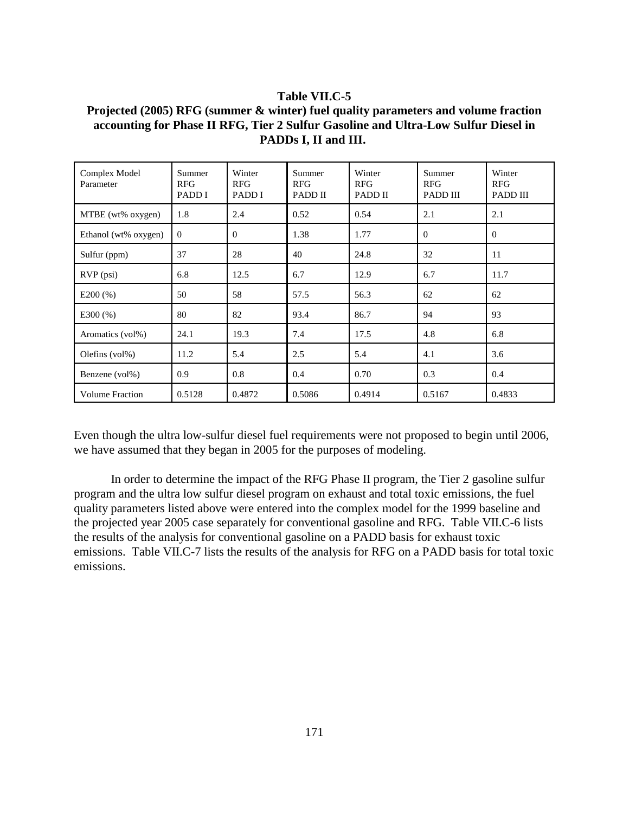### **Table VII.C-5**

**Projected (2005) RFG (summer & winter) fuel quality parameters and volume fraction accounting for Phase II RFG, Tier 2 Sulfur Gasoline and Ultra-Low Sulfur Diesel in PADDs I, II and III.**

| Complex Model<br>Parameter | Summer<br><b>RFG</b><br>PADD I | Winter<br><b>RFG</b><br>PADD I | Summer<br><b>RFG</b><br>PADD II | Winter<br><b>RFG</b><br>PADD II | Summer<br><b>RFG</b><br><b>PADD III</b> | Winter<br><b>RFG</b><br>PADD III |
|----------------------------|--------------------------------|--------------------------------|---------------------------------|---------------------------------|-----------------------------------------|----------------------------------|
| MTBE (wt% oxygen)          | 1.8                            | 2.4                            | 0.52                            | 0.54                            | 2.1                                     | 2.1                              |
| Ethanol (wt% oxygen)       | $\theta$                       | $\Omega$                       | 1.38                            | 1.77                            | $\theta$                                | $\Omega$                         |
| Sulfur (ppm)               | 37                             | 28                             | 40                              | 24.8                            | 32                                      | 11                               |
| $RVP$ (psi)                | 6.8                            | 12.5                           | 6.7                             | 12.9                            | 6.7                                     | 11.7                             |
| E200(%)                    | 50                             | 58                             | 57.5                            | 56.3                            | 62                                      | 62                               |
| $E300\,(%)$                | 80                             | 82                             | 93.4                            | 86.7                            | 94                                      | 93                               |
| Aromatics (vol%)           | 24.1                           | 19.3                           | 7.4                             | 17.5                            | 4.8                                     | 6.8                              |
| Olefins $(vol\%)$          | 11.2                           | 5.4                            | 2.5                             | 5.4                             | 4.1                                     | 3.6                              |
| Benzene (vol%)             | 0.9                            | 0.8                            | 0.4                             | 0.70                            | 0.3                                     | 0.4                              |
| <b>Volume Fraction</b>     | 0.5128                         | 0.4872                         | 0.5086                          | 0.4914                          | 0.5167                                  | 0.4833                           |

Even though the ultra low-sulfur diesel fuel requirements were not proposed to begin until 2006, we have assumed that they began in 2005 for the purposes of modeling.

In order to determine the impact of the RFG Phase II program, the Tier 2 gasoline sulfur program and the ultra low sulfur diesel program on exhaust and total toxic emissions, the fuel quality parameters listed above were entered into the complex model for the 1999 baseline and the projected year 2005 case separately for conventional gasoline and RFG. Table VII.C-6 lists the results of the analysis for conventional gasoline on a PADD basis for exhaust toxic emissions. Table VII.C-7 lists the results of the analysis for RFG on a PADD basis for total toxic emissions.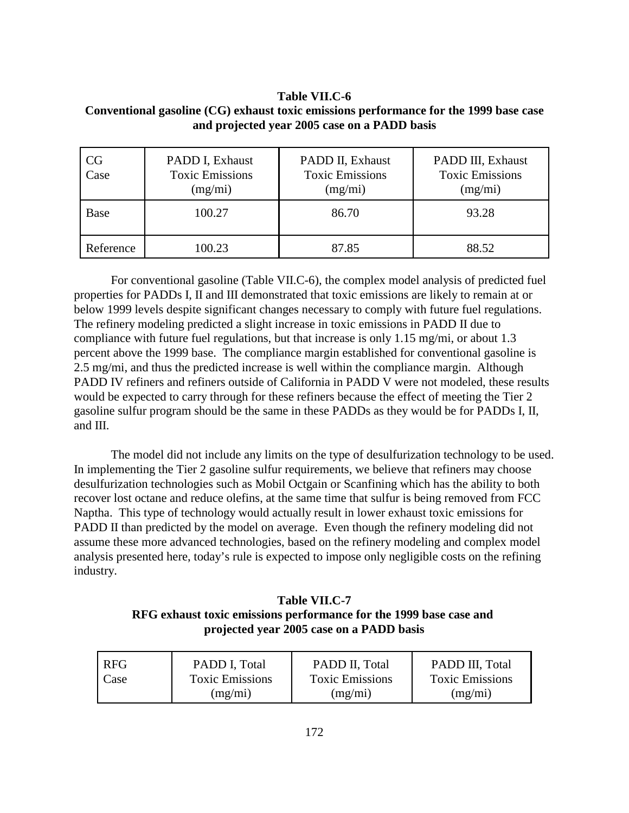**Table VII.C-6 Conventional gasoline (CG) exhaust toxic emissions performance for the 1999 base case and projected year 2005 case on a PADD basis**

| CG<br>Case | PADD I, Exhaust<br><b>Toxic Emissions</b><br>(mg/mi) | PADD II, Exhaust<br><b>Toxic Emissions</b><br>(mg/mi) | PADD III, Exhaust<br><b>Toxic Emissions</b><br>(mg/mi) |
|------------|------------------------------------------------------|-------------------------------------------------------|--------------------------------------------------------|
| Base       | 100.27                                               | 86.70                                                 | 93.28                                                  |
| Reference  | 100.23                                               | 87.85                                                 | 88.52                                                  |

For conventional gasoline (Table VII.C-6), the complex model analysis of predicted fuel properties for PADDs I, II and III demonstrated that toxic emissions are likely to remain at or below 1999 levels despite significant changes necessary to comply with future fuel regulations. The refinery modeling predicted a slight increase in toxic emissions in PADD II due to compliance with future fuel regulations, but that increase is only 1.15 mg/mi, or about 1.3 percent above the 1999 base. The compliance margin established for conventional gasoline is 2.5 mg/mi, and thus the predicted increase is well within the compliance margin. Although PADD IV refiners and refiners outside of California in PADD V were not modeled, these results would be expected to carry through for these refiners because the effect of meeting the Tier 2 gasoline sulfur program should be the same in these PADDs as they would be for PADDs I, II, and III.

The model did not include any limits on the type of desulfurization technology to be used. In implementing the Tier 2 gasoline sulfur requirements, we believe that refiners may choose desulfurization technologies such as Mobil Octgain or Scanfining which has the ability to both recover lost octane and reduce olefins, at the same time that sulfur is being removed from FCC Naptha. This type of technology would actually result in lower exhaust toxic emissions for PADD II than predicted by the model on average. Even though the refinery modeling did not assume these more advanced technologies, based on the refinery modeling and complex model analysis presented here, today's rule is expected to impose only negligible costs on the refining industry.

**Table VII.C-7 RFG exhaust toxic emissions performance for the 1999 base case and projected year 2005 case on a PADD basis**

| <b>RFG</b> | PADD I, Total          | PADD II, Total         | PADD III, Total        |
|------------|------------------------|------------------------|------------------------|
| Case       | <b>Toxic Emissions</b> | <b>Toxic Emissions</b> | <b>Toxic Emissions</b> |
|            | (mg/mi)                | (mg/mi)                | (mg/mi)                |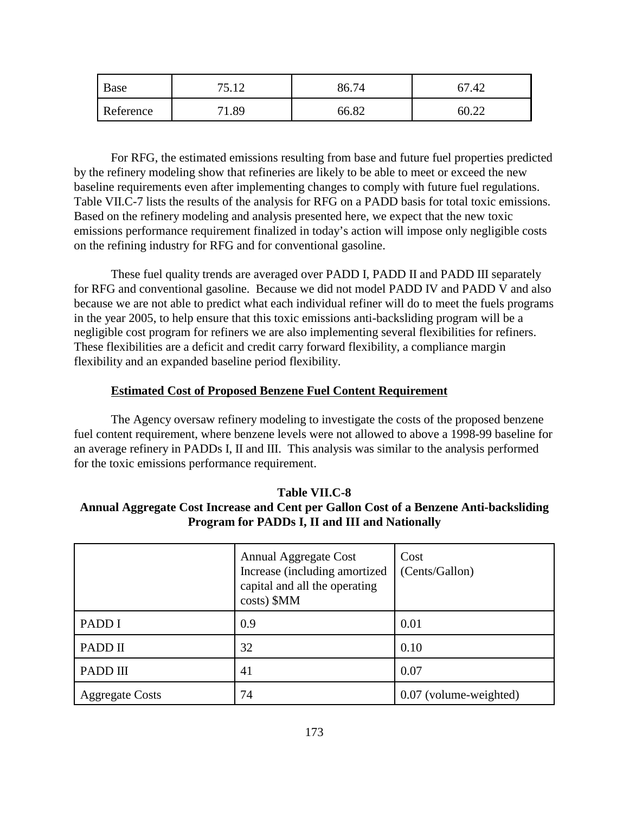| Base      | ---  | 86.74 | $\Lambda$<br>┱∠ |
|-----------|------|-------|-----------------|
| Reference | 1.89 | 66.82 | 00.22           |

For RFG, the estimated emissions resulting from base and future fuel properties predicted by the refinery modeling show that refineries are likely to be able to meet or exceed the new baseline requirements even after implementing changes to comply with future fuel regulations. Table VII.C-7 lists the results of the analysis for RFG on a PADD basis for total toxic emissions. Based on the refinery modeling and analysis presented here, we expect that the new toxic emissions performance requirement finalized in today's action will impose only negligible costs on the refining industry for RFG and for conventional gasoline.

These fuel quality trends are averaged over PADD I, PADD II and PADD III separately for RFG and conventional gasoline. Because we did not model PADD IV and PADD V and also because we are not able to predict what each individual refiner will do to meet the fuels programs in the year 2005, to help ensure that this toxic emissions anti-backsliding program will be a negligible cost program for refiners we are also implementing several flexibilities for refiners. These flexibilities are a deficit and credit carry forward flexibility, a compliance margin flexibility and an expanded baseline period flexibility.

### **Estimated Cost of Proposed Benzene Fuel Content Requirement**

The Agency oversaw refinery modeling to investigate the costs of the proposed benzene fuel content requirement, where benzene levels were not allowed to above a 1998-99 baseline for an average refinery in PADDs I, II and III. This analysis was similar to the analysis performed for the toxic emissions performance requirement.

# **Table VII.C-8 Annual Aggregate Cost Increase and Cent per Gallon Cost of a Benzene Anti-backsliding Program for PADDs I, II and III and Nationally**

|                        | <b>Annual Aggregate Cost</b><br>Increase (including amortized<br>capital and all the operating<br>costs) \$MM | Cost<br>(Cents/Gallon) |
|------------------------|---------------------------------------------------------------------------------------------------------------|------------------------|
| PADD I                 | 0.9                                                                                                           | 0.01                   |
| PADD II                | 32                                                                                                            | 0.10                   |
| PADD III               | 41                                                                                                            | 0.07                   |
| <b>Aggregate Costs</b> | 74                                                                                                            | 0.07 (volume-weighted) |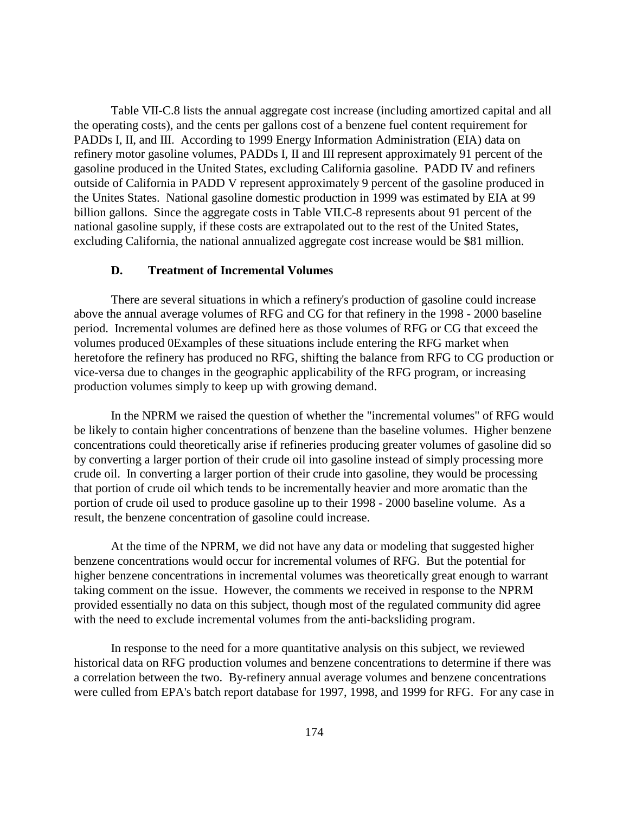Table VII-C.8 lists the annual aggregate cost increase (including amortized capital and all the operating costs), and the cents per gallons cost of a benzene fuel content requirement for PADDs I, II, and III. According to 1999 Energy Information Administration (EIA) data on refinery motor gasoline volumes, PADDs I, II and III represent approximately 91 percent of the gasoline produced in the United States, excluding California gasoline. PADD IV and refiners outside of California in PADD V represent approximately 9 percent of the gasoline produced in the Unites States. National gasoline domestic production in 1999 was estimated by EIA at 99 billion gallons. Since the aggregate costs in Table VII.C-8 represents about 91 percent of the national gasoline supply, if these costs are extrapolated out to the rest of the United States, excluding California, the national annualized aggregate cost increase would be \$81 million.

### **D. Treatment of Incremental Volumes**

There are several situations in which a refinery's production of gasoline could increase above the annual average volumes of RFG and CG for that refinery in the 1998 - 2000 baseline period. Incremental volumes are defined here as those volumes of RFG or CG that exceed the volumes produced 0Examples of these situations include entering the RFG market when heretofore the refinery has produced no RFG, shifting the balance from RFG to CG production or vice-versa due to changes in the geographic applicability of the RFG program, or increasing production volumes simply to keep up with growing demand.

In the NPRM we raised the question of whether the "incremental volumes" of RFG would be likely to contain higher concentrations of benzene than the baseline volumes. Higher benzene concentrations could theoretically arise if refineries producing greater volumes of gasoline did so by converting a larger portion of their crude oil into gasoline instead of simply processing more crude oil. In converting a larger portion of their crude into gasoline, they would be processing that portion of crude oil which tends to be incrementally heavier and more aromatic than the portion of crude oil used to produce gasoline up to their 1998 - 2000 baseline volume. As a result, the benzene concentration of gasoline could increase.

At the time of the NPRM, we did not have any data or modeling that suggested higher benzene concentrations would occur for incremental volumes of RFG. But the potential for higher benzene concentrations in incremental volumes was theoretically great enough to warrant taking comment on the issue. However, the comments we received in response to the NPRM provided essentially no data on this subject, though most of the regulated community did agree with the need to exclude incremental volumes from the anti-backsliding program.

In response to the need for a more quantitative analysis on this subject, we reviewed historical data on RFG production volumes and benzene concentrations to determine if there was a correlation between the two. By-refinery annual average volumes and benzene concentrations were culled from EPA's batch report database for 1997, 1998, and 1999 for RFG. For any case in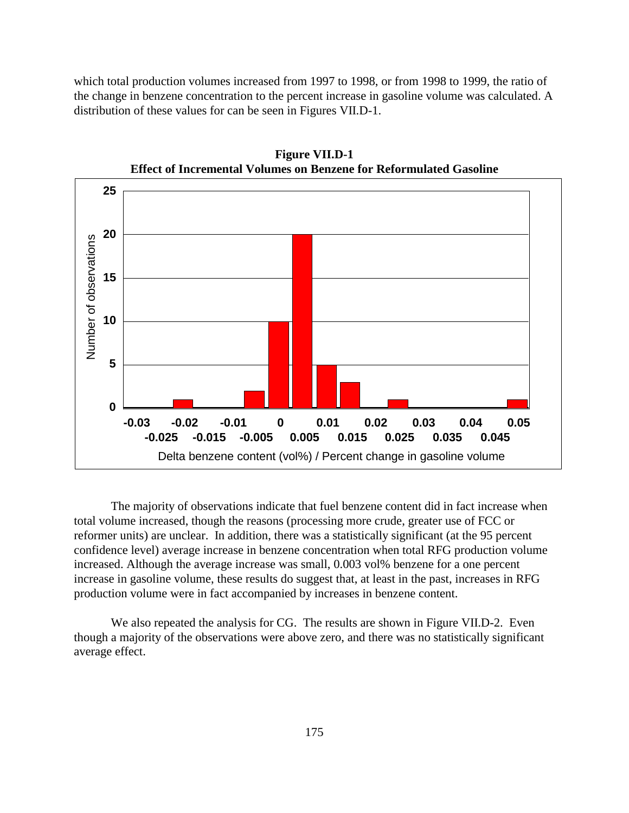which total production volumes increased from 1997 to 1998, or from 1998 to 1999, the ratio of the change in benzene concentration to the percent increase in gasoline volume was calculated. A distribution of these values for can be seen in Figures VII.D-1.



**Figure VII.D-1 Effect of Incremental Volumes on Benzene for Reformulated Gasoline**

The majority of observations indicate that fuel benzene content did in fact increase when total volume increased, though the reasons (processing more crude, greater use of FCC or reformer units) are unclear. In addition, there was a statistically significant (at the 95 percent confidence level) average increase in benzene concentration when total RFG production volume increased. Although the average increase was small, 0.003 vol% benzene for a one percent increase in gasoline volume, these results do suggest that, at least in the past, increases in RFG production volume were in fact accompanied by increases in benzene content.

We also repeated the analysis for CG. The results are shown in Figure VII.D-2. Even though a majority of the observations were above zero, and there was no statistically significant average effect.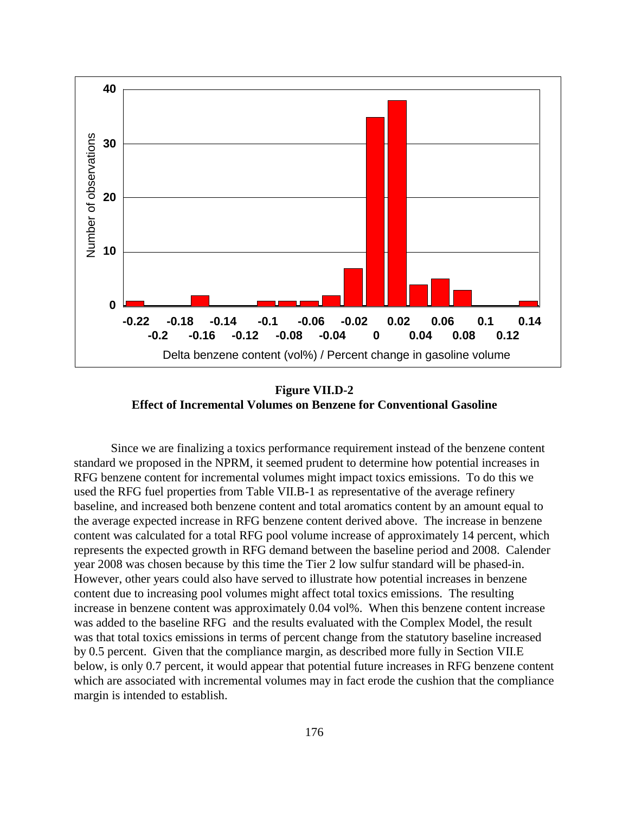

**Figure VII.D-2 Effect of Incremental Volumes on Benzene for Conventional Gasoline**

Since we are finalizing a toxics performance requirement instead of the benzene content standard we proposed in the NPRM, it seemed prudent to determine how potential increases in RFG benzene content for incremental volumes might impact toxics emissions. To do this we used the RFG fuel properties from Table VII.B-1 as representative of the average refinery baseline, and increased both benzene content and total aromatics content by an amount equal to the average expected increase in RFG benzene content derived above. The increase in benzene content was calculated for a total RFG pool volume increase of approximately 14 percent, which represents the expected growth in RFG demand between the baseline period and 2008. Calender year 2008 was chosen because by this time the Tier 2 low sulfur standard will be phased-in. However, other years could also have served to illustrate how potential increases in benzene content due to increasing pool volumes might affect total toxics emissions. The resulting increase in benzene content was approximately 0.04 vol%. When this benzene content increase was added to the baseline RFG and the results evaluated with the Complex Model, the result was that total toxics emissions in terms of percent change from the statutory baseline increased by 0.5 percent. Given that the compliance margin, as described more fully in Section VII.E below, is only 0.7 percent, it would appear that potential future increases in RFG benzene content which are associated with incremental volumes may in fact erode the cushion that the compliance margin is intended to establish.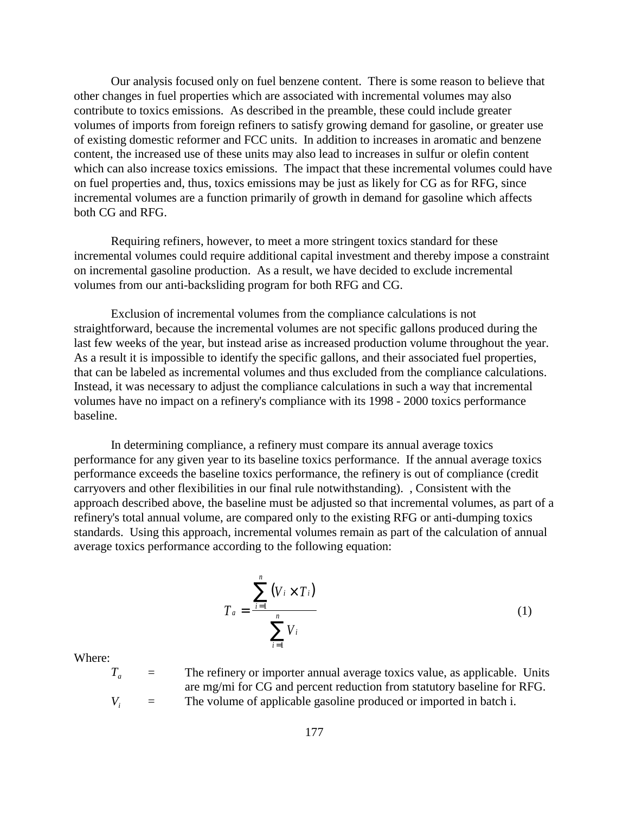Our analysis focused only on fuel benzene content. There is some reason to believe that other changes in fuel properties which are associated with incremental volumes may also contribute to toxics emissions. As described in the preamble, these could include greater volumes of imports from foreign refiners to satisfy growing demand for gasoline, or greater use of existing domestic reformer and FCC units. In addition to increases in aromatic and benzene content, the increased use of these units may also lead to increases in sulfur or olefin content which can also increase toxics emissions. The impact that these incremental volumes could have on fuel properties and, thus, toxics emissions may be just as likely for CG as for RFG, since incremental volumes are a function primarily of growth in demand for gasoline which affects both CG and RFG.

Requiring refiners, however, to meet a more stringent toxics standard for these incremental volumes could require additional capital investment and thereby impose a constraint on incremental gasoline production. As a result, we have decided to exclude incremental volumes from our anti-backsliding program for both RFG and CG.

Exclusion of incremental volumes from the compliance calculations is not straightforward, because the incremental volumes are not specific gallons produced during the last few weeks of the year, but instead arise as increased production volume throughout the year. As a result it is impossible to identify the specific gallons, and their associated fuel properties, that can be labeled as incremental volumes and thus excluded from the compliance calculations. Instead, it was necessary to adjust the compliance calculations in such a way that incremental volumes have no impact on a refinery's compliance with its 1998 - 2000 toxics performance baseline.

In determining compliance, a refinery must compare its annual average toxics performance for any given year to its baseline toxics performance. If the annual average toxics performance exceeds the baseline toxics performance, the refinery is out of compliance (credit carryovers and other flexibilities in our final rule notwithstanding). , Consistent with the approach described above, the baseline must be adjusted so that incremental volumes, as part of a refinery's total annual volume, are compared only to the existing RFG or anti-dumping toxics standards. Using this approach, incremental volumes remain as part of the calculation of annual average toxics performance according to the following equation:

$$
T_{a} = \frac{\sum_{i=1}^{n} (V_{i} \times T_{i})}{\sum_{i=1}^{n} V_{i}}
$$
 (1)

Where:

 $T_a$  = The refinery or importer annual average toxics value, as applicable. Units are mg/mi for CG and percent reduction from statutory baseline for RFG.  $V_i$  = The volume of applicable gasoline produced or imported in batch i.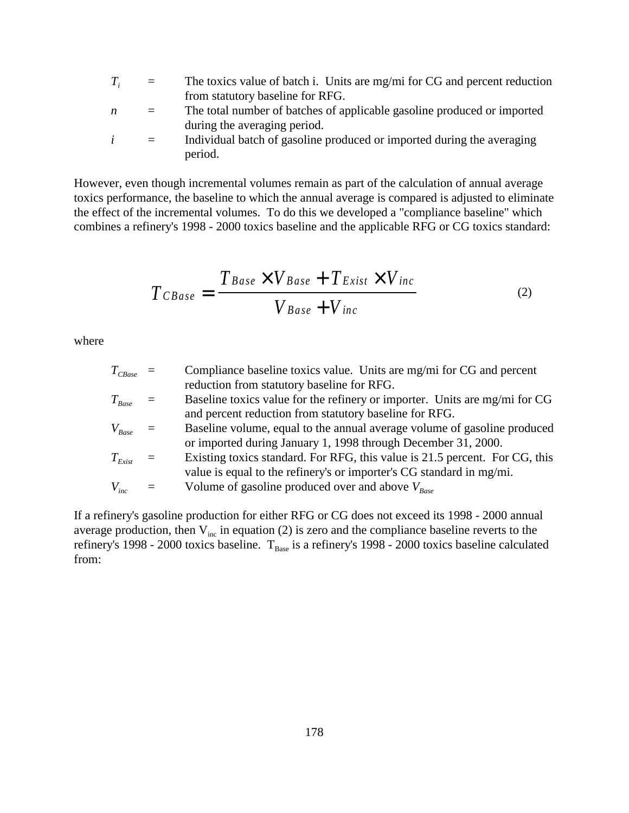- $T_i$  = The toxics value of batch i. Units are mg/mi for CG and percent reduction from statutory baseline for RFG.
- *n* = The total number of batches of applicable gasoline produced or imported during the averaging period.
- $i =$  Individual batch of gasoline produced or imported during the averaging period.

However, even though incremental volumes remain as part of the calculation of annual average toxics performance, the baseline to which the annual average is compared is adjusted to eliminate the effect of the incremental volumes. To do this we developed a "compliance baseline" which combines a refinery's 1998 - 2000 toxics baseline and the applicable RFG or CG toxics standard:

$$
T_{CBase} = \frac{T_{Base} \times V_{Base} + T_{Exist} \times V_{inc}}{V_{Base} + V_{inc}}
$$
(2)

where

| $T_{\tiny{CBase}}$ =              | Compliance baseline toxics value. Units are mg/mi for CG and percent        |
|-----------------------------------|-----------------------------------------------------------------------------|
|                                   | reduction from statutory baseline for RFG.                                  |
| $T_{\mathit{Base}}$ =             | Baseline toxics value for the refinery or importer. Units are mg/mi for CG  |
|                                   | and percent reduction from statutory baseline for RFG.                      |
| $V_{\text{Base}}$ =               | Baseline volume, equal to the annual average volume of gasoline produced    |
|                                   | or imported during January 1, 1998 through December 31, 2000.               |
| $T_{\scriptscriptstyle{Exist}}$ = | Existing toxics standard. For RFG, this value is 21.5 percent. For CG, this |
|                                   | value is equal to the refinery's or importer's CG standard in mg/mi.        |
| $V_{inc}$                         | Volume of gasoline produced over and above $V_{\text{Base}}$                |
|                                   |                                                                             |

If a refinery's gasoline production for either RFG or CG does not exceed its 1998 - 2000 annual average production, then  $V_{inc}$  in equation (2) is zero and the compliance baseline reverts to the refinery's 1998 - 2000 toxics baseline.  $T_{Base}$  is a refinery's 1998 - 2000 toxics baseline calculated from: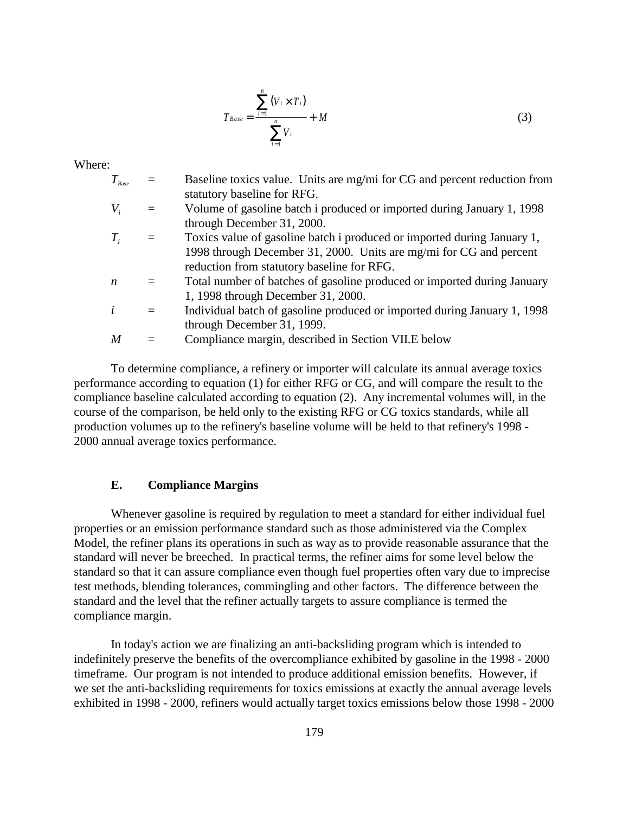$$
T_{Base} = \frac{\sum_{i=1}^{n} (V_i \times T_i)}{\sum_{i=1}^{n} V_i} + M
$$
 (3)

Where:

| $T_{\scriptscriptstyle\it Base}$ |     | Baseline toxics value. Units are mg/mi for CG and percent reduction from |
|----------------------------------|-----|--------------------------------------------------------------------------|
|                                  |     | statutory baseline for RFG.                                              |
| $V_{i}$                          |     | Volume of gasoline batch i produced or imported during January 1, 1998   |
|                                  |     | through December 31, 2000.                                               |
| $T_i$                            |     | Toxics value of gasoline batch i produced or imported during January 1,  |
|                                  |     | 1998 through December 31, 2000. Units are mg/mi for CG and percent       |
|                                  |     | reduction from statutory baseline for RFG.                               |
| $\boldsymbol{n}$                 |     | Total number of batches of gasoline produced or imported during January  |
|                                  |     | 1, 1998 through December 31, 2000.                                       |
| $\dot{i}$                        | $=$ | Individual batch of gasoline produced or imported during January 1, 1998 |
|                                  |     | through December 31, 1999.                                               |
| $\boldsymbol{M}$                 |     | Compliance margin, described in Section VII.E below                      |
|                                  |     |                                                                          |

To determine compliance, a refinery or importer will calculate its annual average toxics performance according to equation (1) for either RFG or CG, and will compare the result to the compliance baseline calculated according to equation (2). Any incremental volumes will, in the course of the comparison, be held only to the existing RFG or CG toxics standards, while all production volumes up to the refinery's baseline volume will be held to that refinery's 1998 - 2000 annual average toxics performance.

### **E. Compliance Margins**

Whenever gasoline is required by regulation to meet a standard for either individual fuel properties or an emission performance standard such as those administered via the Complex Model, the refiner plans its operations in such as way as to provide reasonable assurance that the standard will never be breeched. In practical terms, the refiner aims for some level below the standard so that it can assure compliance even though fuel properties often vary due to imprecise test methods, blending tolerances, commingling and other factors. The difference between the standard and the level that the refiner actually targets to assure compliance is termed the compliance margin.

In today's action we are finalizing an anti-backsliding program which is intended to indefinitely preserve the benefits of the overcompliance exhibited by gasoline in the 1998 - 2000 timeframe. Our program is not intended to produce additional emission benefits. However, if we set the anti-backsliding requirements for toxics emissions at exactly the annual average levels exhibited in 1998 - 2000, refiners would actually target toxics emissions below those 1998 - 2000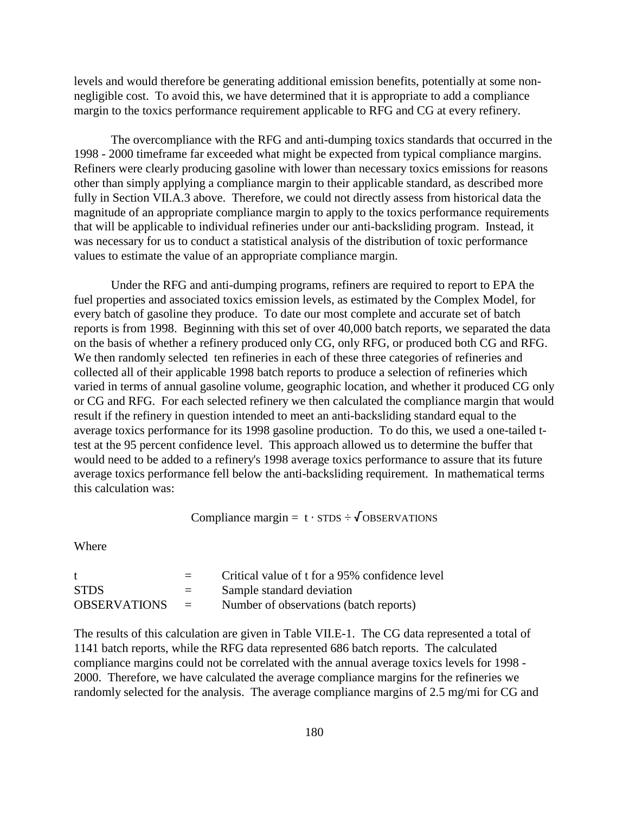levels and would therefore be generating additional emission benefits, potentially at some nonnegligible cost. To avoid this, we have determined that it is appropriate to add a compliance margin to the toxics performance requirement applicable to RFG and CG at every refinery.

The overcompliance with the RFG and anti-dumping toxics standards that occurred in the 1998 - 2000 timeframe far exceeded what might be expected from typical compliance margins. Refiners were clearly producing gasoline with lower than necessary toxics emissions for reasons other than simply applying a compliance margin to their applicable standard, as described more fully in Section VII.A.3 above. Therefore, we could not directly assess from historical data the magnitude of an appropriate compliance margin to apply to the toxics performance requirements that will be applicable to individual refineries under our anti-backsliding program. Instead, it was necessary for us to conduct a statistical analysis of the distribution of toxic performance values to estimate the value of an appropriate compliance margin.

Under the RFG and anti-dumping programs, refiners are required to report to EPA the fuel properties and associated toxics emission levels, as estimated by the Complex Model, for every batch of gasoline they produce. To date our most complete and accurate set of batch reports is from 1998. Beginning with this set of over 40,000 batch reports, we separated the data on the basis of whether a refinery produced only CG, only RFG, or produced both CG and RFG. We then randomly selected ten refineries in each of these three categories of refineries and collected all of their applicable 1998 batch reports to produce a selection of refineries which varied in terms of annual gasoline volume, geographic location, and whether it produced CG only or CG and RFG. For each selected refinery we then calculated the compliance margin that would result if the refinery in question intended to meet an anti-backsliding standard equal to the average toxics performance for its 1998 gasoline production. To do this, we used a one-tailed ttest at the 95 percent confidence level. This approach allowed us to determine the buffer that would need to be added to a refinery's 1998 average toxics performance to assure that its future average toxics performance fell below the anti-backsliding requirement. In mathematical terms this calculation was:

Compliance margin =  $t \cdot STDS \div \sqrt{OBSERVATIONS}$ 

**Where** 

|                     |                           | Critical value of t for a 95% confidence level |
|---------------------|---------------------------|------------------------------------------------|
| <b>STDS</b>         | $=$ $-$                   | Sample standard deviation                      |
| <b>OBSERVATIONS</b> | $\mathbf{r} = \mathbf{r}$ | Number of observations (batch reports)         |

The results of this calculation are given in Table VII.E-1. The CG data represented a total of 1141 batch reports, while the RFG data represented 686 batch reports. The calculated compliance margins could not be correlated with the annual average toxics levels for 1998 - 2000. Therefore, we have calculated the average compliance margins for the refineries we randomly selected for the analysis. The average compliance margins of 2.5 mg/mi for CG and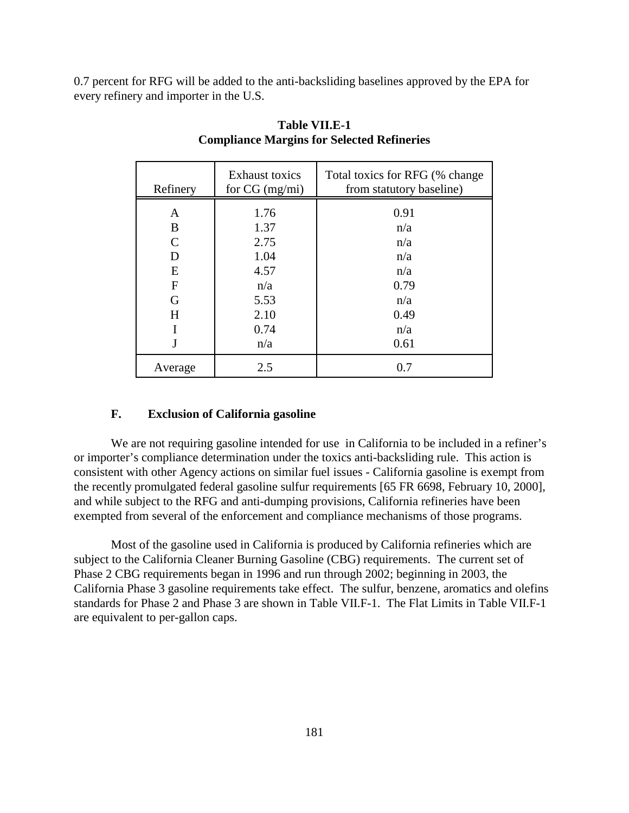0.7 percent for RFG will be added to the anti-backsliding baselines approved by the EPA for every refinery and importer in the U.S.

| Refinery      | <b>Exhaust toxics</b><br>for $CG (mg/mi)$ | Total toxics for RFG (% change)<br>from statutory baseline) |
|---------------|-------------------------------------------|-------------------------------------------------------------|
| A             | 1.76                                      | 0.91                                                        |
| B             | 1.37                                      | n/a                                                         |
| $\mathcal{C}$ | 2.75                                      | n/a                                                         |
| D             | 1.04                                      | n/a                                                         |
| E             | 4.57                                      | n/a                                                         |
| F             | n/a                                       | 0.79                                                        |
| G             | 5.53                                      | n/a                                                         |
| H             | 2.10                                      | 0.49                                                        |
|               | 0.74                                      | n/a                                                         |
|               | n/a                                       | 0.61                                                        |
| Average       | 2.5                                       | 0.7                                                         |

# **Table VII.E-1 Compliance Margins for Selected Refineries**

### **F. Exclusion of California gasoline**

We are not requiring gasoline intended for use in California to be included in a refiner's or importer's compliance determination under the toxics anti-backsliding rule. This action is consistent with other Agency actions on similar fuel issues - California gasoline is exempt from the recently promulgated federal gasoline sulfur requirements [65 FR 6698, February 10, 2000], and while subject to the RFG and anti-dumping provisions, California refineries have been exempted from several of the enforcement and compliance mechanisms of those programs.

Most of the gasoline used in California is produced by California refineries which are subject to the California Cleaner Burning Gasoline (CBG) requirements. The current set of Phase 2 CBG requirements began in 1996 and run through 2002; beginning in 2003, the California Phase 3 gasoline requirements take effect. The sulfur, benzene, aromatics and olefins standards for Phase 2 and Phase 3 are shown in Table VII.F-1. The Flat Limits in Table VII.F-1 are equivalent to per-gallon caps.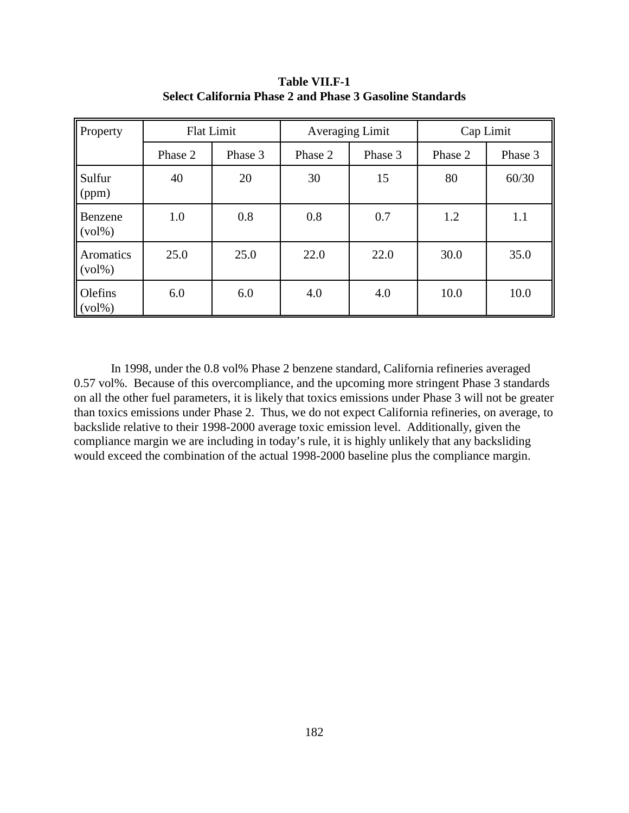| Property                                    | <b>Flat Limit</b> |         |         | <b>Averaging Limit</b> |         | Cap Limit |  |
|---------------------------------------------|-------------------|---------|---------|------------------------|---------|-----------|--|
|                                             | Phase 2           | Phase 3 | Phase 2 | Phase 3                | Phase 2 | Phase 3   |  |
| Sulfur<br>(ppm)                             | 40                | 20      | 30      | 15                     | 80      | 60/30     |  |
| Benzene<br>$\left(\mathrm{vol}\% \right)$   | 1.0               | 0.8     | 0.8     | 0.7                    | 1.2     | 1.1       |  |
| Aromatics<br>$\left(\mathrm{vol}\% \right)$ | 25.0              | 25.0    | 22.0    | 22.0                   | 30.0    | 35.0      |  |
| Olefins<br>$(vol\%)$                        | 6.0               | 6.0     | 4.0     | 4.0                    | 10.0    | 10.0      |  |

**Table VII.F-1 Select California Phase 2 and Phase 3 Gasoline Standards**

In 1998, under the 0.8 vol% Phase 2 benzene standard, California refineries averaged 0.57 vol%. Because of this overcompliance, and the upcoming more stringent Phase 3 standards on all the other fuel parameters, it is likely that toxics emissions under Phase 3 will not be greater than toxics emissions under Phase 2. Thus, we do not expect California refineries, on average, to backslide relative to their 1998-2000 average toxic emission level. Additionally, given the compliance margin we are including in today's rule, it is highly unlikely that any backsliding would exceed the combination of the actual 1998-2000 baseline plus the compliance margin.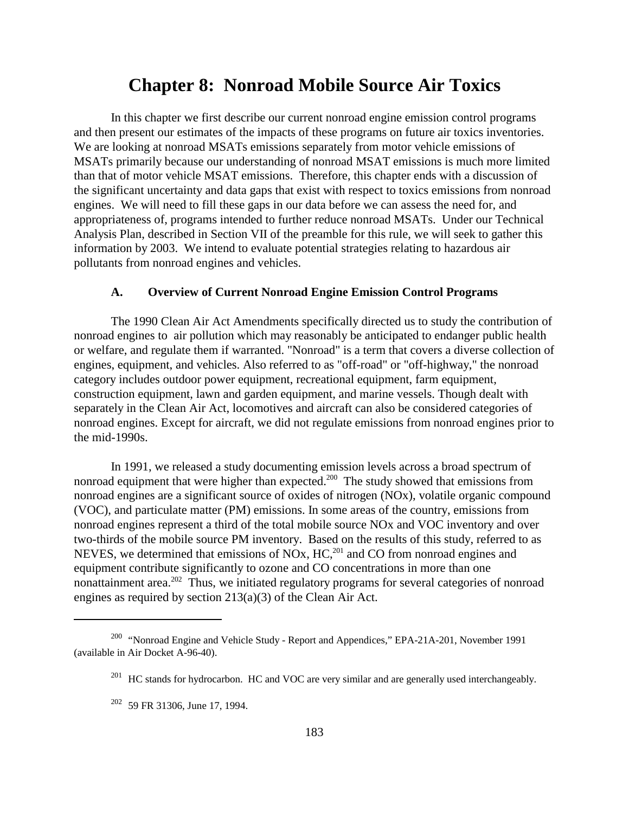# **Chapter 8: Nonroad Mobile Source Air Toxics**

In this chapter we first describe our current nonroad engine emission control programs and then present our estimates of the impacts of these programs on future air toxics inventories. We are looking at nonroad MSATs emissions separately from motor vehicle emissions of MSATs primarily because our understanding of nonroad MSAT emissions is much more limited than that of motor vehicle MSAT emissions. Therefore, this chapter ends with a discussion of the significant uncertainty and data gaps that exist with respect to toxics emissions from nonroad engines. We will need to fill these gaps in our data before we can assess the need for, and appropriateness of, programs intended to further reduce nonroad MSATs. Under our Technical Analysis Plan, described in Section VII of the preamble for this rule, we will seek to gather this information by 2003. We intend to evaluate potential strategies relating to hazardous air pollutants from nonroad engines and vehicles.

#### **A. Overview of Current Nonroad Engine Emission Control Programs**

The 1990 Clean Air Act Amendments specifically directed us to study the contribution of nonroad engines to air pollution which may reasonably be anticipated to endanger public health or welfare, and regulate them if warranted. "Nonroad" is a term that covers a diverse collection of engines, equipment, and vehicles. Also referred to as "off-road" or "off-highway," the nonroad category includes outdoor power equipment, recreational equipment, farm equipment, construction equipment, lawn and garden equipment, and marine vessels. Though dealt with separately in the Clean Air Act, locomotives and aircraft can also be considered categories of nonroad engines. Except for aircraft, we did not regulate emissions from nonroad engines prior to the mid-1990s.

In 1991, we released a study documenting emission levels across a broad spectrum of nonroad equipment that were higher than expected.<sup>200</sup> The study showed that emissions from nonroad engines are a significant source of oxides of nitrogen (NOx), volatile organic compound (VOC), and particulate matter (PM) emissions. In some areas of the country, emissions from nonroad engines represent a third of the total mobile source NOx and VOC inventory and over two-thirds of the mobile source PM inventory. Based on the results of this study, referred to as NEVES, we determined that emissions of NOx, HC,<sup>201</sup> and CO from nonroad engines and equipment contribute significantly to ozone and CO concentrations in more than one nonattainment area.<sup>202</sup> Thus, we initiated regulatory programs for several categories of nonroad engines as required by section 213(a)(3) of the Clean Air Act.

<sup>200 &</sup>quot;Nonroad Engine and Vehicle Study - Report and Appendices," EPA-21A-201, November 1991 (available in Air Docket A-96-40).

<sup>&</sup>lt;sup>201</sup> HC stands for hydrocarbon. HC and VOC are very similar and are generally used interchangeably.

 $202$  59 FR 31306, June 17, 1994.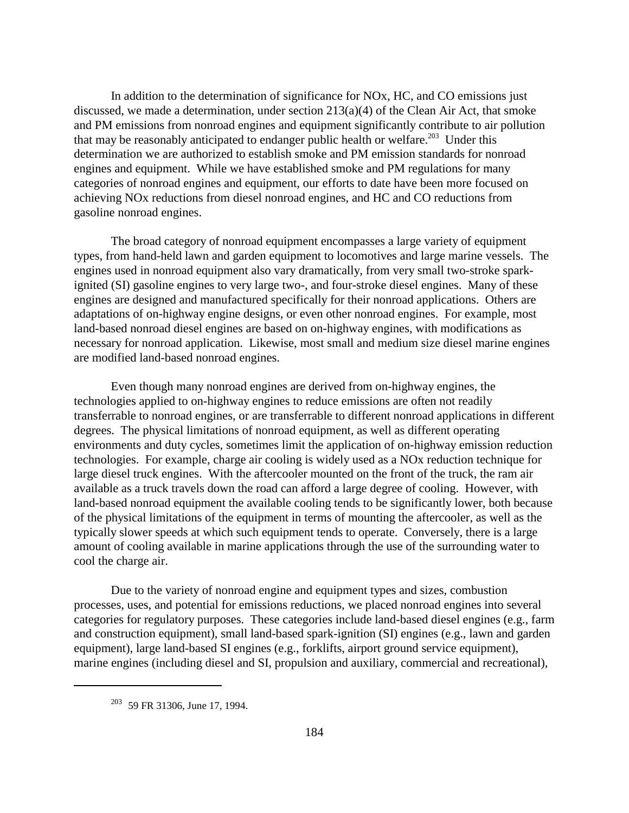In addition to the determination of significance for NOx, HC, and CO emissions just discussed, we made a determination, under section 213(a)(4) of the Clean Air Act, that smoke and PM emissions from nonroad engines and equipment significantly contribute to air pollution that may be reasonably anticipated to endanger public health or welfare.<sup>203</sup> Under this determination we are authorized to establish smoke and PM emission standards for nonroad engines and equipment. While we have established smoke and PM regulations for many categories of nonroad engines and equipment, our efforts to date have been more focused on achieving NOx reductions from diesel nonroad engines, and HC and CO reductions from gasoline nonroad engines.

The broad category of nonroad equipment encompasses a large variety of equipment types, from hand-held lawn and garden equipment to locomotives and large marine vessels. The engines used in nonroad equipment also vary dramatically, from very small two-stroke sparkignited (SI) gasoline engines to very large two-, and four-stroke diesel engines. Many of these engines are designed and manufactured specifically for their nonroad applications. Others are adaptations of on-highway engine designs, or even other nonroad engines. For example, most land-based nonroad diesel engines are based on on-highway engines, with modifications as necessary for nonroad application. Likewise, most small and medium size diesel marine engines are modified land-based nonroad engines.

Even though many nonroad engines are derived from on-highway engines, the technologies applied to on-highway engines to reduce emissions are often not readily transferrable to nonroad engines, or are transferrable to different nonroad applications in different degrees. The physical limitations of nonroad equipment, as well as different operating environments and duty cycles, sometimes limit the application of on-highway emission reduction technologies. For example, charge air cooling is widely used as a NOx reduction technique for large diesel truck engines. With the aftercooler mounted on the front of the truck, the ram air available as a truck travels down the road can afford a large degree of cooling. However, with land-based nonroad equipment the available cooling tends to be significantly lower, both because of the physical limitations of the equipment in terms of mounting the aftercooler, as well as the typically slower speeds at which such equipment tends to operate. Conversely, there is a large amount of cooling available in marine applications through the use of the surrounding water to cool the charge air.

Due to the variety of nonroad engine and equipment types and sizes, combustion processes, uses, and potential for emissions reductions, we placed nonroad engines into several categories for regulatory purposes. These categories include land-based diesel engines (e.g., farm and construction equipment), small land-based spark-ignition (SI) engines (e.g., lawn and garden equipment), large land-based SI engines (e.g., forklifts, airport ground service equipment), marine engines (including diesel and SI, propulsion and auxiliary, commercial and recreational),

<sup>203 59</sup> FR 31306, June 17, 1994.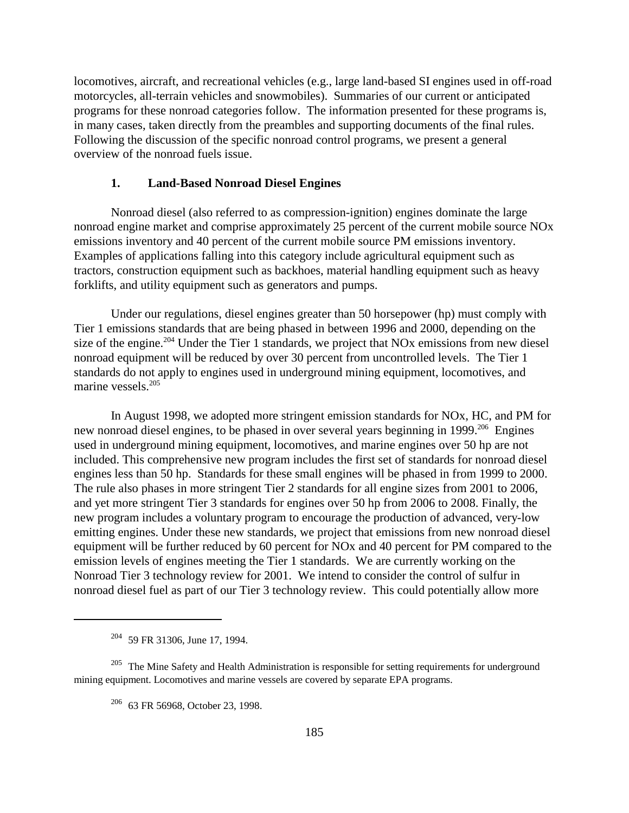locomotives, aircraft, and recreational vehicles (e.g., large land-based SI engines used in off-road motorcycles, all-terrain vehicles and snowmobiles). Summaries of our current or anticipated programs for these nonroad categories follow. The information presented for these programs is, in many cases, taken directly from the preambles and supporting documents of the final rules. Following the discussion of the specific nonroad control programs, we present a general overview of the nonroad fuels issue.

### **1. Land-Based Nonroad Diesel Engines**

Nonroad diesel (also referred to as compression-ignition) engines dominate the large nonroad engine market and comprise approximately 25 percent of the current mobile source NOx emissions inventory and 40 percent of the current mobile source PM emissions inventory. Examples of applications falling into this category include agricultural equipment such as tractors, construction equipment such as backhoes, material handling equipment such as heavy forklifts, and utility equipment such as generators and pumps.

Under our regulations, diesel engines greater than 50 horsepower (hp) must comply with Tier 1 emissions standards that are being phased in between 1996 and 2000, depending on the size of the engine.<sup>204</sup> Under the Tier 1 standards, we project that NO<sub>x</sub> emissions from new diesel nonroad equipment will be reduced by over 30 percent from uncontrolled levels. The Tier 1 standards do not apply to engines used in underground mining equipment, locomotives, and marine vessels.<sup>205</sup>

In August 1998, we adopted more stringent emission standards for NOx, HC, and PM for new nonroad diesel engines, to be phased in over several years beginning in 1999.<sup>206</sup> Engines used in underground mining equipment, locomotives, and marine engines over 50 hp are not included. This comprehensive new program includes the first set of standards for nonroad diesel engines less than 50 hp. Standards for these small engines will be phased in from 1999 to 2000. The rule also phases in more stringent Tier 2 standards for all engine sizes from 2001 to 2006, and yet more stringent Tier 3 standards for engines over 50 hp from 2006 to 2008. Finally, the new program includes a voluntary program to encourage the production of advanced, very-low emitting engines. Under these new standards, we project that emissions from new nonroad diesel equipment will be further reduced by 60 percent for NOx and 40 percent for PM compared to the emission levels of engines meeting the Tier 1 standards. We are currently working on the Nonroad Tier 3 technology review for 2001. We intend to consider the control of sulfur in nonroad diesel fuel as part of our Tier 3 technology review. This could potentially allow more

<sup>204 59</sup> FR 31306, June 17, 1994.

<sup>&</sup>lt;sup>205</sup> The Mine Safety and Health Administration is responsible for setting requirements for underground mining equipment. Locomotives and marine vessels are covered by separate EPA programs.

<sup>206 63</sup> FR 56968, October 23, 1998.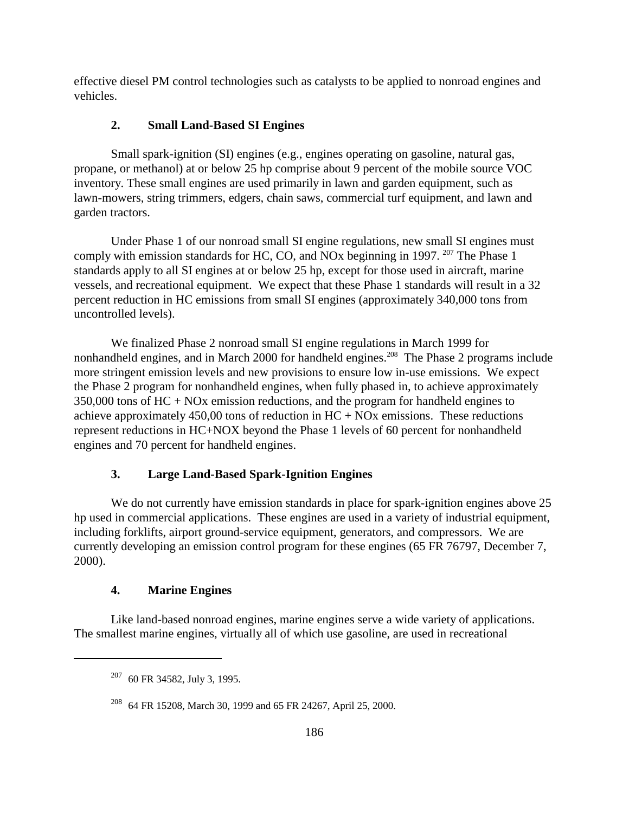effective diesel PM control technologies such as catalysts to be applied to nonroad engines and vehicles.

# **2. Small Land-Based SI Engines**

Small spark-ignition (SI) engines (e.g., engines operating on gasoline, natural gas, propane, or methanol) at or below 25 hp comprise about 9 percent of the mobile source VOC inventory. These small engines are used primarily in lawn and garden equipment, such as lawn-mowers, string trimmers, edgers, chain saws, commercial turf equipment, and lawn and garden tractors.

Under Phase 1 of our nonroad small SI engine regulations, new small SI engines must comply with emission standards for HC, CO, and NOx beginning in 1997. <sup>207</sup> The Phase 1 standards apply to all SI engines at or below 25 hp, except for those used in aircraft, marine vessels, and recreational equipment. We expect that these Phase 1 standards will result in a 32 percent reduction in HC emissions from small SI engines (approximately 340,000 tons from uncontrolled levels).

We finalized Phase 2 nonroad small SI engine regulations in March 1999 for nonhandheld engines, and in March 2000 for handheld engines.<sup>208</sup> The Phase 2 programs include more stringent emission levels and new provisions to ensure low in-use emissions. We expect the Phase 2 program for nonhandheld engines, when fully phased in, to achieve approximately 350,000 tons of HC + NOx emission reductions, and the program for handheld engines to achieve approximately 450,00 tons of reduction in  $HC + NOx$  emissions. These reductions represent reductions in HC+NOX beyond the Phase 1 levels of 60 percent for nonhandheld engines and 70 percent for handheld engines.

### **3. Large Land-Based Spark-Ignition Engines**

We do not currently have emission standards in place for spark-ignition engines above 25 hp used in commercial applications. These engines are used in a variety of industrial equipment, including forklifts, airport ground-service equipment, generators, and compressors. We are currently developing an emission control program for these engines (65 FR 76797, December 7, 2000).

### **4. Marine Engines**

Like land-based nonroad engines, marine engines serve a wide variety of applications. The smallest marine engines, virtually all of which use gasoline, are used in recreational

<sup>207 60</sup> FR 34582, July 3, 1995.

<sup>208 64</sup> FR 15208, March 30, 1999 and 65 FR 24267, April 25, 2000.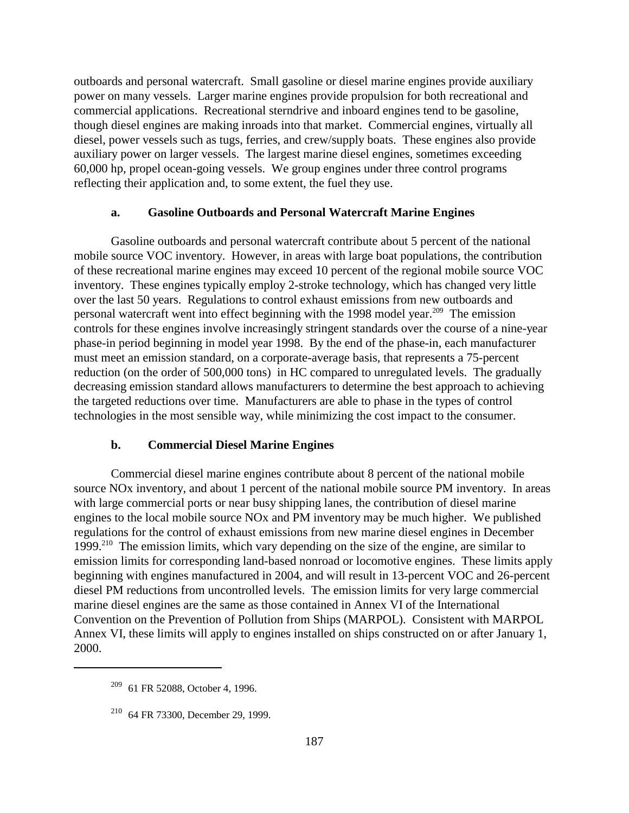outboards and personal watercraft. Small gasoline or diesel marine engines provide auxiliary power on many vessels. Larger marine engines provide propulsion for both recreational and commercial applications. Recreational sterndrive and inboard engines tend to be gasoline, though diesel engines are making inroads into that market. Commercial engines, virtually all diesel, power vessels such as tugs, ferries, and crew/supply boats. These engines also provide auxiliary power on larger vessels. The largest marine diesel engines, sometimes exceeding 60,000 hp, propel ocean-going vessels. We group engines under three control programs reflecting their application and, to some extent, the fuel they use.

#### **a. Gasoline Outboards and Personal Watercraft Marine Engines**

Gasoline outboards and personal watercraft contribute about 5 percent of the national mobile source VOC inventory. However, in areas with large boat populations, the contribution of these recreational marine engines may exceed 10 percent of the regional mobile source VOC inventory. These engines typically employ 2-stroke technology, which has changed very little over the last 50 years. Regulations to control exhaust emissions from new outboards and personal watercraft went into effect beginning with the 1998 model year.209 The emission controls for these engines involve increasingly stringent standards over the course of a nine-year phase-in period beginning in model year 1998. By the end of the phase-in, each manufacturer must meet an emission standard, on a corporate-average basis, that represents a 75-percent reduction (on the order of 500,000 tons) in HC compared to unregulated levels. The gradually decreasing emission standard allows manufacturers to determine the best approach to achieving the targeted reductions over time. Manufacturers are able to phase in the types of control technologies in the most sensible way, while minimizing the cost impact to the consumer.

#### **b. Commercial Diesel Marine Engines**

Commercial diesel marine engines contribute about 8 percent of the national mobile source NOx inventory, and about 1 percent of the national mobile source PM inventory. In areas with large commercial ports or near busy shipping lanes, the contribution of diesel marine engines to the local mobile source NOx and PM inventory may be much higher. We published regulations for the control of exhaust emissions from new marine diesel engines in December 1999.<sup>210</sup> The emission limits, which vary depending on the size of the engine, are similar to emission limits for corresponding land-based nonroad or locomotive engines. These limits apply beginning with engines manufactured in 2004, and will result in 13-percent VOC and 26-percent diesel PM reductions from uncontrolled levels. The emission limits for very large commercial marine diesel engines are the same as those contained in Annex VI of the International Convention on the Prevention of Pollution from Ships (MARPOL). Consistent with MARPOL Annex VI, these limits will apply to engines installed on ships constructed on or after January 1, 2000.

<sup>209 61</sup> FR 52088, October 4, 1996.

 $210$  64 FR 73300, December 29, 1999.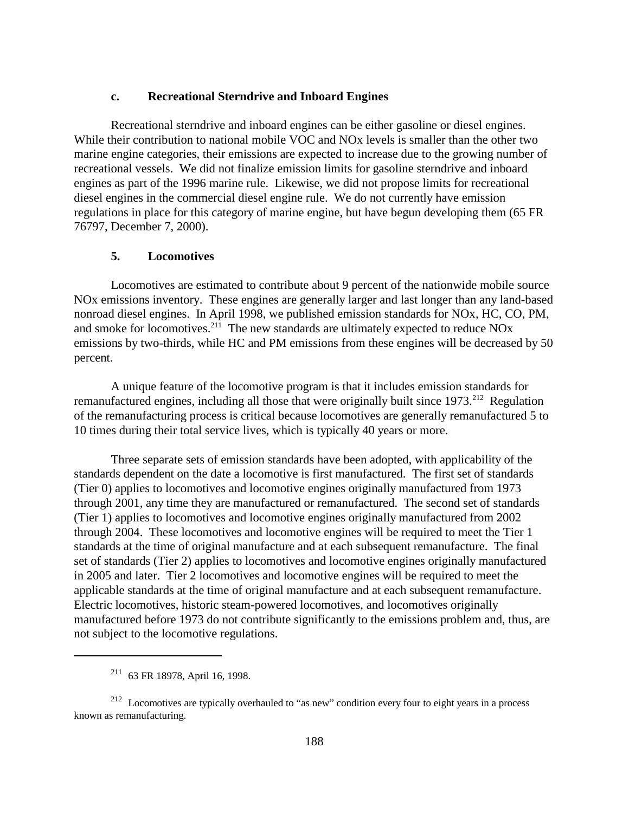### **c. Recreational Sterndrive and Inboard Engines**

Recreational sterndrive and inboard engines can be either gasoline or diesel engines. While their contribution to national mobile VOC and NOx levels is smaller than the other two marine engine categories, their emissions are expected to increase due to the growing number of recreational vessels. We did not finalize emission limits for gasoline sterndrive and inboard engines as part of the 1996 marine rule. Likewise, we did not propose limits for recreational diesel engines in the commercial diesel engine rule. We do not currently have emission regulations in place for this category of marine engine, but have begun developing them (65 FR 76797, December 7, 2000).

### **5. Locomotives**

Locomotives are estimated to contribute about 9 percent of the nationwide mobile source NOx emissions inventory. These engines are generally larger and last longer than any land-based nonroad diesel engines. In April 1998, we published emission standards for NOx, HC, CO, PM, and smoke for locomotives.<sup>211</sup> The new standards are ultimately expected to reduce NOx emissions by two-thirds, while HC and PM emissions from these engines will be decreased by 50 percent.

A unique feature of the locomotive program is that it includes emission standards for remanufactured engines, including all those that were originally built since 1973.<sup>212</sup> Regulation of the remanufacturing process is critical because locomotives are generally remanufactured 5 to 10 times during their total service lives, which is typically 40 years or more.

Three separate sets of emission standards have been adopted, with applicability of the standards dependent on the date a locomotive is first manufactured. The first set of standards (Tier 0) applies to locomotives and locomotive engines originally manufactured from 1973 through 2001, any time they are manufactured or remanufactured. The second set of standards (Tier 1) applies to locomotives and locomotive engines originally manufactured from 2002 through 2004. These locomotives and locomotive engines will be required to meet the Tier 1 standards at the time of original manufacture and at each subsequent remanufacture. The final set of standards (Tier 2) applies to locomotives and locomotive engines originally manufactured in 2005 and later. Tier 2 locomotives and locomotive engines will be required to meet the applicable standards at the time of original manufacture and at each subsequent remanufacture. Electric locomotives, historic steam-powered locomotives, and locomotives originally manufactured before 1973 do not contribute significantly to the emissions problem and, thus, are not subject to the locomotive regulations.

<sup>211 63</sup> FR 18978, April 16, 1998.

<sup>212</sup> Locomotives are typically overhauled to "as new" condition every four to eight years in a process known as remanufacturing.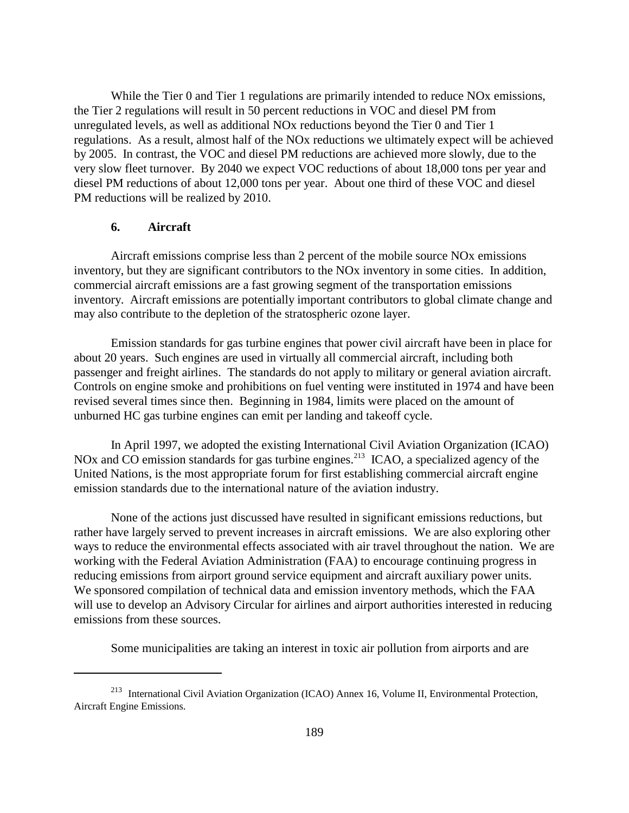While the Tier 0 and Tier 1 regulations are primarily intended to reduce NO<sub>x</sub> emissions, the Tier 2 regulations will result in 50 percent reductions in VOC and diesel PM from unregulated levels, as well as additional NOx reductions beyond the Tier 0 and Tier 1 regulations. As a result, almost half of the NOx reductions we ultimately expect will be achieved by 2005. In contrast, the VOC and diesel PM reductions are achieved more slowly, due to the very slow fleet turnover. By 2040 we expect VOC reductions of about 18,000 tons per year and diesel PM reductions of about 12,000 tons per year. About one third of these VOC and diesel PM reductions will be realized by 2010.

### **6. Aircraft**

Aircraft emissions comprise less than 2 percent of the mobile source NOx emissions inventory, but they are significant contributors to the NOx inventory in some cities. In addition, commercial aircraft emissions are a fast growing segment of the transportation emissions inventory. Aircraft emissions are potentially important contributors to global climate change and may also contribute to the depletion of the stratospheric ozone layer.

Emission standards for gas turbine engines that power civil aircraft have been in place for about 20 years. Such engines are used in virtually all commercial aircraft, including both passenger and freight airlines. The standards do not apply to military or general aviation aircraft. Controls on engine smoke and prohibitions on fuel venting were instituted in 1974 and have been revised several times since then. Beginning in 1984, limits were placed on the amount of unburned HC gas turbine engines can emit per landing and takeoff cycle.

In April 1997, we adopted the existing International Civil Aviation Organization (ICAO) NOx and CO emission standards for gas turbine engines.<sup>213</sup> ICAO, a specialized agency of the United Nations, is the most appropriate forum for first establishing commercial aircraft engine emission standards due to the international nature of the aviation industry.

None of the actions just discussed have resulted in significant emissions reductions, but rather have largely served to prevent increases in aircraft emissions. We are also exploring other ways to reduce the environmental effects associated with air travel throughout the nation. We are working with the Federal Aviation Administration (FAA) to encourage continuing progress in reducing emissions from airport ground service equipment and aircraft auxiliary power units. We sponsored compilation of technical data and emission inventory methods, which the FAA will use to develop an Advisory Circular for airlines and airport authorities interested in reducing emissions from these sources.

Some municipalities are taking an interest in toxic air pollution from airports and are

<sup>213</sup> International Civil Aviation Organization (ICAO) Annex 16, Volume II, Environmental Protection, Aircraft Engine Emissions.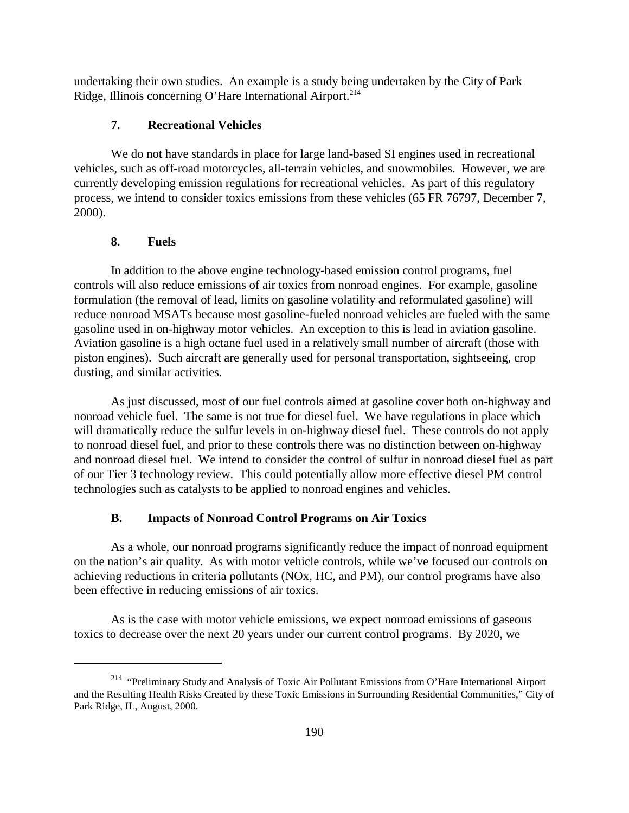undertaking their own studies. An example is a study being undertaken by the City of Park Ridge, Illinois concerning O'Hare International Airport.<sup>214</sup>

# **7. Recreational Vehicles**

We do not have standards in place for large land-based SI engines used in recreational vehicles, such as off-road motorcycles, all-terrain vehicles, and snowmobiles. However, we are currently developing emission regulations for recreational vehicles. As part of this regulatory process, we intend to consider toxics emissions from these vehicles (65 FR 76797, December 7, 2000).

### **8. Fuels**

In addition to the above engine technology-based emission control programs, fuel controls will also reduce emissions of air toxics from nonroad engines. For example, gasoline formulation (the removal of lead, limits on gasoline volatility and reformulated gasoline) will reduce nonroad MSATs because most gasoline-fueled nonroad vehicles are fueled with the same gasoline used in on-highway motor vehicles. An exception to this is lead in aviation gasoline. Aviation gasoline is a high octane fuel used in a relatively small number of aircraft (those with piston engines). Such aircraft are generally used for personal transportation, sightseeing, crop dusting, and similar activities.

As just discussed, most of our fuel controls aimed at gasoline cover both on-highway and nonroad vehicle fuel. The same is not true for diesel fuel. We have regulations in place which will dramatically reduce the sulfur levels in on-highway diesel fuel. These controls do not apply to nonroad diesel fuel, and prior to these controls there was no distinction between on-highway and nonroad diesel fuel. We intend to consider the control of sulfur in nonroad diesel fuel as part of our Tier 3 technology review. This could potentially allow more effective diesel PM control technologies such as catalysts to be applied to nonroad engines and vehicles.

### **B. Impacts of Nonroad Control Programs on Air Toxics**

As a whole, our nonroad programs significantly reduce the impact of nonroad equipment on the nation's air quality. As with motor vehicle controls, while we've focused our controls on achieving reductions in criteria pollutants (NOx, HC, and PM), our control programs have also been effective in reducing emissions of air toxics.

As is the case with motor vehicle emissions, we expect nonroad emissions of gaseous toxics to decrease over the next 20 years under our current control programs. By 2020, we

<sup>&</sup>lt;sup>214</sup> "Preliminary Study and Analysis of Toxic Air Pollutant Emissions from O'Hare International Airport and the Resulting Health Risks Created by these Toxic Emissions in Surrounding Residential Communities," City of Park Ridge, IL, August, 2000.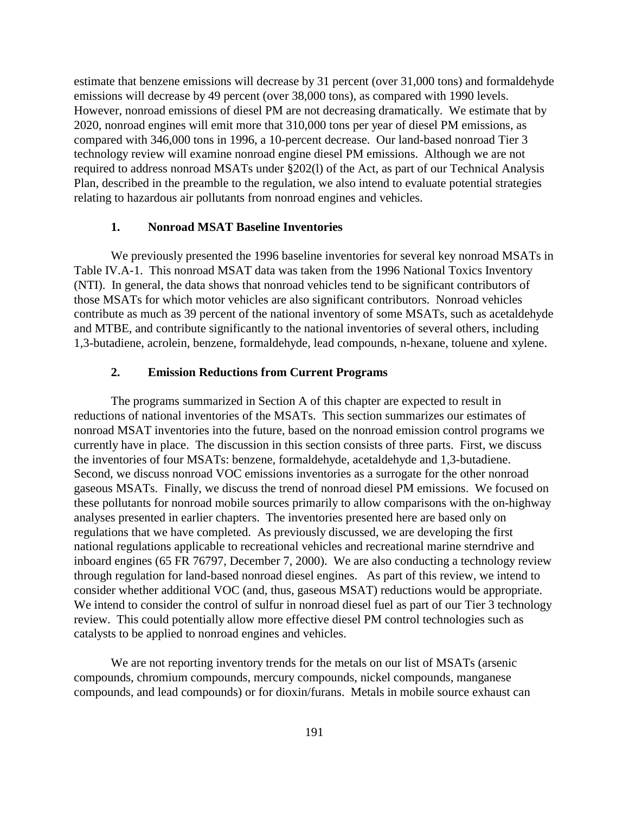estimate that benzene emissions will decrease by 31 percent (over 31,000 tons) and formaldehyde emissions will decrease by 49 percent (over 38,000 tons), as compared with 1990 levels. However, nonroad emissions of diesel PM are not decreasing dramatically. We estimate that by 2020, nonroad engines will emit more that 310,000 tons per year of diesel PM emissions, as compared with 346,000 tons in 1996, a 10-percent decrease. Our land-based nonroad Tier 3 technology review will examine nonroad engine diesel PM emissions. Although we are not required to address nonroad MSATs under §202(l) of the Act, as part of our Technical Analysis Plan, described in the preamble to the regulation, we also intend to evaluate potential strategies relating to hazardous air pollutants from nonroad engines and vehicles.

### **1. Nonroad MSAT Baseline Inventories**

We previously presented the 1996 baseline inventories for several key nonroad MSATs in Table IV.A-1. This nonroad MSAT data was taken from the 1996 National Toxics Inventory (NTI). In general, the data shows that nonroad vehicles tend to be significant contributors of those MSATs for which motor vehicles are also significant contributors. Nonroad vehicles contribute as much as 39 percent of the national inventory of some MSATs, such as acetaldehyde and MTBE, and contribute significantly to the national inventories of several others, including 1,3-butadiene, acrolein, benzene, formaldehyde, lead compounds, n-hexane, toluene and xylene.

### **2. Emission Reductions from Current Programs**

The programs summarized in Section A of this chapter are expected to result in reductions of national inventories of the MSATs. This section summarizes our estimates of nonroad MSAT inventories into the future, based on the nonroad emission control programs we currently have in place. The discussion in this section consists of three parts. First, we discuss the inventories of four MSATs: benzene, formaldehyde, acetaldehyde and 1,3-butadiene. Second, we discuss nonroad VOC emissions inventories as a surrogate for the other nonroad gaseous MSATs. Finally, we discuss the trend of nonroad diesel PM emissions. We focused on these pollutants for nonroad mobile sources primarily to allow comparisons with the on-highway analyses presented in earlier chapters. The inventories presented here are based only on regulations that we have completed. As previously discussed, we are developing the first national regulations applicable to recreational vehicles and recreational marine sterndrive and inboard engines (65 FR 76797, December 7, 2000). We are also conducting a technology review through regulation for land-based nonroad diesel engines. As part of this review, we intend to consider whether additional VOC (and, thus, gaseous MSAT) reductions would be appropriate. We intend to consider the control of sulfur in nonroad diesel fuel as part of our Tier 3 technology review. This could potentially allow more effective diesel PM control technologies such as catalysts to be applied to nonroad engines and vehicles.

We are not reporting inventory trends for the metals on our list of MSATs (arsenic compounds, chromium compounds, mercury compounds, nickel compounds, manganese compounds, and lead compounds) or for dioxin/furans. Metals in mobile source exhaust can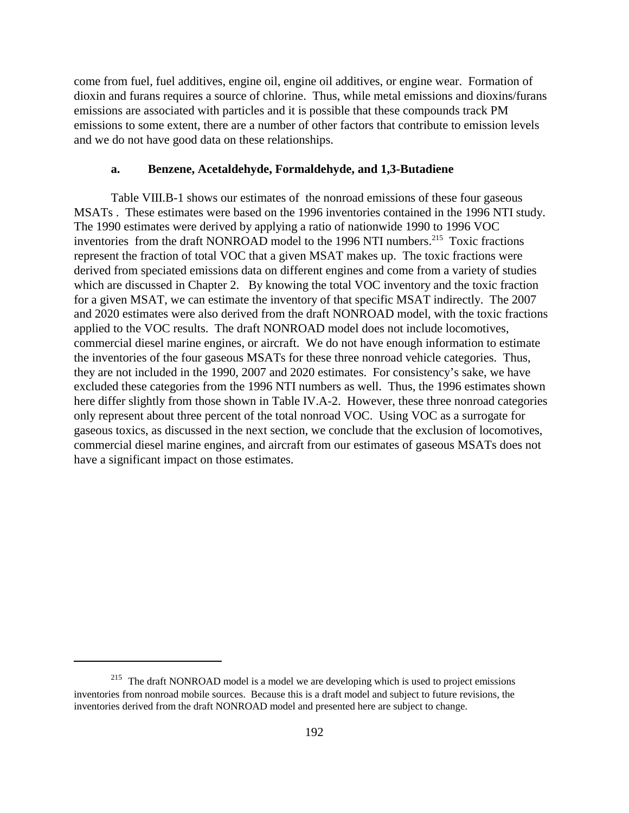come from fuel, fuel additives, engine oil, engine oil additives, or engine wear. Formation of dioxin and furans requires a source of chlorine. Thus, while metal emissions and dioxins/furans emissions are associated with particles and it is possible that these compounds track PM emissions to some extent, there are a number of other factors that contribute to emission levels and we do not have good data on these relationships.

### **a. Benzene, Acetaldehyde, Formaldehyde, and 1,3-Butadiene**

Table VIII.B-1 shows our estimates of the nonroad emissions of these four gaseous MSATs . These estimates were based on the 1996 inventories contained in the 1996 NTI study. The 1990 estimates were derived by applying a ratio of nationwide 1990 to 1996 VOC inventories from the draft NONROAD model to the 1996 NTI numbers.<sup>215</sup> Toxic fractions represent the fraction of total VOC that a given MSAT makes up. The toxic fractions were derived from speciated emissions data on different engines and come from a variety of studies which are discussed in Chapter 2. By knowing the total VOC inventory and the toxic fraction for a given MSAT, we can estimate the inventory of that specific MSAT indirectly. The 2007 and 2020 estimates were also derived from the draft NONROAD model, with the toxic fractions applied to the VOC results. The draft NONROAD model does not include locomotives, commercial diesel marine engines, or aircraft. We do not have enough information to estimate the inventories of the four gaseous MSATs for these three nonroad vehicle categories. Thus, they are not included in the 1990, 2007 and 2020 estimates. For consistency's sake, we have excluded these categories from the 1996 NTI numbers as well. Thus, the 1996 estimates shown here differ slightly from those shown in Table IV.A-2. However, these three nonroad categories only represent about three percent of the total nonroad VOC. Using VOC as a surrogate for gaseous toxics, as discussed in the next section, we conclude that the exclusion of locomotives, commercial diesel marine engines, and aircraft from our estimates of gaseous MSATs does not have a significant impact on those estimates.

<sup>&</sup>lt;sup>215</sup> The draft NONROAD model is a model we are developing which is used to project emissions inventories from nonroad mobile sources. Because this is a draft model and subject to future revisions, the inventories derived from the draft NONROAD model and presented here are subject to change.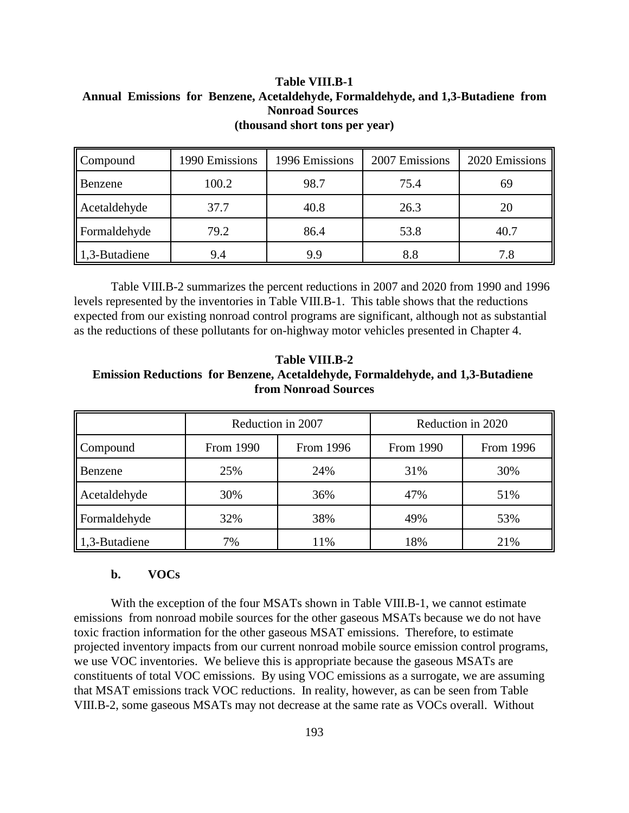**Table VIII.B-1 Annual Emissions for Benzene, Acetaldehyde, Formaldehyde, and 1,3-Butadiene from Nonroad Sources (thousand short tons per year)**

| Compound      | 1990 Emissions | 1996 Emissions | 2007 Emissions | 2020 Emissions |
|---------------|----------------|----------------|----------------|----------------|
| Benzene       | 100.2          | 98.7           | 75.4           | 69             |
| Acetaldehyde  | 37.7           | 40.8           | 26.3           | 20             |
| Formaldehyde  | 79.2           | 86.4           | 53.8           | 40.7           |
| 1,3-Butadiene | 9.4            | 9.9            | 8.8            | 7.8            |

Table VIII.B-2 summarizes the percent reductions in 2007 and 2020 from 1990 and 1996 levels represented by the inventories in Table VIII.B-1. This table shows that the reductions expected from our existing nonroad control programs are significant, although not as substantial as the reductions of these pollutants for on-highway motor vehicles presented in Chapter 4.

**Table VIII.B-2 Emission Reductions for Benzene, Acetaldehyde, Formaldehyde, and 1,3-Butadiene from Nonroad Sources**

|               | Reduction in 2007 |           | Reduction in 2020 |           |  |
|---------------|-------------------|-----------|-------------------|-----------|--|
| Compound      | From 1990         | From 1996 | From 1990         | From 1996 |  |
| Benzene       | 25%               | 24%       | 31%               | 30%       |  |
| Acetaldehyde  | 30%               | 36%       | 47%               | 51%       |  |
| Formaldehyde  | 32%               | 38%       | 49%               | 53%       |  |
| 1,3-Butadiene | 7%                | 11%       | 18%               | 21%       |  |

#### **b. VOCs**

With the exception of the four MSATs shown in Table VIII.B-1, we cannot estimate emissions from nonroad mobile sources for the other gaseous MSATs because we do not have toxic fraction information for the other gaseous MSAT emissions. Therefore, to estimate projected inventory impacts from our current nonroad mobile source emission control programs, we use VOC inventories. We believe this is appropriate because the gaseous MSATs are constituents of total VOC emissions. By using VOC emissions as a surrogate, we are assuming that MSAT emissions track VOC reductions. In reality, however, as can be seen from Table VIII.B-2, some gaseous MSATs may not decrease at the same rate as VOCs overall. Without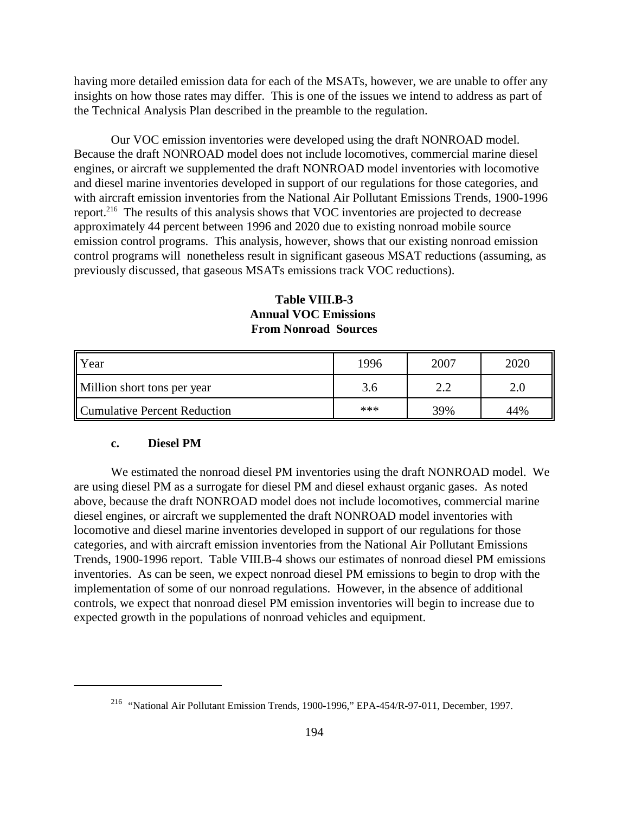having more detailed emission data for each of the MSATs, however, we are unable to offer any insights on how those rates may differ. This is one of the issues we intend to address as part of the Technical Analysis Plan described in the preamble to the regulation.

Our VOC emission inventories were developed using the draft NONROAD model. Because the draft NONROAD model does not include locomotives, commercial marine diesel engines, or aircraft we supplemented the draft NONROAD model inventories with locomotive and diesel marine inventories developed in support of our regulations for those categories, and with aircraft emission inventories from the National Air Pollutant Emissions Trends, 1900-1996 report.216 The results of this analysis shows that VOC inventories are projected to decrease approximately 44 percent between 1996 and 2020 due to existing nonroad mobile source emission control programs. This analysis, however, shows that our existing nonroad emission control programs will nonetheless result in significant gaseous MSAT reductions (assuming, as previously discussed, that gaseous MSATs emissions track VOC reductions).

# **Table VIII.B-3 Annual VOC Emissions From Nonroad Sources**

| <b>Year</b>                  | 1996 | 2007 | 2020 |
|------------------------------|------|------|------|
| Million short tons per year  | 3.6  |      |      |
| Cumulative Percent Reduction | ***  | 39%  | 44%  |

### **c. Diesel PM**

We estimated the nonroad diesel PM inventories using the draft NONROAD model. We are using diesel PM as a surrogate for diesel PM and diesel exhaust organic gases. As noted above, because the draft NONROAD model does not include locomotives, commercial marine diesel engines, or aircraft we supplemented the draft NONROAD model inventories with locomotive and diesel marine inventories developed in support of our regulations for those categories, and with aircraft emission inventories from the National Air Pollutant Emissions Trends, 1900-1996 report. Table VIII.B-4 shows our estimates of nonroad diesel PM emissions inventories. As can be seen, we expect nonroad diesel PM emissions to begin to drop with the implementation of some of our nonroad regulations. However, in the absence of additional controls, we expect that nonroad diesel PM emission inventories will begin to increase due to expected growth in the populations of nonroad vehicles and equipment.

<sup>216 &</sup>quot;National Air Pollutant Emission Trends, 1900-1996," EPA-454/R-97-011, December, 1997.